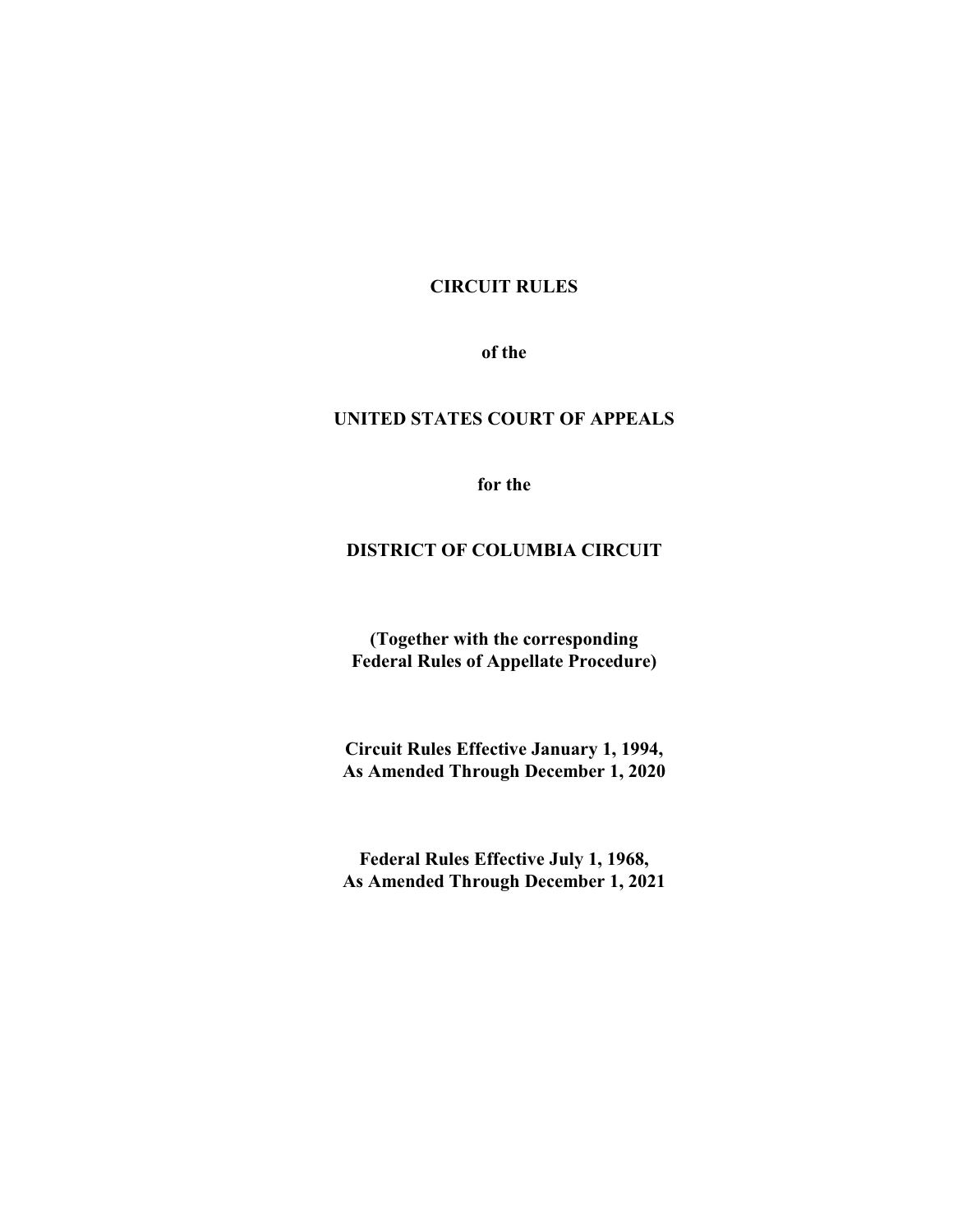### **CIRCUIT RULES**

**of the**

#### **UNITED STATES COURT OF APPEALS**

**for the**

### **DISTRICT OF COLUMBIA CIRCUIT**

**(Together with the corresponding Federal Rules of Appellate Procedure)**

**Circuit Rules Effective January 1, 1994, As Amended Through December 1, 2020**

**Federal Rules Effective July 1, 1968, As Amended Through December 1, 2021**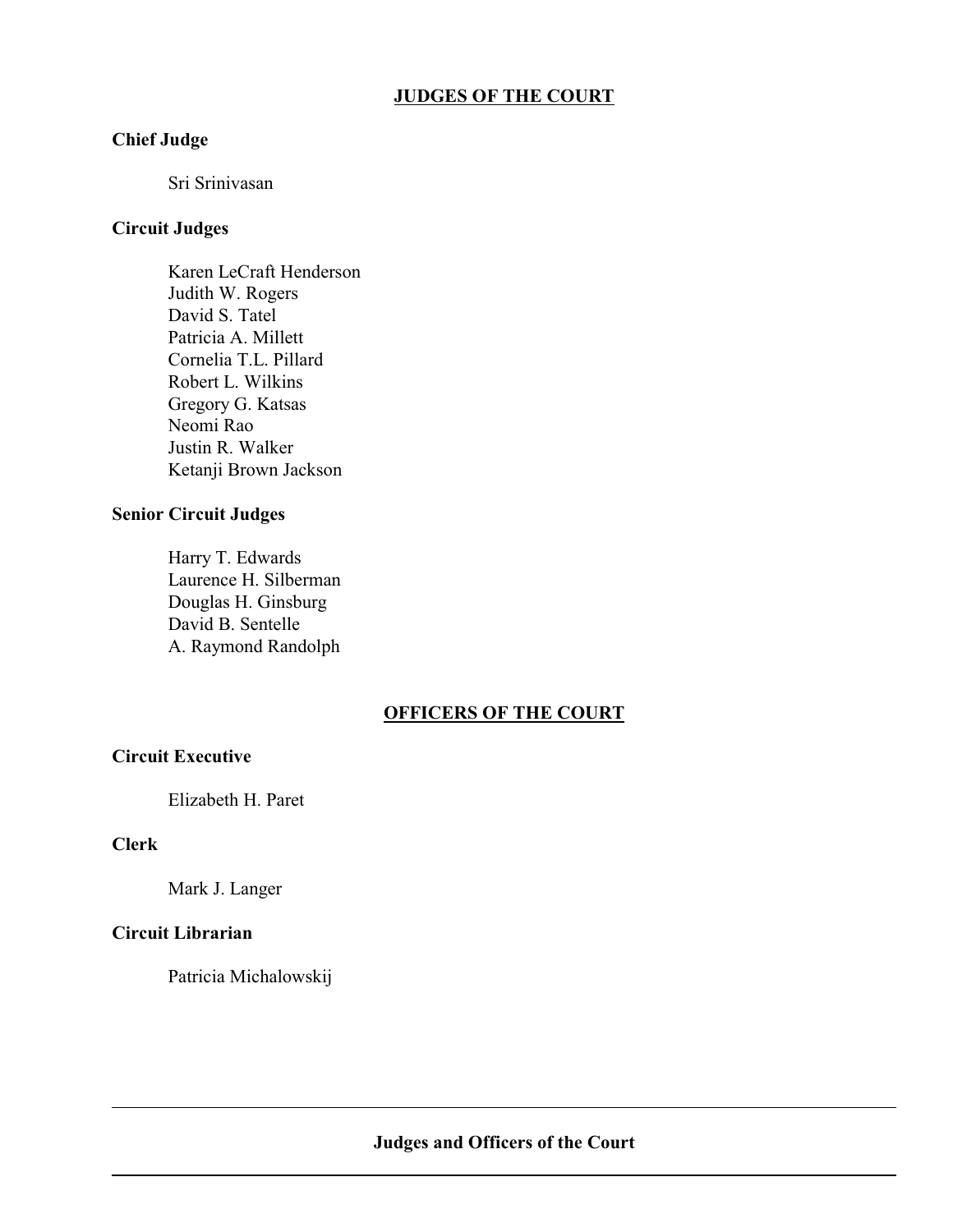### **JUDGES OF THE COURT**

# **Chief Judge**

Sri Srinivasan

#### **Circuit Judges**

Karen LeCraft Henderson Judith W. Rogers David S. Tatel Patricia A. Millett Cornelia T.L. Pillard Robert L. Wilkins Gregory G. Katsas Neomi Rao Justin R. Walker Ketanji Brown Jackson

#### **Senior Circuit Judges**

Harry T. Edwards Laurence H. Silberman Douglas H. Ginsburg David B. Sentelle A. Raymond Randolph

### **OFFICERS OF THE COURT**

# **Circuit Executive**

Elizabeth H. Paret

#### **Clerk**

Mark J. Langer

#### **Circuit Librarian**

Patricia Michalowskij

**Judges and Officers of the Court**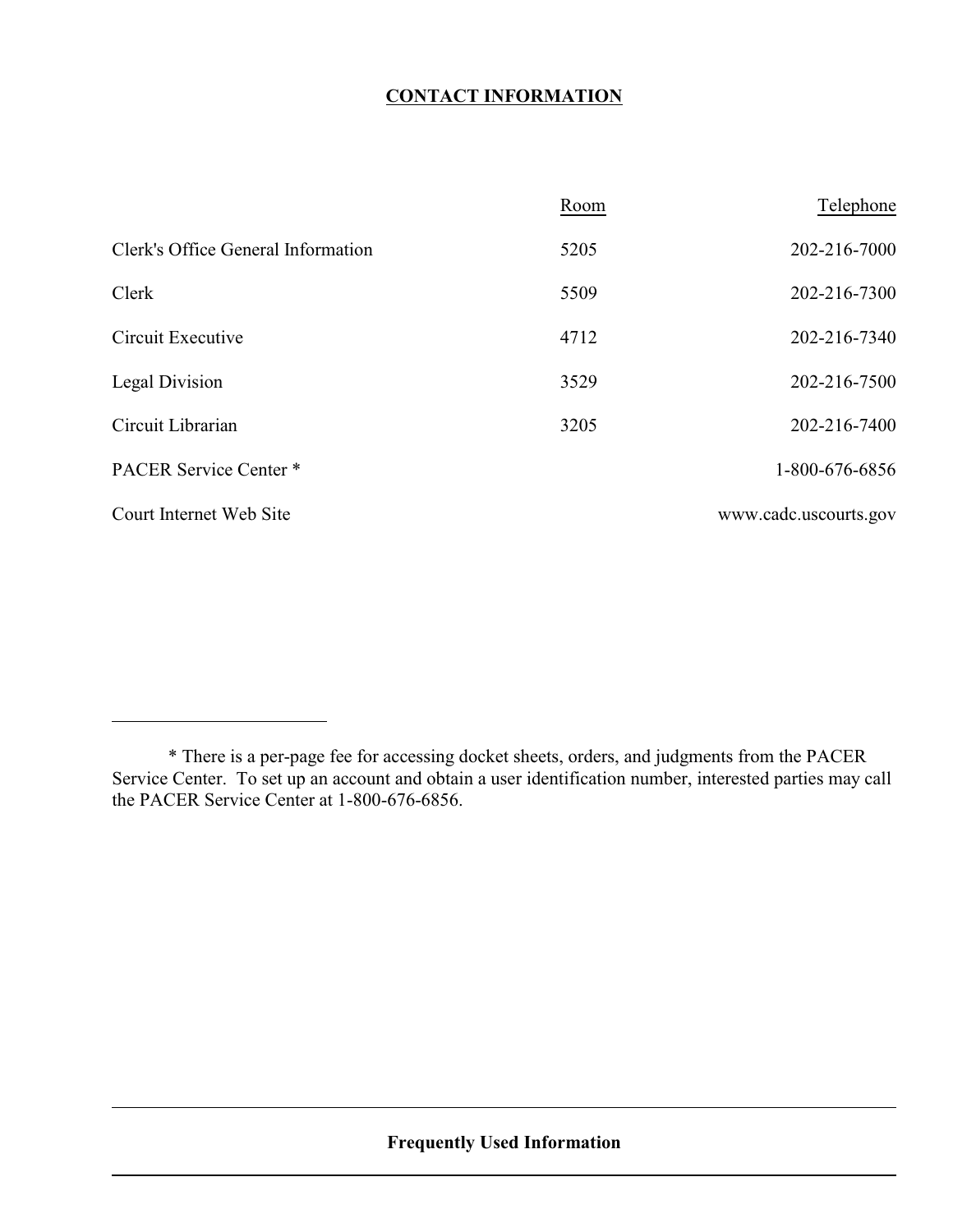# **CONTACT INFORMATION**

|                                    | Room | Telephone             |
|------------------------------------|------|-----------------------|
| Clerk's Office General Information | 5205 | 202-216-7000          |
| Clerk                              | 5509 | 202-216-7300          |
| Circuit Executive                  | 4712 | 202-216-7340          |
| Legal Division                     | 3529 | 202-216-7500          |
| Circuit Librarian                  | 3205 | 202-216-7400          |
| PACER Service Center*              |      | 1-800-676-6856        |
| Court Internet Web Site            |      | www.cadc.uscourts.gov |

<sup>\*</sup> There is a per-page fee for accessing docket sheets, orders, and judgments from the PACER Service Center. To set up an account and obtain a user identification number, interested parties may call the PACER Service Center at 1-800-676-6856.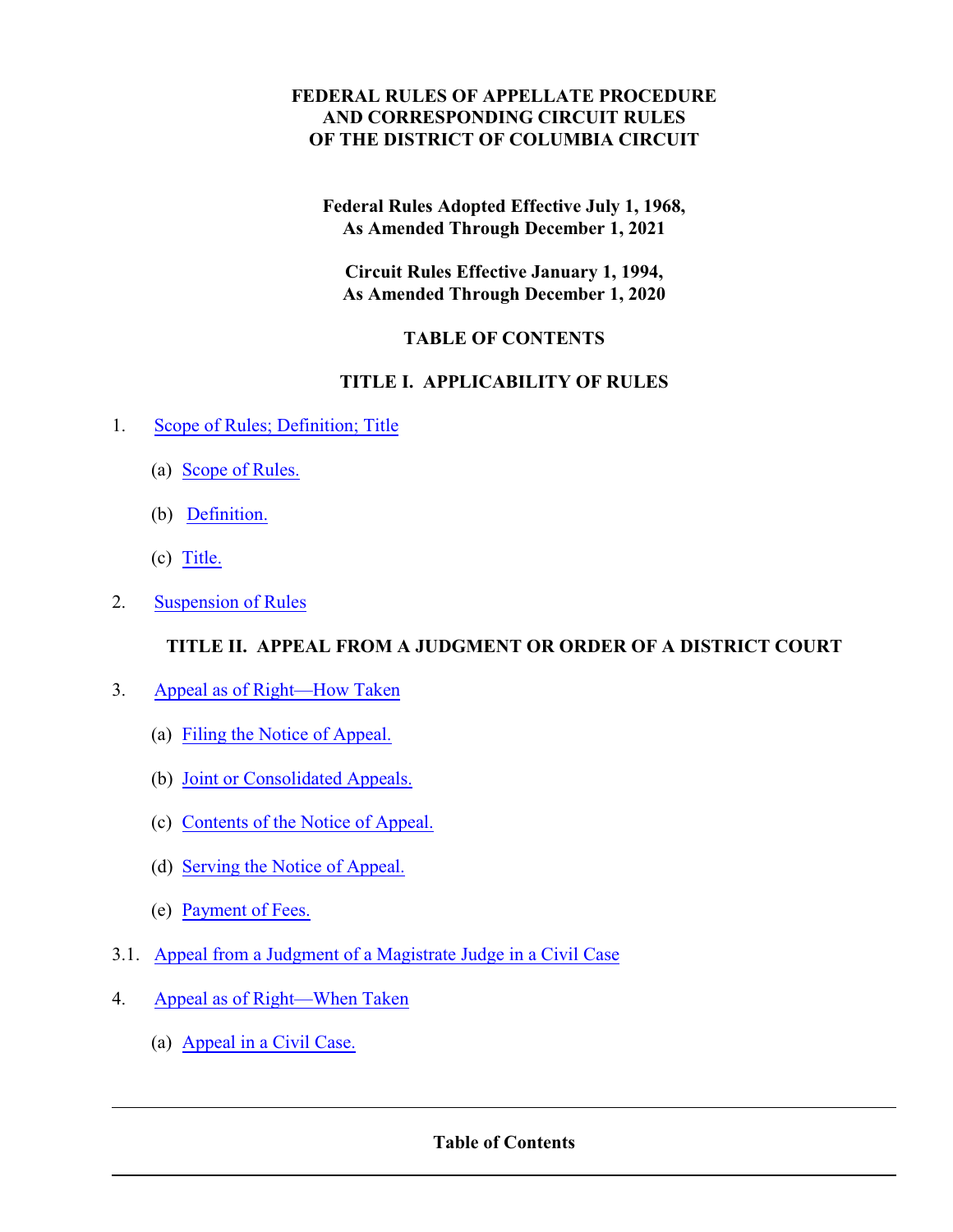### **FEDERAL RULES OF APPELLATE PROCEDURE AND CORRESPONDING CIRCUIT RULES OF THE DISTRICT OF COLUMBIA CIRCUIT**

**Federal Rules Adopted Effective July 1, 1968, As Amended Through December 1, 2021**

**Circuit Rules Effective January 1, 1994, As Amended Through December 1, 2020**

## **TABLE OF CONTENTS**

## **TITLE I. APPLICABILITY OF RULES**

- 1. [Scope of Rules; Definition; Title](#page-20-0)
	- (a) [Scope of Rules.](#page-20-1)
	- (b) [Definition.](#page-20-2)
	- (c) [Title.](#page-20-3)
- 2. [Suspension of Rules](#page-22-0)

### **TITLE II. APPEAL FROM A JUDGMENT OR ORDER OF A DISTRICT COURT**

- 3. [Appeal as of Right—How Taken](#page-24-0)
	- (a) [Filing the Notice of Appeal.](#page-24-1)
	- (b) [Joint or Consolidated Appeals.](#page-24-2)
	- (c) [Contents of the Notice of Appeal.](#page-24-3)
	- (d) [Serving the Notice of Appeal.](#page-25-0)
	- (e) [Payment of Fees.](#page-25-1)
- 3.1. [Appeal from a Judgment of a Magistrate Judge in a Civil Case](#page-26-0)
- 4. [Appeal as of Right—When Taken](#page-28-0)
	- (a) [Appeal in a Civil Case.](#page-28-1)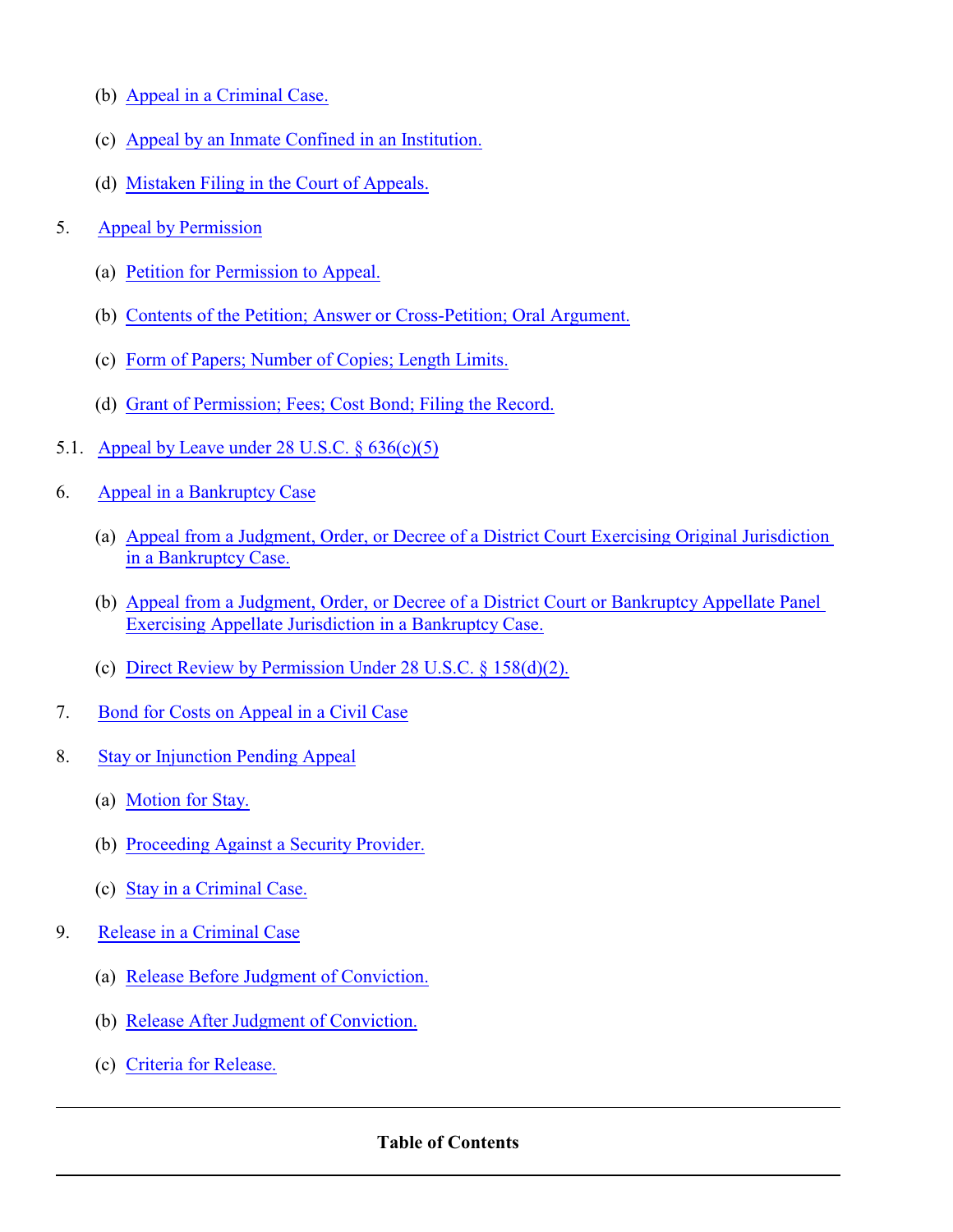- (b) [Appeal in a Criminal Case.](#page-30-0)
- (c) [Appeal by an Inmate Confined in an Institution.](#page-31-0)
- (d) [Mistaken Filing in the Court of Appeals.](#page-32-0)
- 5. [Appeal by Permission](#page-34-0)
	- (a) [Petition for Permission to Appeal.](#page-34-1)
	- (b) [Contents of the Petition; Answer or Cross-Petition; Oral Argument.](#page-34-2)
	- (c) [Form of Papers; Number of Copies; Length Limits.](#page-34-3)
	- (d) [Grant of Permission; Fees; Cost Bond; Filing the Record.](#page-35-0)
- 5.1. Appeal by Leave under 28 U.S.C.  $\S 636(c)(5)$
- 6. [Appeal in a Bankruptcy Case](#page-36-0)
	- (a) [Appeal from a Judgment, Order, or Decree of a District Court Exercising Original Jurisdiction](#page-36-1)  [in a Bankruptcy Case.](#page-36-1)
	- (b) [Appeal from a Judgment, Order, or Decree of a District Court or Bankruptcy Appellate Panel](#page-36-2)  [Exercising Appellate Jurisdiction in a Bankruptcy Case.](#page-36-2)
	- (c) [Direct Review by Permission Under 28 U.S.C. § 158\(d\)\(2\).](#page-37-0)
- 7. [Bond for Costs on Appeal in a Civil Case](#page-40-0)
- 8. [Stay or Injunction Pending Appeal](#page-42-0)
	- (a) [Motion for Stay.](#page-42-1)
	- (b) [Proceeding Against a Security Provider.](#page-42-2)
	- (c) [Stay in a Criminal Case.](#page-43-0)
- 9. [Release in a Criminal Case](#page-46-0)
	- (a) [Release Before Judgment of Conviction.](#page-46-1)
	- (b) [Release After Judgment of Conviction.](#page-46-2)
	- (c) [Criteria for Release.](#page-46-3)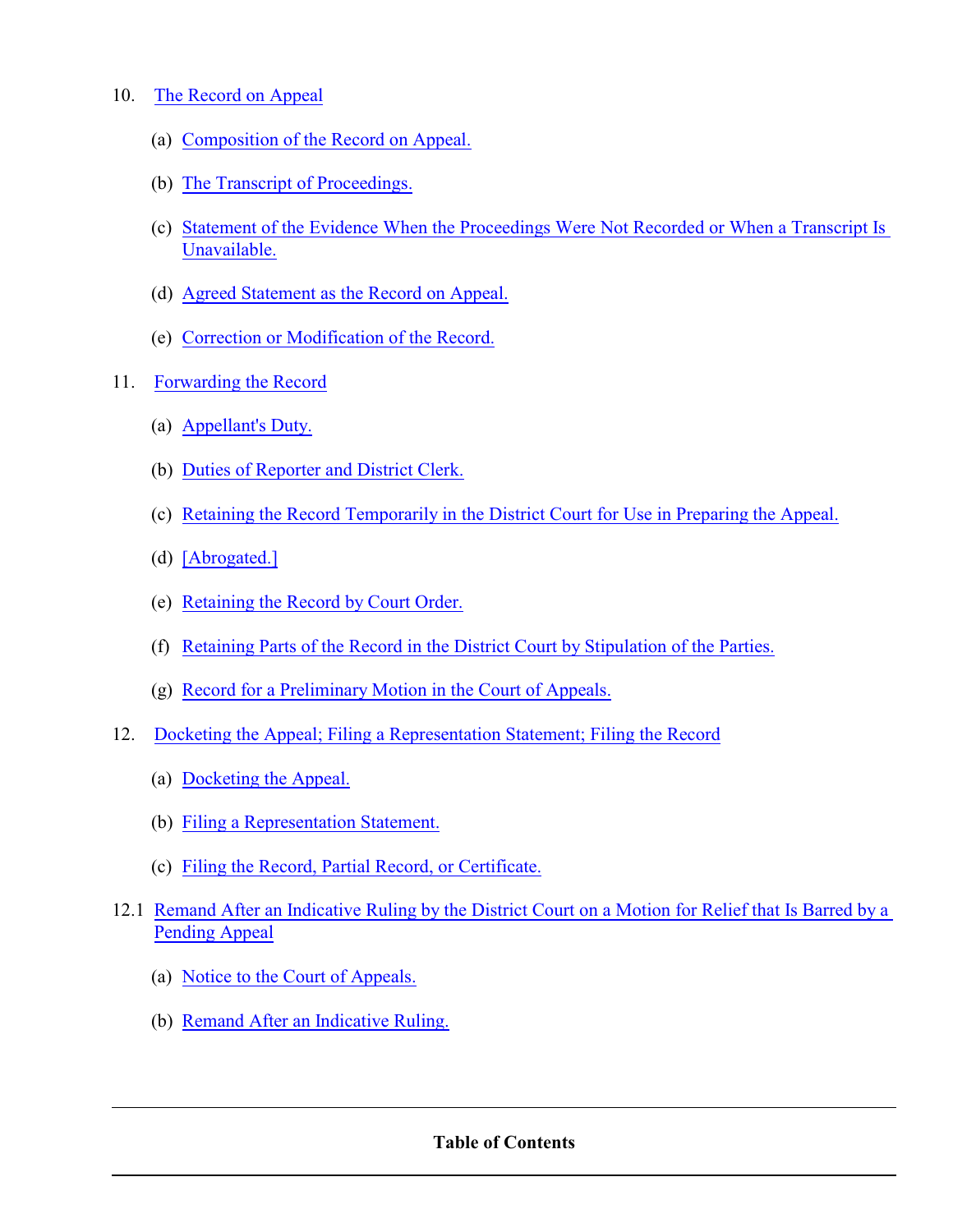### 10. [The Record on Appeal](#page-48-0)

- (a) [Composition of the Record on Appeal.](#page-48-1)
- (b) [The Transcript of Proceedings.](#page-48-2)
- (c) [Statement of the Evidence When the Proceedings Were Not Recorded or When a Transcript Is](#page-49-0)  [Unavailable.](#page-49-0)
- (d) [Agreed Statement as the Record on Appeal.](#page-49-1)
- (e) [Correction or Modification of the Record.](#page-49-2)
- 11. [Forwarding the Record](#page-52-0)
	- (a) [Appellant's Duty.](#page-52-1)
	- (b) [Duties of Reporter and District Clerk.](#page-52-2)
	- (c) [Retaining the Record Temporarily in the District Court for Use in Preparing the Appeal.](#page-52-3)
	- (d) [\[Abrogated.\]](#page-52-4)
	- (e) [Retaining the Record by Court Order.](#page-52-5)
	- (f) [Retaining Parts of the Record in the District Court by Stipulation of the Parties.](#page-53-0)
	- (g) [Record for a Preliminary Motion in the Court of Appeals.](#page-53-1)
- 12. [Docketing the Appeal; Filing a Representation Statement; Filing the Record](#page-54-0)
	- (a) [Docketing the Appeal.](#page-54-1)
	- (b) [Filing a Representation Statement.](#page-54-2)
	- (c) [Filing the Record, Partial Record, or Certificate.](#page-54-3)
- 12.1 [Remand After an Indicative Ruling by the District Court on a Motion for Relief that Is Barred by a](#page-56-0)  [Pending Appeal](#page-56-0)
	- (a) [Notice to the Court of Appeals.](#page-56-1)
	- (b) [Remand After an Indicative Ruling.](#page-56-0)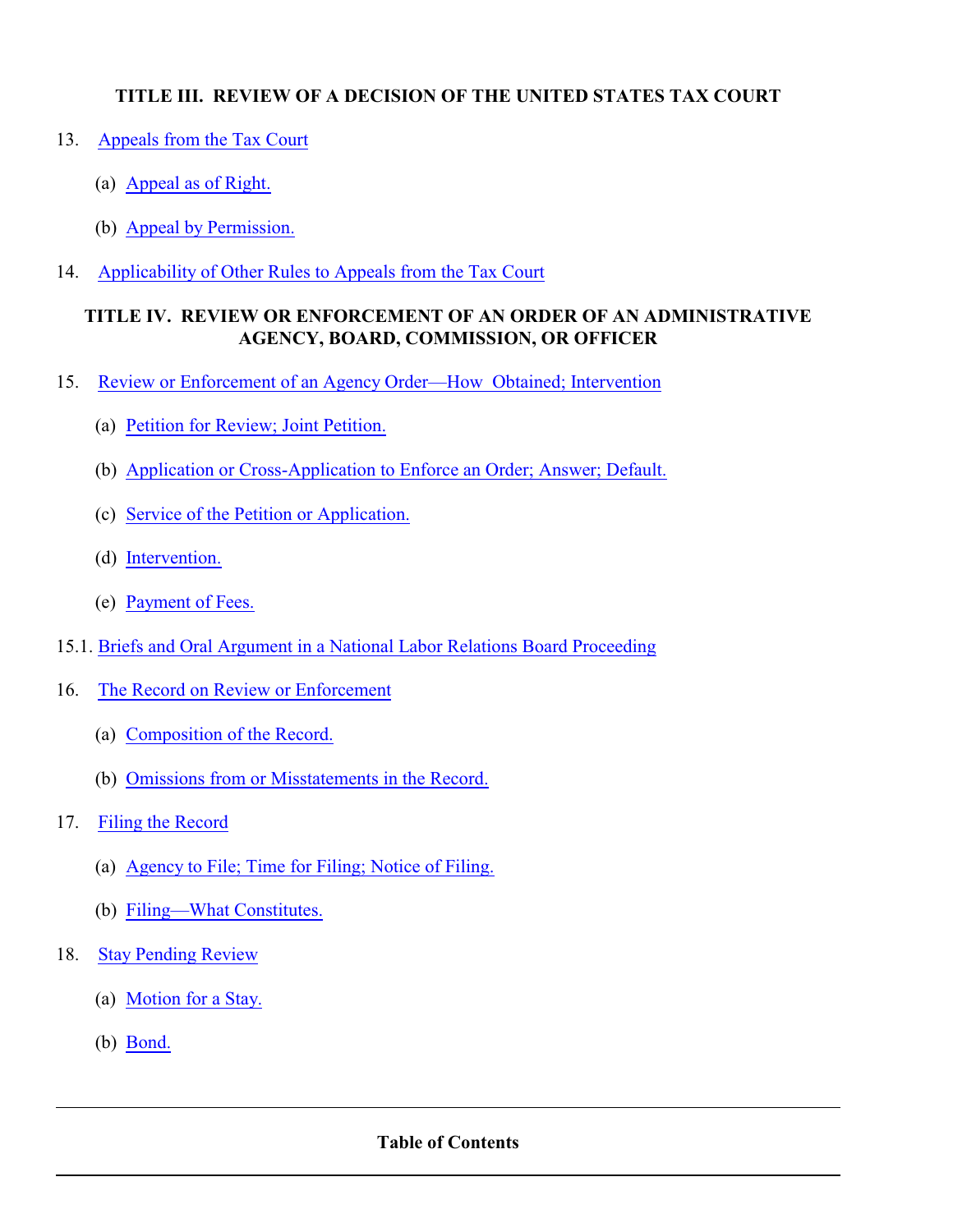# **TITLE III. REVIEW OF A DECISION OF THE UNITED STATES TAX COURT**

- 13. [Appeals from the Tax Court](#page-58-0)
	- (a) [Appeal as of Right.](#page-58-1)
	- (b) [Appeal by Permission.](#page-58-2)
- 14. [Applicability of Other Rules to Appeals from the Tax Court](#page-60-0)

### **TITLE IV. REVIEW OR ENFORCEMENT OF AN ORDER OF AN ADMINISTRATIVE AGENCY, BOARD, COMMISSION, OR OFFICER**

- 15. [Review or Enforcement of an Agency Order—How Obtained; Intervention](#page-62-0)
	- (a) [Petition for Review; Joint Petition.](#page-62-1)
	- (b) [Application or Cross-Application to Enforce an Order; Answer; Default.](#page-62-2)
	- (c) [Service of the Petition or Application.](#page-62-3)
	- (d) [Intervention.](#page-63-0)
	- (e) [Payment of Fees.](#page-63-1)
- 15.1. [Briefs and Oral Argument in a National Labor Relations Board Proceeding](#page-66-0)
- 16. [The Record on Review or Enforcement](#page-68-0)
	- (a) [Composition of the Record.](#page-68-1)
	- (b) [Omissions from or Misstatements in the Record.](#page-68-2)
- 17. [Filing the Record](#page-70-0)
	- (a) [Agency to File; Time for Filing; Notice of Filing.](#page-70-1)
	- (b) [Filing—What Constitutes.](#page-70-2)
- 18. [Stay Pending Review](#page-72-0)
	- (a) [Motion for a Stay.](#page-72-1)
	- (b) [Bond.](#page-72-2)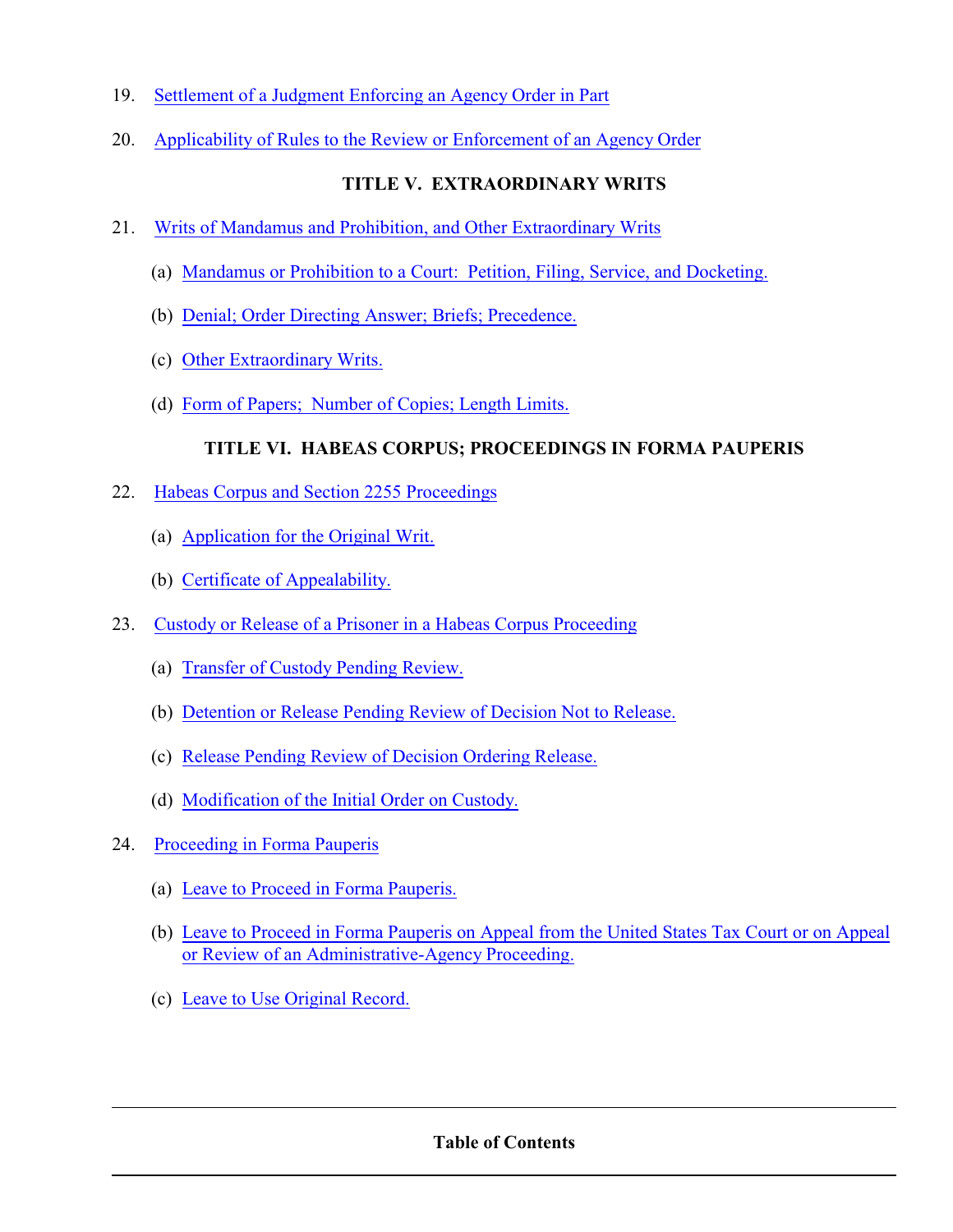- 19. [Settlement of a Judgment Enforcing an Agency Order in Part](#page-74-0)
- 20. [Applicability of Rules to the Review or Enforcement of an Agency Order](#page-76-0)

# **TITLE V. EXTRAORDINARY WRITS**

- 21. [Writs of Mandamus and Prohibition, and Other Extraordinary Writs](#page-78-0)
	- (a) [Mandamus or Prohibition to a Court: Petition, Filing, Service, and Docketing.](#page-78-1)
	- (b) [Denial; Order Directing Answer; Briefs; Precedence.](#page-78-2)
	- (c) [Other Extraordinary Writs.](#page-79-0)
	- (d) [Form of Papers; Number of Copies; Length Limits.](#page-79-1)

## **TITLE VI. HABEAS CORPUS; PROCEEDINGS IN FORMA PAUPERIS**

- 22. [Habeas Corpus and Section 2255 Proceedings](#page-80-0)
	- (a) [Application for the Original Writ.](#page-80-1)
	- (b) [Certificate of Appealability.](#page-80-2)
- 23. [Custody or Release of a Prisoner in a Habeas Corpus Proceeding](#page-82-0)
	- (a) [Transfer of Custody Pending Review.](#page-82-1)
	- (b) [Detention or Release Pending Review of Decision Not to Release.](#page-82-2)
	- (c) [Release Pending Review of Decision Ordering Release.](#page-82-3)
	- (d) [Modification of the Initial Order on Custody.](#page-82-4)
- 24. [Proceeding in Forma Pauperis](#page-84-0)
	- (a) [Leave to Proceed in Forma Pauperis.](#page-84-1)
	- (b) [Leave to Proceed in Forma Pauperis on Appeal from the United States Tax Court or on Appeal](#page-85-0) [or Review of an Administrative-Agency Proceeding.](#page-85-0)
	- (c) [Leave to Use Original Record.](#page-85-1)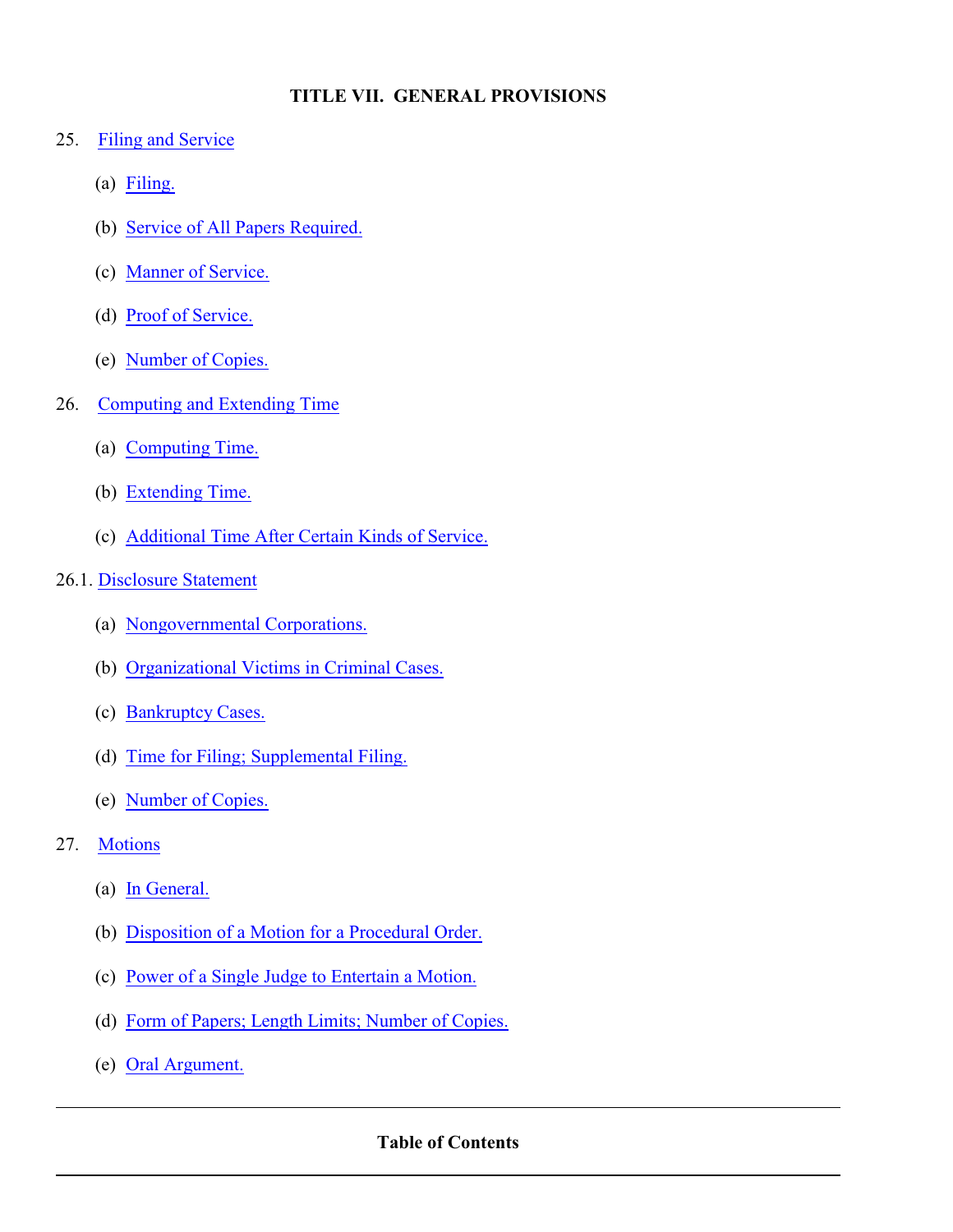#### **TITLE VII. GENERAL PROVISIONS**

- 25. [Filing and Service](#page-86-0)
	- (a) [Filing.](#page-86-1)
	- (b) [Service of All Papers Required.](#page-87-0)
	- (c) [Manner of Service.](#page-87-1)
	- (d) [Proof of Service.](#page-88-0)
	- (e) [Number of Copies.](#page-88-1)
- 26. [Computing and Extending Time](#page-92-0)
	- (a) [Computing Time.](#page-92-1)
	- (b) [Extending Time.](#page-93-0)
	- (c) [Additional Time After Certain Kinds of Service.](#page-93-1)
- 26.1. [Disclosure Statement](#page-96-0)
	- (a) [Nongovernmental Corporations.](#page-96-1)
	- (b) [Organizational Victims in Criminal Cases.](#page-96-2)
	- (c) [Bankruptcy Cases.](#page-96-3)
	- (d) [Time for Filing; Supplemental Filing.](#page-96-4)
	- (e) [Number of Copies.](#page-96-5)
- 27. [Motions](#page-98-0)
	- (a) [In General.](#page-98-1)
	- (b) [Disposition of a Motion for a Procedural Order.](#page-98-2)
	- (c) [Power of a Single Judge to Entertain a Motion.](#page-99-0)
	- (d) [Form of Papers; Length Limits; Number of Copies.](#page-99-1)
	- (e) [Oral Argument.](#page-100-0)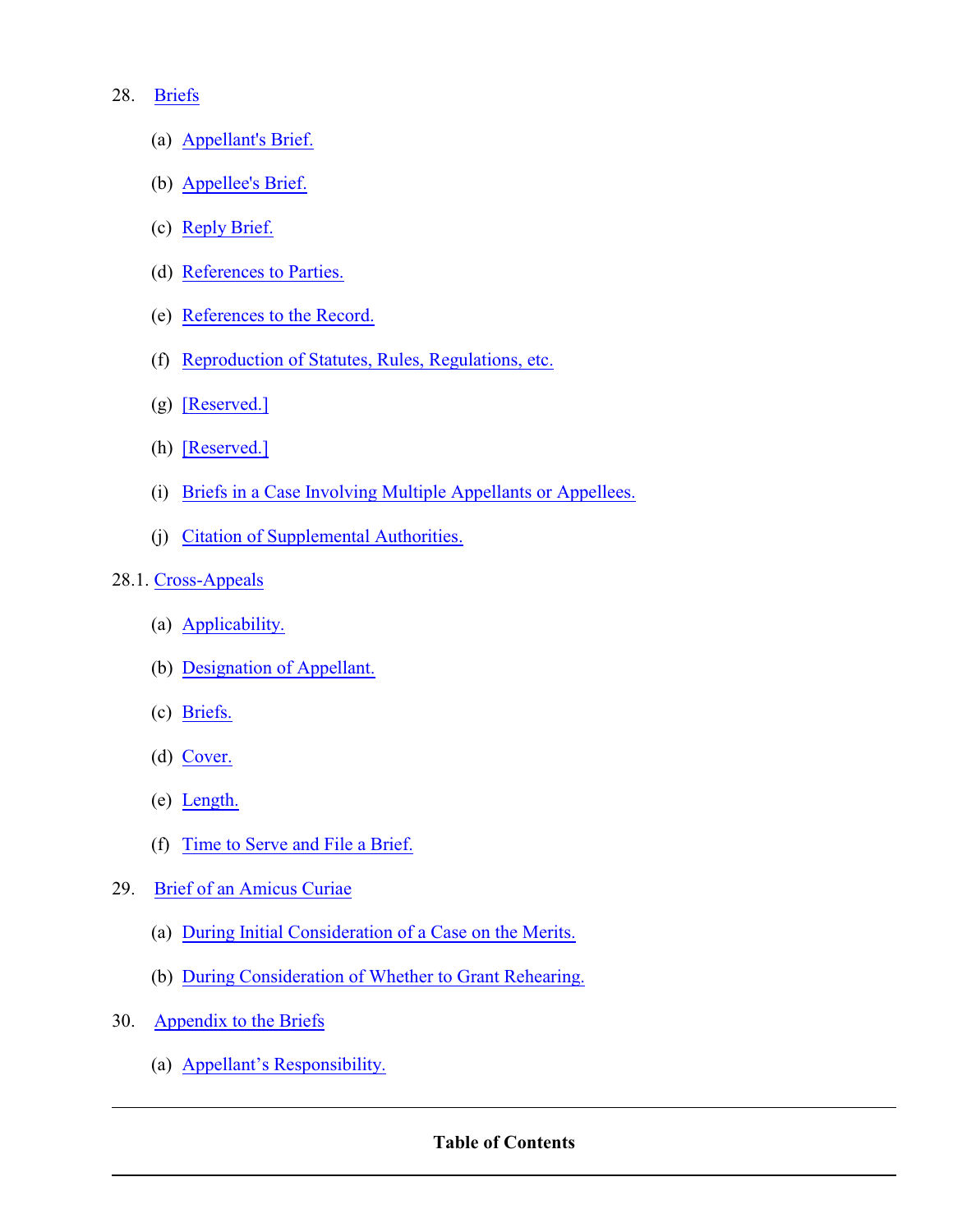### 28. [Briefs](#page-104-0)

- (a) [Appellant's Brief.](#page-104-1)
- (b) [Appellee's Brief.](#page-105-0)
- (c) [Reply Brief.](#page-105-1)
- (d) [References to Parties.](#page-105-2)
- (e) [References to the Record.](#page-105-3)
- (f) [Reproduction of Statutes, Rules, Regulations, etc.](#page-105-4)
- (g) [\[Reserved.\]](#page-105-5)
- (h) [\[Reserved.\]](#page-105-6)
- (i) [Briefs in a Case Involving Multiple Appellants or Appellees.](#page-106-0)
- (j) [Citation of Supplemental Authorities.](#page-106-1)

### 28.1. [Cross-Appeals](#page-110-0)

- (a) [Applicability.](#page-110-1)
- (b) [Designation of Appellant.](#page-110-2)
- (c) [Briefs.](#page-110-3)
- (d) [Cover.](#page-110-4)
- (e) [Length.](#page-111-0)
- (f) [Time to Serve and File a Brief.](#page-111-1)
- 29. [Brief of an Amicus Curiae](#page-114-0)
	- (a) [During Initial Consideration of a Case on the Merits.](#page-114-1)
	- (b) [During Consideration of Whether to Grant Rehearing.](#page-115-0)
- 30. [Appendix to the Briefs](#page-118-0)
	- (a) [Appellant's Responsibility.](#page-118-1)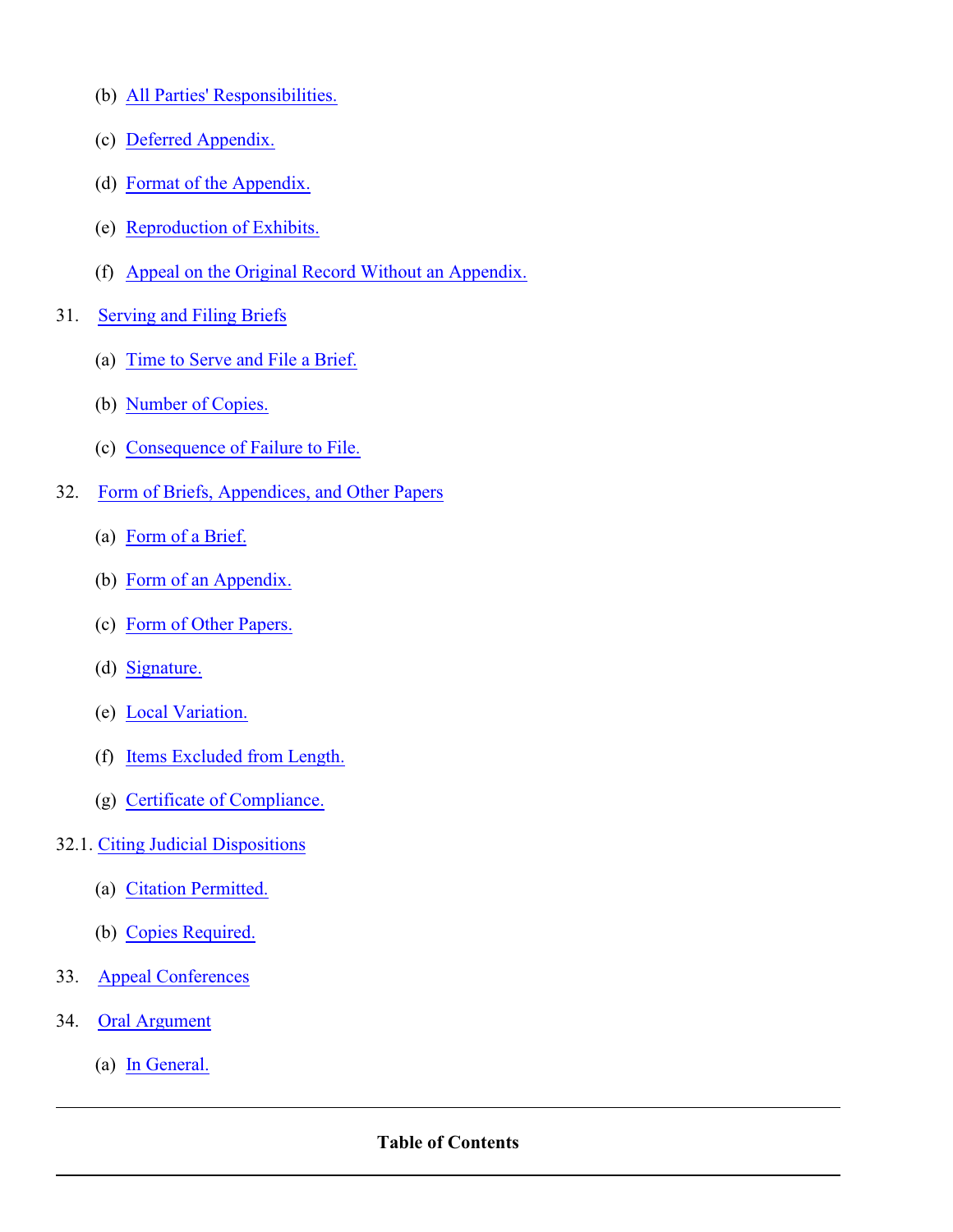- (b) [All Parties' Responsibilities.](#page-118-2)
- (c) [Deferred Appendix.](#page-119-0)
- (d) [Format of the Appendix.](#page-119-1)
- (e) [Reproduction of Exhibits.](#page-119-2)
- (f) [Appeal on the Original Record Without an Appendix.](#page-119-3)
- 31. [Serving and Filing Briefs](#page-122-0)
	- (a) [Time to Serve and File a Brief.](#page-122-1)
	- (b) [Number of Copies.](#page-122-2)
	- (c) [Consequence of Failure to File.](#page-122-3)
- 32. [Form of Briefs, Appendices, and Other Papers](#page-124-0)
	- (a) [Form of a Brief.](#page-124-1)
	- (b) [Form of an Appendix.](#page-125-0)
	- (c) [Form of Other Papers.](#page-125-1)
	- (d) [Signature.](#page-125-2)
	- (e) [Local Variation.](#page-126-0)
	- (f) [Items Excluded from Length.](#page-126-1)
	- (g) [Certificate of Compliance.](#page-126-2)
- 32.1. [Citing Judicial Dispositions](#page-130-0)
	- (a) [Citation Permitted.](#page-130-1)
	- (b) [Copies Required.](#page-130-2)
- 33. [Appeal Conferences](#page-132-0)
- 34. [Oral Argument](#page-134-0)
	- (a) [In General.](#page-134-1)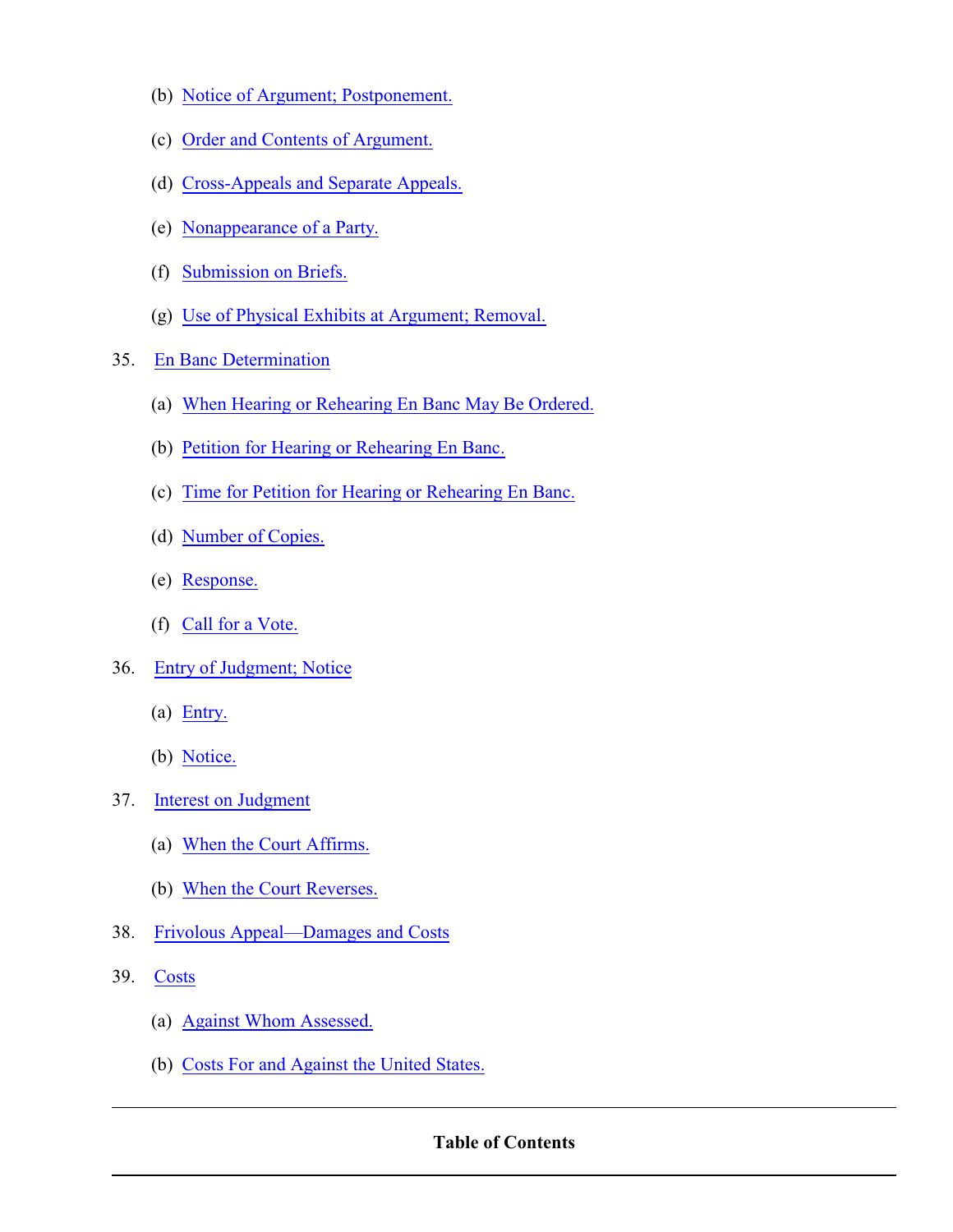- (b) [Notice of Argument; Postponement.](#page-134-2)
- (c) [Order and Contents of Argument.](#page-134-3)
- (d) [Cross-Appeals and Separate Appeals.](#page-134-4)
- (e) [Nonappearance of a Party.](#page-134-5)
- (f) [Submission on Briefs.](#page-134-6)
- (g) [Use of Physical Exhibits at Argument; Removal.](#page-134-7)
- 35. [En Banc Determination](#page-138-0)
	- (a) [When Hearing or Rehearing En Banc May Be Ordered.](#page-138-1)
	- (b) [Petition for Hearing or Rehearing En Banc.](#page-138-2)
	- (c) [Time for Petition for Hearing or Rehearing En Banc.](#page-138-3)
	- (d) [Number of Copies.](#page-138-4)
	- (e) [Response.](#page-138-5)
	- (f) [Call for a Vote.](#page-139-0)
- 36. [Entry of Judgment; Notice](#page-140-0)
	- (a) [Entry.](#page-140-1)
	- (b) [Notice.](#page-140-2)
- 37. [Interest on Judgment](#page-142-0)
	- (a) [When the Court Affirms.](#page-142-1)
	- (b) [When the Court Reverses.](#page-142-2)
- 38. [Frivolous Appeal—Damages and Costs](#page-144-0)
- 39. [Costs](#page-146-0)
	- (a) [Against Whom Assessed.](#page-146-1)
	- (b) [Costs For and Against the United States.](#page-146-2)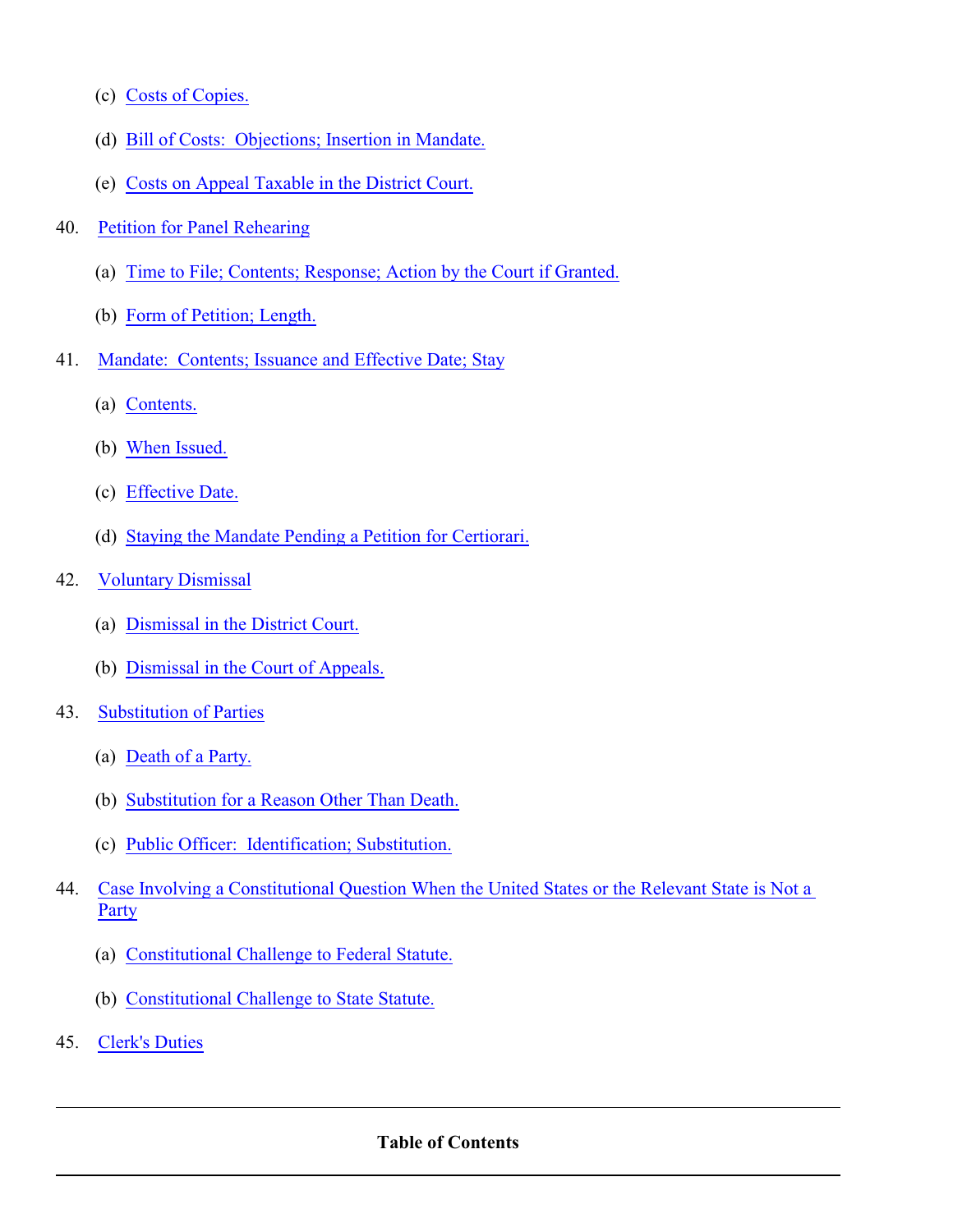- (c) [Costs of Copies.](#page-146-3)
- (d) [Bill of Costs: Objections; Insertion in Mandate.](#page-146-4)
- (e) [Costs on Appeal Taxable in the District Court.](#page-146-5)
- 40. [Petition for Panel Rehearing](#page-148-0)
	- (a) [Time to File; Contents; Response; Action by the Court if Granted.](#page-148-1)
	- (b) [Form of Petition; Length.](#page-148-2)
- 41. [Mandate: Contents; Issuance and Effective Date; Stay](#page-150-0)
	- (a) [Contents.](#page-150-1)
	- (b) [When Issued.](#page-150-2)
	- (c) [Effective Date.](#page-150-3)
	- (d) [Staying the Mandate Pending a Petition for Certiorari.](#page-150-4)
- 42. [Voluntary Dismissal](#page-152-0)
	- (a) [Dismissal in the District Court.](#page-152-1)
	- (b) [Dismissal in the Court of Appeals.](#page-152-2)
- 43. [Substitution of Parties](#page-154-0)
	- (a) [Death of a Party.](#page-154-1)
	- (b) [Substitution for a Reason Other Than Death.](#page-154-2)
	- (c) [Public Officer: Identification; Substitution.](#page-154-3)
- 44. [Case Involving a Constitutional Question When the United States or the Relevant State is Not a](#page-156-0)  [Party](#page-156-0)
	- (a) [Constitutional Challenge to Federal Statute.](#page-156-1)
	- (b) [Constitutional Challenge to State Statute.](#page-156-2)
- 45. [Clerk's Duties](#page-158-0)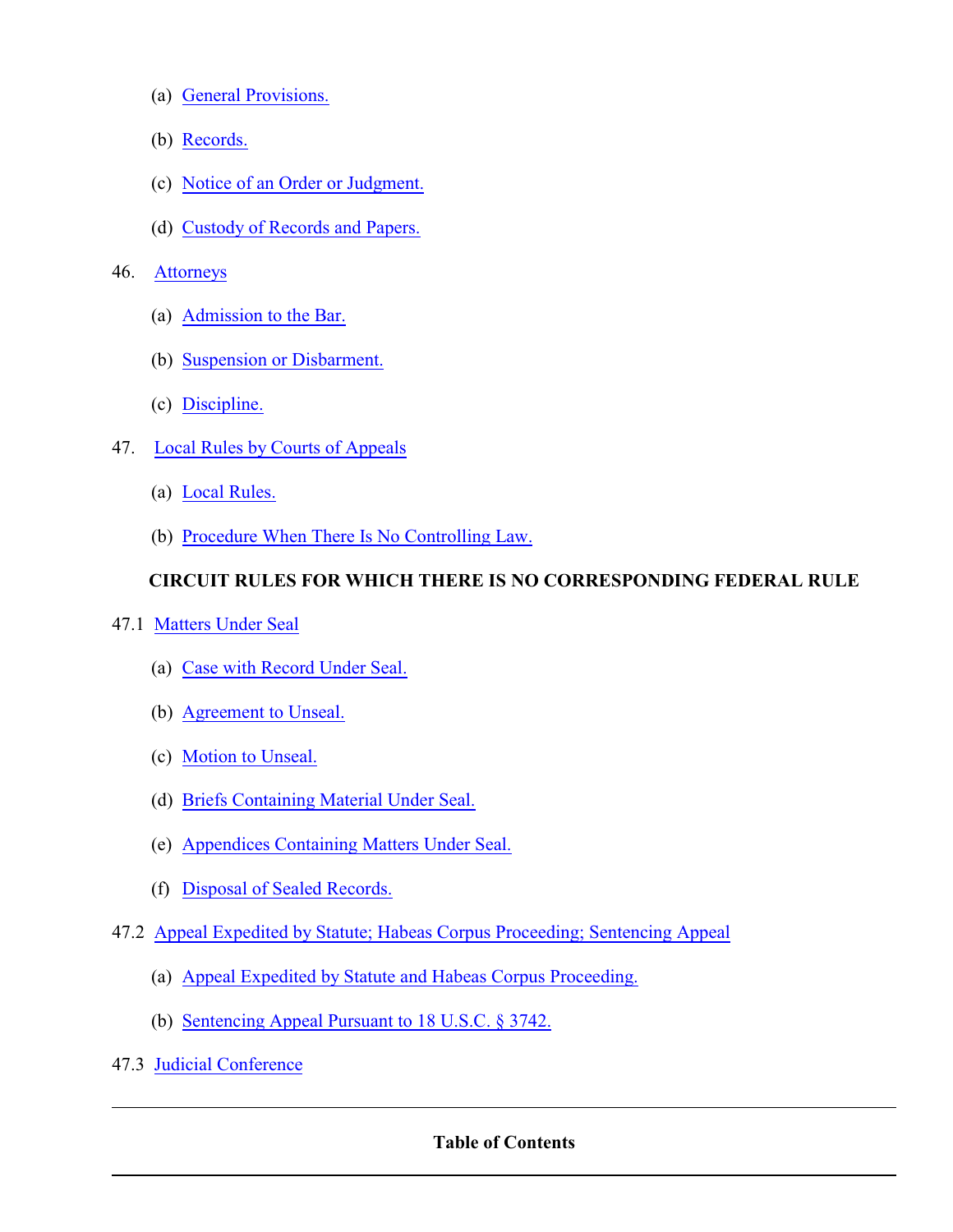- (a) [General Provisions.](#page-158-1)
- (b) [Records.](#page-158-2)
- (c) [Notice of an Order or Judgment.](#page-158-3)
- (d) [Custody of Records and Papers.](#page-158-4)

# 46. [Attorneys](#page-162-0)

- (a) [Admission to the Bar.](#page-162-1)
- (b) [Suspension or Disbarment.](#page-162-2)
- (c) [Discipline.](#page-162-3)
- 47. [Local Rules by Courts of Appeals](#page-166-0)
	- (a) [Local Rules.](#page-166-1)
	- (b) [Procedure When There Is No Controlling Law.](#page-166-2)

# **CIRCUIT RULES FOR WHICH THERE IS NO CORRESPONDING FEDERAL RULE**

- 47.1 [Matters Under Seal](#page-168-0)
	- (a) [Case with Record Under Seal.](#page-168-1)
	- (b) [Agreement to Unseal.](#page-168-2)
	- (c) [Motion to Unseal.](#page-168-3)
	- (d) [Briefs Containing Material Under Seal.](#page-168-4)
	- (e) [Appendices Containing Matters Under Seal.](#page-169-0)
	- (f) [Disposal of Sealed Records.](#page-169-1)
- 47.2 [Appeal Expedited by Statute; Habeas Corpus Proceeding; Sentencing Appeal](#page-170-0)
	- (a) [Appeal Expedited by Statute and Habeas Corpus Proceeding.](#page-170-1)
	- (b) [Sentencing Appeal Pursuant to 18 U.S.C. § 3742.](#page-170-2)
- 47.3 [Judicial Conference](#page-171-0)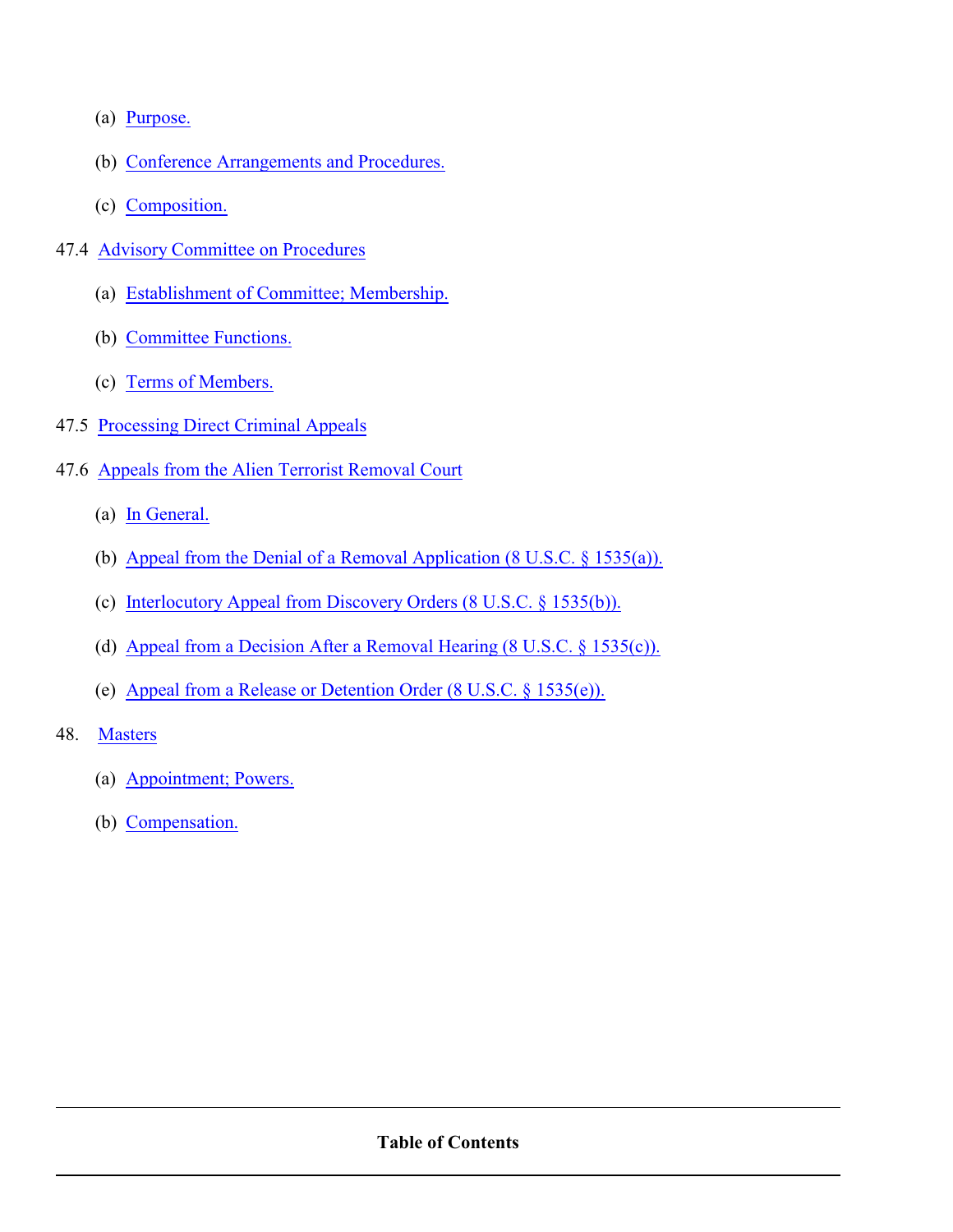- (a) [Purpose.](#page-171-1)
- (b) [Conference Arrangements and Procedures.](#page-171-2)
- (c) [Composition.](#page-171-3)
- 47.4 [Advisory Committee on Procedures](#page-172-0)
	- (a) [Establishment of Committee; Membership.](#page-172-1)
	- (b) [Committee Functions.](#page-172-2)
	- (c) [Terms of Members.](#page-173-0)
- 47.5 [Processing Direct Criminal Appeals](#page-173-1)
- 47.6 [Appeals from the Alien Terrorist Removal Court](#page-173-2)
	- (a) [In General.](#page-173-3)
	- (b) [Appeal from the Denial of a Removal Application \(8 U.S.C. § 1535\(a\)\).](#page-174-0)
	- (c) [Interlocutory Appeal from Discovery Orders \(8 U.S.C. § 1535\(b\)\).](#page-174-1)
	- (d) [Appeal from a Decision After a Removal Hearing \(8 U.S.C. § 1535\(c\)\).](#page-174-2)
	- (e) [Appeal from a Release or Detention Order \(8 U.S.C. § 1535\(e\)\).](#page-175-0)
- 48. [Masters](#page-176-0)
	- (a) [Appointment; Powers.](#page-176-1)
	- (b) [Compensation.](#page-176-2)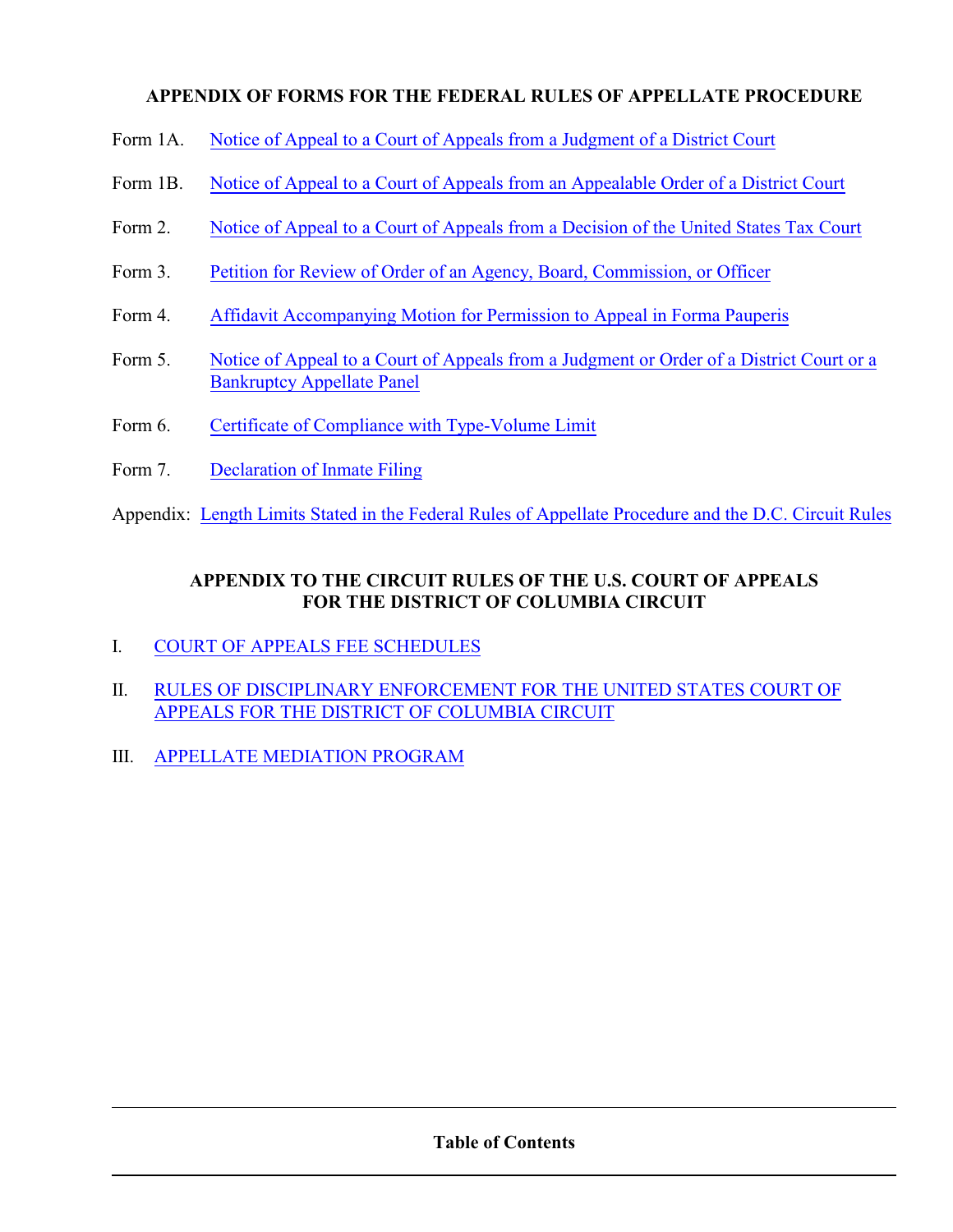# **APPENDIX OF FORMS FOR THE FEDERAL RULES OF APPELLATE PROCEDURE**

- Form 1A. [Notice of Appeal to a Court of Appeals from a Judgment of a District Court](#page-178-0)
- Form 1B. [Notice of Appeal to a Court of Appeals from an Appealable Order of a District Court](#page-179-0)
- Form 2. [Notice of Appeal to a Court of Appeals from a Decision of the United States Tax Court](#page-180-0)
- Form 3. [Petition for Review of Order of an Agency, Board, Commission, or Officer](#page-181-0)
- Form 4. [Affidavit Accompanying Motion for Permission to Appeal in Forma Pauperis](#page-182-0)
- Form 5. [Notice of Appeal to a Court of Appeals from a Judgment or Order of a District Court or a](#page-187-0) [Bankruptcy Appellate Panel](#page-187-0)
- Form 6. [Certificate of Compliance with Type-Volume Limit](#page-188-0)
- Form 7. [Declaration of Inmate Filing](#page-189-0)
- Appendix: [Length Limits Stated in the Federal Rules of Appellate Procedure and the D.C. Circuit Rules](#page-190-0)

# **APPENDIX TO THE CIRCUIT RULES OF THE U.S. COURT OF APPEALS FOR THE DISTRICT OF COLUMBIA CIRCUIT**

- I. [COURT OF APPEALS FEE SCHEDULES](#page-193-0)
- II. [RULES OF DISCIPLINARY ENFORCEMENT FOR THE UNITED STATES COURT OF](#page-193-1) [APPEALS FOR THE DISTRICT OF COLUMBIA CIRCUIT](#page-193-1)
- III. [APPELLATE MEDIATION PROGRAM](#page-193-2)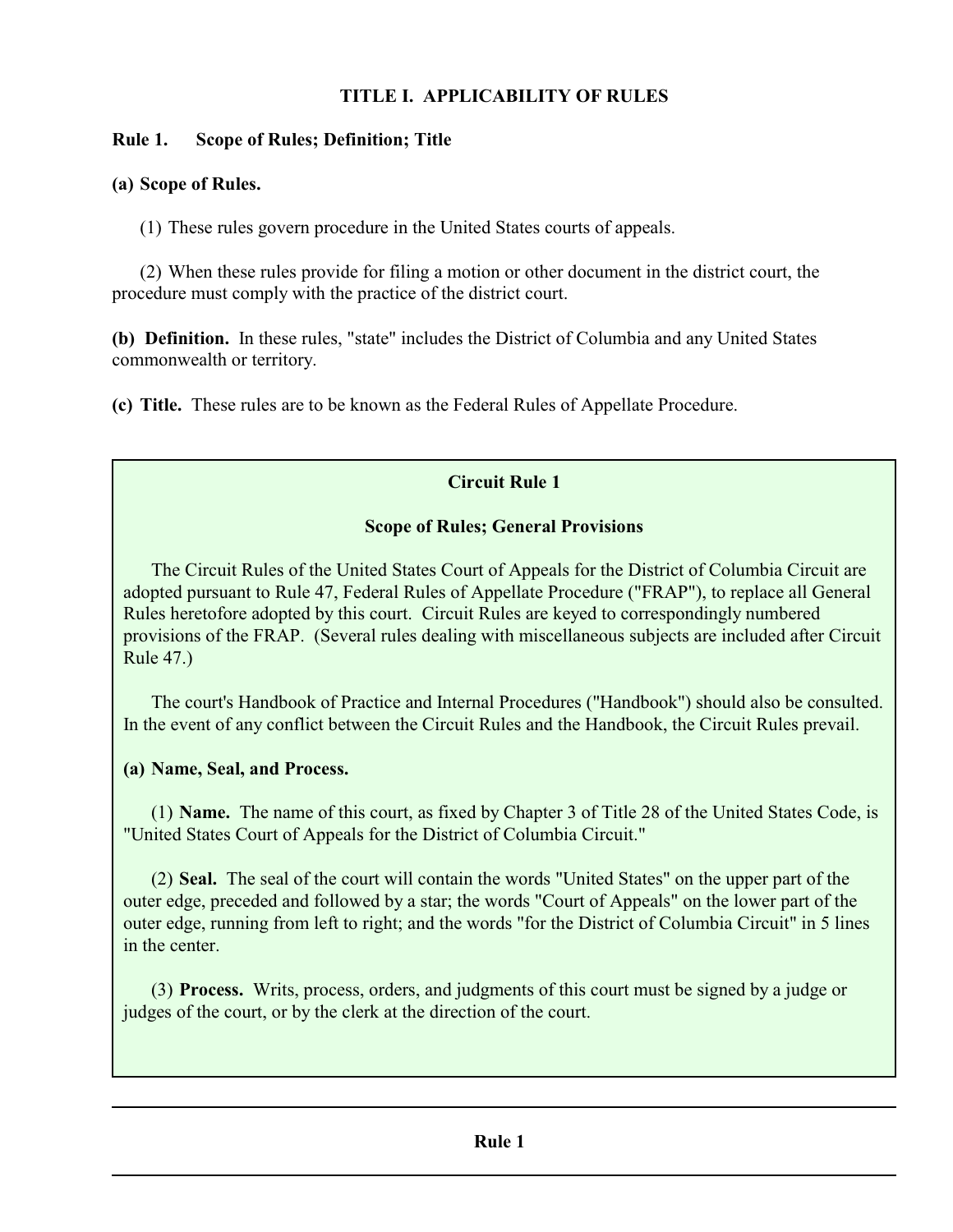## **TITLE I. APPLICABILITY OF RULES**

## <span id="page-20-0"></span>**Rule 1. Scope of Rules; Definition; Title**

## <span id="page-20-1"></span>**(a) Scope of Rules.**

(1) These rules govern procedure in the United States courts of appeals.

(2) When these rules provide for filing a motion or other document in the district court, the procedure must comply with the practice of the district court.

<span id="page-20-2"></span>**(b) Definition.** In these rules, "state" includes the District of Columbia and any United States commonwealth or territory.

<span id="page-20-3"></span>**(c) Title.** These rules are to be known as the Federal Rules of Appellate Procedure.

# **Circuit Rule 1**

## **Scope of Rules; General Provisions**

The Circuit Rules of the United States Court of Appeals for the District of Columbia Circuit are adopted pursuant to Rule 47, Federal Rules of Appellate Procedure ("FRAP"), to replace all General Rules heretofore adopted by this court. Circuit Rules are keyed to correspondingly numbered provisions of the FRAP. (Several rules dealing with miscellaneous subjects are included after Circuit Rule 47.)

The court's Handbook of Practice and Internal Procedures ("Handbook") should also be consulted. In the event of any conflict between the Circuit Rules and the Handbook, the Circuit Rules prevail.

# **(a) Name, Seal, and Process.**

(1) **Name.** The name of this court, as fixed by Chapter 3 of Title 28 of the United States Code, is "United States Court of Appeals for the District of Columbia Circuit."

(2) **Seal.** The seal of the court will contain the words "United States" on the upper part of the outer edge, preceded and followed by a star; the words "Court of Appeals" on the lower part of the outer edge, running from left to right; and the words "for the District of Columbia Circuit" in 5 lines in the center.

(3) **Process.** Writs, process, orders, and judgments of this court must be signed by a judge or judges of the court, or by the clerk at the direction of the court.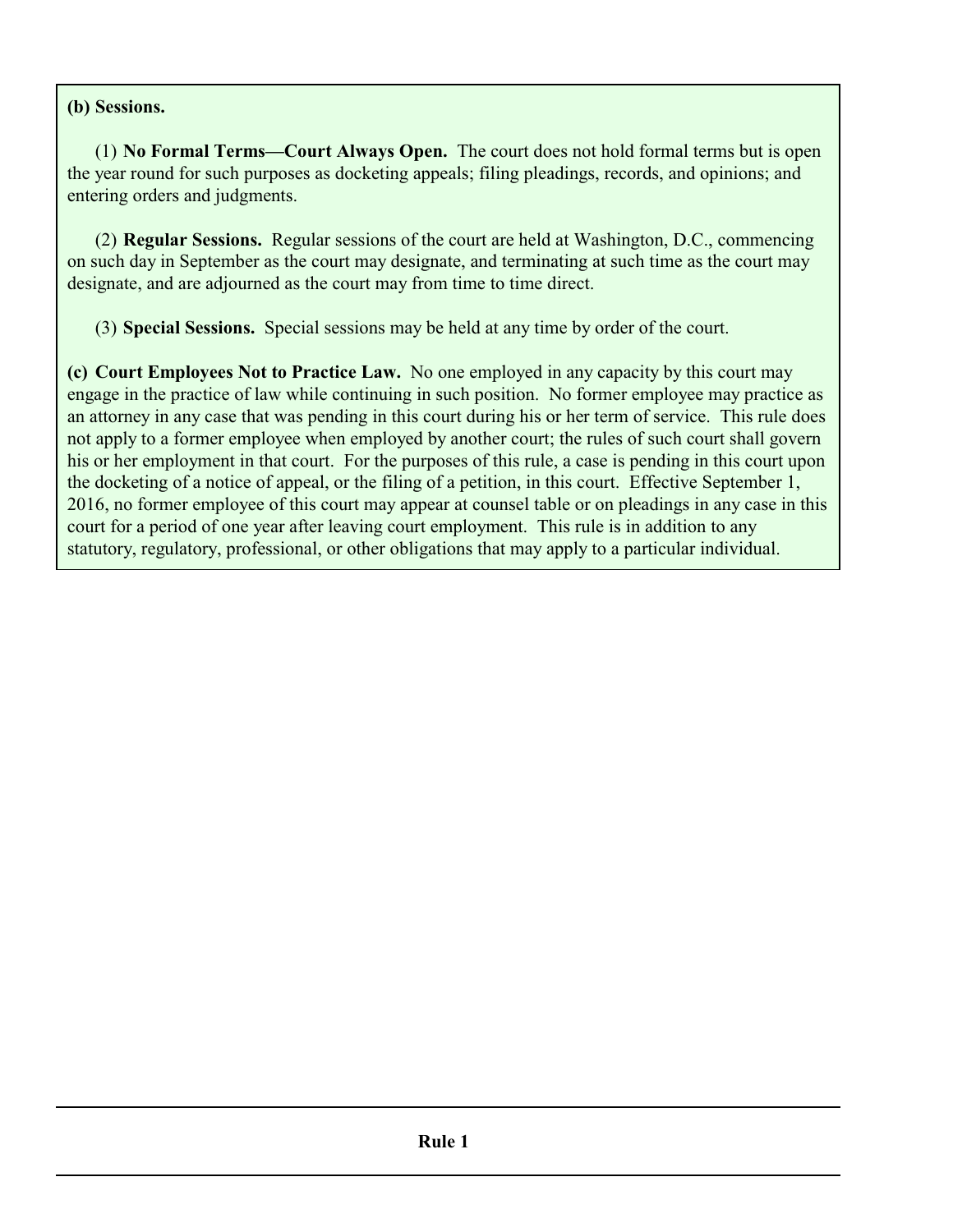### **(b) Sessions.**

(1) **No Formal Terms—Court Always Open.** The court does not hold formal terms but is open the year round for such purposes as docketing appeals; filing pleadings, records, and opinions; and entering orders and judgments.

(2) **Regular Sessions.** Regular sessions of the court are held at Washington, D.C., commencing on such day in September as the court may designate, and terminating at such time as the court may designate, and are adjourned as the court may from time to time direct.

(3) **Special Sessions.** Special sessions may be held at any time by order of the court.

**(c) Court Employees Not to Practice Law.** No one employed in any capacity by this court may engage in the practice of law while continuing in such position. No former employee may practice as an attorney in any case that was pending in this court during his or her term of service. This rule does not apply to a former employee when employed by another court; the rules of such court shall govern his or her employment in that court. For the purposes of this rule, a case is pending in this court upon the docketing of a notice of appeal, or the filing of a petition, in this court. Effective September 1, 2016, no former employee of this court may appear at counsel table or on pleadings in any case in this court for a period of one year after leaving court employment. This rule is in addition to any statutory, regulatory, professional, or other obligations that may apply to a particular individual.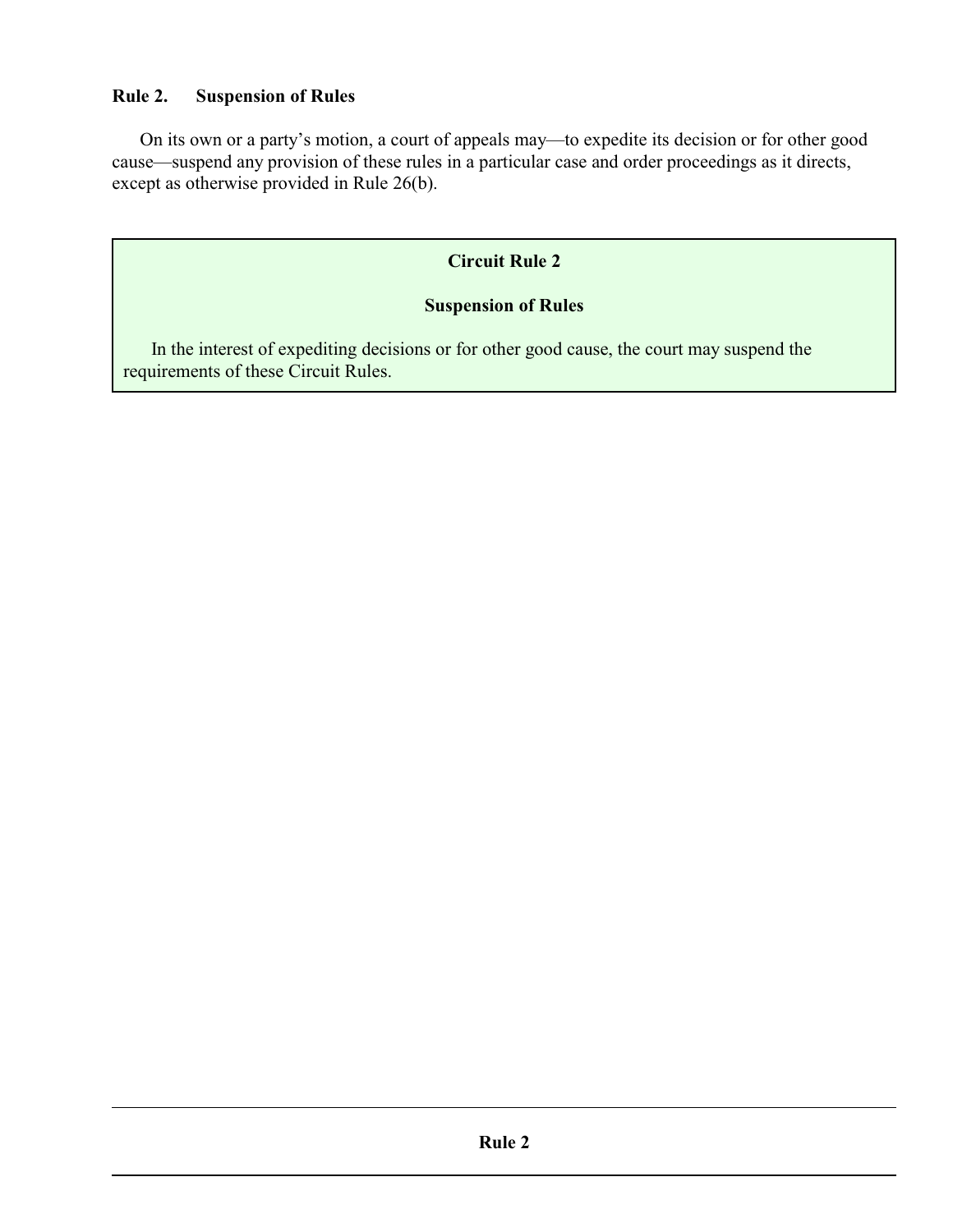## <span id="page-22-0"></span>**Rule 2. Suspension of Rules**

On its own or a party's motion, a court of appeals may—to expedite its decision or for other good cause—suspend any provision of these rules in a particular case and order proceedings as it directs, except as otherwise provided in Rule 26(b).

## **Circuit Rule 2**

# **Suspension of Rules**

In the interest of expediting decisions or for other good cause, the court may suspend the requirements of these Circuit Rules.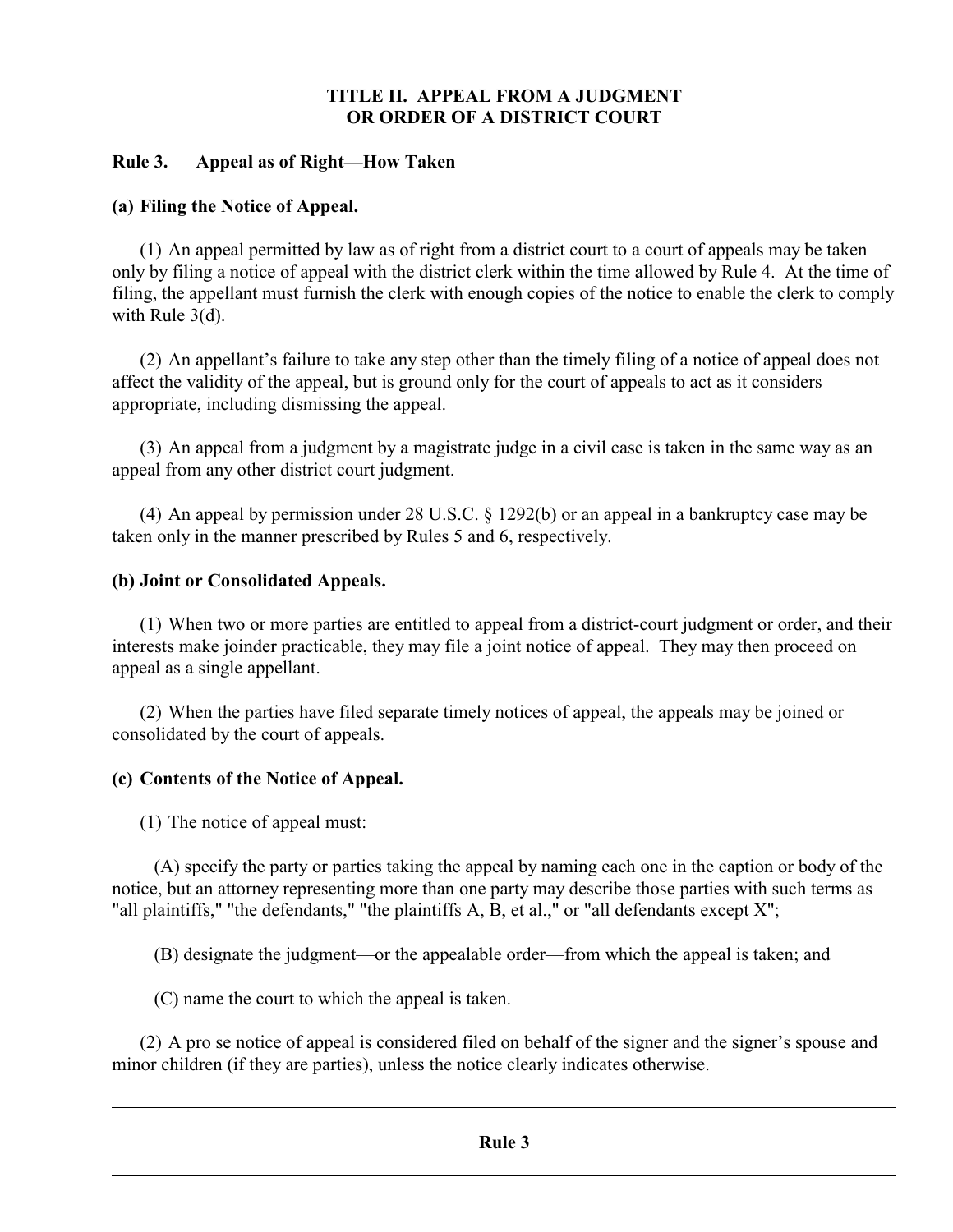## **TITLE II. APPEAL FROM A JUDGMENT OR ORDER OF A DISTRICT COURT**

#### <span id="page-24-0"></span>**Rule 3. Appeal as of Right—How Taken**

#### <span id="page-24-1"></span>**(a) Filing the Notice of Appeal.**

(1) An appeal permitted by law as of right from a district court to a court of appeals may be taken only by filing a notice of appeal with the district clerk within the time allowed by Rule 4. At the time of filing, the appellant must furnish the clerk with enough copies of the notice to enable the clerk to comply with Rule 3(d).

(2) An appellant's failure to take any step other than the timely filing of a notice of appeal does not affect the validity of the appeal, but is ground only for the court of appeals to act as it considers appropriate, including dismissing the appeal.

(3) An appeal from a judgment by a magistrate judge in a civil case is taken in the same way as an appeal from any other district court judgment.

(4) An appeal by permission under 28 U.S.C. § 1292(b) or an appeal in a bankruptcy case may be taken only in the manner prescribed by Rules 5 and 6, respectively.

#### <span id="page-24-2"></span>**(b) Joint or Consolidated Appeals.**

(1) When two or more parties are entitled to appeal from a district-court judgment or order, and their interests make joinder practicable, they may file a joint notice of appeal. They may then proceed on appeal as a single appellant.

(2) When the parties have filed separate timely notices of appeal, the appeals may be joined or consolidated by the court of appeals.

#### <span id="page-24-3"></span>**(c) Contents of the Notice of Appeal.**

(1) The notice of appeal must:

(A) specify the party or parties taking the appeal by naming each one in the caption or body of the notice, but an attorney representing more than one party may describe those parties with such terms as "all plaintiffs," "the defendants," "the plaintiffs A, B, et al.," or "all defendants except X";

(B) designate the judgment—or the appealable order—from which the appeal is taken; and

(C) name the court to which the appeal is taken.

(2) A pro se notice of appeal is considered filed on behalf of the signer and the signer's spouse and minor children (if they are parties), unless the notice clearly indicates otherwise.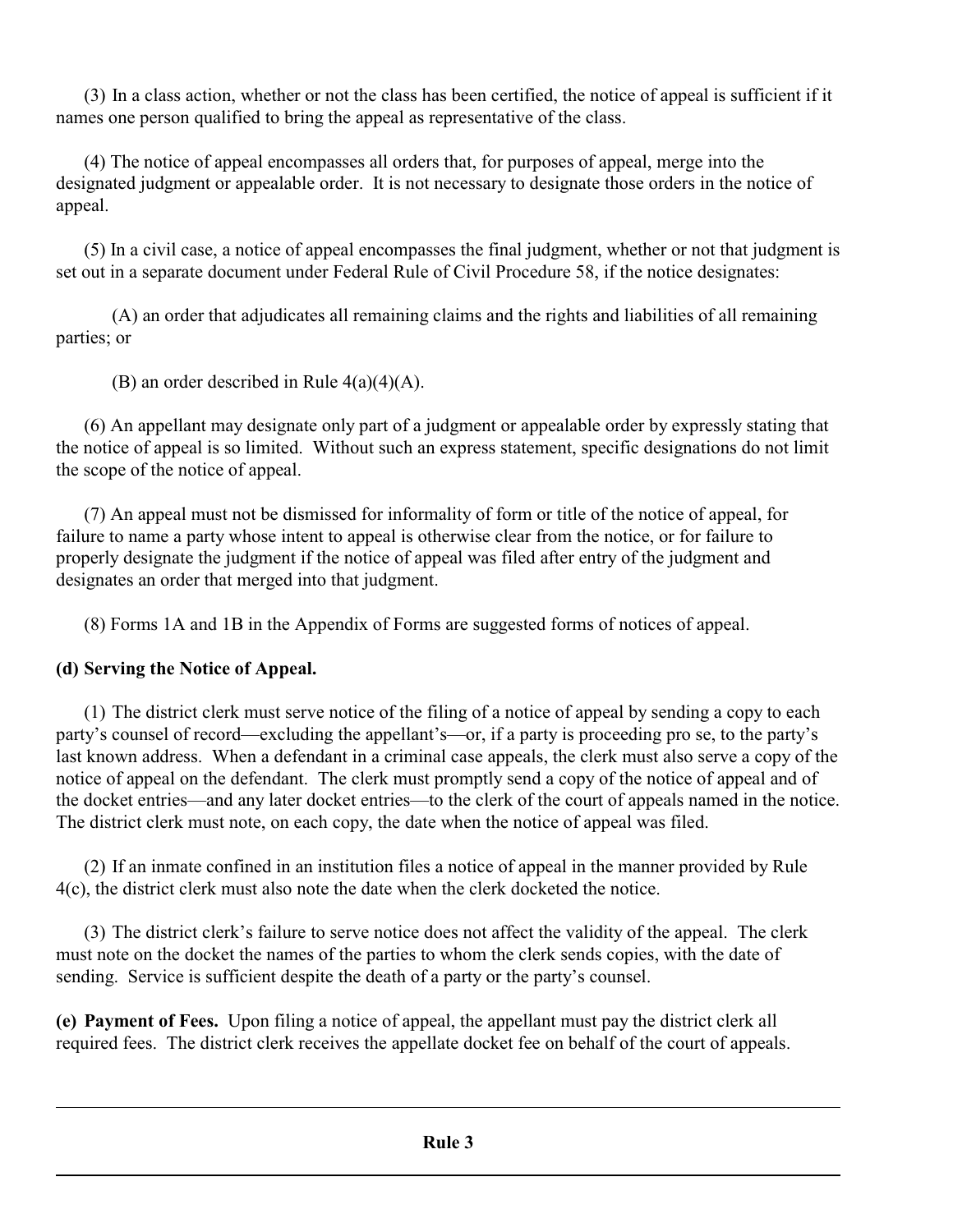(3) In a class action, whether or not the class has been certified, the notice of appeal is sufficient if it names one person qualified to bring the appeal as representative of the class.

(4) The notice of appeal encompasses all orders that, for purposes of appeal, merge into the designated judgment or appealable order. It is not necessary to designate those orders in the notice of appeal.

(5) In a civil case, a notice of appeal encompasses the final judgment, whether or not that judgment is set out in a separate document under Federal Rule of Civil Procedure 58, if the notice designates:

(A) an order that adjudicates all remaining claims and the rights and liabilities of all remaining parties; or

(B) an order described in Rule 4(a)(4)(A).

(6) An appellant may designate only part of a judgment or appealable order by expressly stating that the notice of appeal is so limited. Without such an express statement, specific designations do not limit the scope of the notice of appeal.

(7) An appeal must not be dismissed for informality of form or title of the notice of appeal, for failure to name a party whose intent to appeal is otherwise clear from the notice, or for failure to properly designate the judgment if the notice of appeal was filed after entry of the judgment and designates an order that merged into that judgment.

(8) Forms 1A and 1B in the Appendix of Forms are suggested forms of notices of appeal.

# <span id="page-25-0"></span>**(d) Serving the Notice of Appeal.**

(1) The district clerk must serve notice of the filing of a notice of appeal by sending a copy to each party's counsel of record—excluding the appellant's—or, if a party is proceeding pro se, to the party's last known address. When a defendant in a criminal case appeals, the clerk must also serve a copy of the notice of appeal on the defendant. The clerk must promptly send a copy of the notice of appeal and of the docket entries—and any later docket entries—to the clerk of the court of appeals named in the notice. The district clerk must note, on each copy, the date when the notice of appeal was filed.

(2) If an inmate confined in an institution files a notice of appeal in the manner provided by Rule 4(c), the district clerk must also note the date when the clerk docketed the notice.

(3) The district clerk's failure to serve notice does not affect the validity of the appeal. The clerk must note on the docket the names of the parties to whom the clerk sends copies, with the date of sending. Service is sufficient despite the death of a party or the party's counsel.

<span id="page-25-1"></span>**(e) Payment of Fees.** Upon filing a notice of appeal, the appellant must pay the district clerk all required fees. The district clerk receives the appellate docket fee on behalf of the court of appeals.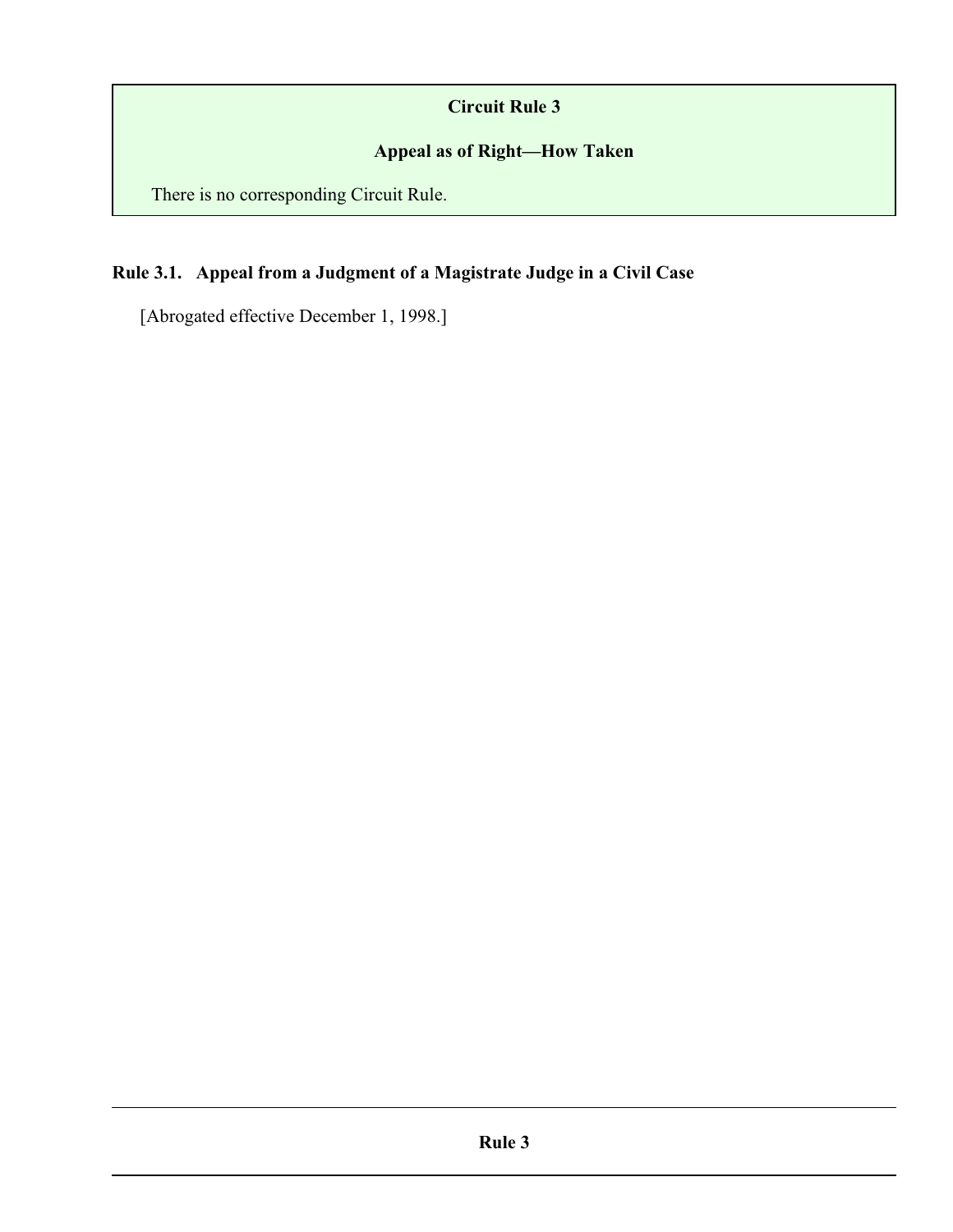# **Circuit Rule 3**

# **Appeal as of Right—How Taken**

There is no corresponding Circuit Rule.

# **Rule 3.1. Appeal from a Judgment of a Magistrate Judge in a Civil Case**

<span id="page-26-0"></span>[Abrogated effective December 1, 1998.]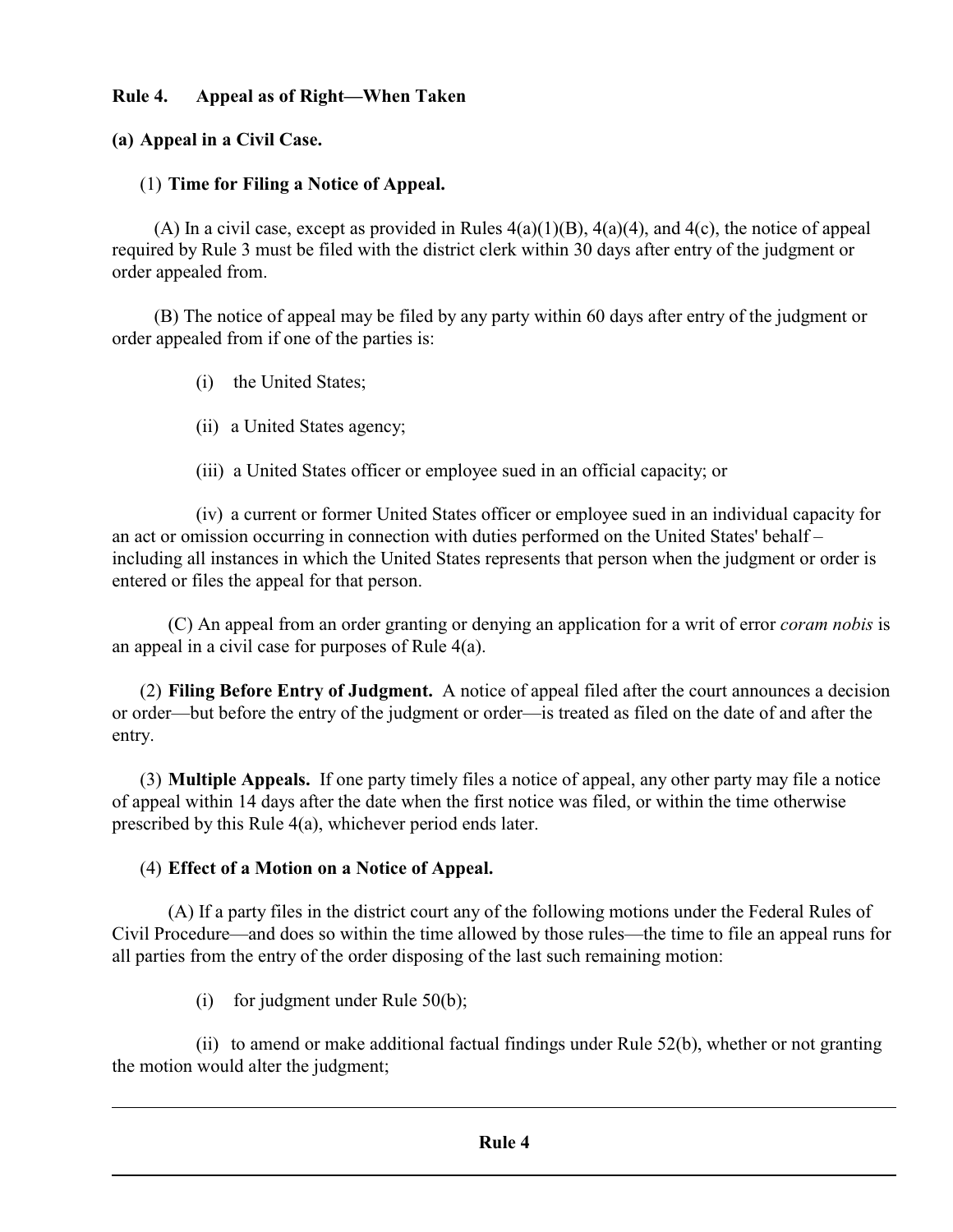### <span id="page-28-0"></span>**Rule 4. Appeal as of Right—When Taken**

## <span id="page-28-1"></span>**(a) Appeal in a Civil Case.**

## (1) **Time for Filing a Notice of Appeal.**

(A) In a civil case, except as provided in Rules  $4(a)(1)(B)$ ,  $4(a)(4)$ , and  $4(c)$ , the notice of appeal required by Rule 3 must be filed with the district clerk within 30 days after entry of the judgment or order appealed from.

(B) The notice of appeal may be filed by any party within 60 days after entry of the judgment or order appealed from if one of the parties is:

- (i) the United States;
- (ii) a United States agency;
- (iii) a United States officer or employee sued in an official capacity; or

(iv) a current or former United States officer or employee sued in an individual capacity for an act or omission occurring in connection with duties performed on the United States' behalf – including all instances in which the United States represents that person when the judgment or order is entered or files the appeal for that person.

(C) An appeal from an order granting or denying an application for a writ of error *coram nobis* is an appeal in a civil case for purposes of Rule 4(a).

(2) **Filing Before Entry of Judgment.** A notice of appeal filed after the court announces a decision or order—but before the entry of the judgment or order—is treated as filed on the date of and after the entry.

(3) **Multiple Appeals.** If one party timely files a notice of appeal, any other party may file a notice of appeal within 14 days after the date when the first notice was filed, or within the time otherwise prescribed by this Rule 4(a), whichever period ends later.

### (4) **Effect of a Motion on a Notice of Appeal.**

(A) If a party files in the district court any of the following motions under the Federal Rules of Civil Procedure—and does so within the time allowed by those rules—the time to file an appeal runs for all parties from the entry of the order disposing of the last such remaining motion:

(i) for judgment under Rule 50(b);

(ii) to amend or make additional factual findings under Rule 52(b), whether or not granting the motion would alter the judgment;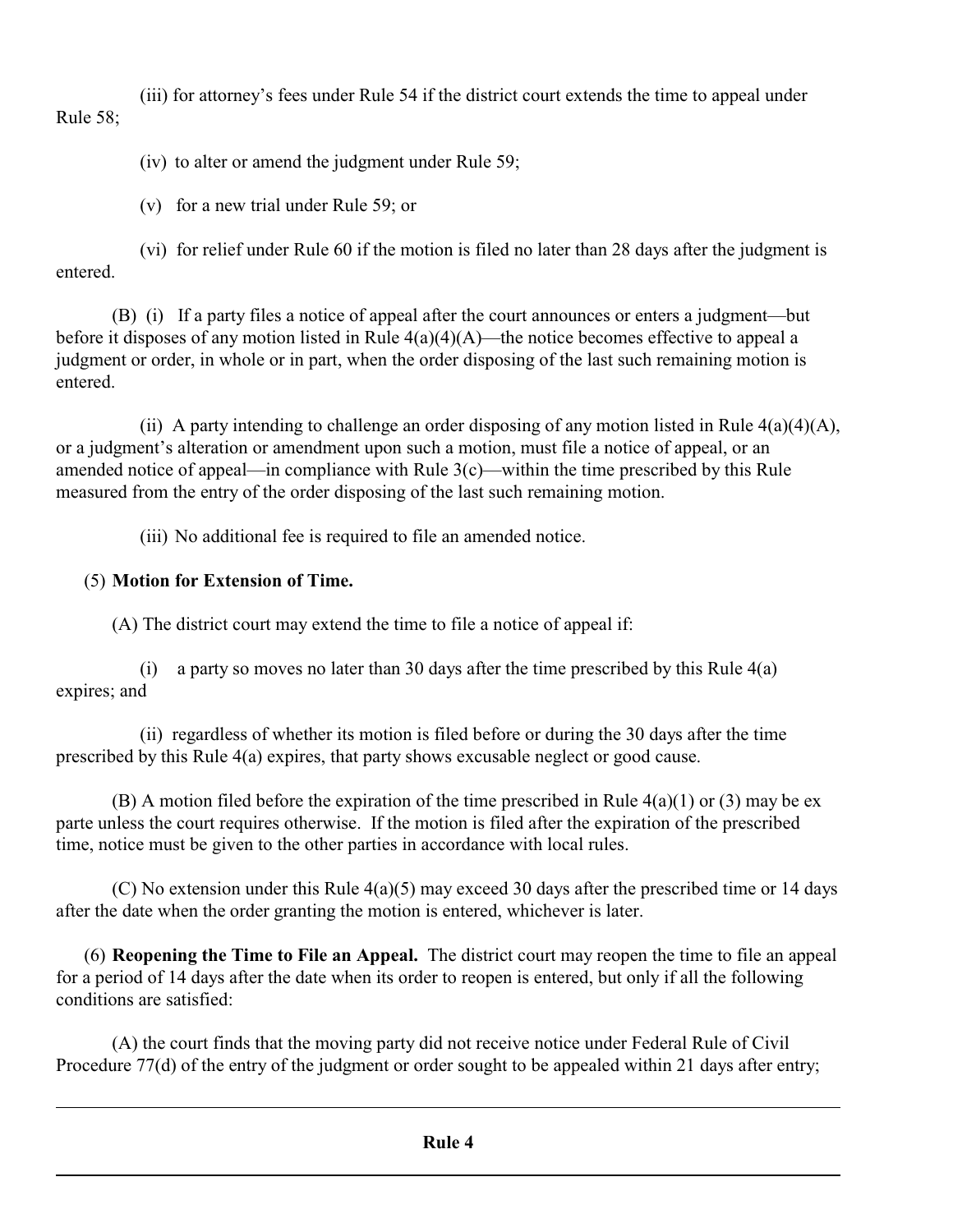(iii) for attorney's fees under Rule 54 if the district court extends the time to appeal under Rule 58;

(iv) to alter or amend the judgment under Rule 59;

(v) for a new trial under Rule 59; or

(vi) for relief under Rule 60 if the motion is filed no later than 28 days after the judgment is entered.

(B) (i) If a party files a notice of appeal after the court announces or enters a judgment—but before it disposes of any motion listed in Rule 4(a)(4)(A)—the notice becomes effective to appeal a judgment or order, in whole or in part, when the order disposing of the last such remaining motion is entered.

(ii) A party intending to challenge an order disposing of any motion listed in Rule  $4(a)(4)(A)$ , or a judgment's alteration or amendment upon such a motion, must file a notice of appeal, or an amended notice of appeal—in compliance with Rule 3(c)—within the time prescribed by this Rule measured from the entry of the order disposing of the last such remaining motion.

(iii) No additional fee is required to file an amended notice.

# (5) **Motion for Extension of Time.**

(A) The district court may extend the time to file a notice of appeal if:

(i) a party so moves no later than 30 days after the time prescribed by this Rule 4(a) expires; and

(ii) regardless of whether its motion is filed before or during the 30 days after the time prescribed by this Rule 4(a) expires, that party shows excusable neglect or good cause.

(B) A motion filed before the expiration of the time prescribed in Rule  $4(a)(1)$  or (3) may be ex parte unless the court requires otherwise. If the motion is filed after the expiration of the prescribed time, notice must be given to the other parties in accordance with local rules.

(C) No extension under this Rule 4(a)(5) may exceed 30 days after the prescribed time or 14 days after the date when the order granting the motion is entered, whichever is later.

(6) **Reopening the Time to File an Appeal.** The district court may reopen the time to file an appeal for a period of 14 days after the date when its order to reopen is entered, but only if all the following conditions are satisfied:

(A) the court finds that the moving party did not receive notice under Federal Rule of Civil Procedure 77(d) of the entry of the judgment or order sought to be appealed within 21 days after entry;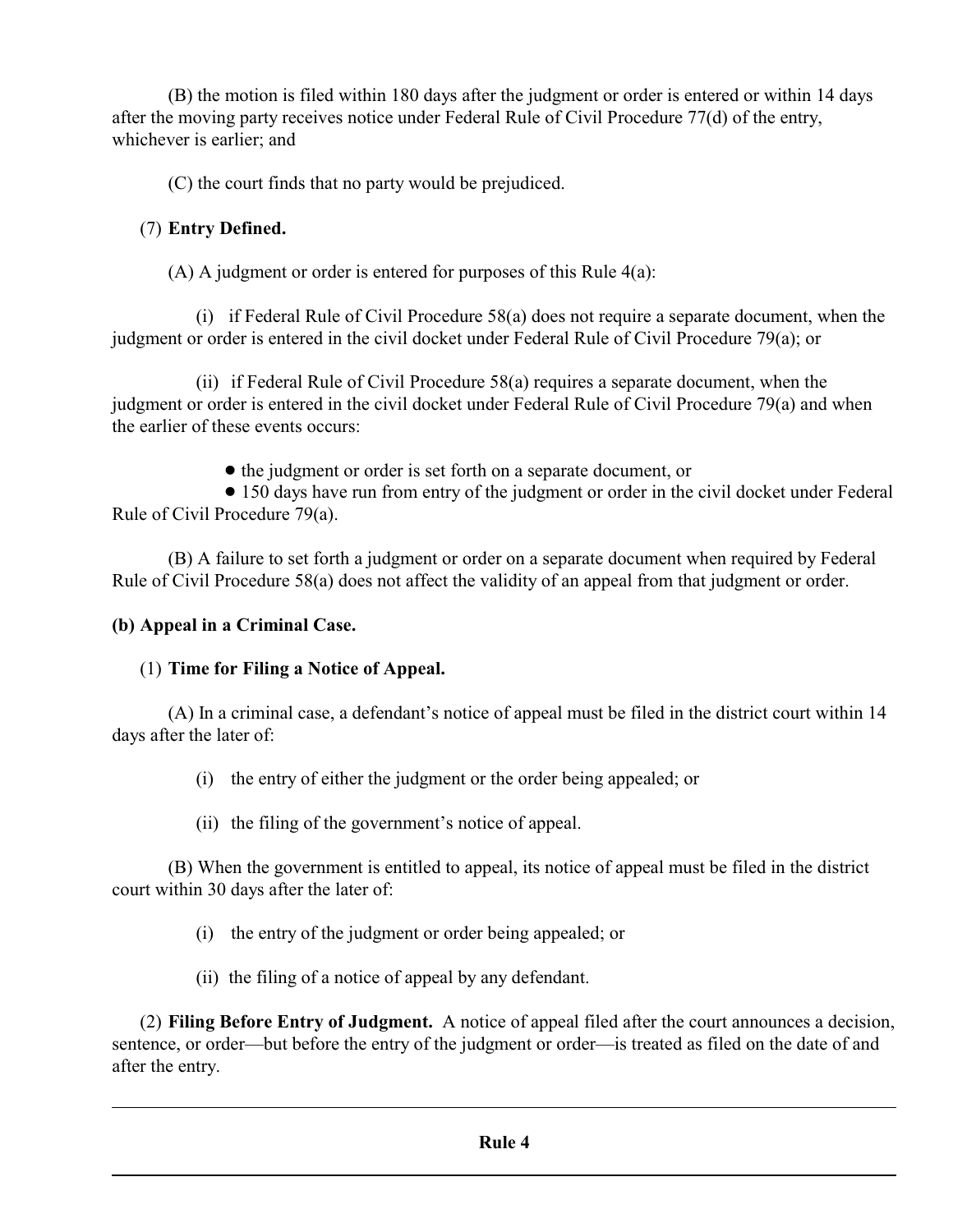(B) the motion is filed within 180 days after the judgment or order is entered or within 14 days after the moving party receives notice under Federal Rule of Civil Procedure 77(d) of the entry, whichever is earlier; and

(C) the court finds that no party would be prejudiced.

# (7) **Entry Defined.**

(A) A judgment or order is entered for purposes of this Rule 4(a):

(i) if Federal Rule of Civil Procedure 58(a) does not require a separate document, when the judgment or order is entered in the civil docket under Federal Rule of Civil Procedure 79(a); or

(ii) if Federal Rule of Civil Procedure 58(a) requires a separate document, when the judgment or order is entered in the civil docket under Federal Rule of Civil Procedure 79(a) and when the earlier of these events occurs:

• the judgment or order is set forth on a separate document, or

! 150 days have run from entry of the judgment or order in the civil docket under Federal Rule of Civil Procedure 79(a).

(B) A failure to set forth a judgment or order on a separate document when required by Federal Rule of Civil Procedure 58(a) does not affect the validity of an appeal from that judgment or order.

# <span id="page-30-0"></span>**(b) Appeal in a Criminal Case.**

# (1) **Time for Filing a Notice of Appeal.**

(A) In a criminal case, a defendant's notice of appeal must be filed in the district court within 14 days after the later of:

- (i) the entry of either the judgment or the order being appealed; or
- (ii) the filing of the government's notice of appeal.

(B) When the government is entitled to appeal, its notice of appeal must be filed in the district court within 30 days after the later of:

- (i) the entry of the judgment or order being appealed; or
- (ii) the filing of a notice of appeal by any defendant.

(2) **Filing Before Entry of Judgment.** A notice of appeal filed after the court announces a decision, sentence, or order—but before the entry of the judgment or order—is treated as filed on the date of and after the entry.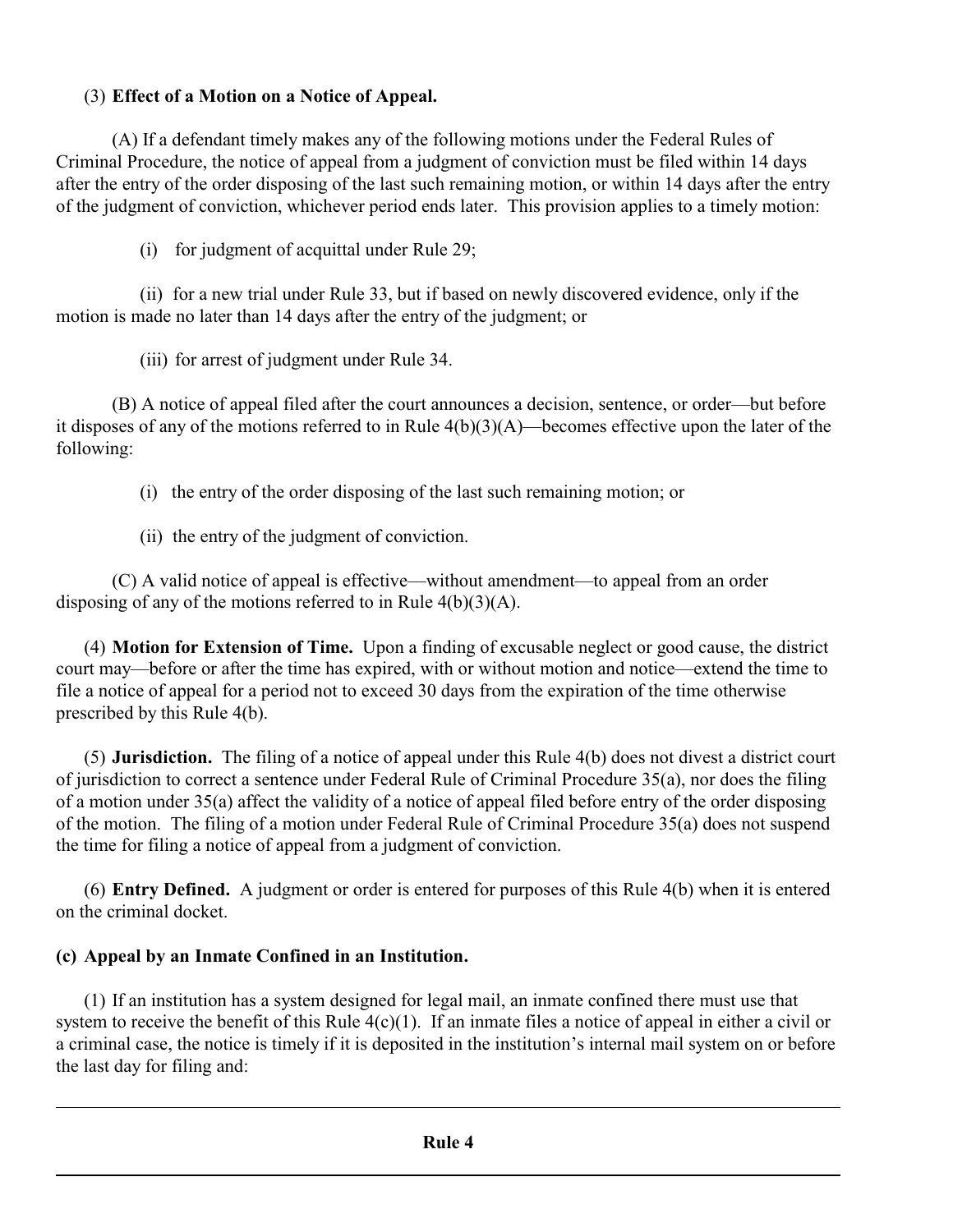# (3) **Effect of a Motion on a Notice of Appeal.**

(A) If a defendant timely makes any of the following motions under the Federal Rules of Criminal Procedure, the notice of appeal from a judgment of conviction must be filed within 14 days after the entry of the order disposing of the last such remaining motion, or within 14 days after the entry of the judgment of conviction, whichever period ends later. This provision applies to a timely motion:

(i) for judgment of acquittal under Rule 29;

(ii) for a new trial under Rule 33, but if based on newly discovered evidence, only if the motion is made no later than 14 days after the entry of the judgment; or

(iii) for arrest of judgment under Rule 34.

(B) A notice of appeal filed after the court announces a decision, sentence, or order—but before it disposes of any of the motions referred to in Rule  $4(b)(3)(A)$ —becomes effective upon the later of the following:

(i) the entry of the order disposing of the last such remaining motion; or

(ii) the entry of the judgment of conviction.

(C) A valid notice of appeal is effective—without amendment—to appeal from an order disposing of any of the motions referred to in Rule  $4(b)(3)(A)$ .

(4) **Motion for Extension of Time.** Upon a finding of excusable neglect or good cause, the district court may—before or after the time has expired, with or without motion and notice—extend the time to file a notice of appeal for a period not to exceed 30 days from the expiration of the time otherwise prescribed by this Rule 4(b).

(5) **Jurisdiction.** The filing of a notice of appeal under this Rule 4(b) does not divest a district court of jurisdiction to correct a sentence under Federal Rule of Criminal Procedure 35(a), nor does the filing of a motion under 35(a) affect the validity of a notice of appeal filed before entry of the order disposing of the motion. The filing of a motion under Federal Rule of Criminal Procedure 35(a) does not suspend the time for filing a notice of appeal from a judgment of conviction.

(6) **Entry Defined.** A judgment or order is entered for purposes of this Rule 4(b) when it is entered on the criminal docket.

### <span id="page-31-0"></span>**(c) Appeal by an Inmate Confined in an Institution.**

(1) If an institution has a system designed for legal mail, an inmate confined there must use that system to receive the benefit of this Rule  $4(c)(1)$ . If an inmate files a notice of appeal in either a civil or a criminal case, the notice is timely if it is deposited in the institution's internal mail system on or before the last day for filing and: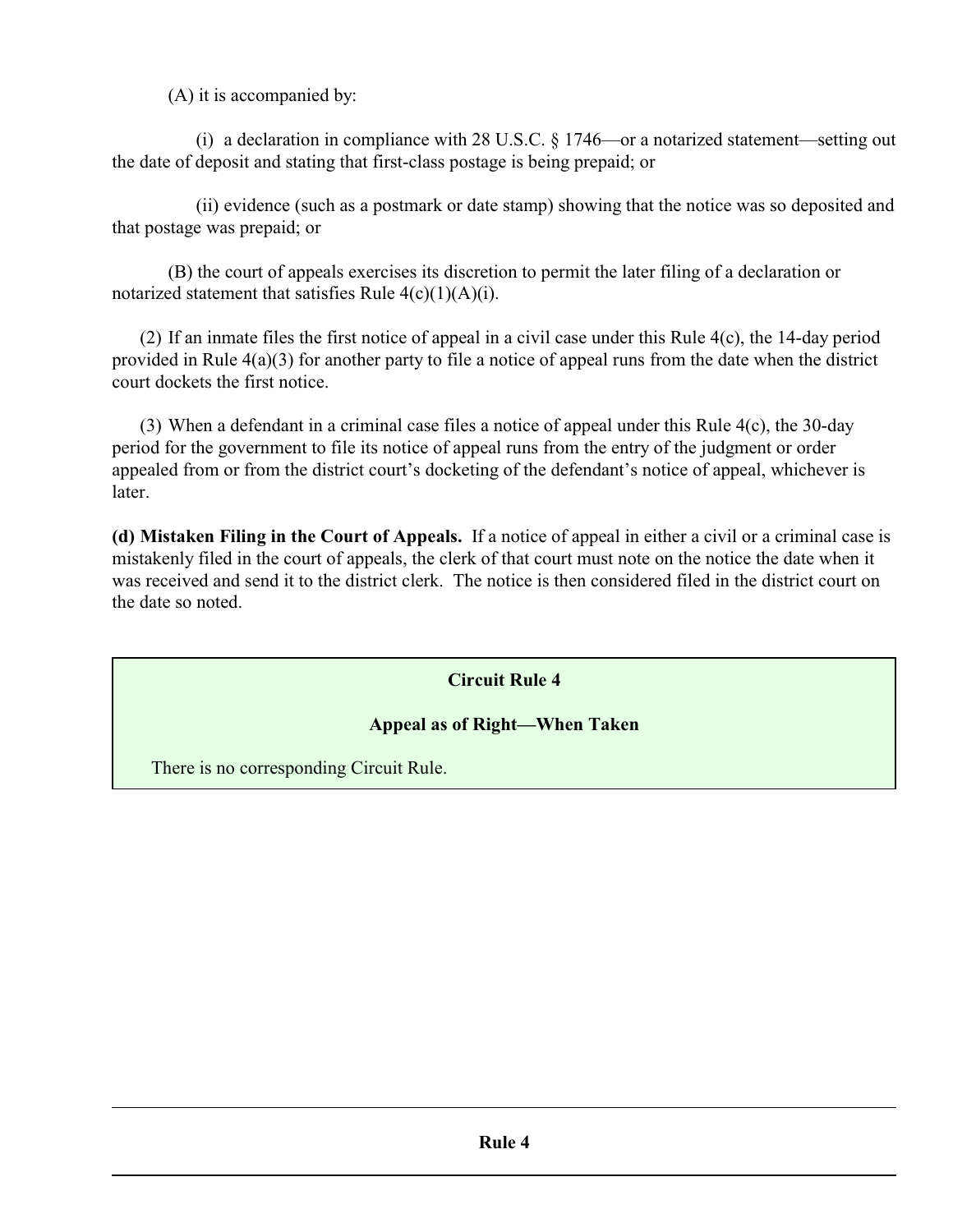(A) it is accompanied by:

(i) a declaration in compliance with 28 U.S.C. § 1746—or a notarized statement—setting out the date of deposit and stating that first-class postage is being prepaid; or

(ii) evidence (such as a postmark or date stamp) showing that the notice was so deposited and that postage was prepaid; or

(B) the court of appeals exercises its discretion to permit the later filing of a declaration or notarized statement that satisfies Rule  $4(c)(1)(A)(i)$ .

(2) If an inmate files the first notice of appeal in a civil case under this Rule 4(c), the 14-day period provided in Rule 4(a)(3) for another party to file a notice of appeal runs from the date when the district court dockets the first notice.

(3) When a defendant in a criminal case files a notice of appeal under this Rule 4(c), the 30-day period for the government to file its notice of appeal runs from the entry of the judgment or order appealed from or from the district court's docketing of the defendant's notice of appeal, whichever is later.

<span id="page-32-0"></span>**(d) Mistaken Filing in the Court of Appeals.** If a notice of appeal in either a civil or a criminal case is mistakenly filed in the court of appeals, the clerk of that court must note on the notice the date when it was received and send it to the district clerk. The notice is then considered filed in the district court on the date so noted.

**Circuit Rule 4**

# **Appeal as of Right—When Taken**

There is no corresponding Circuit Rule.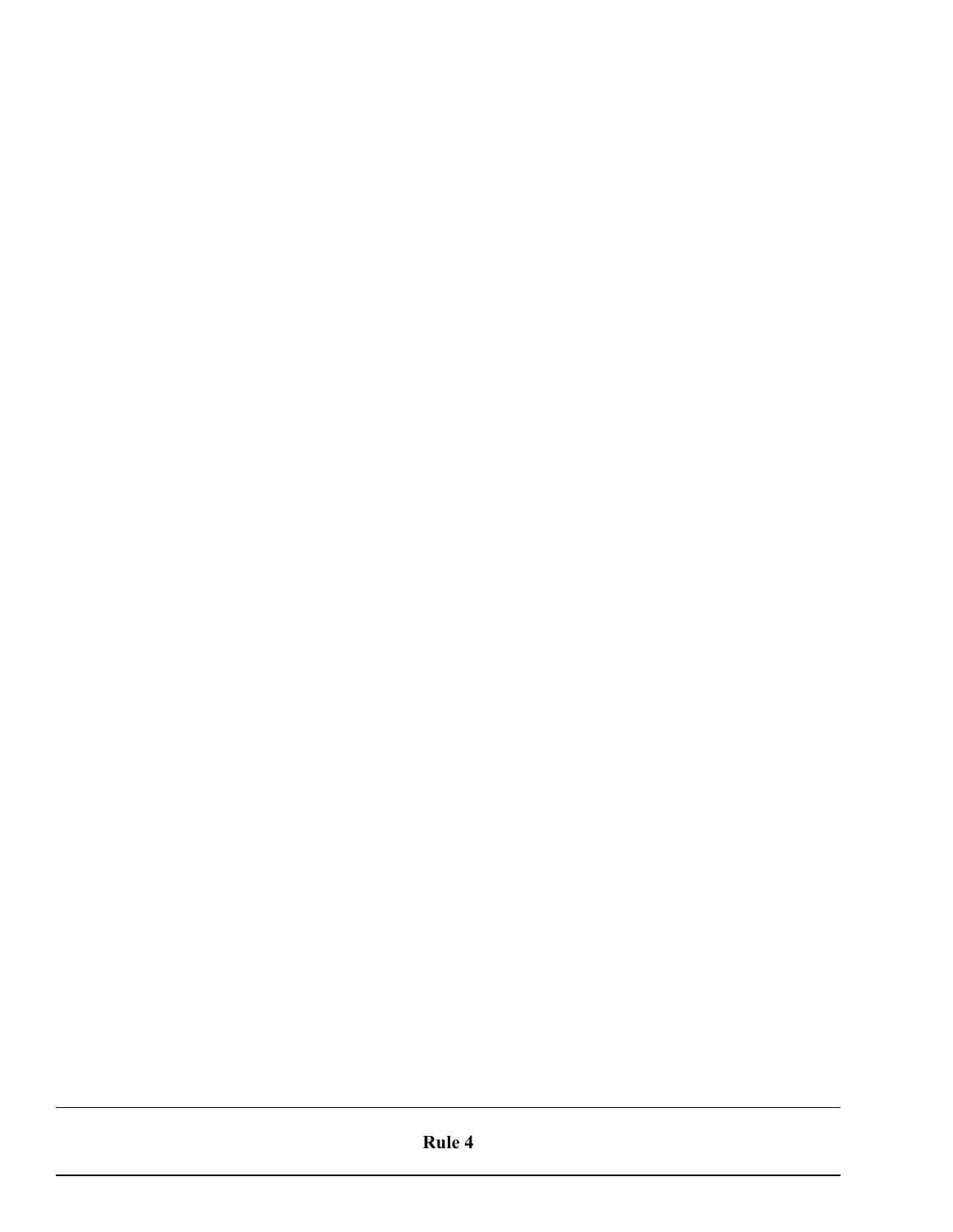**Rule 4**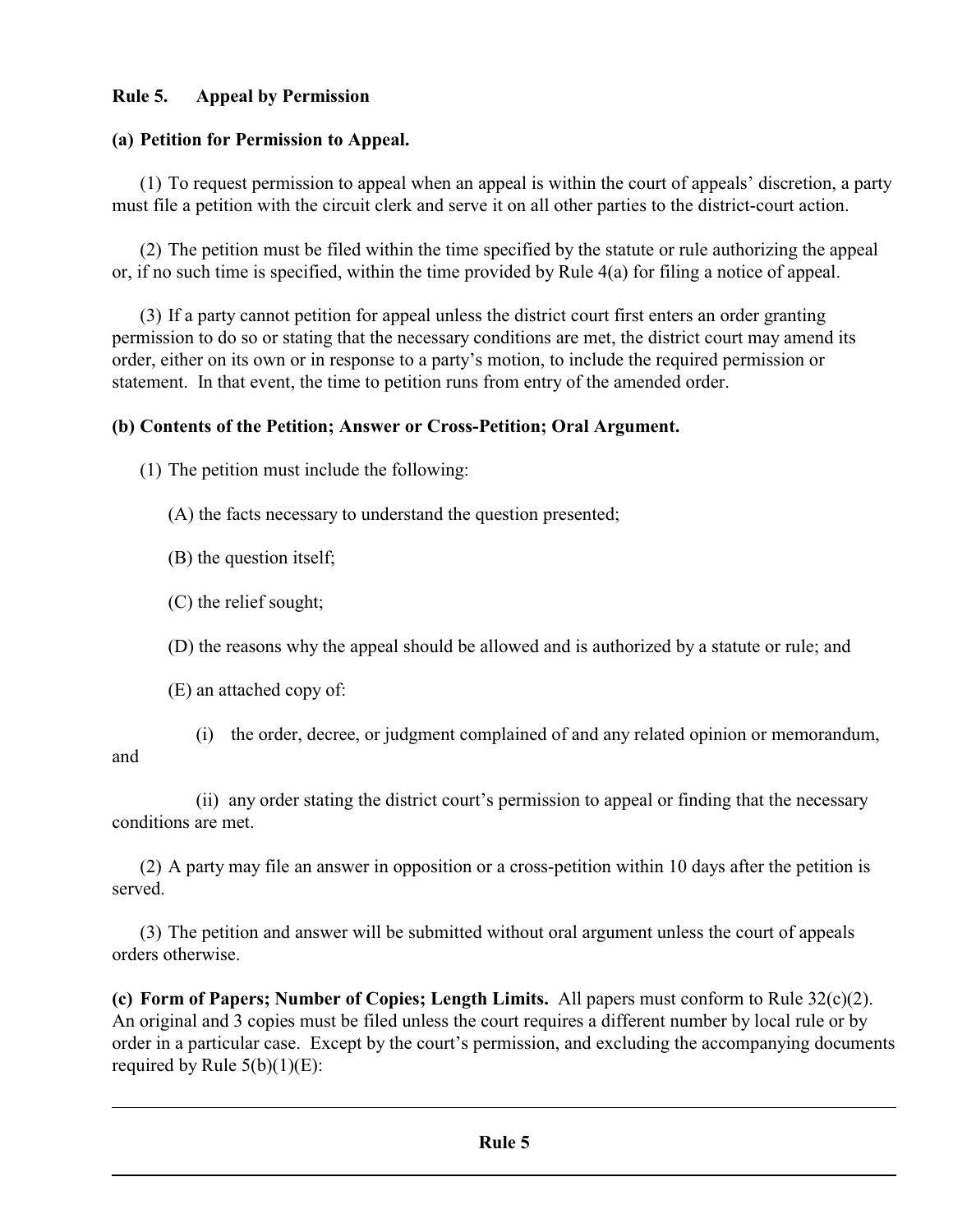### <span id="page-34-0"></span>**Rule 5. Appeal by Permission**

## <span id="page-34-1"></span>**(a) Petition for Permission to Appeal.**

(1) To request permission to appeal when an appeal is within the court of appeals' discretion, a party must file a petition with the circuit clerk and serve it on all other parties to the district-court action.

(2) The petition must be filed within the time specified by the statute or rule authorizing the appeal or, if no such time is specified, within the time provided by Rule 4(a) for filing a notice of appeal.

(3) If a party cannot petition for appeal unless the district court first enters an order granting permission to do so or stating that the necessary conditions are met, the district court may amend its order, either on its own or in response to a party's motion, to include the required permission or statement. In that event, the time to petition runs from entry of the amended order.

# <span id="page-34-2"></span>**(b) Contents of the Petition; Answer or Cross-Petition; Oral Argument.**

(1) The petition must include the following:

- (A) the facts necessary to understand the question presented;
- (B) the question itself;
- (C) the relief sought;
- (D) the reasons why the appeal should be allowed and is authorized by a statute or rule; and
- (E) an attached copy of:
- (i) the order, decree, or judgment complained of and any related opinion or memorandum, and

(ii) any order stating the district court's permission to appeal or finding that the necessary conditions are met.

(2) A party may file an answer in opposition or a cross-petition within 10 days after the petition is served.

(3) The petition and answer will be submitted without oral argument unless the court of appeals orders otherwise.

<span id="page-34-3"></span>**(c) Form of Papers; Number of Copies; Length Limits.** All papers must conform to Rule 32(c)(2). An original and 3 copies must be filed unless the court requires a different number by local rule or by order in a particular case. Except by the court's permission, and excluding the accompanying documents required by Rule  $5(b)(1)(E)$ :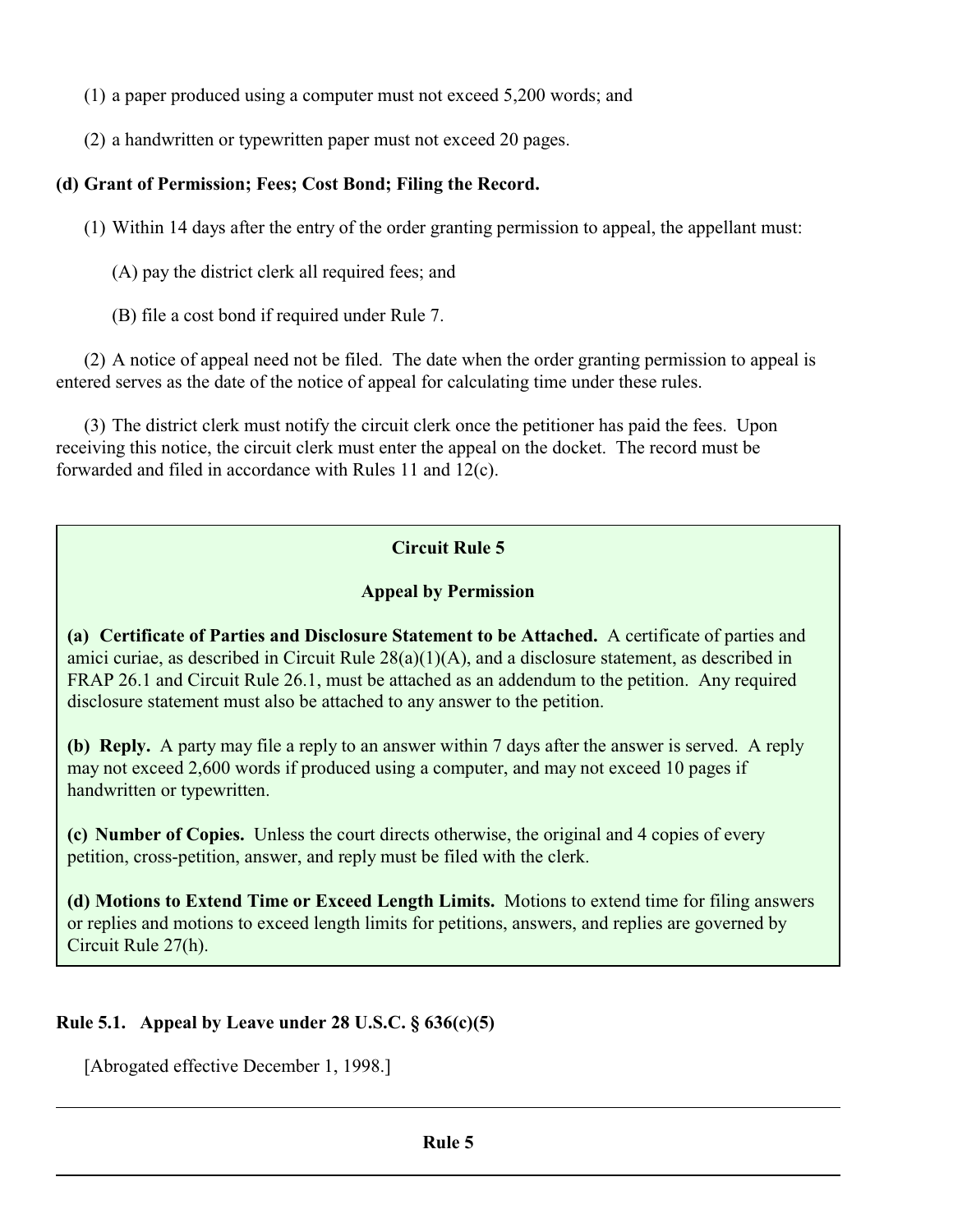- (1) a paper produced using a computer must not exceed 5,200 words; and
- (2) a handwritten or typewritten paper must not exceed 20 pages.

# <span id="page-35-0"></span>**(d) Grant of Permission; Fees; Cost Bond; Filing the Record.**

(1) Within 14 days after the entry of the order granting permission to appeal, the appellant must:

- (A) pay the district clerk all required fees; and
- (B) file a cost bond if required under Rule 7.

(2) A notice of appeal need not be filed. The date when the order granting permission to appeal is entered serves as the date of the notice of appeal for calculating time under these rules.

(3) The district clerk must notify the circuit clerk once the petitioner has paid the fees. Upon receiving this notice, the circuit clerk must enter the appeal on the docket. The record must be forwarded and filed in accordance with Rules 11 and 12(c).

# **Circuit Rule 5**

## **Appeal by Permission**

**(a) Certificate of Parties and Disclosure Statement to be Attached.** A certificate of parties and amici curiae, as described in Circuit Rule 28(a)(1)(A), and a disclosure statement, as described in FRAP 26.1 and Circuit Rule 26.1, must be attached as an addendum to the petition. Any required disclosure statement must also be attached to any answer to the petition.

**(b) Reply.** A party may file a reply to an answer within 7 days after the answer is served. A reply may not exceed 2,600 words if produced using a computer, and may not exceed 10 pages if handwritten or typewritten.

**(c) Number of Copies.** Unless the court directs otherwise, the original and 4 copies of every petition, cross-petition, answer, and reply must be filed with the clerk.

**(d) Motions to Extend Time or Exceed Length Limits.** Motions to extend time for filing answers or replies and motions to exceed length limits for petitions, answers, and replies are governed by Circuit Rule 27(h).

# **Rule 5.1. Appeal by Leave under 28 U.S.C. § 636(c)(5)**

<span id="page-35-1"></span>[Abrogated effective December 1, 1998.]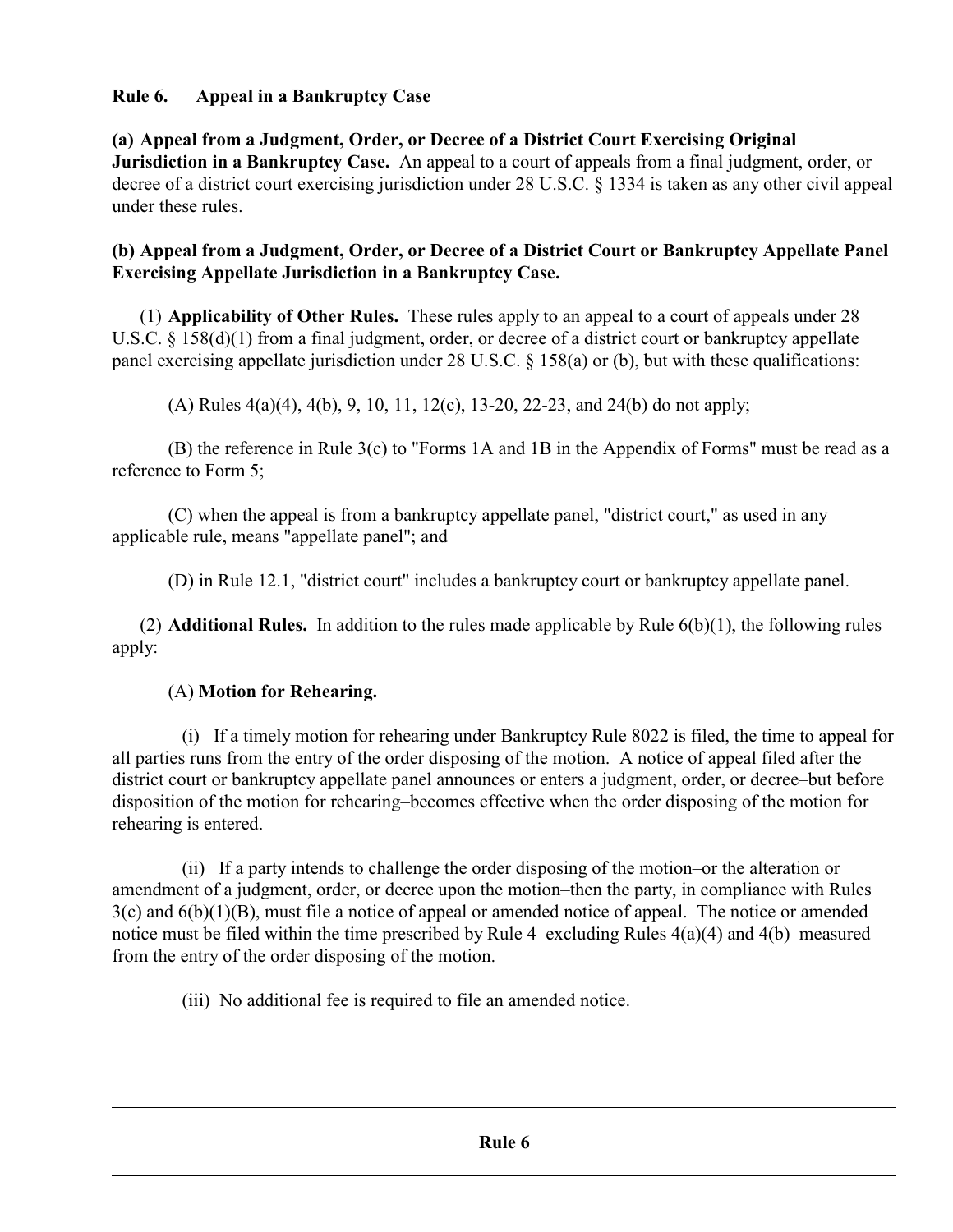### **Rule 6. Appeal in a Bankruptcy Case**

**(a) Appeal from a Judgment, Order, or Decree of a District Court Exercising Original Jurisdiction in a Bankruptcy Case.** An appeal to a court of appeals from a final judgment, order, or decree of a district court exercising jurisdiction under 28 U.S.C. § 1334 is taken as any other civil appeal under these rules.

### **(b) Appeal from a Judgment, Order, or Decree of a District Court or Bankruptcy Appellate Panel Exercising Appellate Jurisdiction in a Bankruptcy Case.**

(1) **Applicability of Other Rules.** These rules apply to an appeal to a court of appeals under 28 U.S.C. § 158(d)(1) from a final judgment, order, or decree of a district court or bankruptcy appellate panel exercising appellate jurisdiction under 28 U.S.C. § 158(a) or (b), but with these qualifications:

(A) Rules 4(a)(4), 4(b), 9, 10, 11, 12(c), 13-20, 22-23, and 24(b) do not apply;

(B) the reference in Rule 3(c) to "Forms 1A and 1B in the Appendix of Forms" must be read as a reference to Form 5;

(C) when the appeal is from a bankruptcy appellate panel, "district court," as used in any applicable rule, means "appellate panel"; and

(D) in Rule 12.1, "district court" includes a bankruptcy court or bankruptcy appellate panel.

(2) **Additional Rules.** In addition to the rules made applicable by Rule 6(b)(1), the following rules apply:

# (A) **Motion for Rehearing.**

(i) If a timely motion for rehearing under Bankruptcy Rule 8022 is filed, the time to appeal for all parties runs from the entry of the order disposing of the motion. A notice of appeal filed after the district court or bankruptcy appellate panel announces or enters a judgment, order, or decree–but before disposition of the motion for rehearing–becomes effective when the order disposing of the motion for rehearing is entered.

(ii) If a party intends to challenge the order disposing of the motion–or the alteration or amendment of a judgment, order, or decree upon the motion–then the party, in compliance with Rules 3(c) and 6(b)(1)(B), must file a notice of appeal or amended notice of appeal. The notice or amended notice must be filed within the time prescribed by Rule 4–excluding Rules 4(a)(4) and 4(b)–measured from the entry of the order disposing of the motion.

(iii) No additional fee is required to file an amended notice.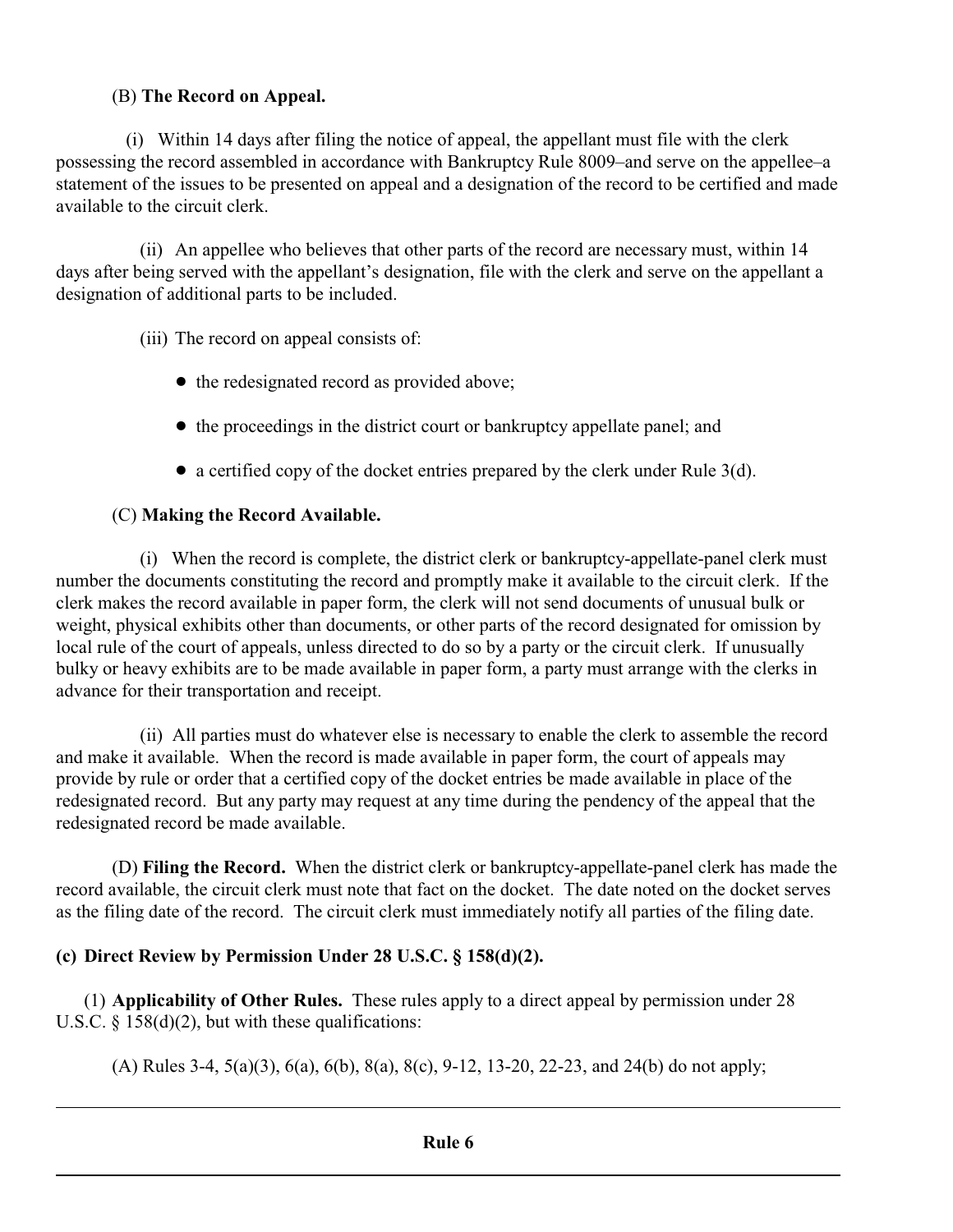# (B) **The Record on Appeal.**

(i) Within 14 days after filing the notice of appeal, the appellant must file with the clerk possessing the record assembled in accordance with Bankruptcy Rule 8009–and serve on the appellee–a statement of the issues to be presented on appeal and a designation of the record to be certified and made available to the circuit clerk.

(ii) An appellee who believes that other parts of the record are necessary must, within 14 days after being served with the appellant's designation, file with the clerk and serve on the appellant a designation of additional parts to be included.

(iii) The record on appeal consists of:

- the redesignated record as provided above;
- the proceedings in the district court or bankruptcy appellate panel; and
- $\bullet$  a certified copy of the docket entries prepared by the clerk under Rule 3(d).

# (C) **Making the Record Available.**

(i) When the record is complete, the district clerk or bankruptcy-appellate-panel clerk must number the documents constituting the record and promptly make it available to the circuit clerk. If the clerk makes the record available in paper form, the clerk will not send documents of unusual bulk or weight, physical exhibits other than documents, or other parts of the record designated for omission by local rule of the court of appeals, unless directed to do so by a party or the circuit clerk. If unusually bulky or heavy exhibits are to be made available in paper form, a party must arrange with the clerks in advance for their transportation and receipt.

(ii) All parties must do whatever else is necessary to enable the clerk to assemble the record and make it available. When the record is made available in paper form, the court of appeals may provide by rule or order that a certified copy of the docket entries be made available in place of the redesignated record. But any party may request at any time during the pendency of the appeal that the redesignated record be made available.

(D) **Filing the Record.** When the district clerk or bankruptcy-appellate-panel clerk has made the record available, the circuit clerk must note that fact on the docket. The date noted on the docket serves as the filing date of the record. The circuit clerk must immediately notify all parties of the filing date.

# **(c) Direct Review by Permission Under 28 U.S.C. § 158(d)(2).**

(1) **Applicability of Other Rules.** These rules apply to a direct appeal by permission under 28 U.S.C.  $\S$  158(d)(2), but with these qualifications:

(A) Rules 3-4, 5(a)(3), 6(a), 6(b), 8(a), 8(c), 9-12, 13-20, 22-23, and 24(b) do not apply;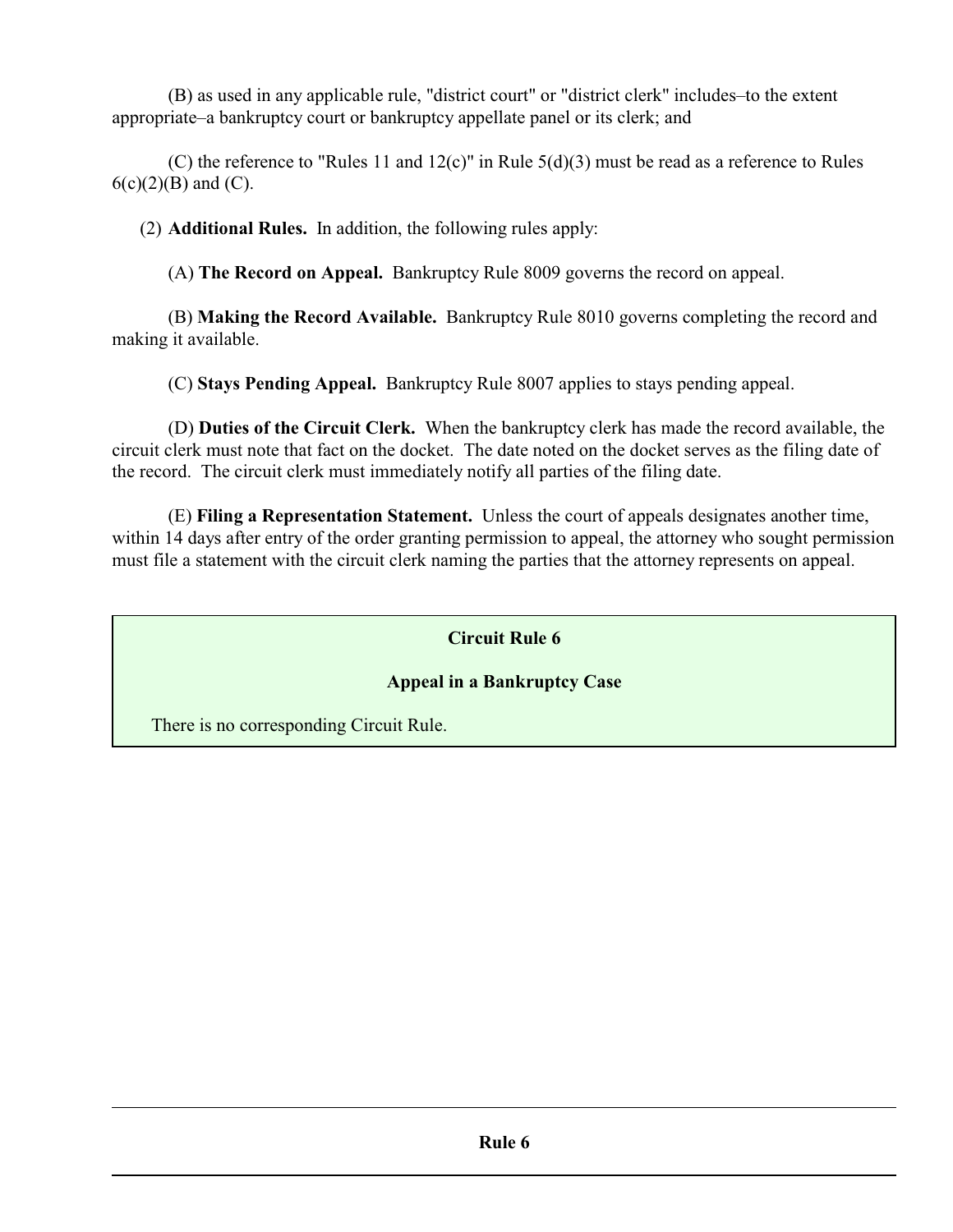(B) as used in any applicable rule, "district court" or "district clerk" includes–to the extent appropriate–a bankruptcy court or bankruptcy appellate panel or its clerk; and

(C) the reference to "Rules 11 and  $12(c)$ " in Rule  $5(d)(3)$  must be read as a reference to Rules  $6(c)(2)(B)$  and  $(C)$ .

(2) **Additional Rules.** In addition, the following rules apply:

(A) **The Record on Appeal.** Bankruptcy Rule 8009 governs the record on appeal.

(B) **Making the Record Available.** Bankruptcy Rule 8010 governs completing the record and making it available.

(C) **Stays Pending Appeal.** Bankruptcy Rule 8007 applies to stays pending appeal.

(D) **Duties of the Circuit Clerk.** When the bankruptcy clerk has made the record available, the circuit clerk must note that fact on the docket. The date noted on the docket serves as the filing date of the record. The circuit clerk must immediately notify all parties of the filing date.

(E) **Filing a Representation Statement.** Unless the court of appeals designates another time, within 14 days after entry of the order granting permission to appeal, the attorney who sought permission must file a statement with the circuit clerk naming the parties that the attorney represents on appeal.

**Circuit Rule 6**

# **Appeal in a Bankruptcy Case**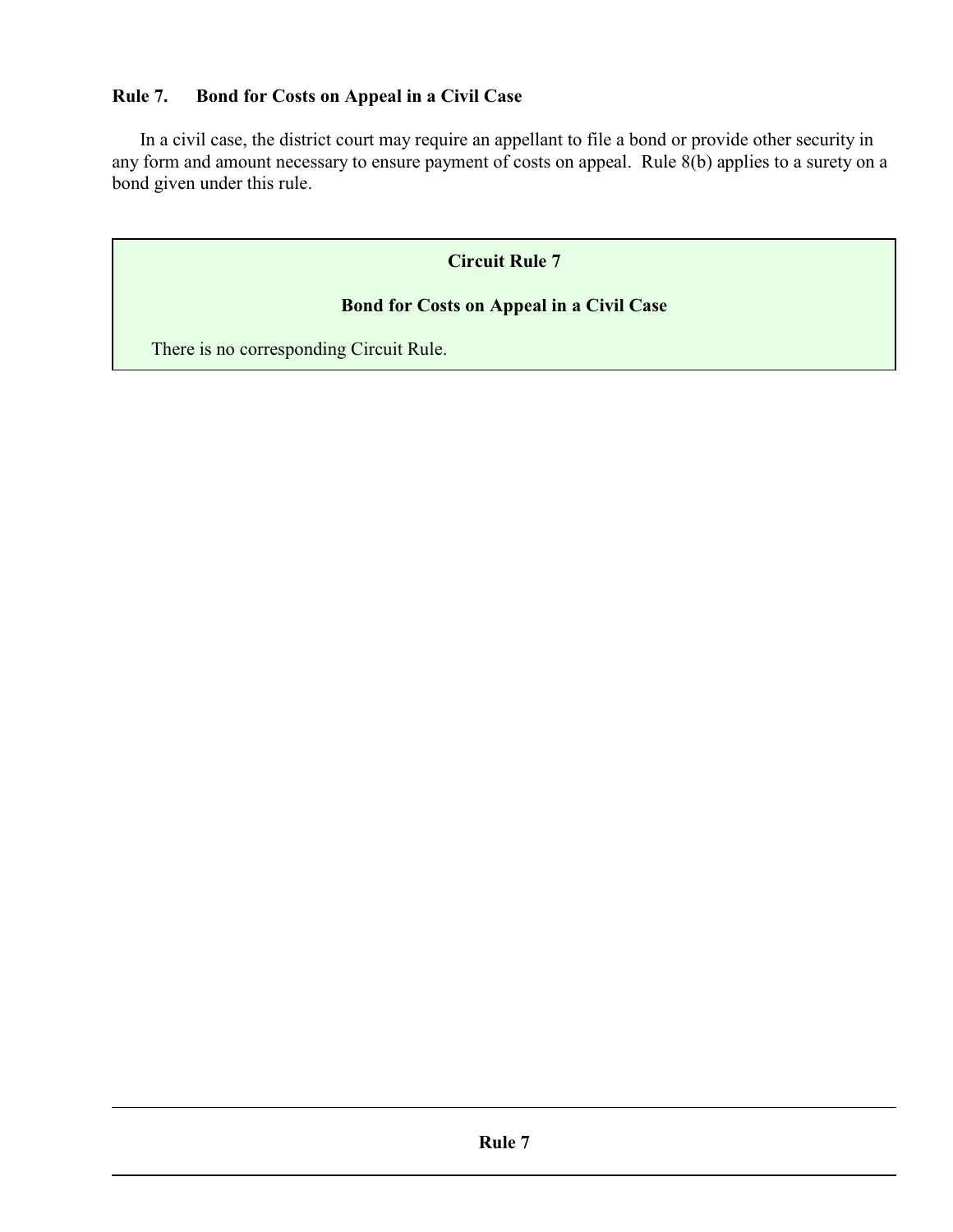## **Rule 7. Bond for Costs on Appeal in a Civil Case**

In a civil case, the district court may require an appellant to file a bond or provide other security in any form and amount necessary to ensure payment of costs on appeal. Rule 8(b) applies to a surety on a bond given under this rule.

## **Circuit Rule 7**

### **Bond for Costs on Appeal in a Civil Case**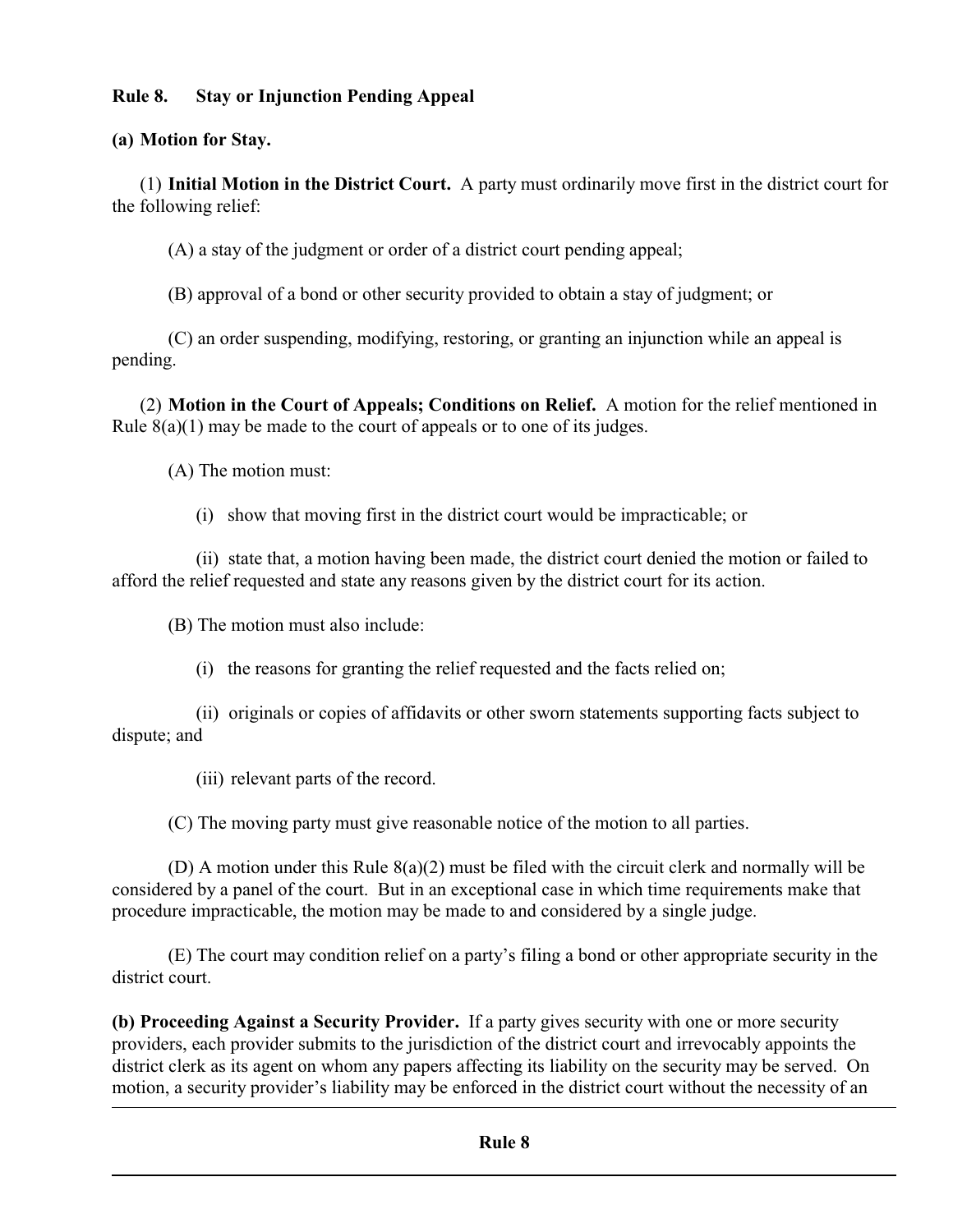### **Rule 8. Stay or Injunction Pending Appeal**

**(a) Motion for Stay.**

(1) **Initial Motion in the District Court.** A party must ordinarily move first in the district court for the following relief:

(A) a stay of the judgment or order of a district court pending appeal;

(B) approval of a bond or other security provided to obtain a stay of judgment; or

(C) an order suspending, modifying, restoring, or granting an injunction while an appeal is pending.

(2) **Motion in the Court of Appeals; Conditions on Relief.** A motion for the relief mentioned in Rule 8(a)(1) may be made to the court of appeals or to one of its judges.

(A) The motion must:

(i) show that moving first in the district court would be impracticable; or

(ii) state that, a motion having been made, the district court denied the motion or failed to afford the relief requested and state any reasons given by the district court for its action.

(B) The motion must also include:

(i) the reasons for granting the relief requested and the facts relied on;

(ii) originals or copies of affidavits or other sworn statements supporting facts subject to dispute; and

(iii) relevant parts of the record.

(C) The moving party must give reasonable notice of the motion to all parties.

(D) A motion under this Rule 8(a)(2) must be filed with the circuit clerk and normally will be considered by a panel of the court. But in an exceptional case in which time requirements make that procedure impracticable, the motion may be made to and considered by a single judge.

(E) The court may condition relief on a party's filing a bond or other appropriate security in the district court.

**(b) Proceeding Against a Security Provider.** If a party gives security with one or more security providers, each provider submits to the jurisdiction of the district court and irrevocably appoints the district clerk as its agent on whom any papers affecting its liability on the security may be served. On motion, a security provider's liability may be enforced in the district court without the necessity of an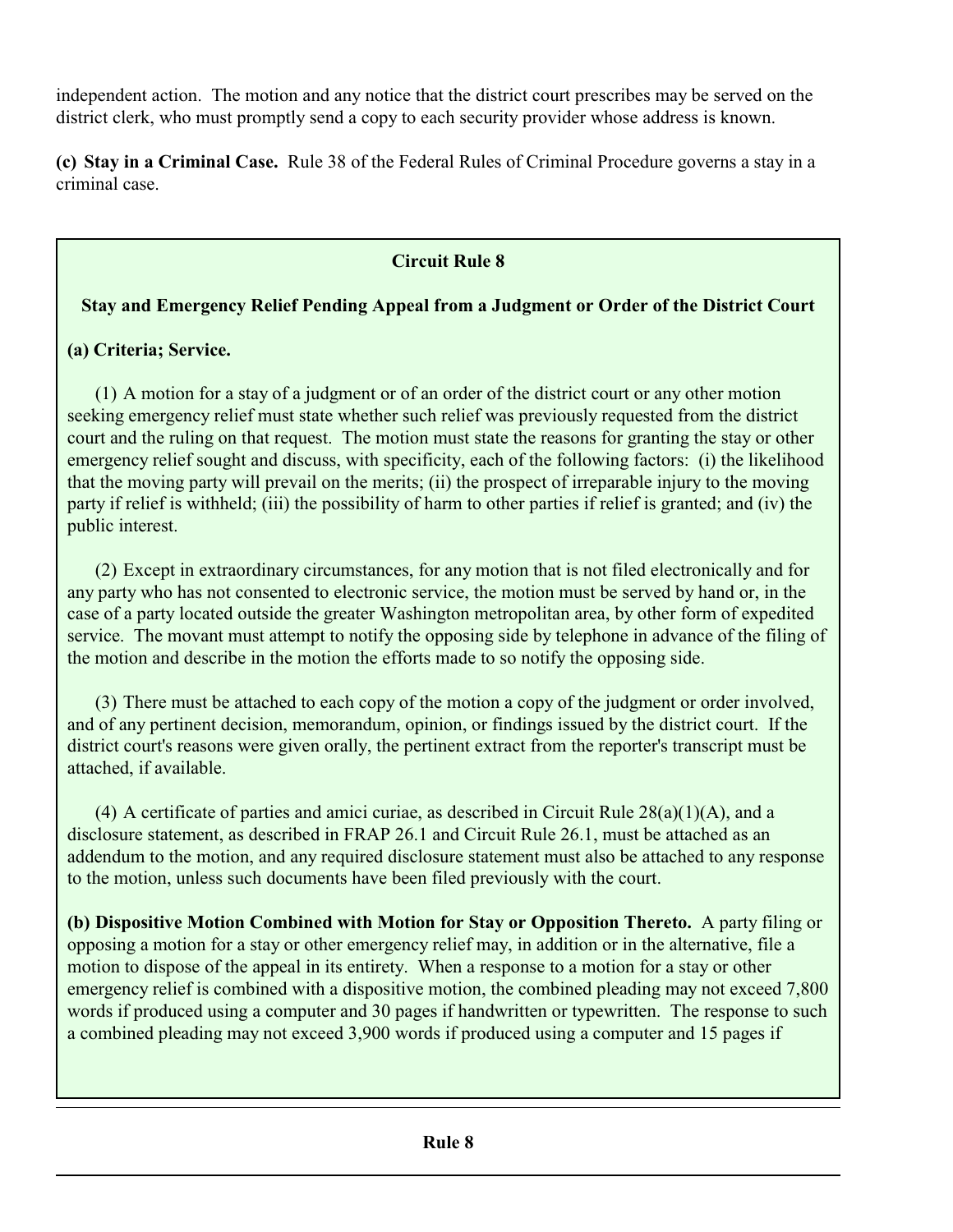independent action. The motion and any notice that the district court prescribes may be served on the district clerk, who must promptly send a copy to each security provider whose address is known.

**(c) Stay in a Criminal Case.** Rule 38 of the Federal Rules of Criminal Procedure governs a stay in a criminal case.

# **Circuit Rule 8**

## **Stay and Emergency Relief Pending Appeal from a Judgment or Order of the District Court**

### **(a) Criteria; Service.**

(1) A motion for a stay of a judgment or of an order of the district court or any other motion seeking emergency relief must state whether such relief was previously requested from the district court and the ruling on that request. The motion must state the reasons for granting the stay or other emergency relief sought and discuss, with specificity, each of the following factors: (i) the likelihood that the moving party will prevail on the merits; (ii) the prospect of irreparable injury to the moving party if relief is withheld; (iii) the possibility of harm to other parties if relief is granted; and (iv) the public interest.

(2) Except in extraordinary circumstances, for any motion that is not filed electronically and for any party who has not consented to electronic service, the motion must be served by hand or, in the case of a party located outside the greater Washington metropolitan area, by other form of expedited service. The movant must attempt to notify the opposing side by telephone in advance of the filing of the motion and describe in the motion the efforts made to so notify the opposing side.

(3) There must be attached to each copy of the motion a copy of the judgment or order involved, and of any pertinent decision, memorandum, opinion, or findings issued by the district court. If the district court's reasons were given orally, the pertinent extract from the reporter's transcript must be attached, if available.

(4) A certificate of parties and amici curiae, as described in Circuit Rule  $28(a)(1)(A)$ , and a disclosure statement, as described in FRAP 26.1 and Circuit Rule 26.1, must be attached as an addendum to the motion, and any required disclosure statement must also be attached to any response to the motion, unless such documents have been filed previously with the court.

**(b) Dispositive Motion Combined with Motion for Stay or Opposition Thereto.** A party filing or opposing a motion for a stay or other emergency relief may, in addition or in the alternative, file a motion to dispose of the appeal in its entirety. When a response to a motion for a stay or other emergency relief is combined with a dispositive motion, the combined pleading may not exceed 7,800 words if produced using a computer and 30 pages if handwritten or typewritten. The response to such a combined pleading may not exceed 3,900 words if produced using a computer and 15 pages if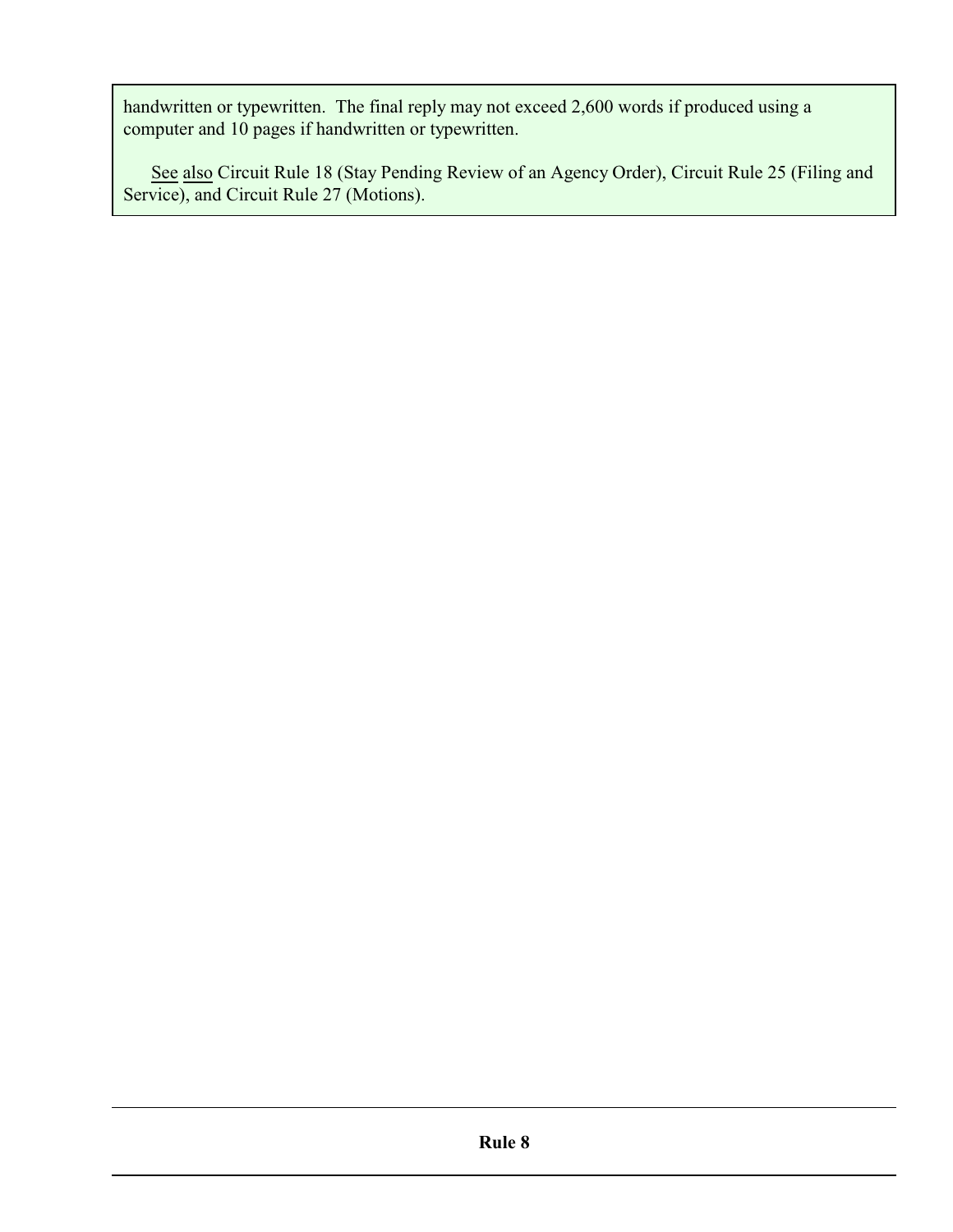handwritten or typewritten. The final reply may not exceed 2,600 words if produced using a computer and 10 pages if handwritten or typewritten.

See also Circuit Rule 18 (Stay Pending Review of an Agency Order), Circuit Rule 25 (Filing and Service), and Circuit Rule 27 (Motions).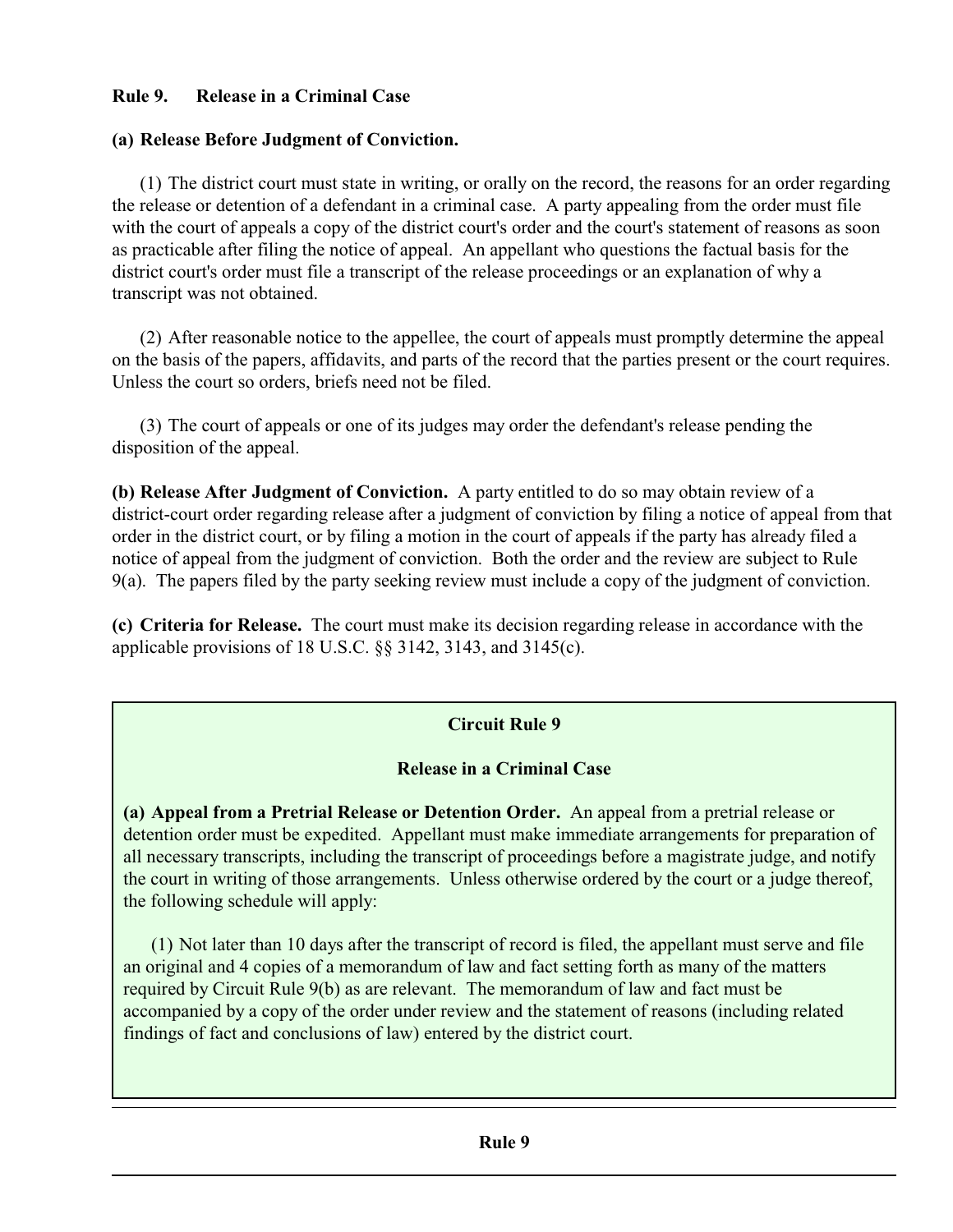### **Rule 9. Release in a Criminal Case**

### **(a) Release Before Judgment of Conviction.**

(1) The district court must state in writing, or orally on the record, the reasons for an order regarding the release or detention of a defendant in a criminal case. A party appealing from the order must file with the court of appeals a copy of the district court's order and the court's statement of reasons as soon as practicable after filing the notice of appeal. An appellant who questions the factual basis for the district court's order must file a transcript of the release proceedings or an explanation of why a transcript was not obtained.

(2) After reasonable notice to the appellee, the court of appeals must promptly determine the appeal on the basis of the papers, affidavits, and parts of the record that the parties present or the court requires. Unless the court so orders, briefs need not be filed.

(3) The court of appeals or one of its judges may order the defendant's release pending the disposition of the appeal.

**(b) Release After Judgment of Conviction.** A party entitled to do so may obtain review of a district-court order regarding release after a judgment of conviction by filing a notice of appeal from that order in the district court, or by filing a motion in the court of appeals if the party has already filed a notice of appeal from the judgment of conviction. Both the order and the review are subject to Rule 9(a). The papers filed by the party seeking review must include a copy of the judgment of conviction.

**(c) Criteria for Release.** The court must make its decision regarding release in accordance with the applicable provisions of 18 U.S.C. §§ 3142, 3143, and 3145(c).

# **Circuit Rule 9**

#### **Release in a Criminal Case**

**(a) Appeal from a Pretrial Release or Detention Order.** An appeal from a pretrial release or detention order must be expedited. Appellant must make immediate arrangements for preparation of all necessary transcripts, including the transcript of proceedings before a magistrate judge, and notify the court in writing of those arrangements. Unless otherwise ordered by the court or a judge thereof, the following schedule will apply:

(1) Not later than 10 days after the transcript of record is filed, the appellant must serve and file an original and 4 copies of a memorandum of law and fact setting forth as many of the matters required by Circuit Rule 9(b) as are relevant. The memorandum of law and fact must be accompanied by a copy of the order under review and the statement of reasons (including related findings of fact and conclusions of law) entered by the district court.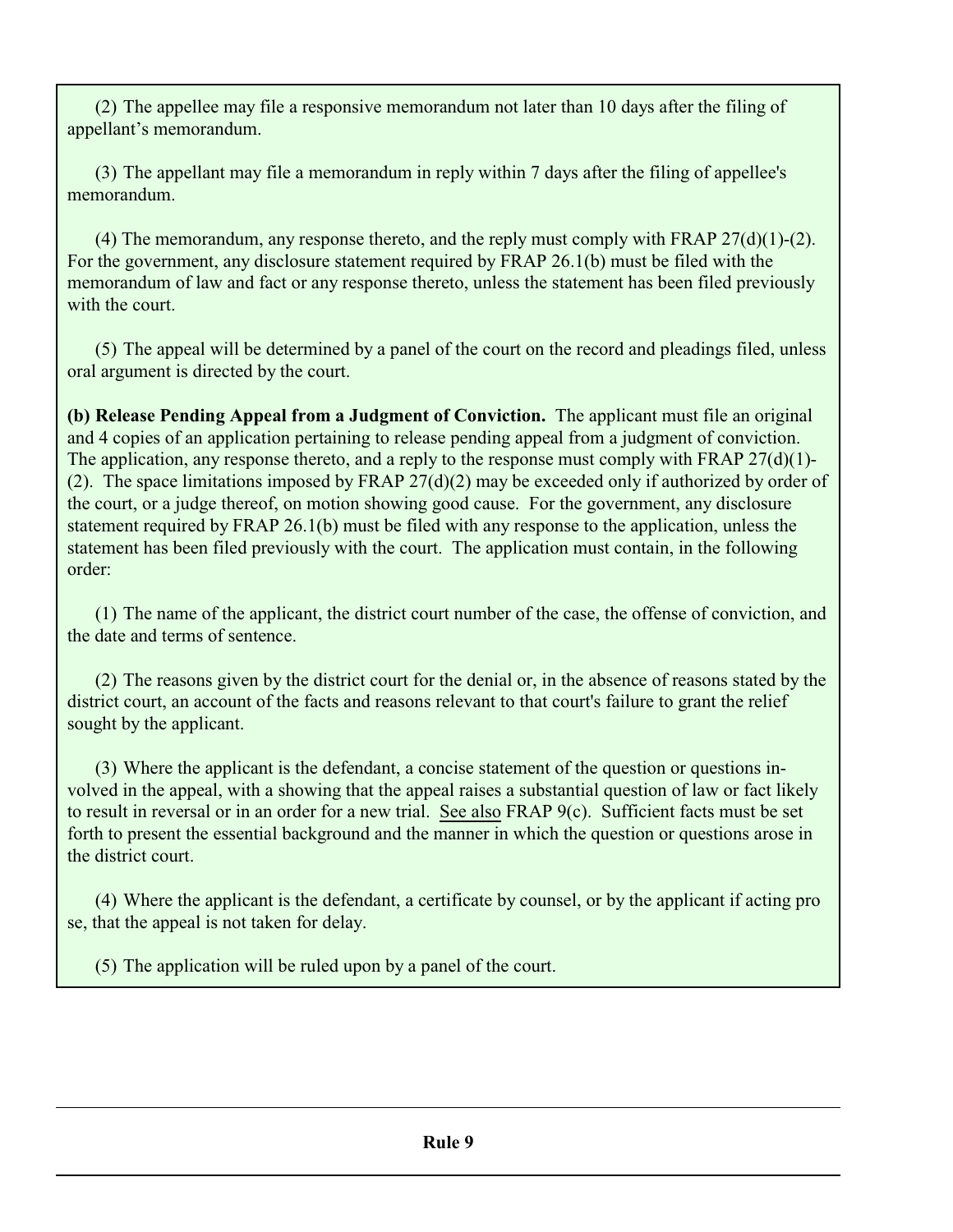(2) The appellee may file a responsive memorandum not later than 10 days after the filing of appellant's memorandum.

(3) The appellant may file a memorandum in reply within 7 days after the filing of appellee's memorandum.

(4) The memorandum, any response thereto, and the reply must comply with FRAP 27(d)(1)-(2). For the government, any disclosure statement required by FRAP 26.1(b) must be filed with the memorandum of law and fact or any response thereto, unless the statement has been filed previously with the court.

(5) The appeal will be determined by a panel of the court on the record and pleadings filed, unless oral argument is directed by the court.

**(b) Release Pending Appeal from a Judgment of Conviction.** The applicant must file an original and 4 copies of an application pertaining to release pending appeal from a judgment of conviction. The application, any response thereto, and a reply to the response must comply with FRAP 27(d)(1)- (2). The space limitations imposed by FRAP  $27(d)(2)$  may be exceeded only if authorized by order of the court, or a judge thereof, on motion showing good cause. For the government, any disclosure statement required by FRAP 26.1(b) must be filed with any response to the application, unless the statement has been filed previously with the court. The application must contain, in the following order:

(1) The name of the applicant, the district court number of the case, the offense of conviction, and the date and terms of sentence.

(2) The reasons given by the district court for the denial or, in the absence of reasons stated by the district court, an account of the facts and reasons relevant to that court's failure to grant the relief sought by the applicant.

(3) Where the applicant is the defendant, a concise statement of the question or questions involved in the appeal, with a showing that the appeal raises a substantial question of law or fact likely to result in reversal or in an order for a new trial. See also FRAP 9(c). Sufficient facts must be set forth to present the essential background and the manner in which the question or questions arose in the district court.

(4) Where the applicant is the defendant, a certificate by counsel, or by the applicant if acting pro se, that the appeal is not taken for delay.

(5) The application will be ruled upon by a panel of the court.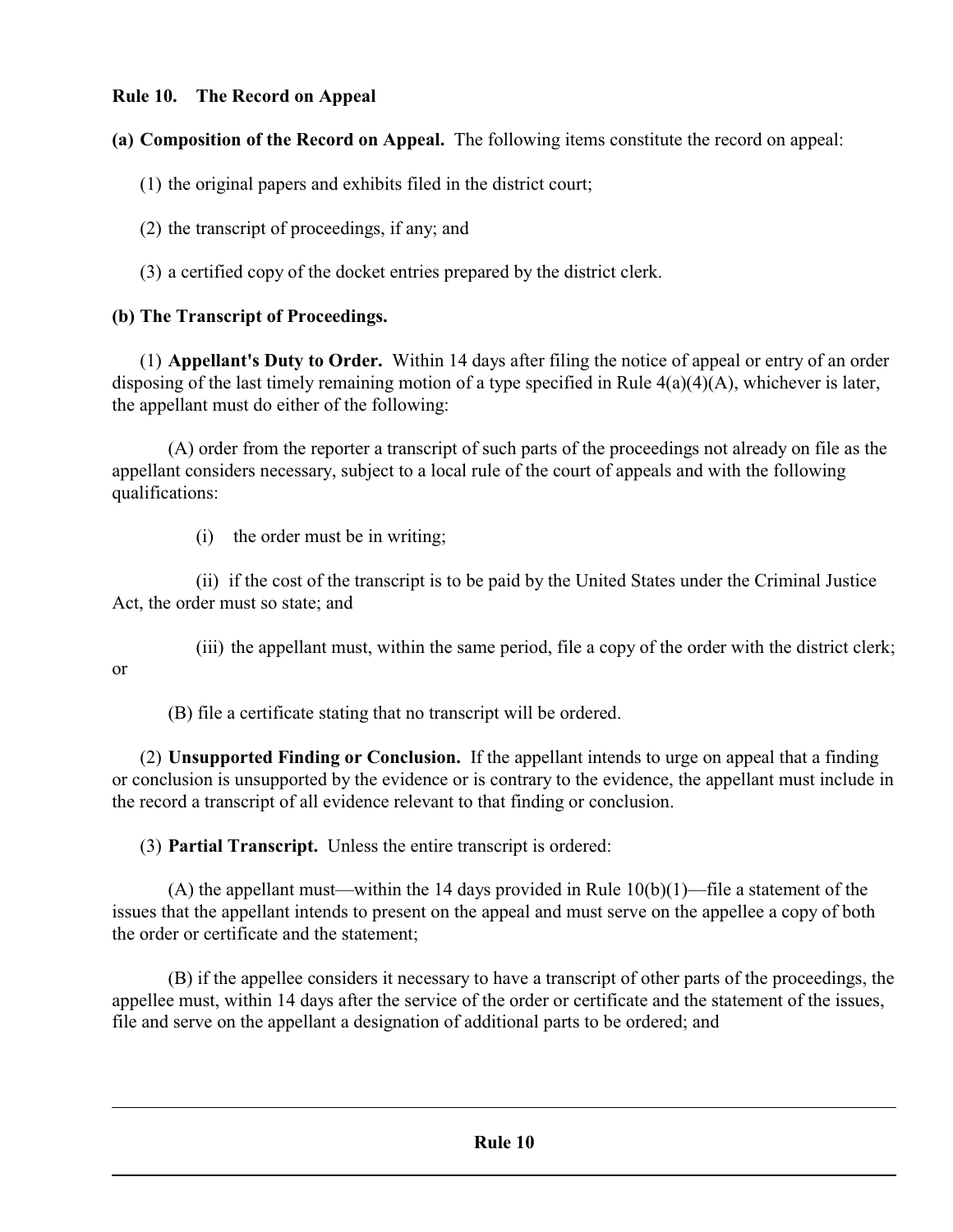## **Rule 10. The Record on Appeal**

**(a) Composition of the Record on Appeal.** The following items constitute the record on appeal:

(1) the original papers and exhibits filed in the district court;

(2) the transcript of proceedings, if any; and

(3) a certified copy of the docket entries prepared by the district clerk.

# **(b) The Transcript of Proceedings.**

or

(1) **Appellant's Duty to Order.** Within 14 days after filing the notice of appeal or entry of an order disposing of the last timely remaining motion of a type specified in Rule 4(a)(4)(A), whichever is later, the appellant must do either of the following:

(A) order from the reporter a transcript of such parts of the proceedings not already on file as the appellant considers necessary, subject to a local rule of the court of appeals and with the following qualifications:

(i) the order must be in writing;

(ii) if the cost of the transcript is to be paid by the United States under the Criminal Justice Act, the order must so state; and

(iii) the appellant must, within the same period, file a copy of the order with the district clerk;

(B) file a certificate stating that no transcript will be ordered.

(2) **Unsupported Finding or Conclusion.** If the appellant intends to urge on appeal that a finding or conclusion is unsupported by the evidence or is contrary to the evidence, the appellant must include in the record a transcript of all evidence relevant to that finding or conclusion.

(3) **Partial Transcript.** Unless the entire transcript is ordered:

(A) the appellant must—within the 14 days provided in Rule  $10(b)(1)$ —file a statement of the issues that the appellant intends to present on the appeal and must serve on the appellee a copy of both the order or certificate and the statement;

(B) if the appellee considers it necessary to have a transcript of other parts of the proceedings, the appellee must, within 14 days after the service of the order or certificate and the statement of the issues, file and serve on the appellant a designation of additional parts to be ordered; and

**Rule 10**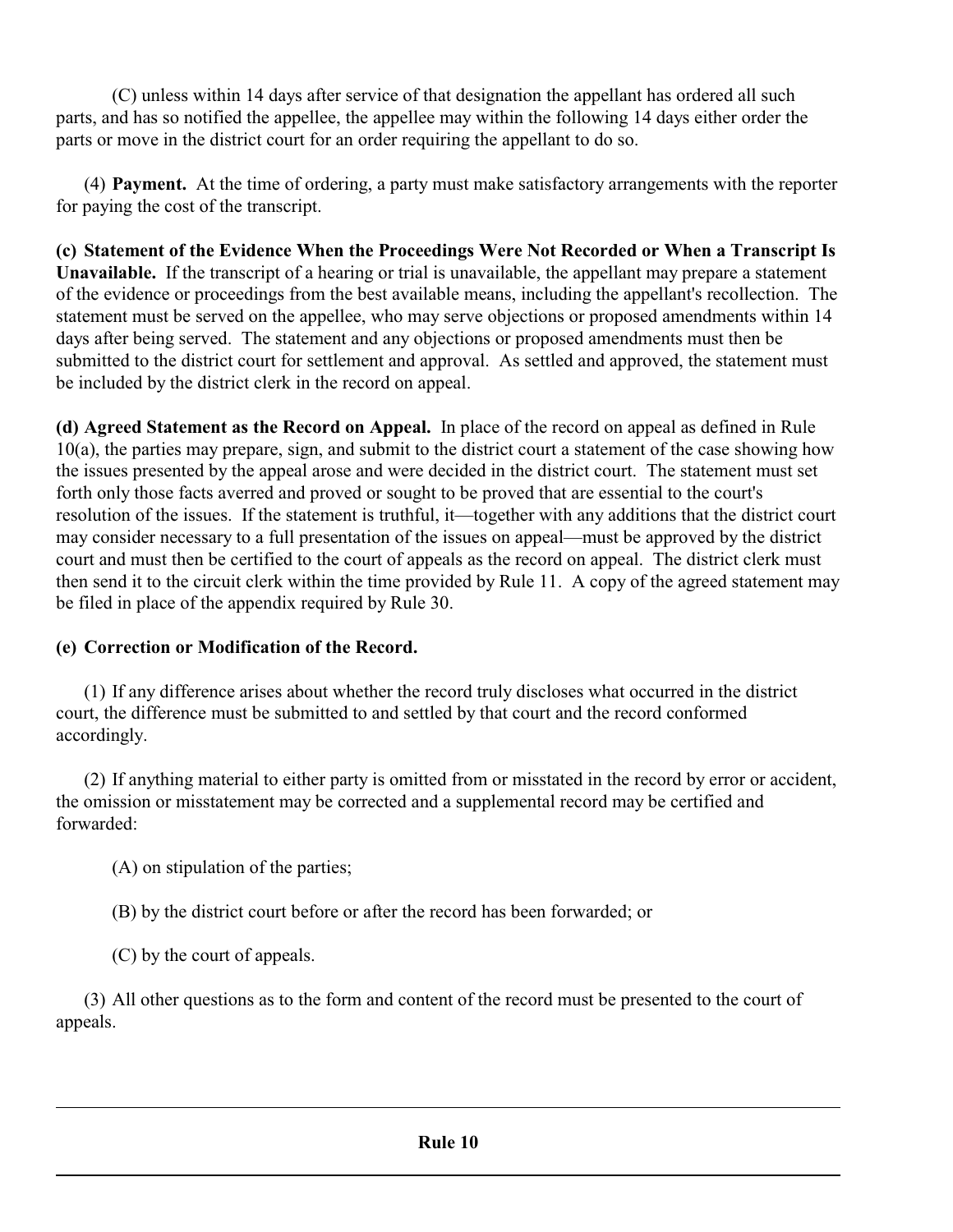(C) unless within 14 days after service of that designation the appellant has ordered all such parts, and has so notified the appellee, the appellee may within the following 14 days either order the parts or move in the district court for an order requiring the appellant to do so.

(4) **Payment.** At the time of ordering, a party must make satisfactory arrangements with the reporter for paying the cost of the transcript.

**(c) Statement of the Evidence When the Proceedings Were Not Recorded or When a Transcript Is Unavailable.** If the transcript of a hearing or trial is unavailable, the appellant may prepare a statement of the evidence or proceedings from the best available means, including the appellant's recollection. The statement must be served on the appellee, who may serve objections or proposed amendments within 14 days after being served. The statement and any objections or proposed amendments must then be submitted to the district court for settlement and approval. As settled and approved, the statement must be included by the district clerk in the record on appeal.

**(d) Agreed Statement as the Record on Appeal.** In place of the record on appeal as defined in Rule 10(a), the parties may prepare, sign, and submit to the district court a statement of the case showing how the issues presented by the appeal arose and were decided in the district court. The statement must set forth only those facts averred and proved or sought to be proved that are essential to the court's resolution of the issues. If the statement is truthful, it—together with any additions that the district court may consider necessary to a full presentation of the issues on appeal—must be approved by the district court and must then be certified to the court of appeals as the record on appeal. The district clerk must then send it to the circuit clerk within the time provided by Rule 11. A copy of the agreed statement may be filed in place of the appendix required by Rule 30.

# **(e) Correction or Modification of the Record.**

(1) If any difference arises about whether the record truly discloses what occurred in the district court, the difference must be submitted to and settled by that court and the record conformed accordingly.

(2) If anything material to either party is omitted from or misstated in the record by error or accident, the omission or misstatement may be corrected and a supplemental record may be certified and forwarded:

(A) on stipulation of the parties;

(B) by the district court before or after the record has been forwarded; or

(C) by the court of appeals.

(3) All other questions as to the form and content of the record must be presented to the court of appeals.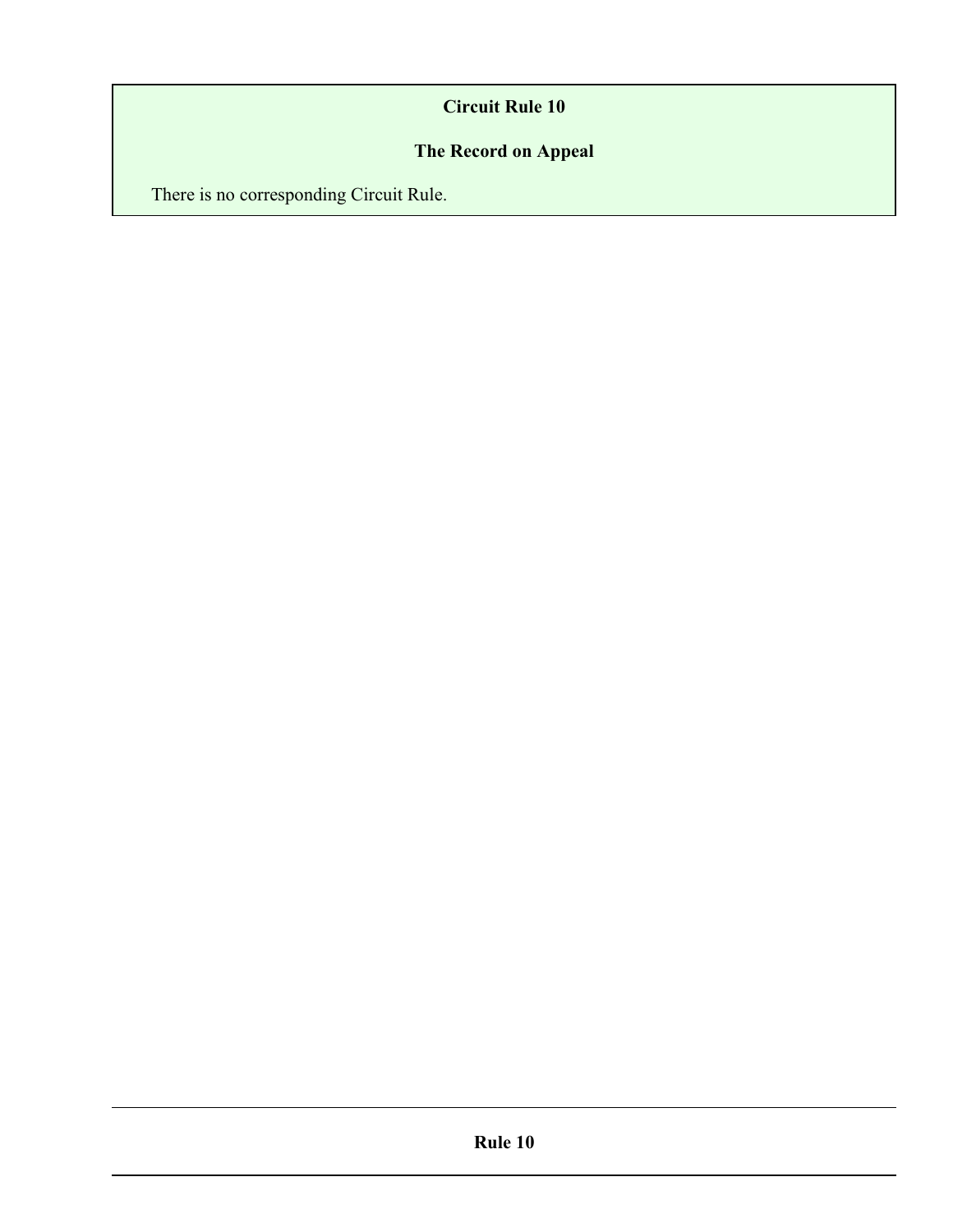# **Circuit Rule 10**

# **The Record on Appeal**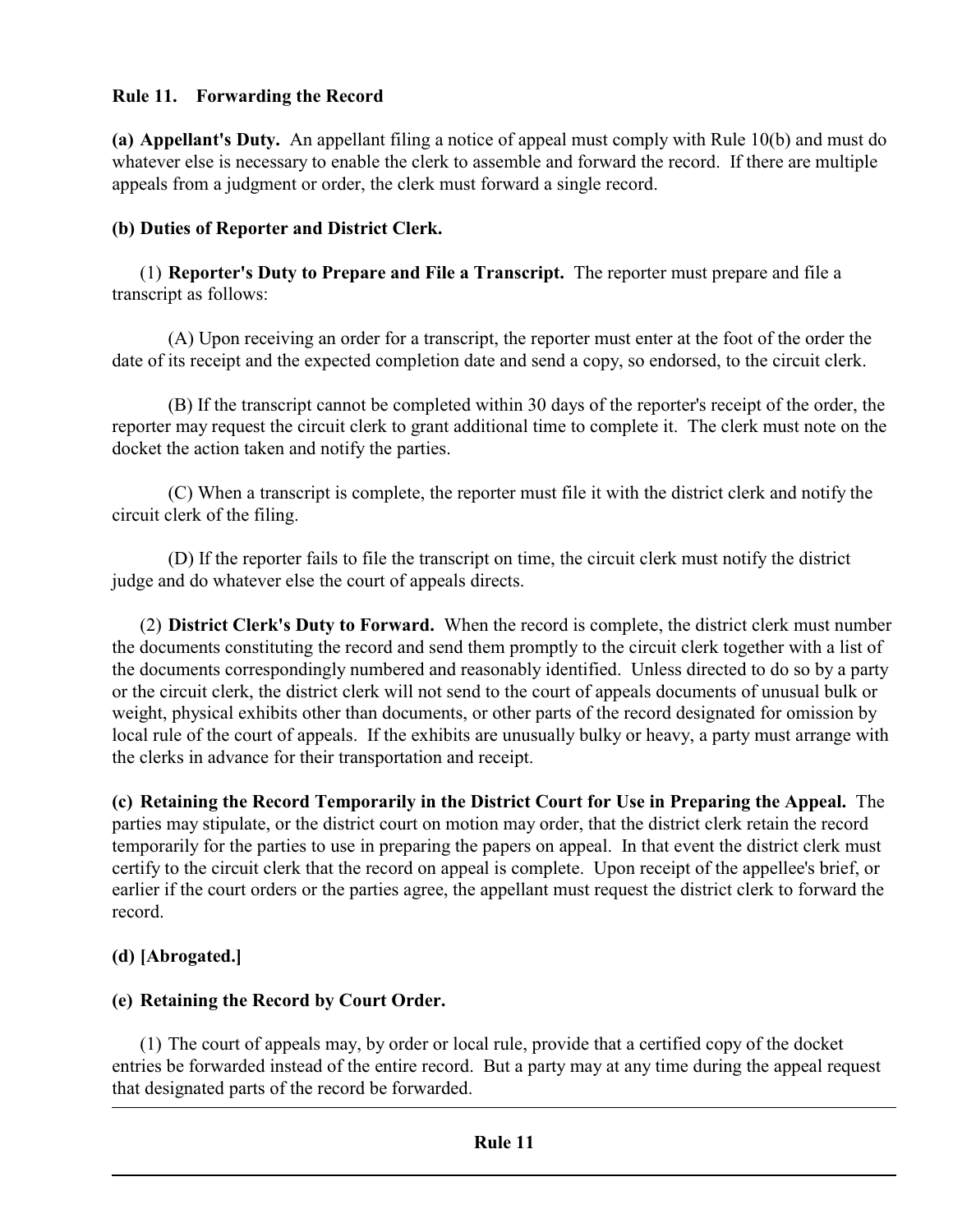## **Rule 11. Forwarding the Record**

**(a) Appellant's Duty.** An appellant filing a notice of appeal must comply with Rule 10(b) and must do whatever else is necessary to enable the clerk to assemble and forward the record. If there are multiple appeals from a judgment or order, the clerk must forward a single record.

## **(b) Duties of Reporter and District Clerk.**

(1) **Reporter's Duty to Prepare and File a Transcript.** The reporter must prepare and file a transcript as follows:

(A) Upon receiving an order for a transcript, the reporter must enter at the foot of the order the date of its receipt and the expected completion date and send a copy, so endorsed, to the circuit clerk.

(B) If the transcript cannot be completed within 30 days of the reporter's receipt of the order, the reporter may request the circuit clerk to grant additional time to complete it. The clerk must note on the docket the action taken and notify the parties.

(C) When a transcript is complete, the reporter must file it with the district clerk and notify the circuit clerk of the filing.

(D) If the reporter fails to file the transcript on time, the circuit clerk must notify the district judge and do whatever else the court of appeals directs.

(2) **District Clerk's Duty to Forward.** When the record is complete, the district clerk must number the documents constituting the record and send them promptly to the circuit clerk together with a list of the documents correspondingly numbered and reasonably identified. Unless directed to do so by a party or the circuit clerk, the district clerk will not send to the court of appeals documents of unusual bulk or weight, physical exhibits other than documents, or other parts of the record designated for omission by local rule of the court of appeals. If the exhibits are unusually bulky or heavy, a party must arrange with the clerks in advance for their transportation and receipt.

**(c) Retaining the Record Temporarily in the District Court for Use in Preparing the Appeal.** The parties may stipulate, or the district court on motion may order, that the district clerk retain the record temporarily for the parties to use in preparing the papers on appeal. In that event the district clerk must certify to the circuit clerk that the record on appeal is complete. Upon receipt of the appellee's brief, or earlier if the court orders or the parties agree, the appellant must request the district clerk to forward the record.

# **(d) [Abrogated.]**

# **(e) Retaining the Record by Court Order.**

(1) The court of appeals may, by order or local rule, provide that a certified copy of the docket entries be forwarded instead of the entire record. But a party may at any time during the appeal request that designated parts of the record be forwarded.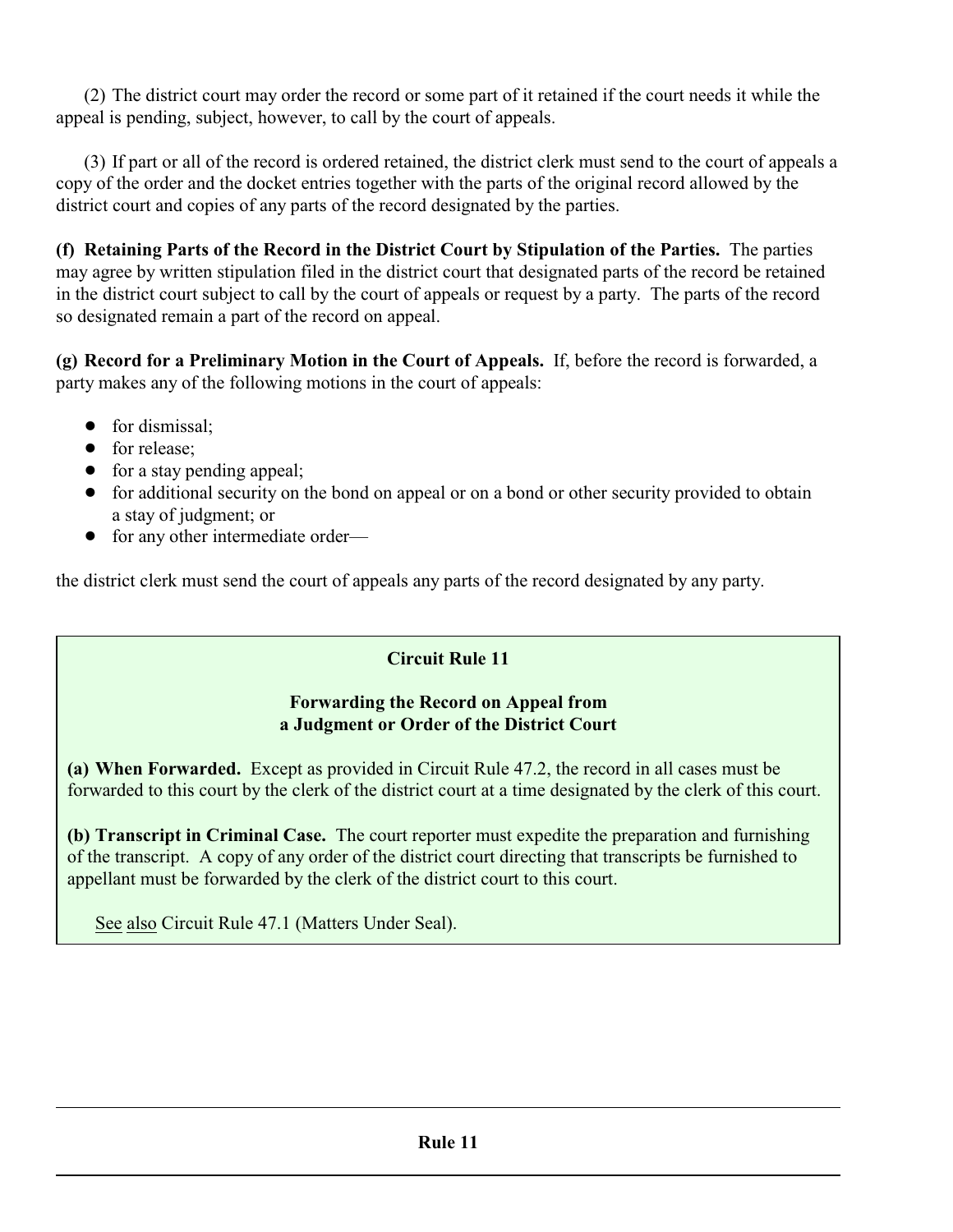(2) The district court may order the record or some part of it retained if the court needs it while the appeal is pending, subject, however, to call by the court of appeals.

(3) If part or all of the record is ordered retained, the district clerk must send to the court of appeals a copy of the order and the docket entries together with the parts of the original record allowed by the district court and copies of any parts of the record designated by the parties.

**(f) Retaining Parts of the Record in the District Court by Stipulation of the Parties.** The parties may agree by written stipulation filed in the district court that designated parts of the record be retained in the district court subject to call by the court of appeals or request by a party. The parts of the record so designated remain a part of the record on appeal.

**(g) Record for a Preliminary Motion in the Court of Appeals.** If, before the record is forwarded, a party makes any of the following motions in the court of appeals:

- for dismissal:
- for release:
- for a stay pending appeal;
- for additional security on the bond on appeal or on a bond or other security provided to obtain a stay of judgment; or
- for any other intermediate order—

the district clerk must send the court of appeals any parts of the record designated by any party.

# **Circuit Rule 11**

### **Forwarding the Record on Appeal from a Judgment or Order of the District Court**

**(a) When Forwarded.** Except as provided in Circuit Rule 47.2, the record in all cases must be forwarded to this court by the clerk of the district court at a time designated by the clerk of this court.

**(b) Transcript in Criminal Case.** The court reporter must expedite the preparation and furnishing of the transcript. A copy of any order of the district court directing that transcripts be furnished to appellant must be forwarded by the clerk of the district court to this court.

See also Circuit Rule 47.1 (Matters Under Seal).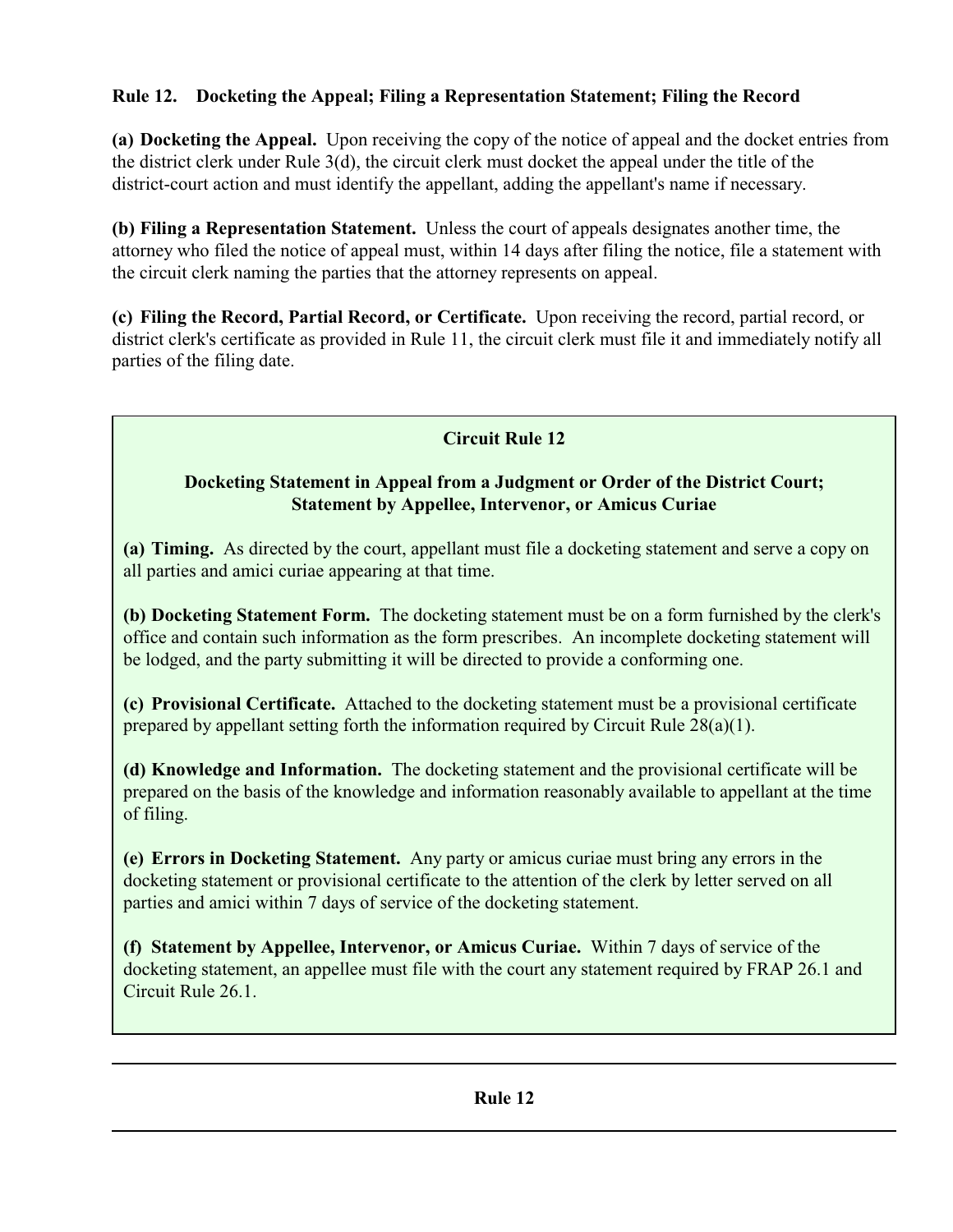# **Rule 12. Docketing the Appeal; Filing a Representation Statement; Filing the Record**

**(a) Docketing the Appeal.** Upon receiving the copy of the notice of appeal and the docket entries from the district clerk under Rule 3(d), the circuit clerk must docket the appeal under the title of the district-court action and must identify the appellant, adding the appellant's name if necessary.

**(b) Filing a Representation Statement.** Unless the court of appeals designates another time, the attorney who filed the notice of appeal must, within 14 days after filing the notice, file a statement with the circuit clerk naming the parties that the attorney represents on appeal.

**(c) Filing the Record, Partial Record, or Certificate.** Upon receiving the record, partial record, or district clerk's certificate as provided in Rule 11, the circuit clerk must file it and immediately notify all parties of the filing date.

# **Circuit Rule 12**

### **Docketing Statement in Appeal from a Judgment or Order of the District Court; Statement by Appellee, Intervenor, or Amicus Curiae**

**(a) Timing.** As directed by the court, appellant must file a docketing statement and serve a copy on all parties and amici curiae appearing at that time.

**(b) Docketing Statement Form.** The docketing statement must be on a form furnished by the clerk's office and contain such information as the form prescribes. An incomplete docketing statement will be lodged, and the party submitting it will be directed to provide a conforming one.

**(c) Provisional Certificate.** Attached to the docketing statement must be a provisional certificate prepared by appellant setting forth the information required by Circuit Rule 28(a)(1).

**(d) Knowledge and Information.** The docketing statement and the provisional certificate will be prepared on the basis of the knowledge and information reasonably available to appellant at the time of filing.

**(e) Errors in Docketing Statement.** Any party or amicus curiae must bring any errors in the docketing statement or provisional certificate to the attention of the clerk by letter served on all parties and amici within 7 days of service of the docketing statement.

**(f) Statement by Appellee, Intervenor, or Amicus Curiae.** Within 7 days of service of the docketing statement, an appellee must file with the court any statement required by FRAP 26.1 and Circuit Rule 26.1.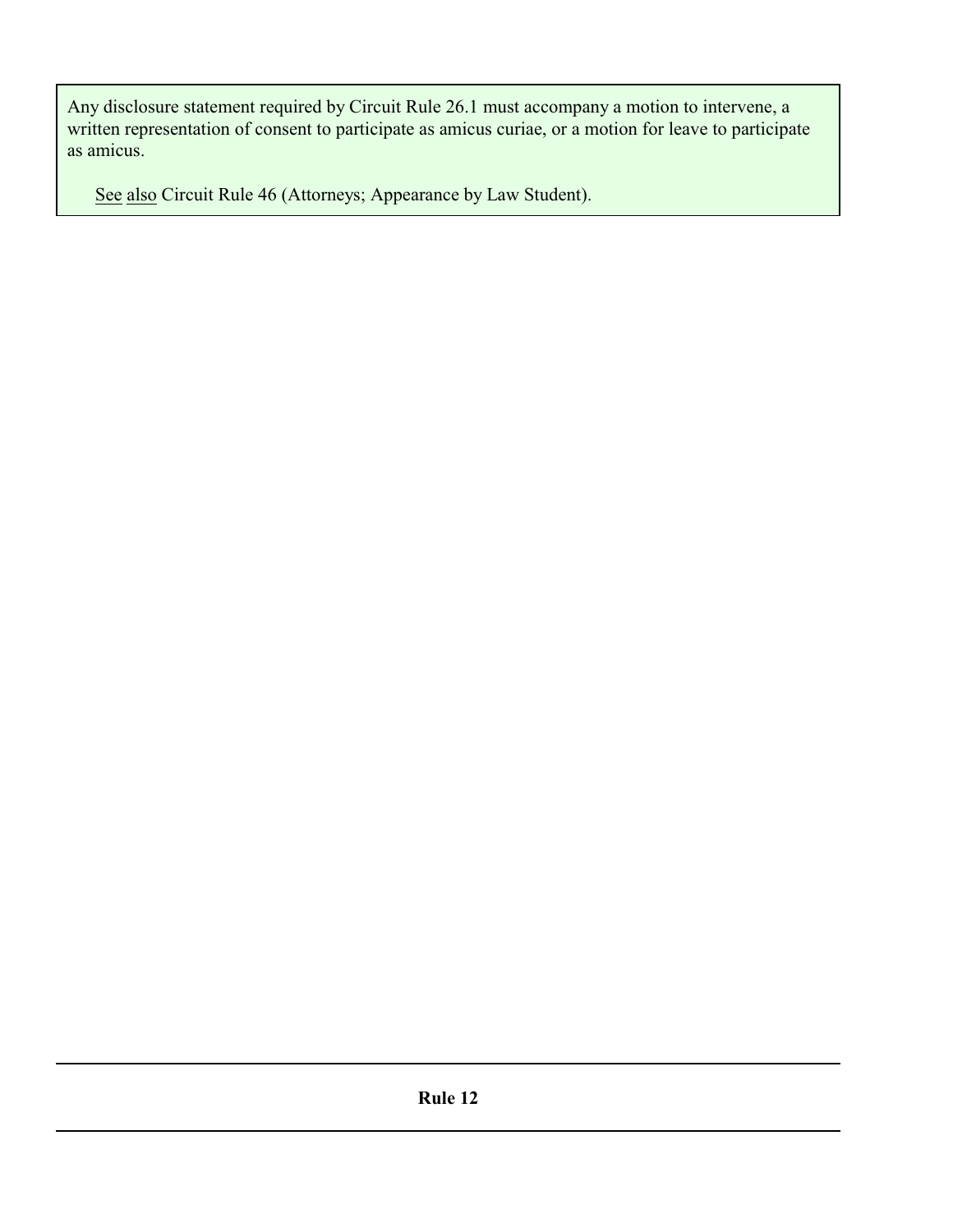Any disclosure statement required by Circuit Rule 26.1 must accompany a motion to intervene, a written representation of consent to participate as amicus curiae, or a motion for leave to participate as amicus.

See also Circuit Rule 46 (Attorneys; Appearance by Law Student).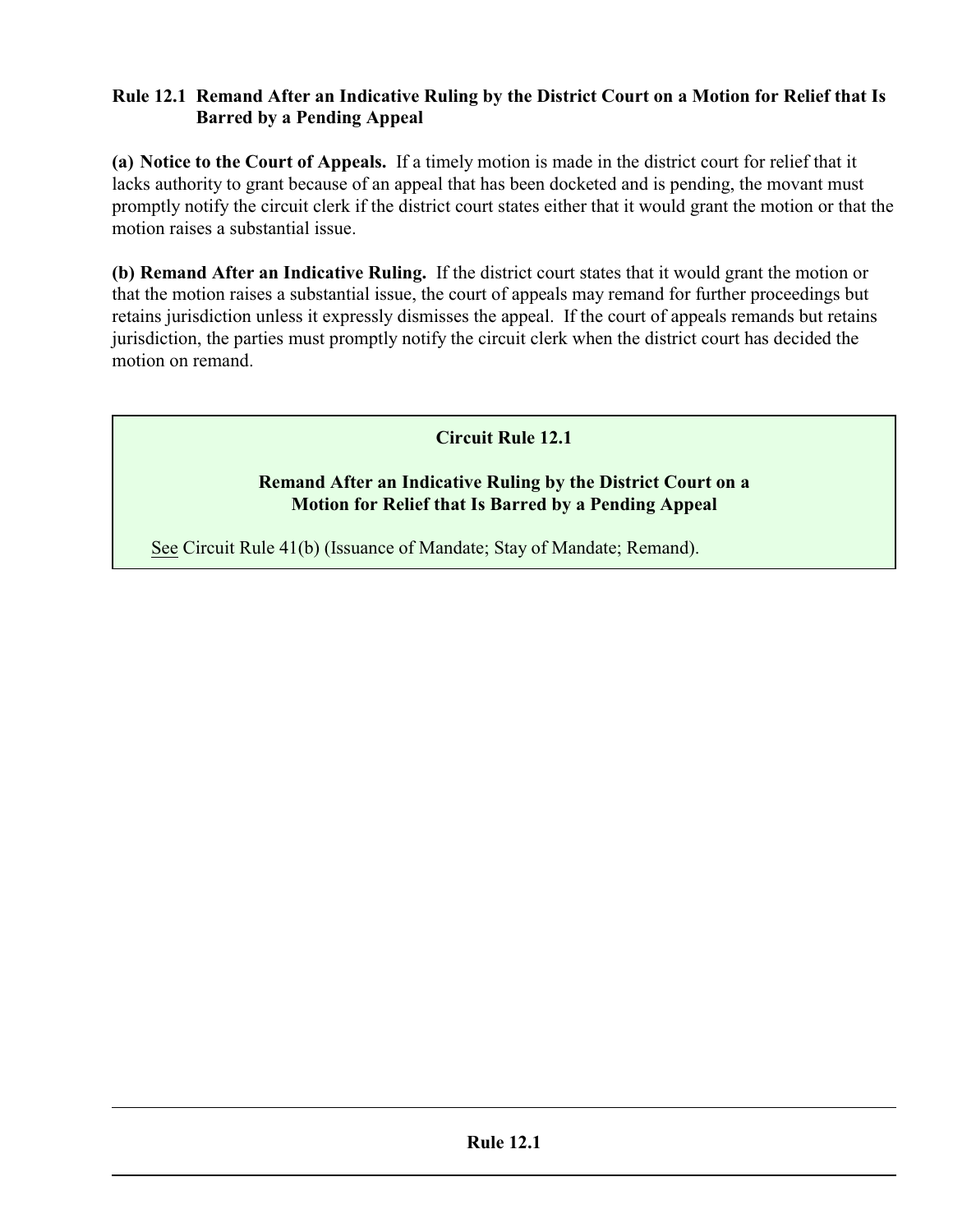### **Rule 12.1 Remand After an Indicative Ruling by the District Court on a Motion for Relief that Is Barred by a Pending Appeal**

**(a) Notice to the Court of Appeals.** If a timely motion is made in the district court for relief that it lacks authority to grant because of an appeal that has been docketed and is pending, the movant must promptly notify the circuit clerk if the district court states either that it would grant the motion or that the motion raises a substantial issue.

**(b) Remand After an Indicative Ruling.** If the district court states that it would grant the motion or that the motion raises a substantial issue, the court of appeals may remand for further proceedings but retains jurisdiction unless it expressly dismisses the appeal. If the court of appeals remands but retains jurisdiction, the parties must promptly notify the circuit clerk when the district court has decided the motion on remand.

# **Circuit Rule 12.1**

#### **Remand After an Indicative Ruling by the District Court on a Motion for Relief that Is Barred by a Pending Appeal**

See Circuit Rule 41(b) (Issuance of Mandate; Stay of Mandate; Remand).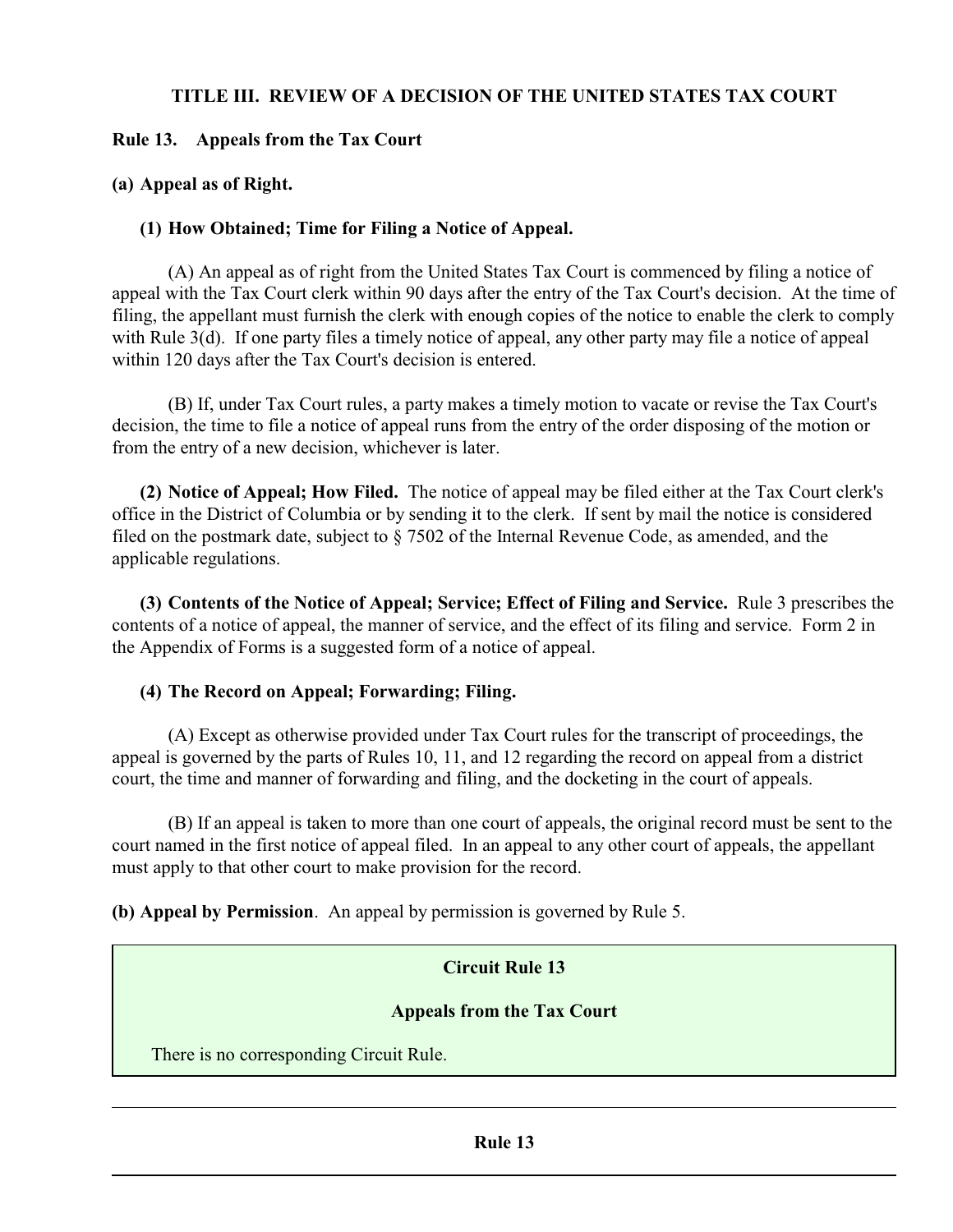### **TITLE III. REVIEW OF A DECISION OF THE UNITED STATES TAX COURT**

### **Rule 13. Appeals from the Tax Court**

### **(a) Appeal as of Right.**

### **(1) How Obtained; Time for Filing a Notice of Appeal.**

(A) An appeal as of right from the United States Tax Court is commenced by filing a notice of appeal with the Tax Court clerk within 90 days after the entry of the Tax Court's decision. At the time of filing, the appellant must furnish the clerk with enough copies of the notice to enable the clerk to comply with Rule 3(d). If one party files a timely notice of appeal, any other party may file a notice of appeal within 120 days after the Tax Court's decision is entered.

(B) If, under Tax Court rules, a party makes a timely motion to vacate or revise the Tax Court's decision, the time to file a notice of appeal runs from the entry of the order disposing of the motion or from the entry of a new decision, whichever is later.

**(2) Notice of Appeal; How Filed.** The notice of appeal may be filed either at the Tax Court clerk's office in the District of Columbia or by sending it to the clerk. If sent by mail the notice is considered filed on the postmark date, subject to § 7502 of the Internal Revenue Code, as amended, and the applicable regulations.

**(3) Contents of the Notice of Appeal; Service; Effect of Filing and Service.** Rule 3 prescribes the contents of a notice of appeal, the manner of service, and the effect of its filing and service. Form 2 in the Appendix of Forms is a suggested form of a notice of appeal.

#### **(4) The Record on Appeal; Forwarding; Filing.**

(A) Except as otherwise provided under Tax Court rules for the transcript of proceedings, the appeal is governed by the parts of Rules 10, 11, and 12 regarding the record on appeal from a district court, the time and manner of forwarding and filing, and the docketing in the court of appeals.

(B) If an appeal is taken to more than one court of appeals, the original record must be sent to the court named in the first notice of appeal filed. In an appeal to any other court of appeals, the appellant must apply to that other court to make provision for the record.

**(b) Appeal by Permission**. An appeal by permission is governed by Rule 5.

# **Circuit Rule 13**

#### **Appeals from the Tax Court**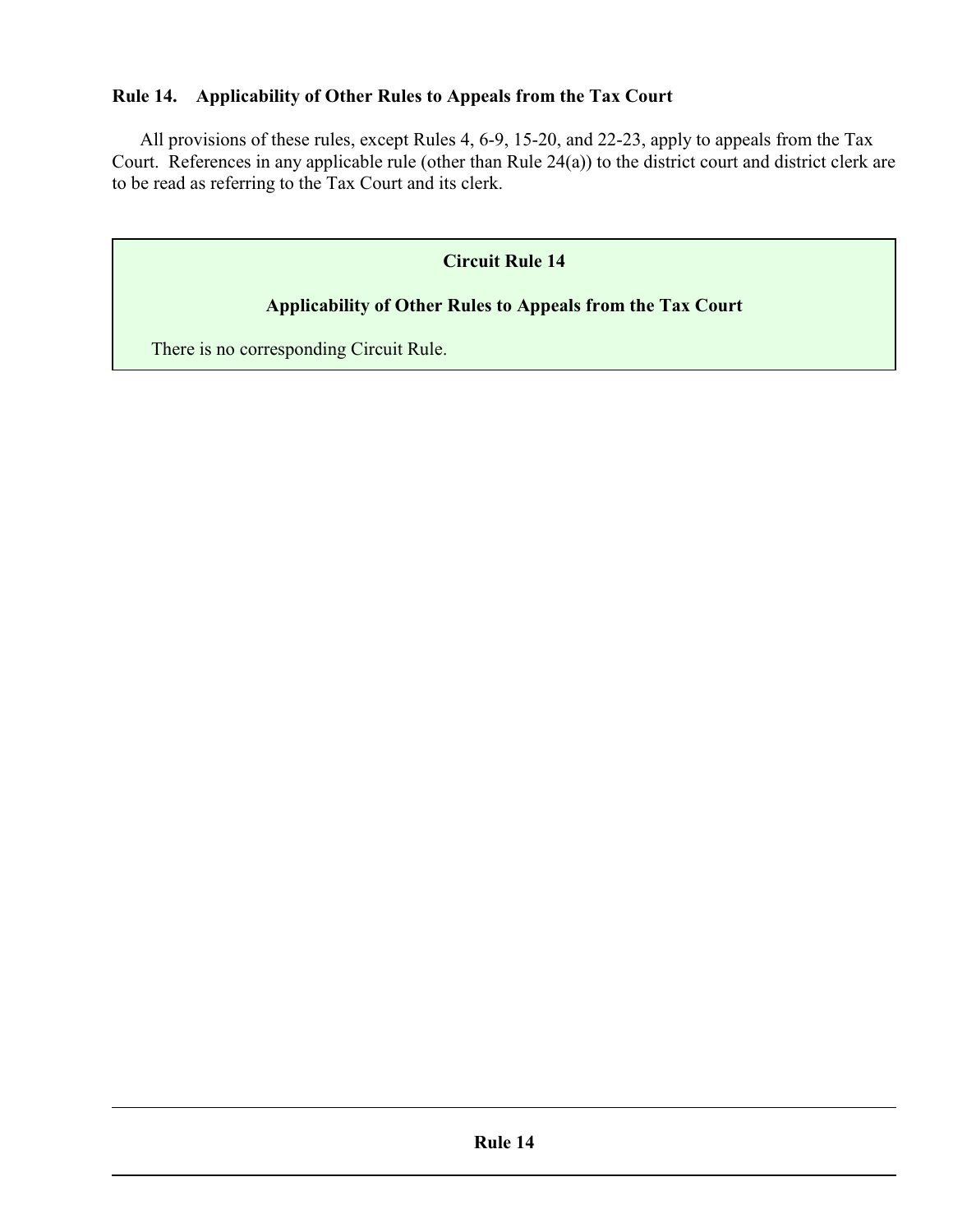## **Rule 14. Applicability of Other Rules to Appeals from the Tax Court**

All provisions of these rules, except Rules 4, 6-9, 15-20, and 22-23, apply to appeals from the Tax Court. References in any applicable rule (other than Rule 24(a)) to the district court and district clerk are to be read as referring to the Tax Court and its clerk.

# **Circuit Rule 14**

## **Applicability of Other Rules to Appeals from the Tax Court**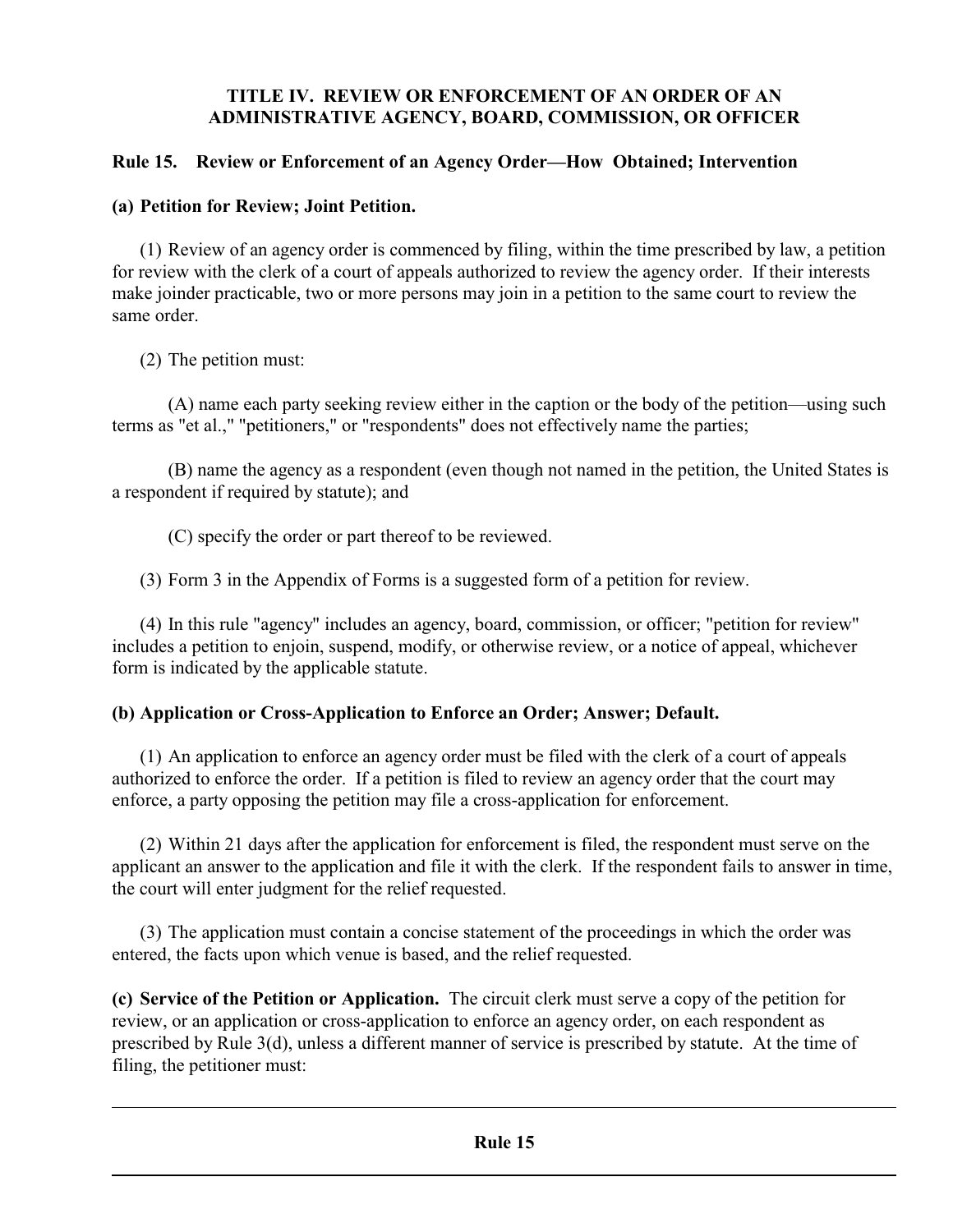## **TITLE IV. REVIEW OR ENFORCEMENT OF AN ORDER OF AN ADMINISTRATIVE AGENCY, BOARD, COMMISSION, OR OFFICER**

### **Rule 15. Review or Enforcement of an Agency Order—How Obtained; Intervention**

#### **(a) Petition for Review; Joint Petition.**

(1) Review of an agency order is commenced by filing, within the time prescribed by law, a petition for review with the clerk of a court of appeals authorized to review the agency order. If their interests make joinder practicable, two or more persons may join in a petition to the same court to review the same order.

(2) The petition must:

(A) name each party seeking review either in the caption or the body of the petition—using such terms as "et al.," "petitioners," or "respondents" does not effectively name the parties;

(B) name the agency as a respondent (even though not named in the petition, the United States is a respondent if required by statute); and

(C) specify the order or part thereof to be reviewed.

(3) Form 3 in the Appendix of Forms is a suggested form of a petition for review.

(4) In this rule "agency" includes an agency, board, commission, or officer; "petition for review" includes a petition to enjoin, suspend, modify, or otherwise review, or a notice of appeal, whichever form is indicated by the applicable statute.

#### **(b) Application or Cross-Application to Enforce an Order; Answer; Default.**

(1) An application to enforce an agency order must be filed with the clerk of a court of appeals authorized to enforce the order. If a petition is filed to review an agency order that the court may enforce, a party opposing the petition may file a cross-application for enforcement.

(2) Within 21 days after the application for enforcement is filed, the respondent must serve on the applicant an answer to the application and file it with the clerk. If the respondent fails to answer in time, the court will enter judgment for the relief requested.

(3) The application must contain a concise statement of the proceedings in which the order was entered, the facts upon which venue is based, and the relief requested.

**(c) Service of the Petition or Application.** The circuit clerk must serve a copy of the petition for review, or an application or cross-application to enforce an agency order, on each respondent as prescribed by Rule 3(d), unless a different manner of service is prescribed by statute. At the time of filing, the petitioner must: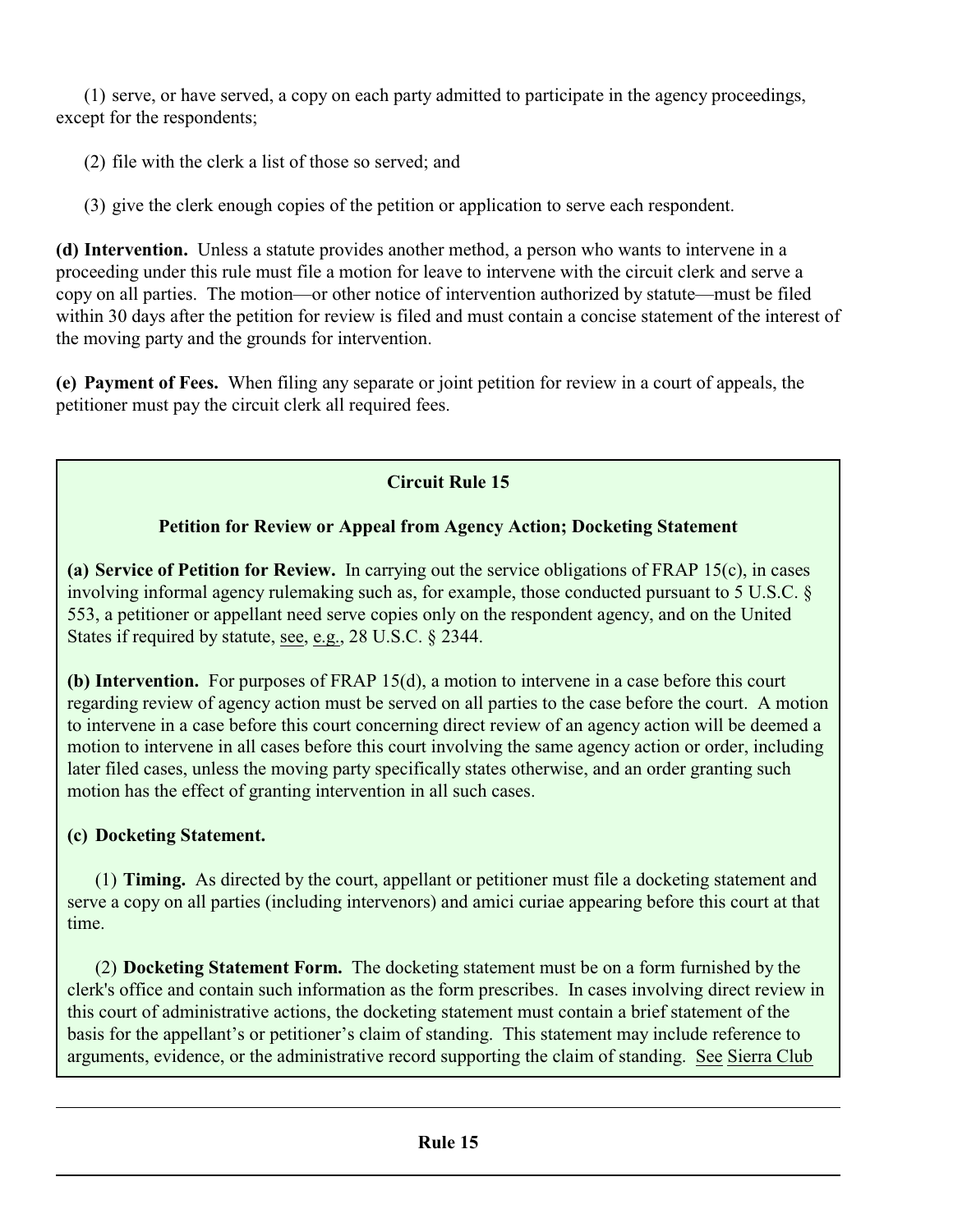(1) serve, or have served, a copy on each party admitted to participate in the agency proceedings, except for the respondents;

(2) file with the clerk a list of those so served; and

(3) give the clerk enough copies of the petition or application to serve each respondent.

**(d) Intervention.** Unless a statute provides another method, a person who wants to intervene in a proceeding under this rule must file a motion for leave to intervene with the circuit clerk and serve a copy on all parties. The motion—or other notice of intervention authorized by statute—must be filed within 30 days after the petition for review is filed and must contain a concise statement of the interest of the moving party and the grounds for intervention.

**(e) Payment of Fees.** When filing any separate or joint petition for review in a court of appeals, the petitioner must pay the circuit clerk all required fees.

# **Circuit Rule 15**

# **Petition for Review or Appeal from Agency Action; Docketing Statement**

**(a) Service of Petition for Review.** In carrying out the service obligations of FRAP 15(c), in cases involving informal agency rulemaking such as, for example, those conducted pursuant to 5 U.S.C. § 553, a petitioner or appellant need serve copies only on the respondent agency, and on the United States if required by statute, see, e.g., 28 U.S.C. § 2344.

**(b) Intervention.** For purposes of FRAP 15(d), a motion to intervene in a case before this court regarding review of agency action must be served on all parties to the case before the court. A motion to intervene in a case before this court concerning direct review of an agency action will be deemed a motion to intervene in all cases before this court involving the same agency action or order, including later filed cases, unless the moving party specifically states otherwise, and an order granting such motion has the effect of granting intervention in all such cases.

# **(c) Docketing Statement.**

(1) **Timing.** As directed by the court, appellant or petitioner must file a docketing statement and serve a copy on all parties (including intervenors) and amici curiae appearing before this court at that time.

(2) **Docketing Statement Form.** The docketing statement must be on a form furnished by the clerk's office and contain such information as the form prescribes. In cases involving direct review in this court of administrative actions, the docketing statement must contain a brief statement of the basis for the appellant's or petitioner's claim of standing. This statement may include reference to arguments, evidence, or the administrative record supporting the claim of standing. See Sierra Club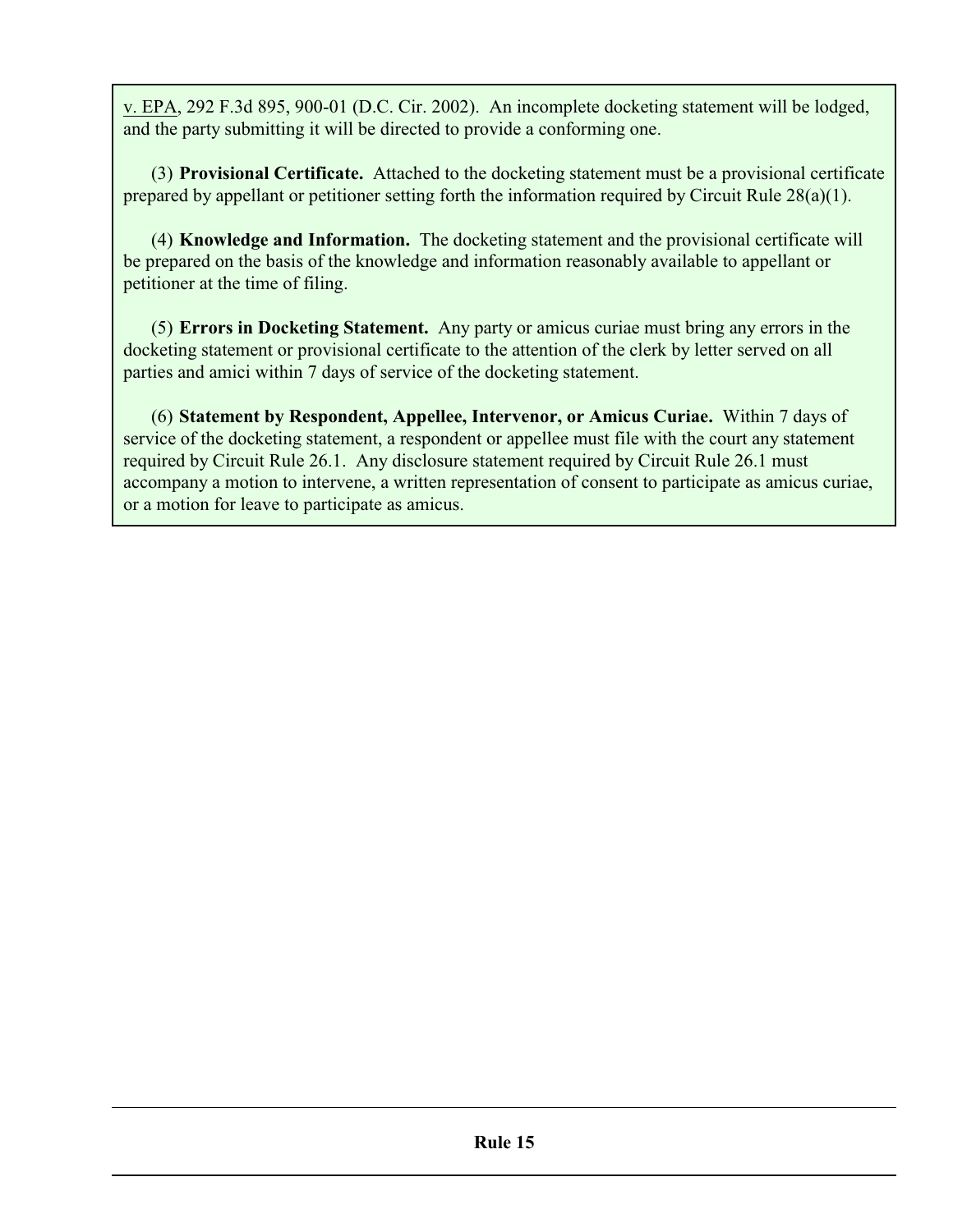v. EPA, 292 F.3d 895, 900-01 (D.C. Cir. 2002). An incomplete docketing statement will be lodged, and the party submitting it will be directed to provide a conforming one.

(3) **Provisional Certificate.** Attached to the docketing statement must be a provisional certificate prepared by appellant or petitioner setting forth the information required by Circuit Rule 28(a)(1).

(4) **Knowledge and Information.** The docketing statement and the provisional certificate will be prepared on the basis of the knowledge and information reasonably available to appellant or petitioner at the time of filing.

(5) **Errors in Docketing Statement.** Any party or amicus curiae must bring any errors in the docketing statement or provisional certificate to the attention of the clerk by letter served on all parties and amici within 7 days of service of the docketing statement.

(6) **Statement by Respondent, Appellee, Intervenor, or Amicus Curiae.** Within 7 days of service of the docketing statement, a respondent or appellee must file with the court any statement required by Circuit Rule 26.1. Any disclosure statement required by Circuit Rule 26.1 must accompany a motion to intervene, a written representation of consent to participate as amicus curiae, or a motion for leave to participate as amicus.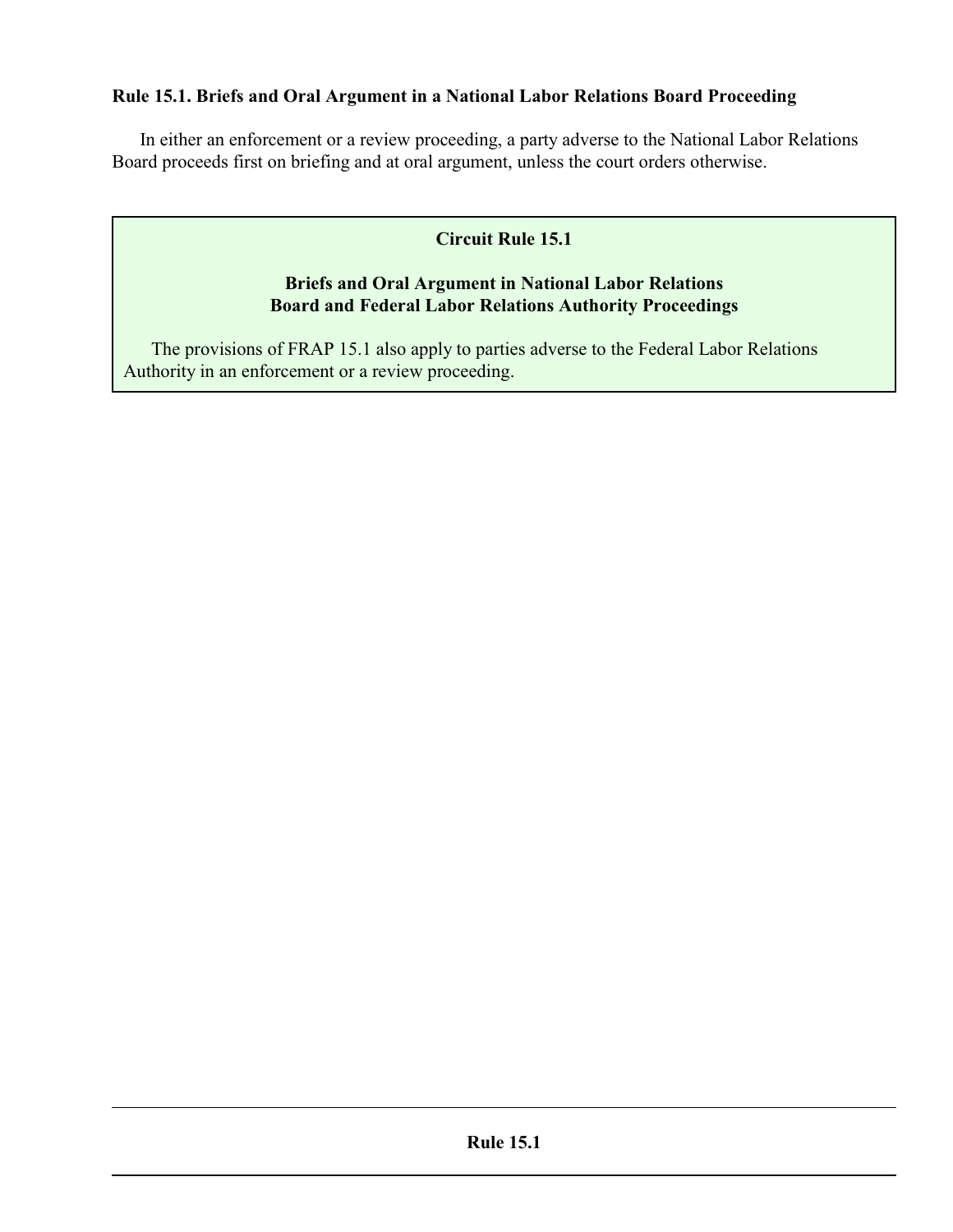#### **Rule 15.1. Briefs and Oral Argument in a National Labor Relations Board Proceeding**

In either an enforcement or a review proceeding, a party adverse to the National Labor Relations Board proceeds first on briefing and at oral argument, unless the court orders otherwise.

### **Circuit Rule 15.1**

### **Briefs and Oral Argument in National Labor Relations Board and Federal Labor Relations Authority Proceedings**

The provisions of FRAP 15.1 also apply to parties adverse to the Federal Labor Relations Authority in an enforcement or a review proceeding.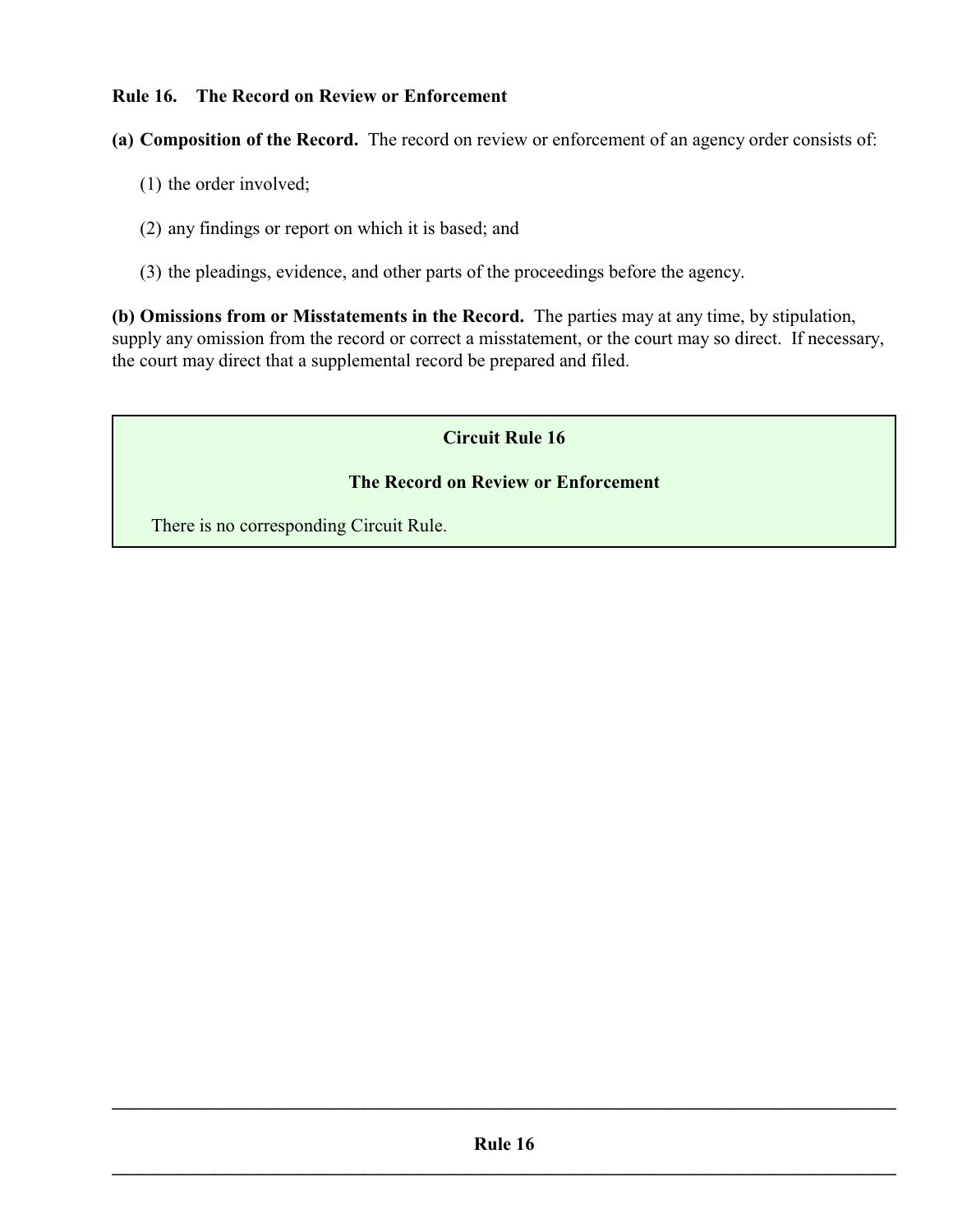### **Rule 16. The Record on Review or Enforcement**

**(a) Composition of the Record.** The record on review or enforcement of an agency order consists of:

- (1) the order involved;
- (2) any findings or report on which it is based; and
- (3) the pleadings, evidence, and other parts of the proceedings before the agency.

**(b) Omissions from or Misstatements in the Record.** The parties may at any time, by stipulation, supply any omission from the record or correct a misstatement, or the court may so direct. If necessary, the court may direct that a supplemental record be prepared and filed.

# **Circuit Rule 16**

# **The Record on Review or Enforcement**

There is no corresponding Circuit Rule.

**\_\_\_\_\_\_\_\_\_\_\_\_\_\_\_\_\_\_\_\_\_\_\_\_\_\_\_\_\_\_\_\_\_\_\_\_\_\_\_\_\_\_\_\_\_\_\_\_\_\_\_\_\_\_\_\_\_\_\_\_\_\_\_\_\_\_\_\_\_\_\_\_\_\_\_\_\_\_\_\_\_\_\_\_**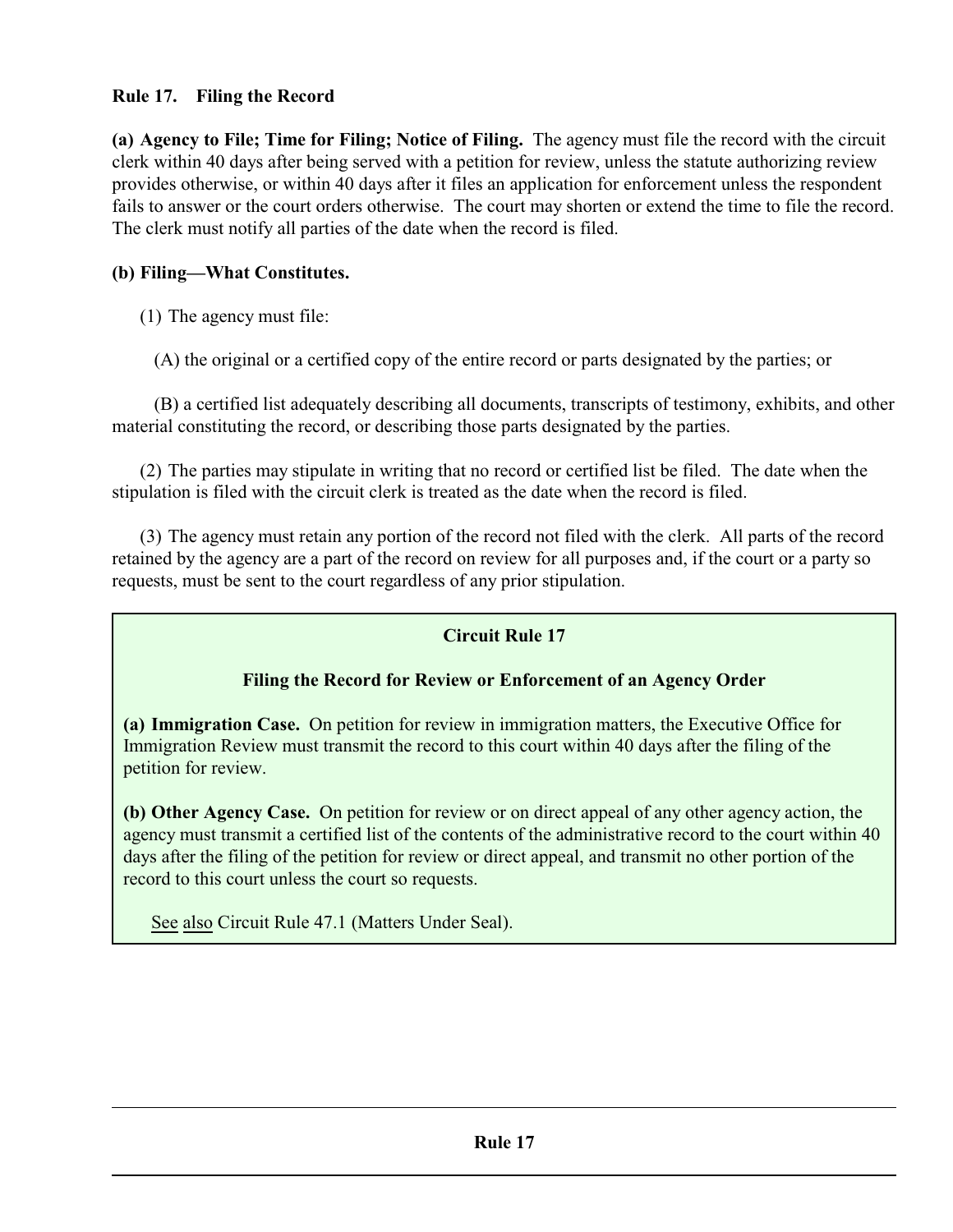### **Rule 17. Filing the Record**

**(a) Agency to File; Time for Filing; Notice of Filing.** The agency must file the record with the circuit clerk within 40 days after being served with a petition for review, unless the statute authorizing review provides otherwise, or within 40 days after it files an application for enforcement unless the respondent fails to answer or the court orders otherwise. The court may shorten or extend the time to file the record. The clerk must notify all parties of the date when the record is filed.

## **(b) Filing—What Constitutes.**

(1) The agency must file:

(A) the original or a certified copy of the entire record or parts designated by the parties; or

(B) a certified list adequately describing all documents, transcripts of testimony, exhibits, and other material constituting the record, or describing those parts designated by the parties.

(2) The parties may stipulate in writing that no record or certified list be filed. The date when the stipulation is filed with the circuit clerk is treated as the date when the record is filed.

(3) The agency must retain any portion of the record not filed with the clerk. All parts of the record retained by the agency are a part of the record on review for all purposes and, if the court or a party so requests, must be sent to the court regardless of any prior stipulation.

# **Circuit Rule 17**

# **Filing the Record for Review or Enforcement of an Agency Order**

**(a) Immigration Case.** On petition for review in immigration matters, the Executive Office for Immigration Review must transmit the record to this court within 40 days after the filing of the petition for review.

**(b) Other Agency Case.** On petition for review or on direct appeal of any other agency action, the agency must transmit a certified list of the contents of the administrative record to the court within 40 days after the filing of the petition for review or direct appeal, and transmit no other portion of the record to this court unless the court so requests.

See also Circuit Rule 47.1 (Matters Under Seal).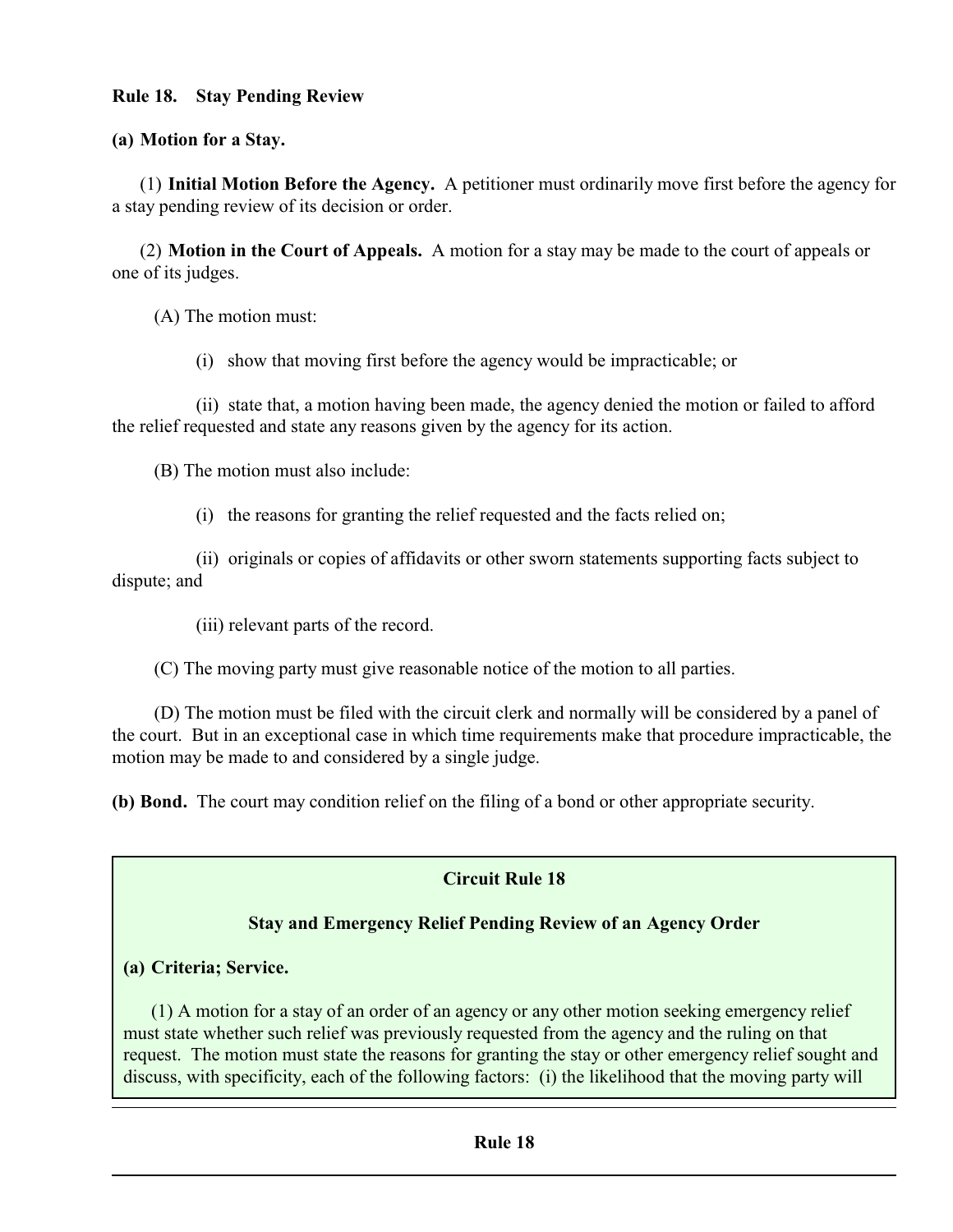#### **Rule 18. Stay Pending Review**

**(a) Motion for a Stay.**

(1) **Initial Motion Before the Agency.** A petitioner must ordinarily move first before the agency for a stay pending review of its decision or order.

(2) **Motion in the Court of Appeals.** A motion for a stay may be made to the court of appeals or one of its judges.

(A) The motion must:

(i) show that moving first before the agency would be impracticable; or

(ii) state that, a motion having been made, the agency denied the motion or failed to afford the relief requested and state any reasons given by the agency for its action.

(B) The motion must also include:

(i) the reasons for granting the relief requested and the facts relied on;

(ii) originals or copies of affidavits or other sworn statements supporting facts subject to dispute; and

(iii) relevant parts of the record.

(C) The moving party must give reasonable notice of the motion to all parties.

(D) The motion must be filed with the circuit clerk and normally will be considered by a panel of the court. But in an exceptional case in which time requirements make that procedure impracticable, the motion may be made to and considered by a single judge.

**(b) Bond.** The court may condition relief on the filing of a bond or other appropriate security.

# **Circuit Rule 18**

# **Stay and Emergency Relief Pending Review of an Agency Order**

#### **(a) Criteria; Service.**

(1) A motion for a stay of an order of an agency or any other motion seeking emergency relief must state whether such relief was previously requested from the agency and the ruling on that request. The motion must state the reasons for granting the stay or other emergency relief sought and discuss, with specificity, each of the following factors: (i) the likelihood that the moving party will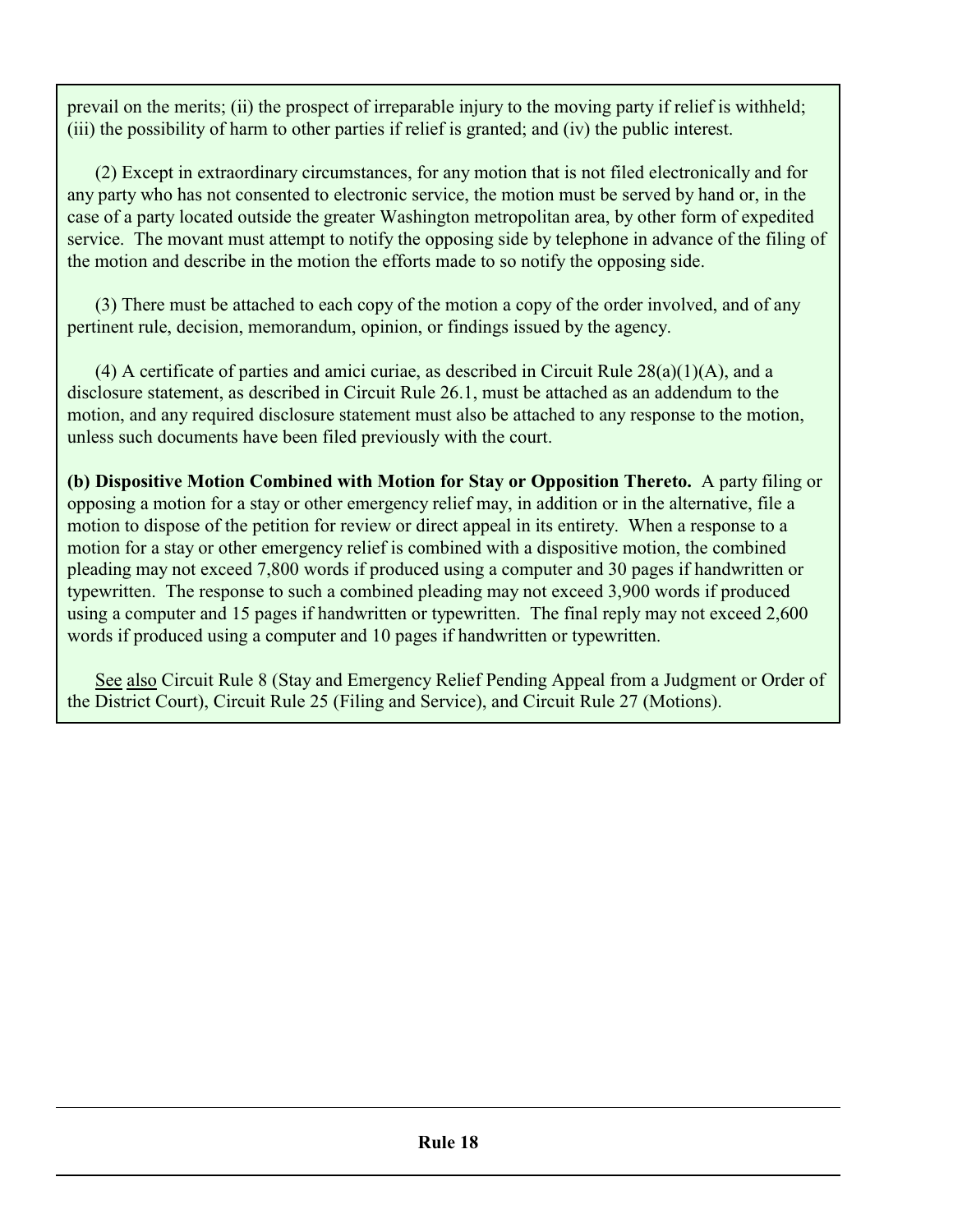prevail on the merits; (ii) the prospect of irreparable injury to the moving party if relief is withheld; (iii) the possibility of harm to other parties if relief is granted; and (iv) the public interest.

(2) Except in extraordinary circumstances, for any motion that is not filed electronically and for any party who has not consented to electronic service, the motion must be served by hand or, in the case of a party located outside the greater Washington metropolitan area, by other form of expedited service. The movant must attempt to notify the opposing side by telephone in advance of the filing of the motion and describe in the motion the efforts made to so notify the opposing side.

(3) There must be attached to each copy of the motion a copy of the order involved, and of any pertinent rule, decision, memorandum, opinion, or findings issued by the agency.

(4) A certificate of parties and amici curiae, as described in Circuit Rule 28(a)(1)(A), and a disclosure statement, as described in Circuit Rule 26.1, must be attached as an addendum to the motion, and any required disclosure statement must also be attached to any response to the motion, unless such documents have been filed previously with the court.

**(b) Dispositive Motion Combined with Motion for Stay or Opposition Thereto.** A party filing or opposing a motion for a stay or other emergency relief may, in addition or in the alternative, file a motion to dispose of the petition for review or direct appeal in its entirety. When a response to a motion for a stay or other emergency relief is combined with a dispositive motion, the combined pleading may not exceed 7,800 words if produced using a computer and 30 pages if handwritten or typewritten. The response to such a combined pleading may not exceed 3,900 words if produced using a computer and 15 pages if handwritten or typewritten. The final reply may not exceed 2,600 words if produced using a computer and 10 pages if handwritten or typewritten.

See also Circuit Rule 8 (Stay and Emergency Relief Pending Appeal from a Judgment or Order of the District Court), Circuit Rule 25 (Filing and Service), and Circuit Rule 27 (Motions).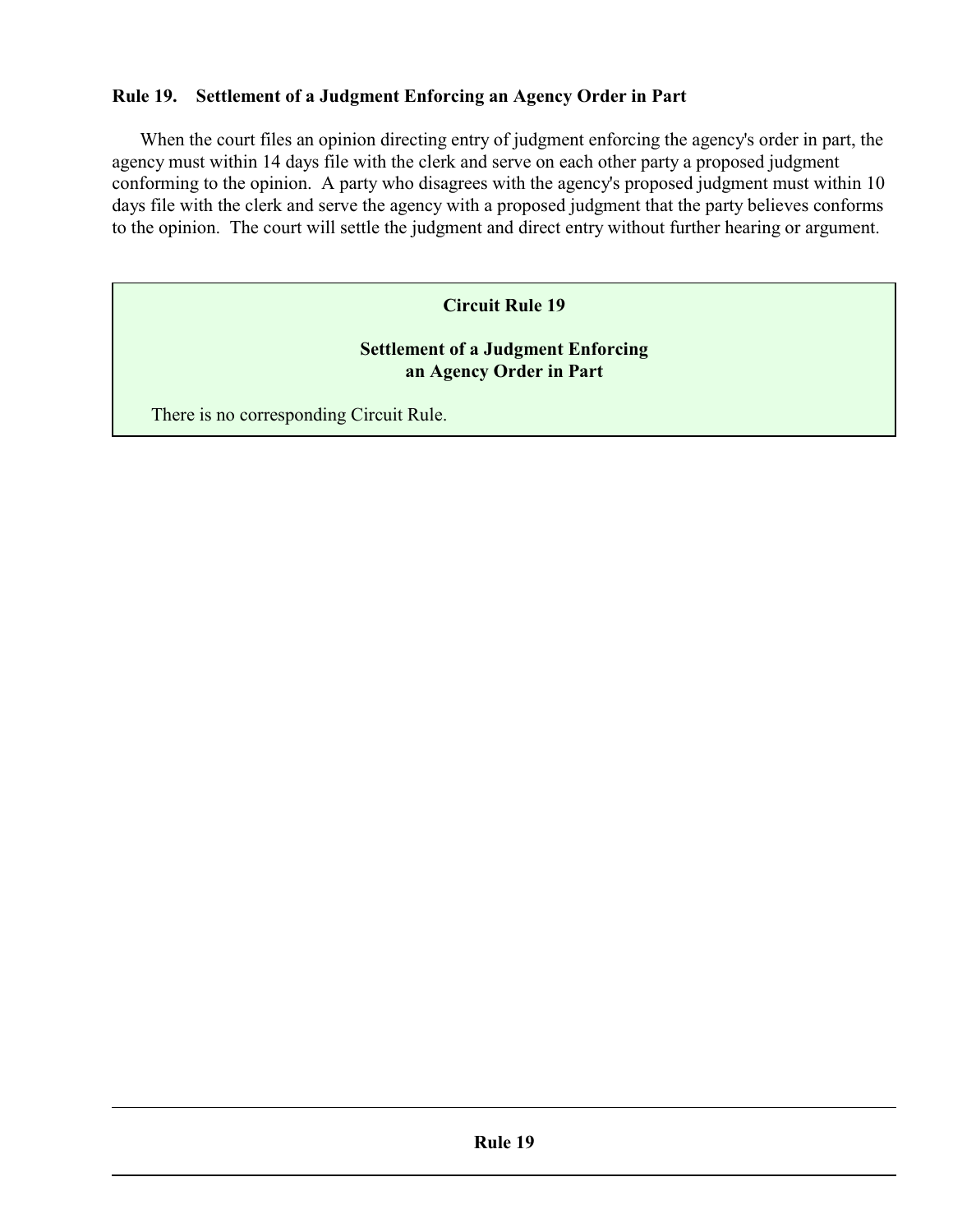### **Rule 19. Settlement of a Judgment Enforcing an Agency Order in Part**

When the court files an opinion directing entry of judgment enforcing the agency's order in part, the agency must within 14 days file with the clerk and serve on each other party a proposed judgment conforming to the opinion. A party who disagrees with the agency's proposed judgment must within 10 days file with the clerk and serve the agency with a proposed judgment that the party believes conforms to the opinion. The court will settle the judgment and direct entry without further hearing or argument.

### **Circuit Rule 19**

### **Settlement of a Judgment Enforcing an Agency Order in Part**

There is no corresponding Circuit Rule.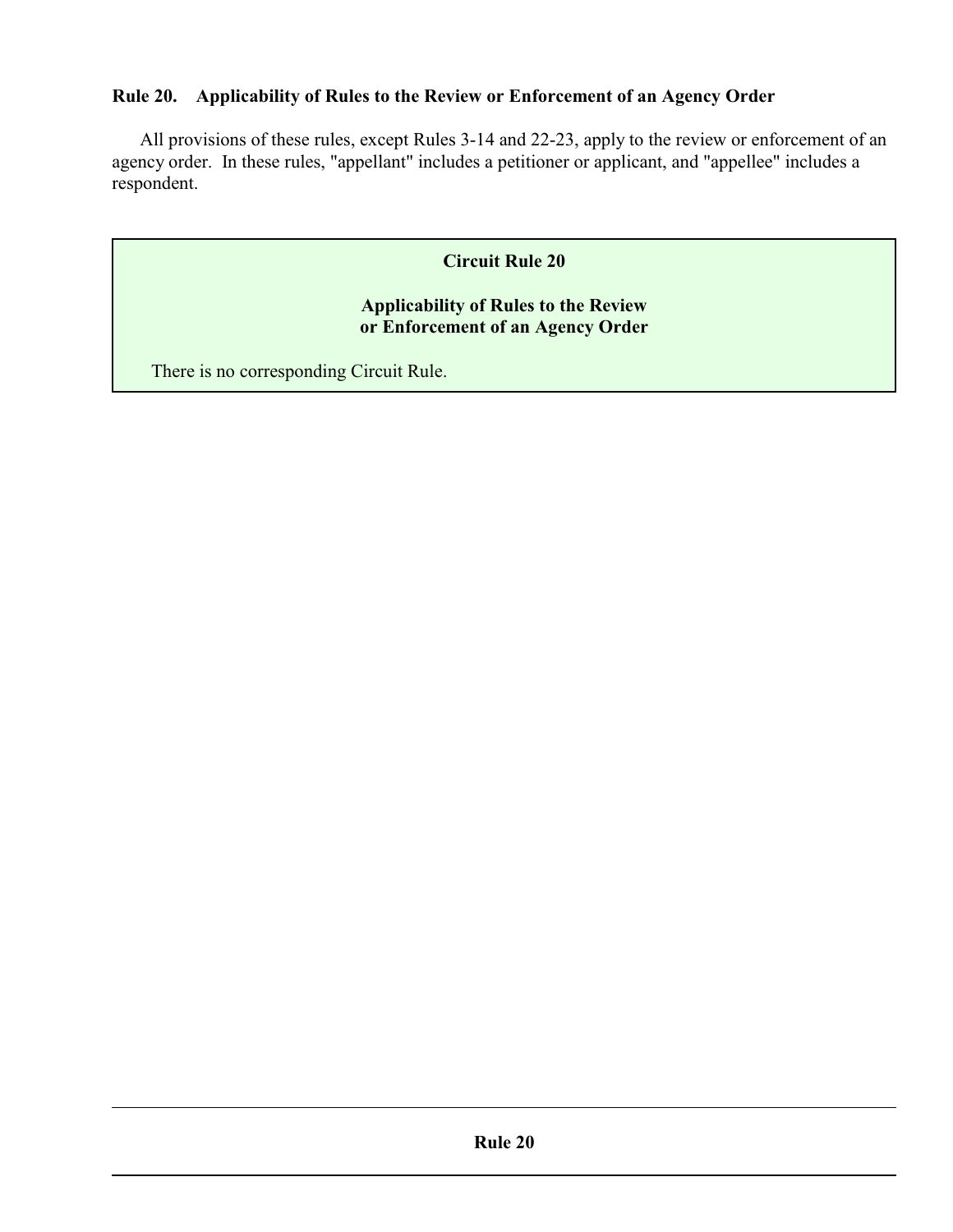### **Rule 20. Applicability of Rules to the Review or Enforcement of an Agency Order**

All provisions of these rules, except Rules 3-14 and 22-23, apply to the review or enforcement of an agency order. In these rules, "appellant" includes a petitioner or applicant, and "appellee" includes a respondent.

### **Circuit Rule 20**

### **Applicability of Rules to the Review or Enforcement of an Agency Order**

There is no corresponding Circuit Rule.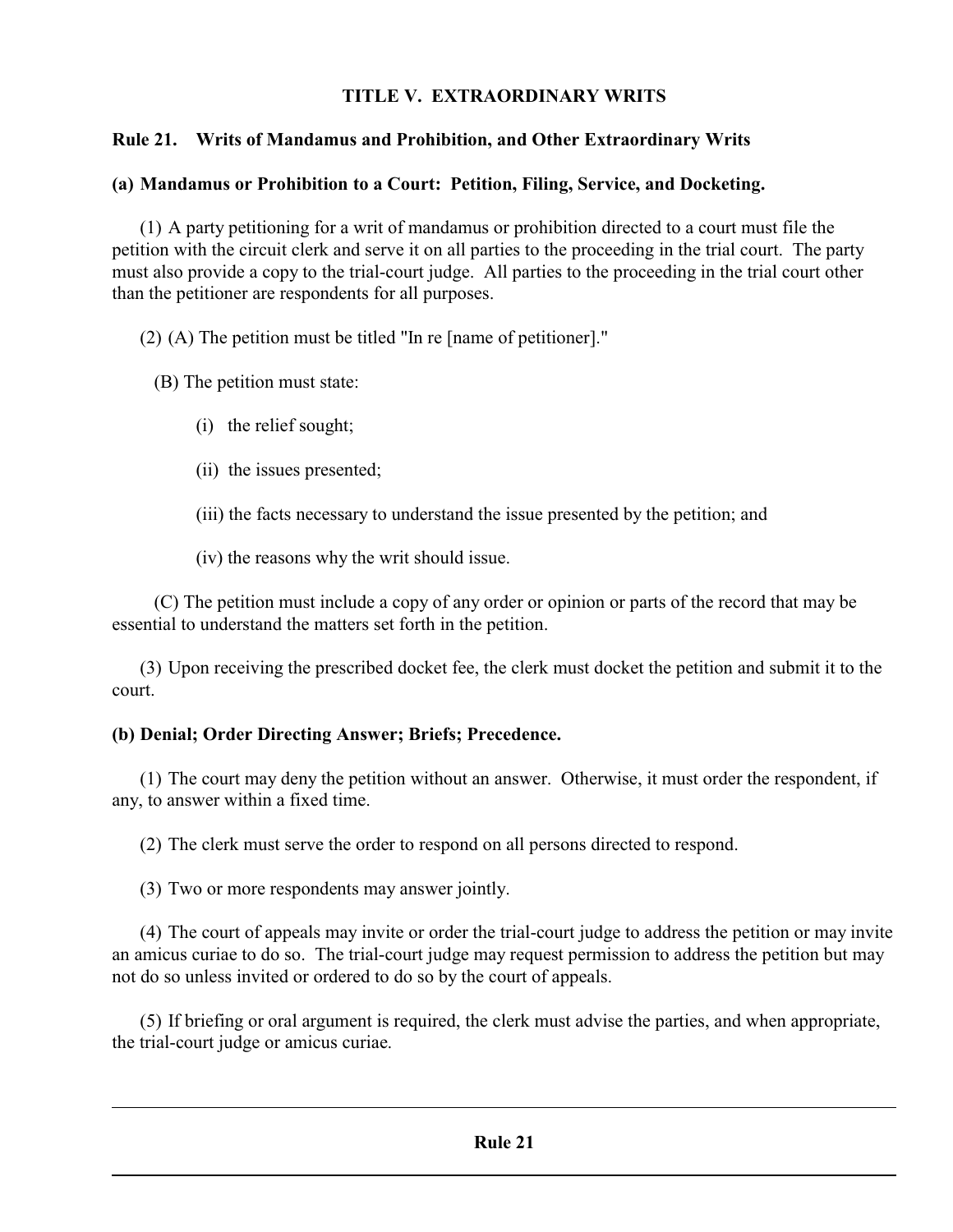### **TITLE V. EXTRAORDINARY WRITS**

### **Rule 21. Writs of Mandamus and Prohibition, and Other Extraordinary Writs**

### **(a) Mandamus or Prohibition to a Court: Petition, Filing, Service, and Docketing.**

(1) A party petitioning for a writ of mandamus or prohibition directed to a court must file the petition with the circuit clerk and serve it on all parties to the proceeding in the trial court. The party must also provide a copy to the trial-court judge. All parties to the proceeding in the trial court other than the petitioner are respondents for all purposes.

(2) (A) The petition must be titled "In re [name of petitioner]."

(B) The petition must state:

- (i) the relief sought;
- (ii) the issues presented;

(iii) the facts necessary to understand the issue presented by the petition; and

(iv) the reasons why the writ should issue.

(C) The petition must include a copy of any order or opinion or parts of the record that may be essential to understand the matters set forth in the petition.

(3) Upon receiving the prescribed docket fee, the clerk must docket the petition and submit it to the court.

# **(b) Denial; Order Directing Answer; Briefs; Precedence.**

(1) The court may deny the petition without an answer. Otherwise, it must order the respondent, if any, to answer within a fixed time.

(2) The clerk must serve the order to respond on all persons directed to respond.

(3) Two or more respondents may answer jointly.

(4) The court of appeals may invite or order the trial-court judge to address the petition or may invite an amicus curiae to do so. The trial-court judge may request permission to address the petition but may not do so unless invited or ordered to do so by the court of appeals.

(5) If briefing or oral argument is required, the clerk must advise the parties, and when appropriate, the trial-court judge or amicus curiae.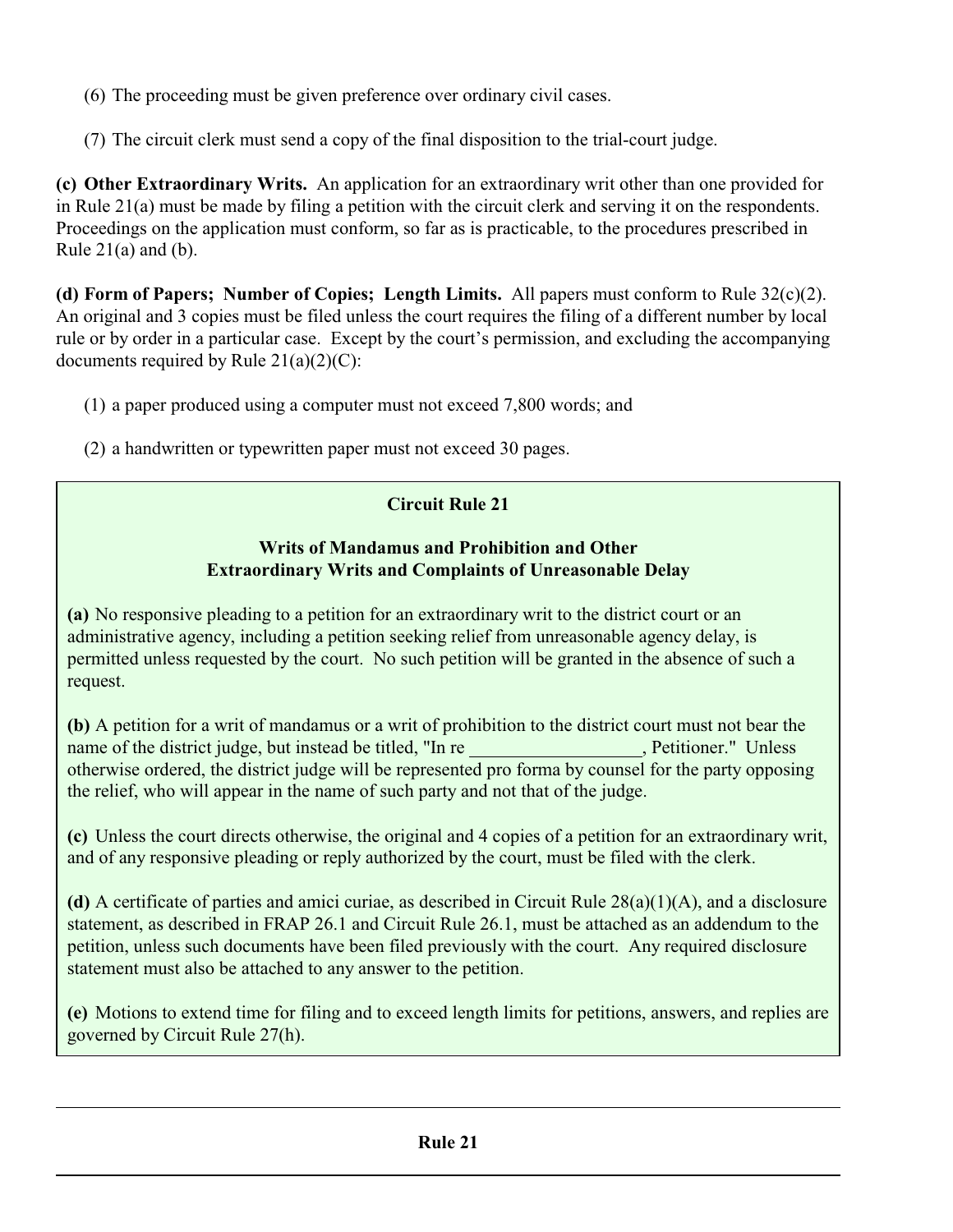- (6) The proceeding must be given preference over ordinary civil cases.
- (7) The circuit clerk must send a copy of the final disposition to the trial-court judge.

**(c) Other Extraordinary Writs.** An application for an extraordinary writ other than one provided for in Rule 21(a) must be made by filing a petition with the circuit clerk and serving it on the respondents. Proceedings on the application must conform, so far as is practicable, to the procedures prescribed in Rule  $21(a)$  and  $(b)$ .

**(d) Form of Papers; Number of Copies; Length Limits.** All papers must conform to Rule 32(c)(2). An original and 3 copies must be filed unless the court requires the filing of a different number by local rule or by order in a particular case. Except by the court's permission, and excluding the accompanying documents required by Rule  $21(a)(2)(C)$ :

- (1) a paper produced using a computer must not exceed 7,800 words; and
- (2) a handwritten or typewritten paper must not exceed 30 pages.

# **Circuit Rule 21**

### **Writs of Mandamus and Prohibition and Other Extraordinary Writs and Complaints of Unreasonable Delay**

**(a)** No responsive pleading to a petition for an extraordinary writ to the district court or an administrative agency, including a petition seeking relief from unreasonable agency delay, is permitted unless requested by the court. No such petition will be granted in the absence of such a request.

**(b)** A petition for a writ of mandamus or a writ of prohibition to the district court must not bear the name of the district judge, but instead be titled, "In re \_\_\_\_\_\_\_\_\_\_\_\_\_\_\_\_\_\_, Petitioner." Unless otherwise ordered, the district judge will be represented pro forma by counsel for the party opposing the relief, who will appear in the name of such party and not that of the judge.

**(c)** Unless the court directs otherwise, the original and 4 copies of a petition for an extraordinary writ, and of any responsive pleading or reply authorized by the court, must be filed with the clerk.

**(d)** A certificate of parties and amici curiae, as described in Circuit Rule 28(a)(1)(A), and a disclosure statement, as described in FRAP 26.1 and Circuit Rule 26.1, must be attached as an addendum to the petition, unless such documents have been filed previously with the court. Any required disclosure statement must also be attached to any answer to the petition.

**(e)** Motions to extend time for filing and to exceed length limits for petitions, answers, and replies are governed by Circuit Rule 27(h).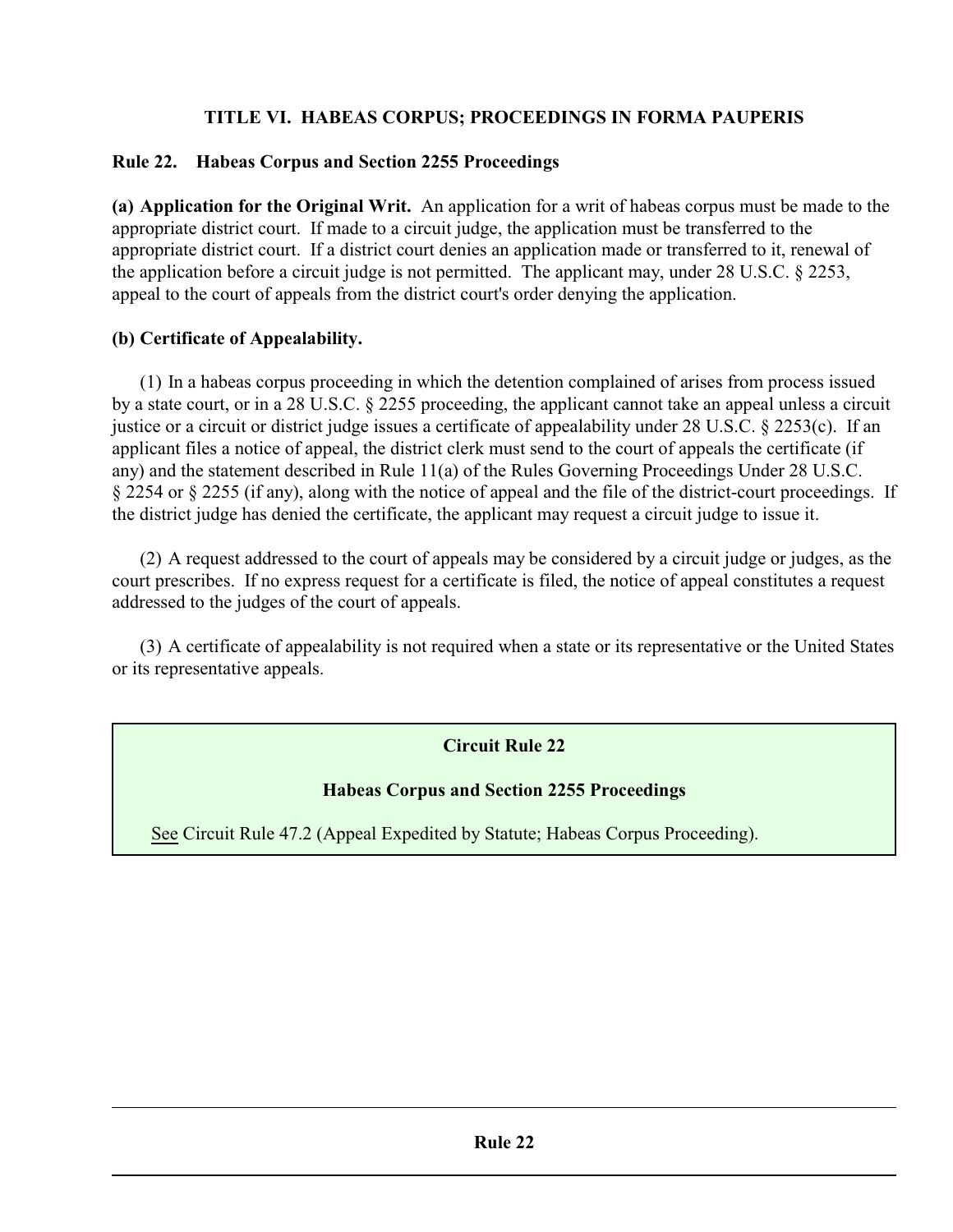### **TITLE VI. HABEAS CORPUS; PROCEEDINGS IN FORMA PAUPERIS**

#### **Rule 22. Habeas Corpus and Section 2255 Proceedings**

**(a) Application for the Original Writ.** An application for a writ of habeas corpus must be made to the appropriate district court. If made to a circuit judge, the application must be transferred to the appropriate district court. If a district court denies an application made or transferred to it, renewal of the application before a circuit judge is not permitted. The applicant may, under 28 U.S.C. § 2253, appeal to the court of appeals from the district court's order denying the application.

#### **(b) Certificate of Appealability.**

(1) In a habeas corpus proceeding in which the detention complained of arises from process issued by a state court, or in a 28 U.S.C. § 2255 proceeding, the applicant cannot take an appeal unless a circuit justice or a circuit or district judge issues a certificate of appealability under 28 U.S.C. § 2253(c). If an applicant files a notice of appeal, the district clerk must send to the court of appeals the certificate (if any) and the statement described in Rule 11(a) of the Rules Governing Proceedings Under 28 U.S.C. § 2254 or § 2255 (if any), along with the notice of appeal and the file of the district-court proceedings. If the district judge has denied the certificate, the applicant may request a circuit judge to issue it.

(2) A request addressed to the court of appeals may be considered by a circuit judge or judges, as the court prescribes. If no express request for a certificate is filed, the notice of appeal constitutes a request addressed to the judges of the court of appeals.

(3) A certificate of appealability is not required when a state or its representative or the United States or its representative appeals.

# **Circuit Rule 22**

# **Habeas Corpus and Section 2255 Proceedings**

See Circuit Rule 47.2 (Appeal Expedited by Statute; Habeas Corpus Proceeding).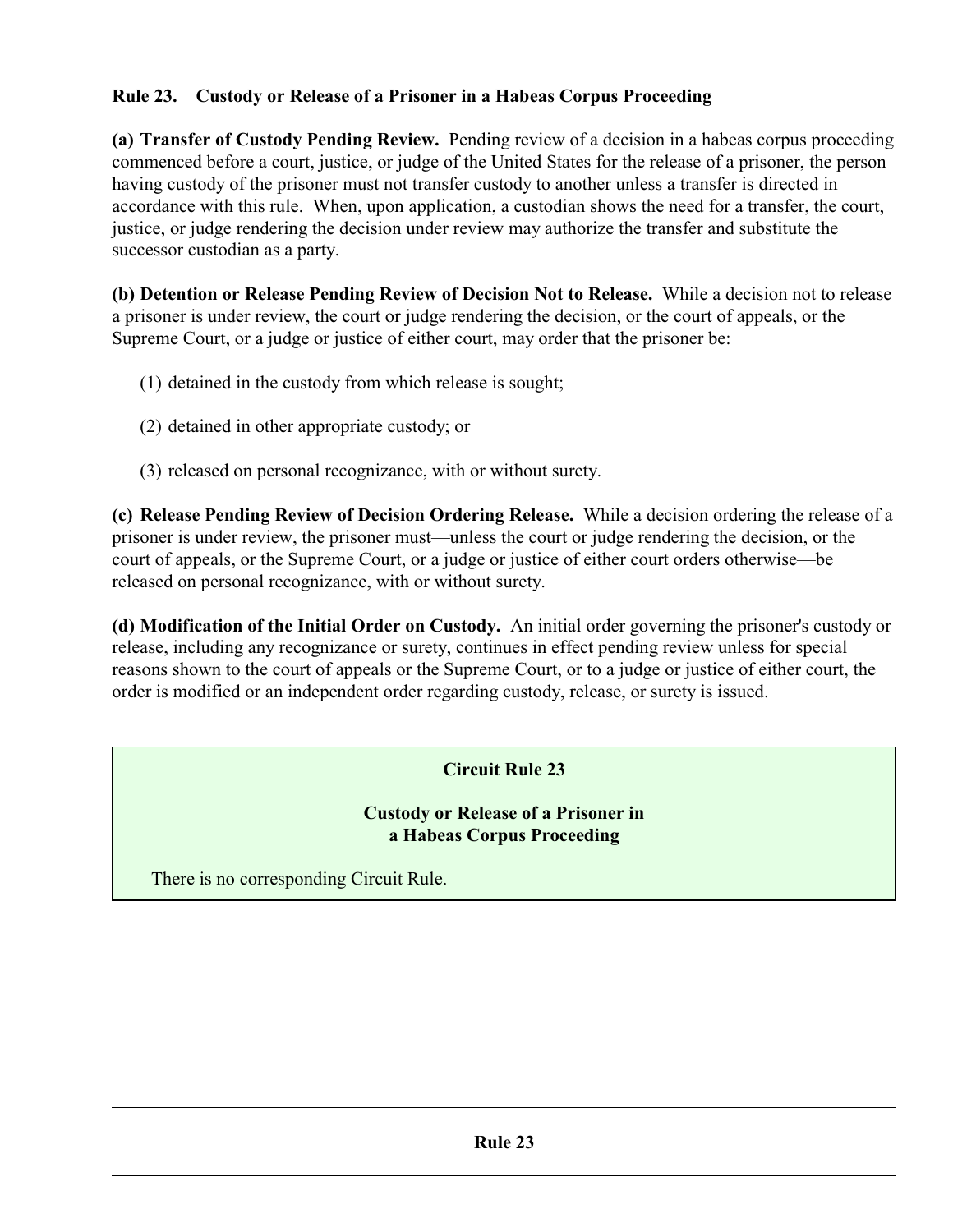# **Rule 23. Custody or Release of a Prisoner in a Habeas Corpus Proceeding**

**(a) Transfer of Custody Pending Review.** Pending review of a decision in a habeas corpus proceeding commenced before a court, justice, or judge of the United States for the release of a prisoner, the person having custody of the prisoner must not transfer custody to another unless a transfer is directed in accordance with this rule. When, upon application, a custodian shows the need for a transfer, the court, justice, or judge rendering the decision under review may authorize the transfer and substitute the successor custodian as a party.

**(b) Detention or Release Pending Review of Decision Not to Release.** While a decision not to release a prisoner is under review, the court or judge rendering the decision, or the court of appeals, or the Supreme Court, or a judge or justice of either court, may order that the prisoner be:

- (1) detained in the custody from which release is sought;
- (2) detained in other appropriate custody; or
- (3) released on personal recognizance, with or without surety.

**(c) Release Pending Review of Decision Ordering Release.** While a decision ordering the release of a prisoner is under review, the prisoner must—unless the court or judge rendering the decision, or the court of appeals, or the Supreme Court, or a judge or justice of either court orders otherwise—be released on personal recognizance, with or without surety.

**(d) Modification of the Initial Order on Custody.** An initial order governing the prisoner's custody or release, including any recognizance or surety, continues in effect pending review unless for special reasons shown to the court of appeals or the Supreme Court, or to a judge or justice of either court, the order is modified or an independent order regarding custody, release, or surety is issued.

# **Circuit Rule 23**

### **Custody or Release of a Prisoner in a Habeas Corpus Proceeding**

There is no corresponding Circuit Rule.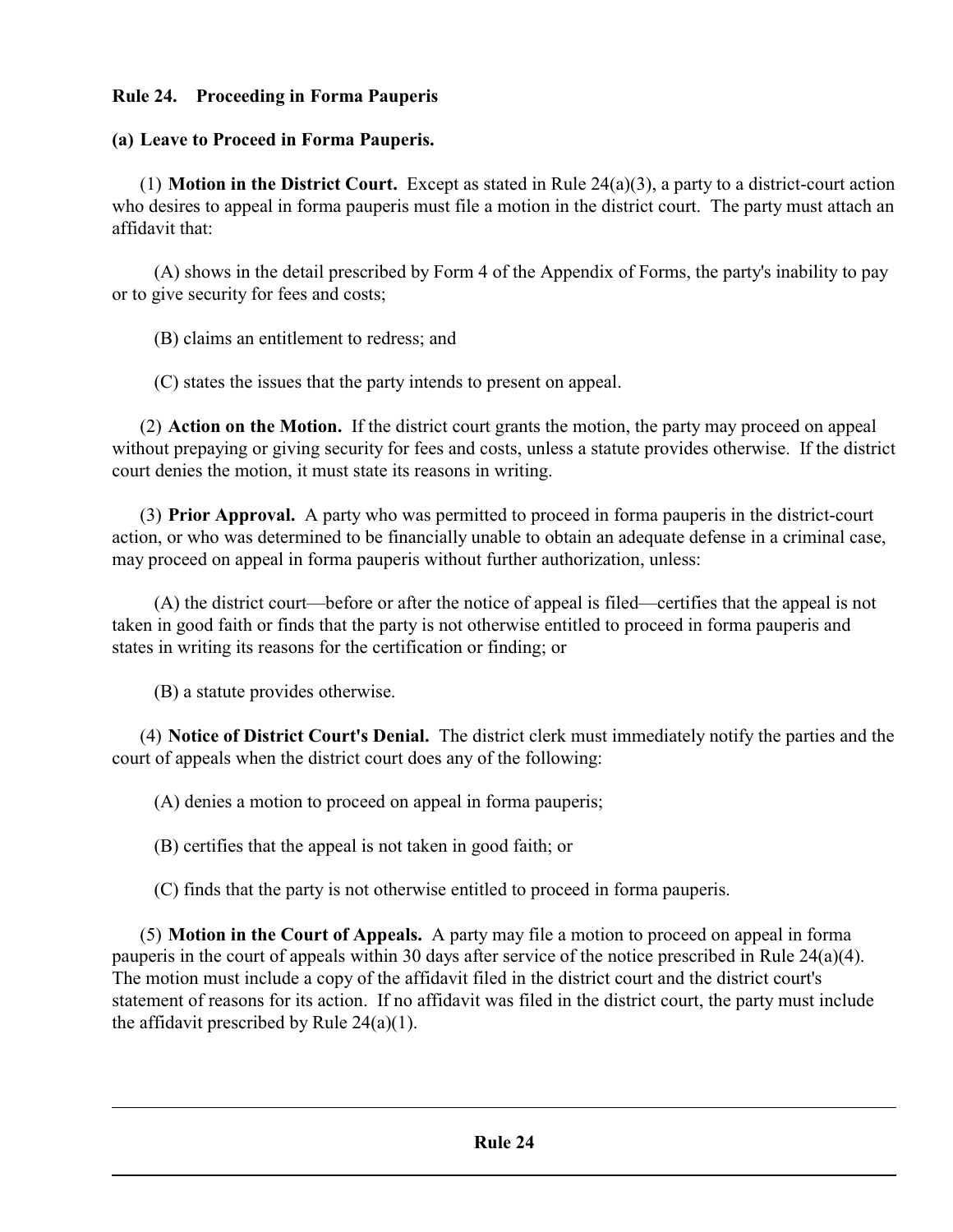### **Rule 24. Proceeding in Forma Pauperis**

### **(a) Leave to Proceed in Forma Pauperis.**

(1) **Motion in the District Court.** Except as stated in Rule 24(a)(3), a party to a district-court action who desires to appeal in forma pauperis must file a motion in the district court. The party must attach an affidavit that:

(A) shows in the detail prescribed by Form 4 of the Appendix of Forms, the party's inability to pay or to give security for fees and costs;

(B) claims an entitlement to redress; and

(C) states the issues that the party intends to present on appeal.

(2) **Action on the Motion.** If the district court grants the motion, the party may proceed on appeal without prepaying or giving security for fees and costs, unless a statute provides otherwise. If the district court denies the motion, it must state its reasons in writing.

(3) **Prior Approval.** A party who was permitted to proceed in forma pauperis in the district-court action, or who was determined to be financially unable to obtain an adequate defense in a criminal case, may proceed on appeal in forma pauperis without further authorization, unless:

(A) the district court—before or after the notice of appeal is filed—certifies that the appeal is not taken in good faith or finds that the party is not otherwise entitled to proceed in forma pauperis and states in writing its reasons for the certification or finding; or

(B) a statute provides otherwise.

(4) **Notice of District Court's Denial.** The district clerk must immediately notify the parties and the court of appeals when the district court does any of the following:

(A) denies a motion to proceed on appeal in forma pauperis;

(B) certifies that the appeal is not taken in good faith; or

(C) finds that the party is not otherwise entitled to proceed in forma pauperis.

(5) **Motion in the Court of Appeals.** A party may file a motion to proceed on appeal in forma pauperis in the court of appeals within 30 days after service of the notice prescribed in Rule 24(a)(4). The motion must include a copy of the affidavit filed in the district court and the district court's statement of reasons for its action. If no affidavit was filed in the district court, the party must include the affidavit prescribed by Rule  $24(a)(1)$ .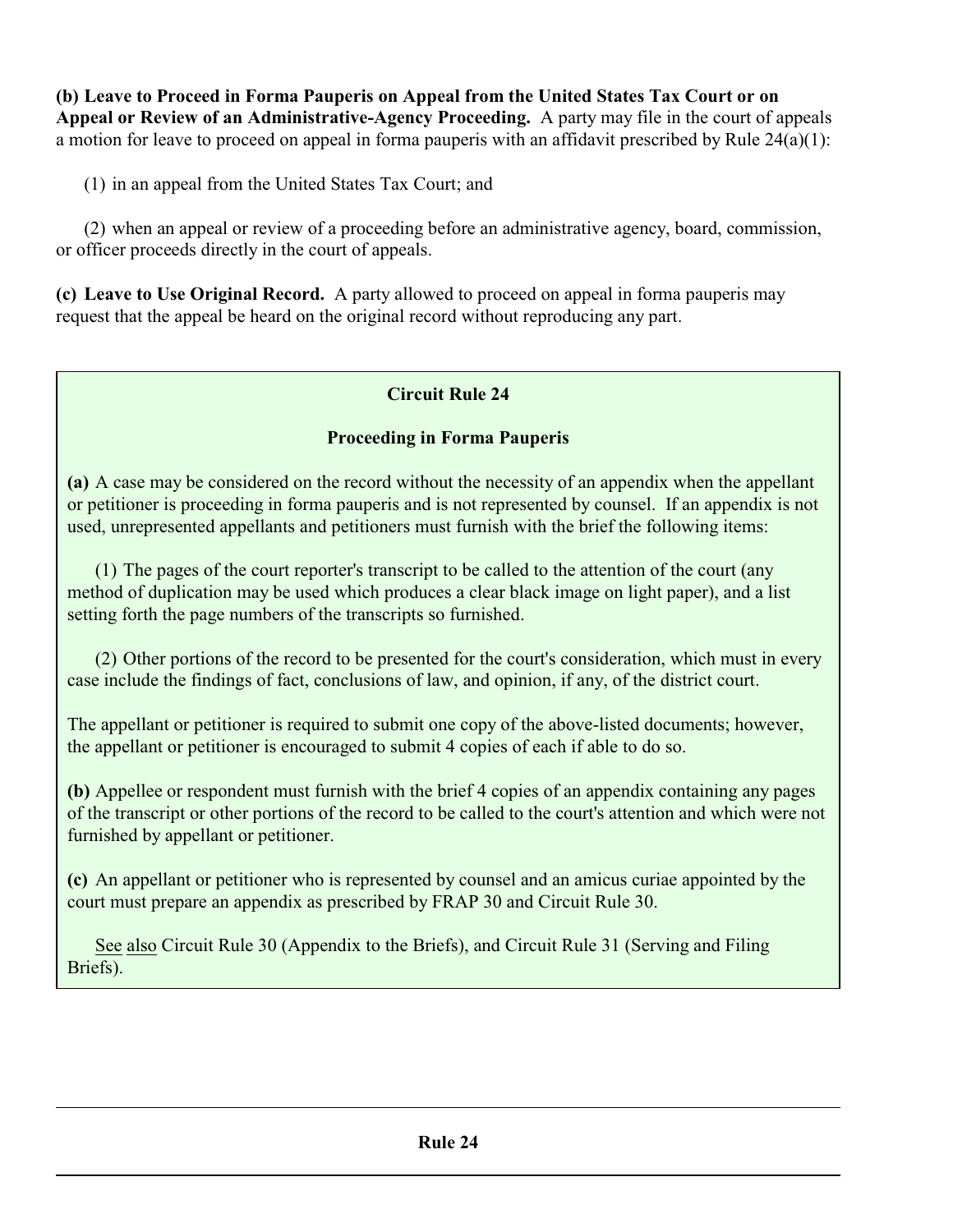**(b) Leave to Proceed in Forma Pauperis on Appeal from the United States Tax Court or on Appeal or Review of an Administrative-Agency Proceeding.** A party may file in the court of appeals a motion for leave to proceed on appeal in forma pauperis with an affidavit prescribed by Rule  $24(a)(1)$ :

(1) in an appeal from the United States Tax Court; and

(2) when an appeal or review of a proceeding before an administrative agency, board, commission, or officer proceeds directly in the court of appeals.

**(c) Leave to Use Original Record.** A party allowed to proceed on appeal in forma pauperis may request that the appeal be heard on the original record without reproducing any part.

# **Circuit Rule 24**

#### **Proceeding in Forma Pauperis**

**(a)** A case may be considered on the record without the necessity of an appendix when the appellant or petitioner is proceeding in forma pauperis and is not represented by counsel. If an appendix is not used, unrepresented appellants and petitioners must furnish with the brief the following items:

(1) The pages of the court reporter's transcript to be called to the attention of the court (any method of duplication may be used which produces a clear black image on light paper), and a list setting forth the page numbers of the transcripts so furnished.

(2) Other portions of the record to be presented for the court's consideration, which must in every case include the findings of fact, conclusions of law, and opinion, if any, of the district court.

The appellant or petitioner is required to submit one copy of the above-listed documents; however, the appellant or petitioner is encouraged to submit 4 copies of each if able to do so.

**(b)** Appellee or respondent must furnish with the brief 4 copies of an appendix containing any pages of the transcript or other portions of the record to be called to the court's attention and which were not furnished by appellant or petitioner.

**(c)** An appellant or petitioner who is represented by counsel and an amicus curiae appointed by the court must prepare an appendix as prescribed by FRAP 30 and Circuit Rule 30.

See also Circuit Rule 30 (Appendix to the Briefs), and Circuit Rule 31 (Serving and Filing Briefs).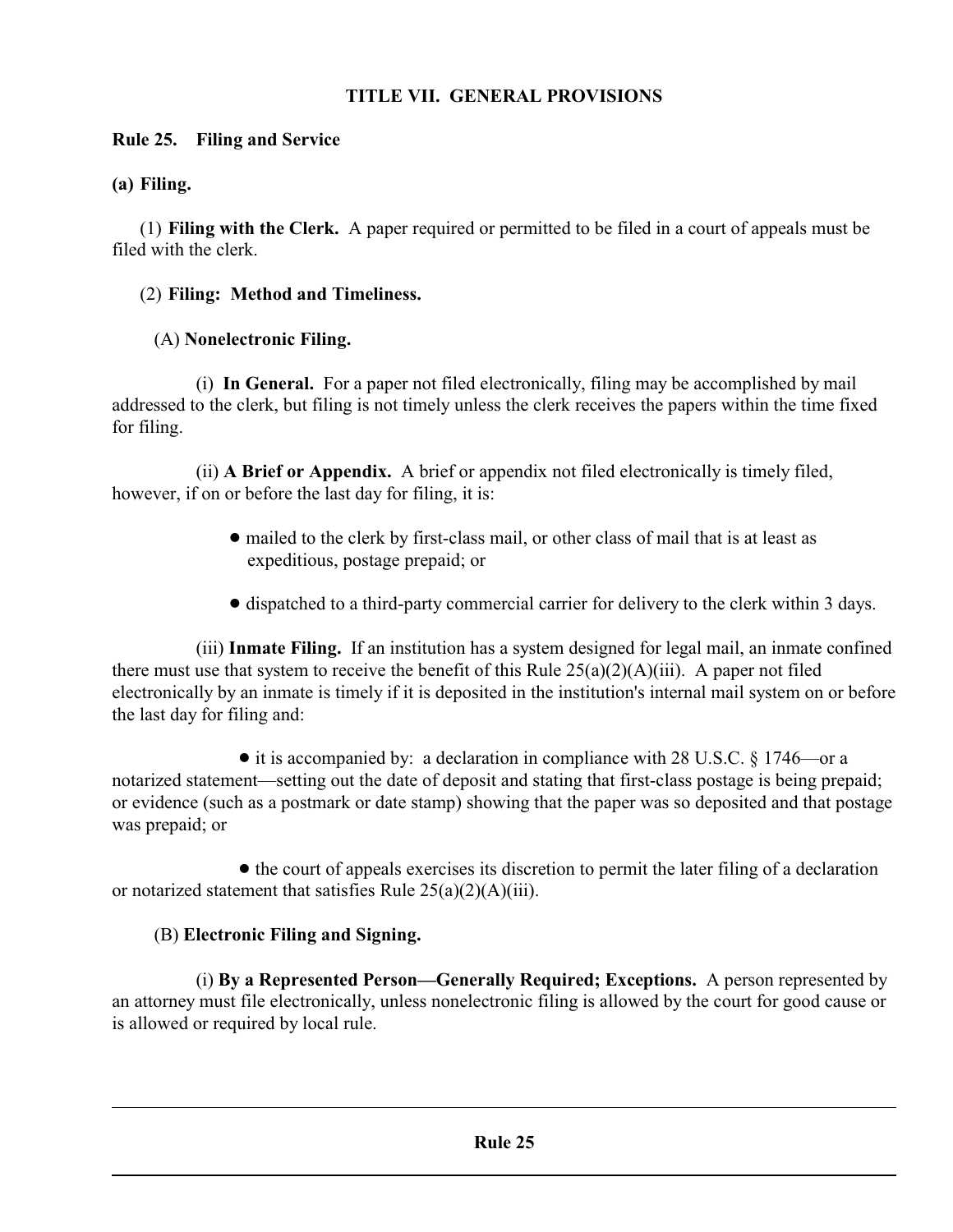## **TITLE VII. GENERAL PROVISIONS**

### **Rule 25. Filing and Service**

### **(a) Filing.**

(1) **Filing with the Clerk.** A paper required or permitted to be filed in a court of appeals must be filed with the clerk.

## (2) **Filing: Method and Timeliness.**

### (A) **Nonelectronic Filing.**

(i) **In General.** For a paper not filed electronically, filing may be accomplished by mail addressed to the clerk, but filing is not timely unless the clerk receives the papers within the time fixed for filing.

(ii) **A Brief or Appendix.** A brief or appendix not filed electronically is timely filed, however, if on or before the last day for filing, it is:

- ! mailed to the clerk by first-class mail, or other class of mail that is at least as expeditious, postage prepaid; or
- ! dispatched to a third-party commercial carrier for delivery to the clerk within 3 days.

(iii) **Inmate Filing.** If an institution has a system designed for legal mail, an inmate confined there must use that system to receive the benefit of this Rule  $25(a)(2)(A)(iii)$ . A paper not filed electronically by an inmate is timely if it is deposited in the institution's internal mail system on or before the last day for filing and:

 $\bullet$  it is accompanied by: a declaration in compliance with 28 U.S.C. § 1746—or a notarized statement—setting out the date of deposit and stating that first-class postage is being prepaid; or evidence (such as a postmark or date stamp) showing that the paper was so deposited and that postage was prepaid; or

! the court of appeals exercises its discretion to permit the later filing of a declaration or notarized statement that satisfies Rule  $25(a)(2)(A)(iii)$ .

# (B) **Electronic Filing and Signing.**

(i) **By a Represented Person—Generally Required; Exceptions.** A person represented by an attorney must file electronically, unless nonelectronic filing is allowed by the court for good cause or is allowed or required by local rule.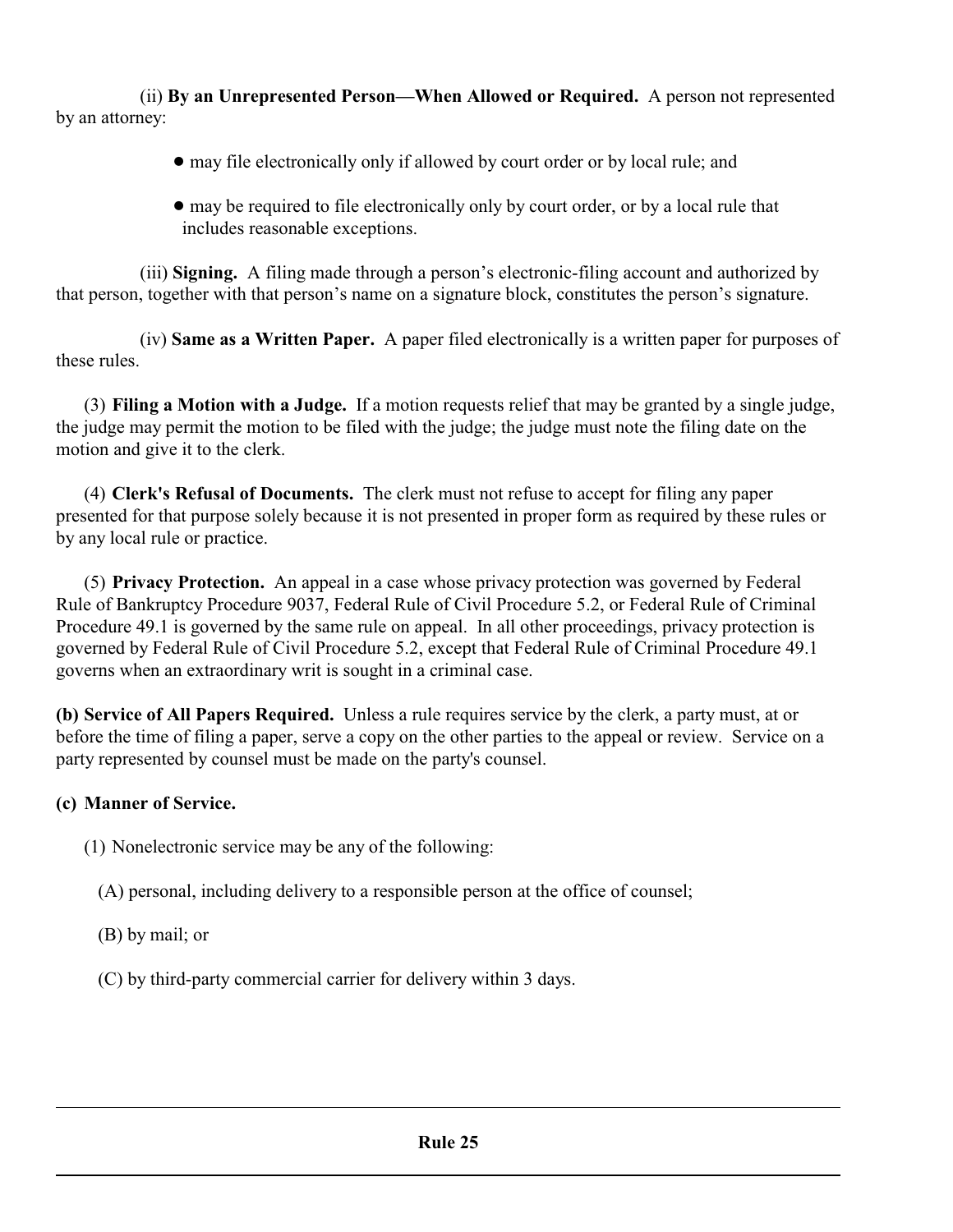(ii) **By an Unrepresented Person—When Allowed or Required.** A person not represented by an attorney:

- ! may file electronically only if allowed by court order or by local rule; and
- ! may be required to file electronically only by court order, or by a local rule that includes reasonable exceptions.

(iii) **Signing.** A filing made through a person's electronic-filing account and authorized by that person, together with that person's name on a signature block, constitutes the person's signature.

(iv) **Same as a Written Paper.** A paper filed electronically is a written paper for purposes of these rules.

(3) **Filing a Motion with a Judge.** If a motion requests relief that may be granted by a single judge, the judge may permit the motion to be filed with the judge; the judge must note the filing date on the motion and give it to the clerk.

(4) **Clerk's Refusal of Documents.** The clerk must not refuse to accept for filing any paper presented for that purpose solely because it is not presented in proper form as required by these rules or by any local rule or practice.

(5) **Privacy Protection.** An appeal in a case whose privacy protection was governed by Federal Rule of Bankruptcy Procedure 9037, Federal Rule of Civil Procedure 5.2, or Federal Rule of Criminal Procedure 49.1 is governed by the same rule on appeal. In all other proceedings, privacy protection is governed by Federal Rule of Civil Procedure 5.2, except that Federal Rule of Criminal Procedure 49.1 governs when an extraordinary writ is sought in a criminal case.

**(b) Service of All Papers Required.** Unless a rule requires service by the clerk, a party must, at or before the time of filing a paper, serve a copy on the other parties to the appeal or review. Service on a party represented by counsel must be made on the party's counsel.

# **(c) Manner of Service.**

(1) Nonelectronic service may be any of the following:

(A) personal, including delivery to a responsible person at the office of counsel;

(B) by mail; or

(C) by third-party commercial carrier for delivery within 3 days.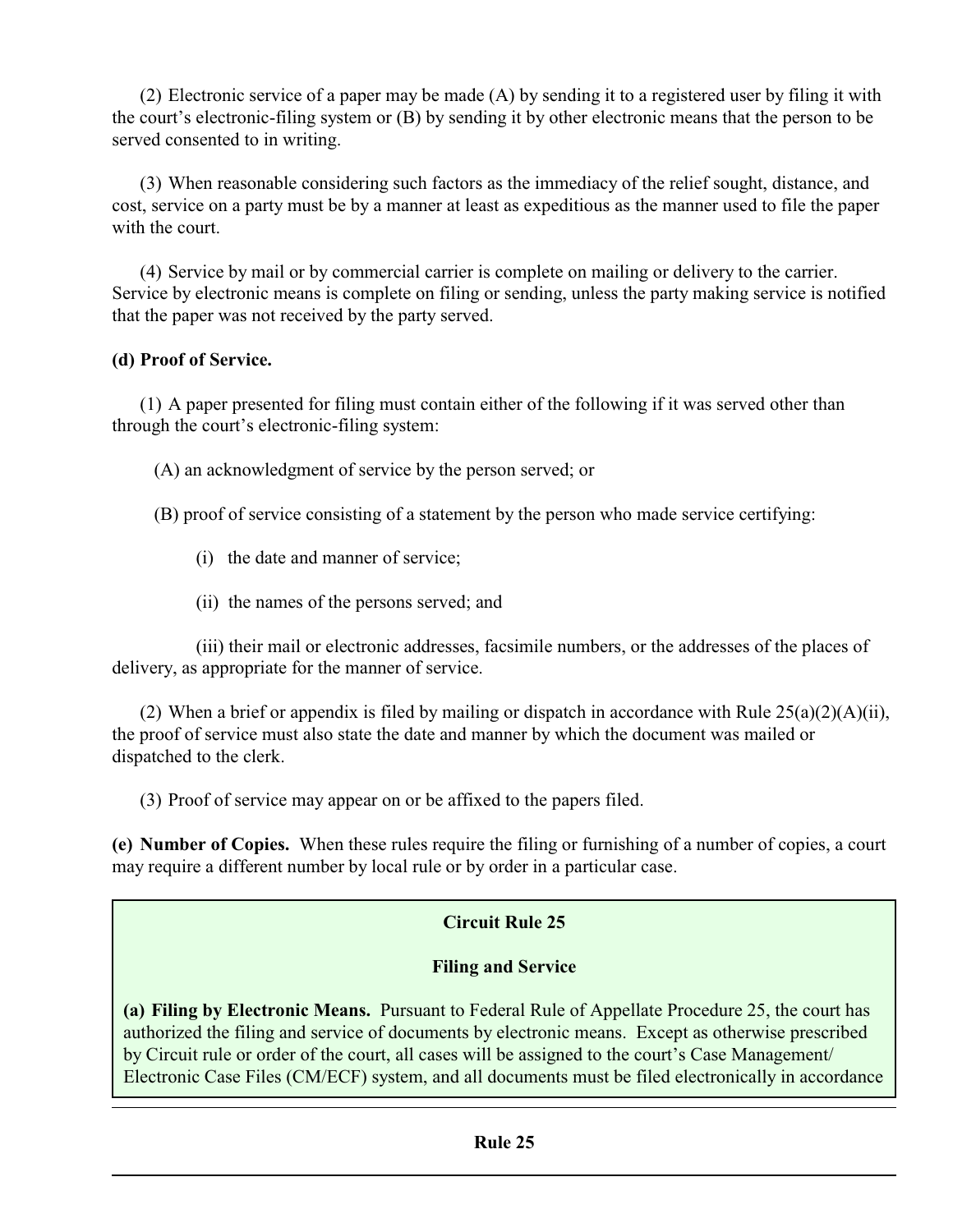(2) Electronic service of a paper may be made (A) by sending it to a registered user by filing it with the court's electronic-filing system or (B) by sending it by other electronic means that the person to be served consented to in writing.

(3) When reasonable considering such factors as the immediacy of the relief sought, distance, and cost, service on a party must be by a manner at least as expeditious as the manner used to file the paper with the court.

(4) Service by mail or by commercial carrier is complete on mailing or delivery to the carrier. Service by electronic means is complete on filing or sending, unless the party making service is notified that the paper was not received by the party served.

#### **(d) Proof of Service.**

(1) A paper presented for filing must contain either of the following if it was served other than through the court's electronic-filing system:

(A) an acknowledgment of service by the person served; or

(B) proof of service consisting of a statement by the person who made service certifying:

- (i) the date and manner of service;
- (ii) the names of the persons served; and

(iii) their mail or electronic addresses, facsimile numbers, or the addresses of the places of delivery, as appropriate for the manner of service.

(2) When a brief or appendix is filed by mailing or dispatch in accordance with Rule  $25(a)(2)(A)(ii)$ , the proof of service must also state the date and manner by which the document was mailed or dispatched to the clerk.

(3) Proof of service may appear on or be affixed to the papers filed.

**(e) Number of Copies.** When these rules require the filing or furnishing of a number of copies, a court may require a different number by local rule or by order in a particular case.

# **Circuit Rule 25**

# **Filing and Service**

**(a) Filing by Electronic Means.** Pursuant to Federal Rule of Appellate Procedure 25, the court has authorized the filing and service of documents by electronic means. Except as otherwise prescribed by Circuit rule or order of the court, all cases will be assigned to the court's Case Management/ Electronic Case Files (CM/ECF) system, and all documents must be filed electronically in accordance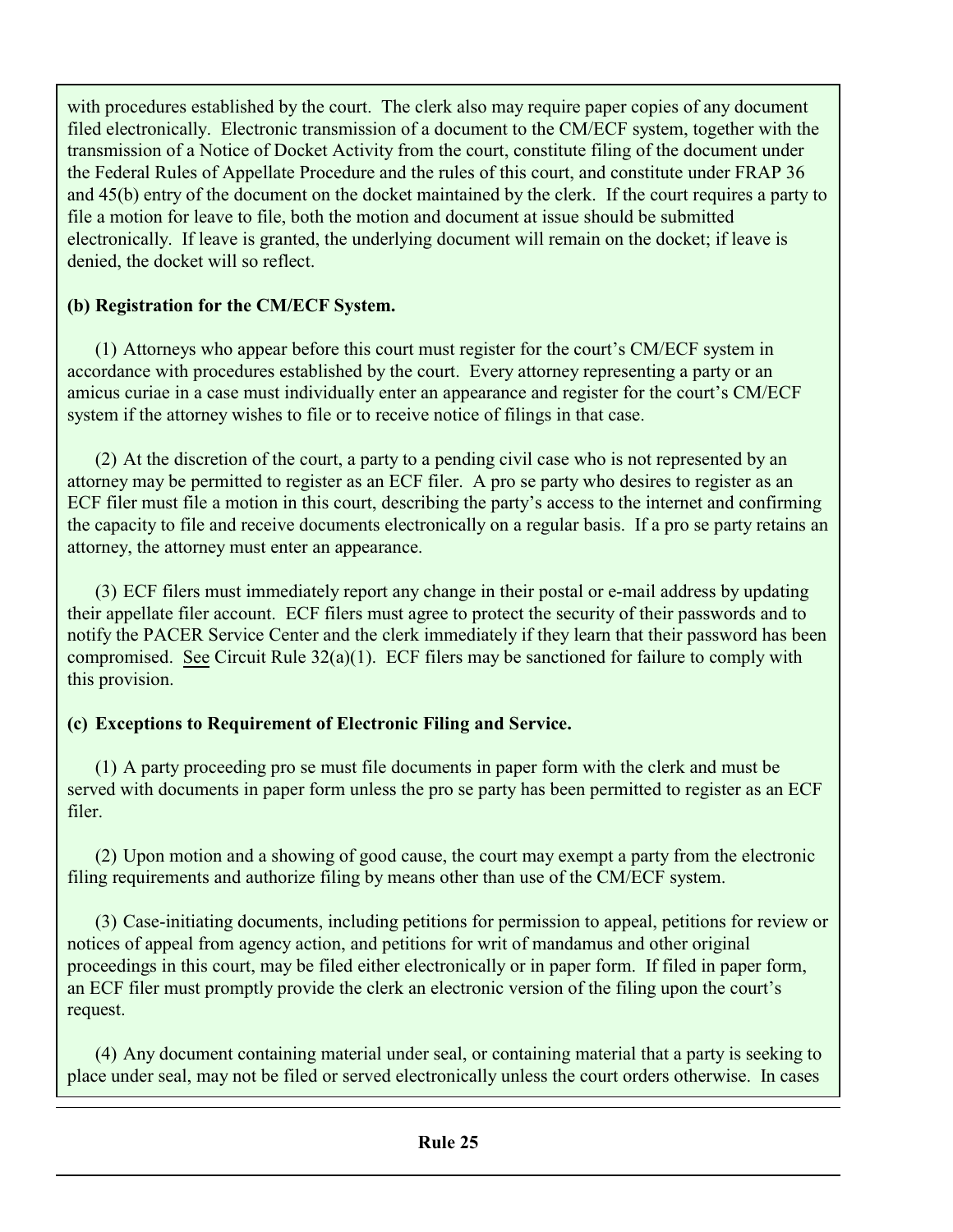with procedures established by the court. The clerk also may require paper copies of any document filed electronically. Electronic transmission of a document to the CM/ECF system, together with the transmission of a Notice of Docket Activity from the court, constitute filing of the document under the Federal Rules of Appellate Procedure and the rules of this court, and constitute under FRAP 36 and 45(b) entry of the document on the docket maintained by the clerk. If the court requires a party to file a motion for leave to file, both the motion and document at issue should be submitted electronically. If leave is granted, the underlying document will remain on the docket; if leave is denied, the docket will so reflect.

# **(b) Registration for the CM/ECF System.**

(1) Attorneys who appear before this court must register for the court's CM/ECF system in accordance with procedures established by the court. Every attorney representing a party or an amicus curiae in a case must individually enter an appearance and register for the court's CM/ECF system if the attorney wishes to file or to receive notice of filings in that case.

(2) At the discretion of the court, a party to a pending civil case who is not represented by an attorney may be permitted to register as an ECF filer. A pro se party who desires to register as an ECF filer must file a motion in this court, describing the party's access to the internet and confirming the capacity to file and receive documents electronically on a regular basis. If a pro se party retains an attorney, the attorney must enter an appearance.

(3) ECF filers must immediately report any change in their postal or e-mail address by updating their appellate filer account. ECF filers must agree to protect the security of their passwords and to notify the PACER Service Center and the clerk immediately if they learn that their password has been compromised. See Circuit Rule 32(a)(1). ECF filers may be sanctioned for failure to comply with this provision.

# **(c) Exceptions to Requirement of Electronic Filing and Service.**

(1) A party proceeding pro se must file documents in paper form with the clerk and must be served with documents in paper form unless the pro se party has been permitted to register as an ECF filer.

(2) Upon motion and a showing of good cause, the court may exempt a party from the electronic filing requirements and authorize filing by means other than use of the CM/ECF system.

(3) Case-initiating documents, including petitions for permission to appeal, petitions for review or notices of appeal from agency action, and petitions for writ of mandamus and other original proceedings in this court, may be filed either electronically or in paper form. If filed in paper form, an ECF filer must promptly provide the clerk an electronic version of the filing upon the court's request.

(4) Any document containing material under seal, or containing material that a party is seeking to place under seal, may not be filed or served electronically unless the court orders otherwise. In cases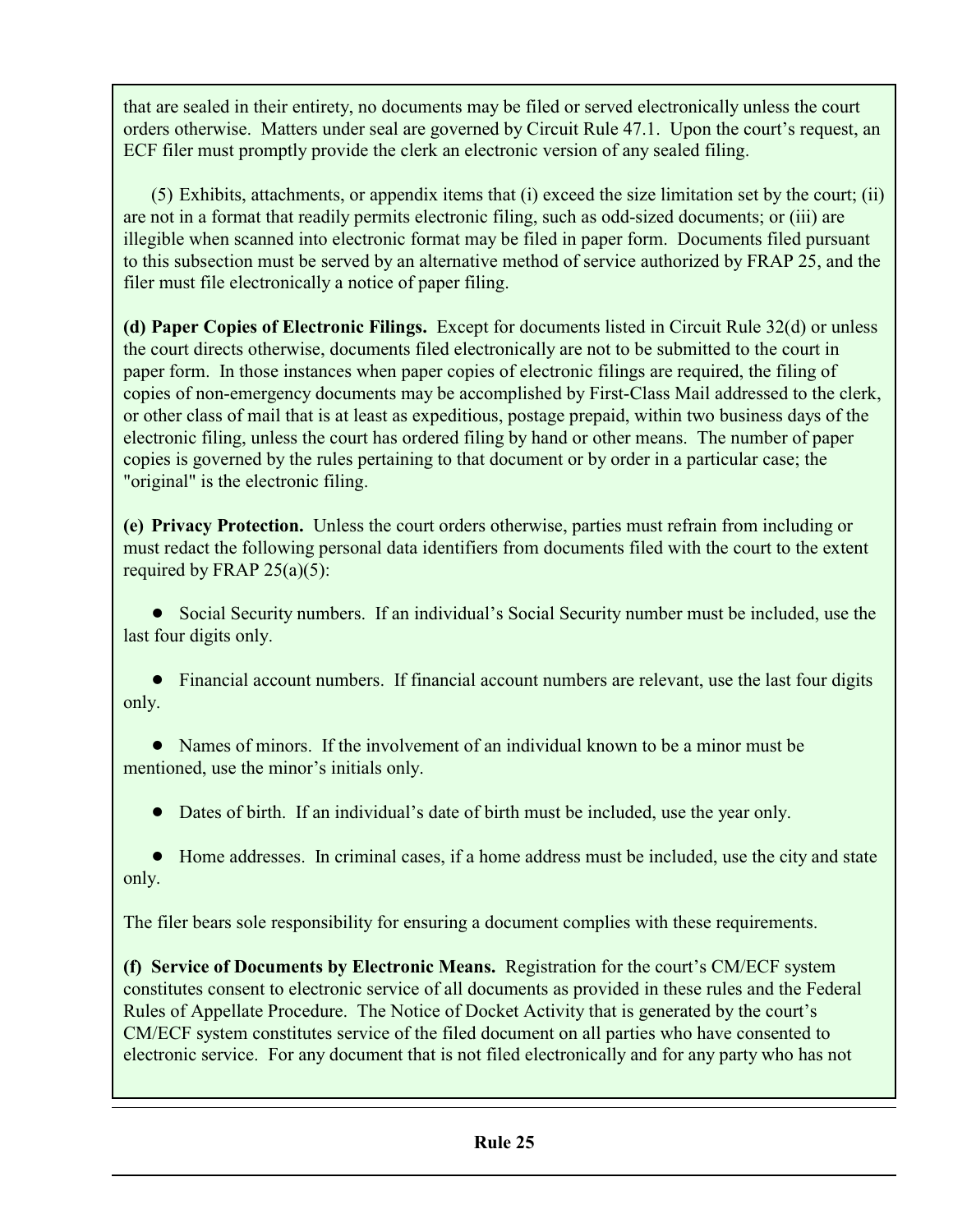that are sealed in their entirety, no documents may be filed or served electronically unless the court orders otherwise. Matters under seal are governed by Circuit Rule 47.1. Upon the court's request, an ECF filer must promptly provide the clerk an electronic version of any sealed filing.

(5) Exhibits, attachments, or appendix items that (i) exceed the size limitation set by the court; (ii) are not in a format that readily permits electronic filing, such as odd-sized documents; or (iii) are illegible when scanned into electronic format may be filed in paper form. Documents filed pursuant to this subsection must be served by an alternative method of service authorized by FRAP 25, and the filer must file electronically a notice of paper filing.

**(d) Paper Copies of Electronic Filings.** Except for documents listed in Circuit Rule 32(d) or unless the court directs otherwise, documents filed electronically are not to be submitted to the court in paper form. In those instances when paper copies of electronic filings are required, the filing of copies of non-emergency documents may be accomplished by First-Class Mail addressed to the clerk, or other class of mail that is at least as expeditious, postage prepaid, within two business days of the electronic filing, unless the court has ordered filing by hand or other means. The number of paper copies is governed by the rules pertaining to that document or by order in a particular case; the "original" is the electronic filing.

**(e) Privacy Protection.** Unless the court orders otherwise, parties must refrain from including or must redact the following personal data identifiers from documents filed with the court to the extent required by FRAP  $25(a)(5)$ :

• Social Security numbers. If an individual's Social Security number must be included, use the last four digits only.

• Financial account numbers. If financial account numbers are relevant, use the last four digits only.

! Names of minors. If the involvement of an individual known to be a minor must be mentioned, use the minor's initials only.

! Dates of birth. If an individual's date of birth must be included, use the year only.

! Home addresses. In criminal cases, if a home address must be included, use the city and state only.

The filer bears sole responsibility for ensuring a document complies with these requirements.

**(f) Service of Documents by Electronic Means.** Registration for the court's CM/ECF system constitutes consent to electronic service of all documents as provided in these rules and the Federal Rules of Appellate Procedure. The Notice of Docket Activity that is generated by the court's CM/ECF system constitutes service of the filed document on all parties who have consented to electronic service. For any document that is not filed electronically and for any party who has not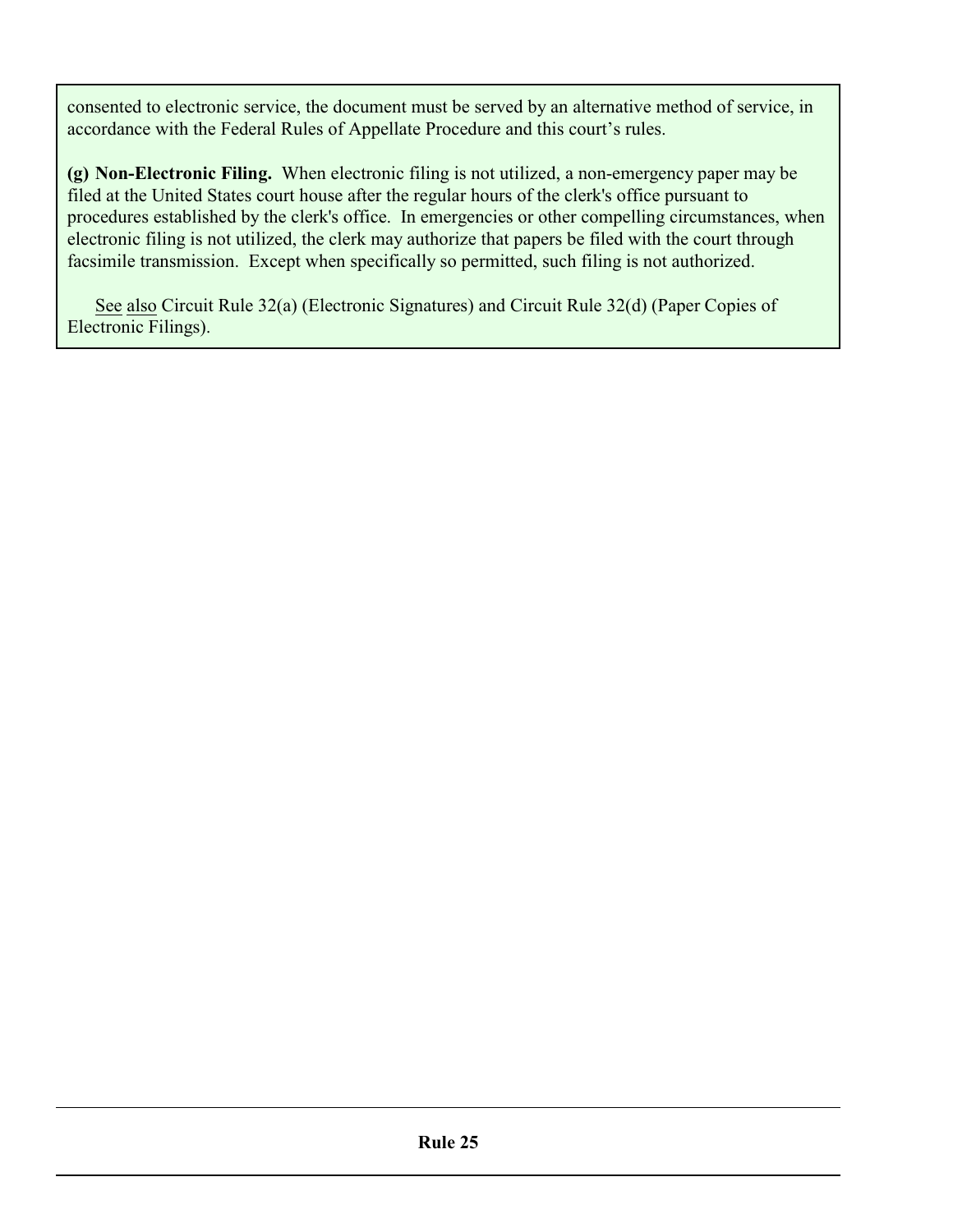consented to electronic service, the document must be served by an alternative method of service, in accordance with the Federal Rules of Appellate Procedure and this court's rules.

**(g) Non-Electronic Filing.** When electronic filing is not utilized, a non-emergency paper may be filed at the United States court house after the regular hours of the clerk's office pursuant to procedures established by the clerk's office. In emergencies or other compelling circumstances, when electronic filing is not utilized, the clerk may authorize that papers be filed with the court through facsimile transmission. Except when specifically so permitted, such filing is not authorized.

See also Circuit Rule 32(a) (Electronic Signatures) and Circuit Rule 32(d) (Paper Copies of Electronic Filings).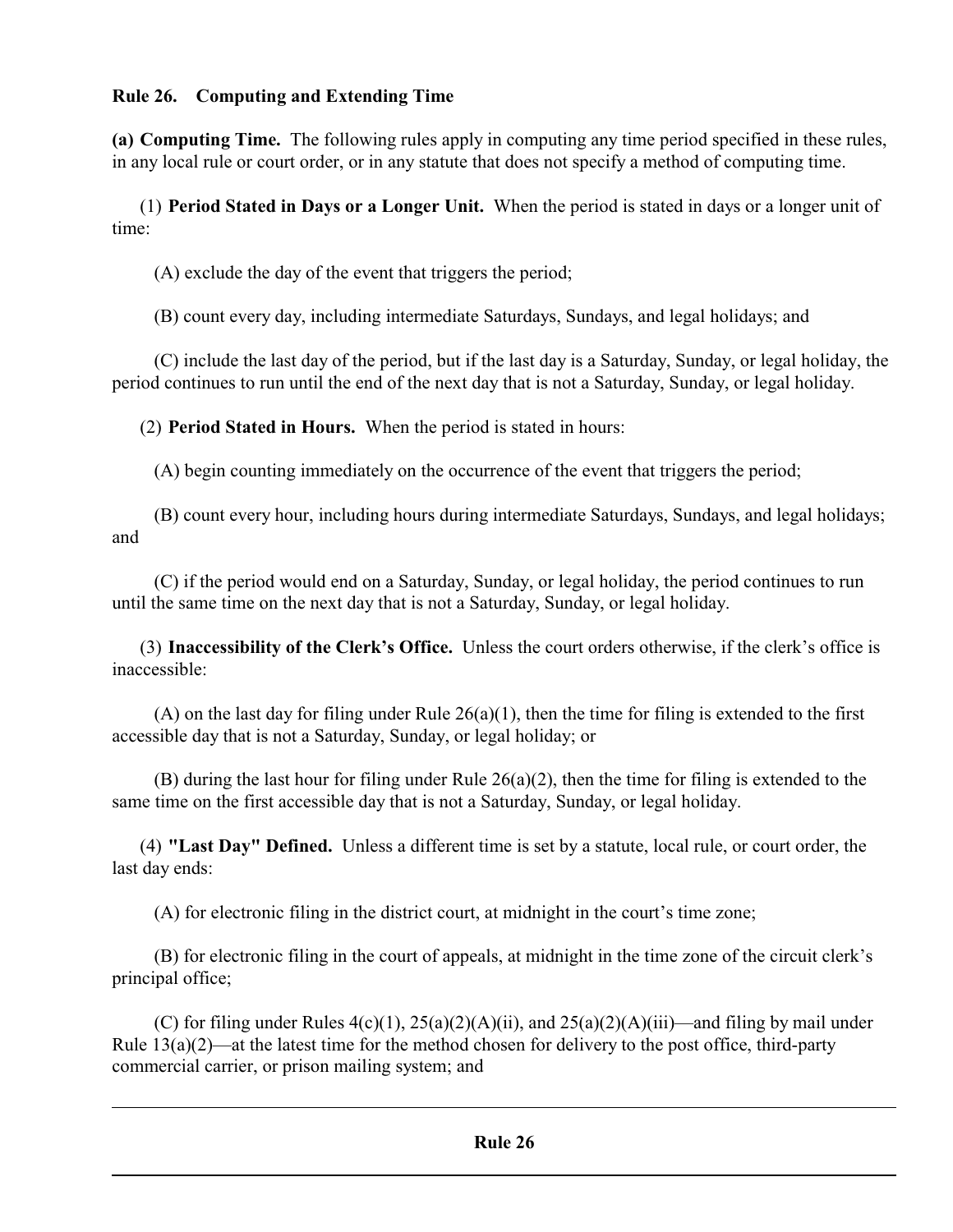#### **Rule 26. Computing and Extending Time**

**(a) Computing Time.** The following rules apply in computing any time period specified in these rules, in any local rule or court order, or in any statute that does not specify a method of computing time.

(1) **Period Stated in Days or a Longer Unit.** When the period is stated in days or a longer unit of time:

(A) exclude the day of the event that triggers the period;

(B) count every day, including intermediate Saturdays, Sundays, and legal holidays; and

(C) include the last day of the period, but if the last day is a Saturday, Sunday, or legal holiday, the period continues to run until the end of the next day that is not a Saturday, Sunday, or legal holiday.

(2) **Period Stated in Hours.** When the period is stated in hours:

(A) begin counting immediately on the occurrence of the event that triggers the period;

(B) count every hour, including hours during intermediate Saturdays, Sundays, and legal holidays; and

(C) if the period would end on a Saturday, Sunday, or legal holiday, the period continues to run until the same time on the next day that is not a Saturday, Sunday, or legal holiday.

(3) **Inaccessibility of the Clerk's Office.** Unless the court orders otherwise, if the clerk's office is inaccessible:

(A) on the last day for filing under Rule  $26(a)(1)$ , then the time for filing is extended to the first accessible day that is not a Saturday, Sunday, or legal holiday; or

(B) during the last hour for filing under Rule  $26(a)(2)$ , then the time for filing is extended to the same time on the first accessible day that is not a Saturday, Sunday, or legal holiday.

(4) **"Last Day" Defined.** Unless a different time is set by a statute, local rule, or court order, the last day ends:

(A) for electronic filing in the district court, at midnight in the court's time zone;

(B) for electronic filing in the court of appeals, at midnight in the time zone of the circuit clerk's principal office;

(C) for filing under Rules  $4(c)(1)$ ,  $25(a)(2)(A)(ii)$ , and  $25(a)(2)(A)(iii)$ —and filing by mail under Rule  $13(a)(2)$ —at the latest time for the method chosen for delivery to the post office, third-party commercial carrier, or prison mailing system; and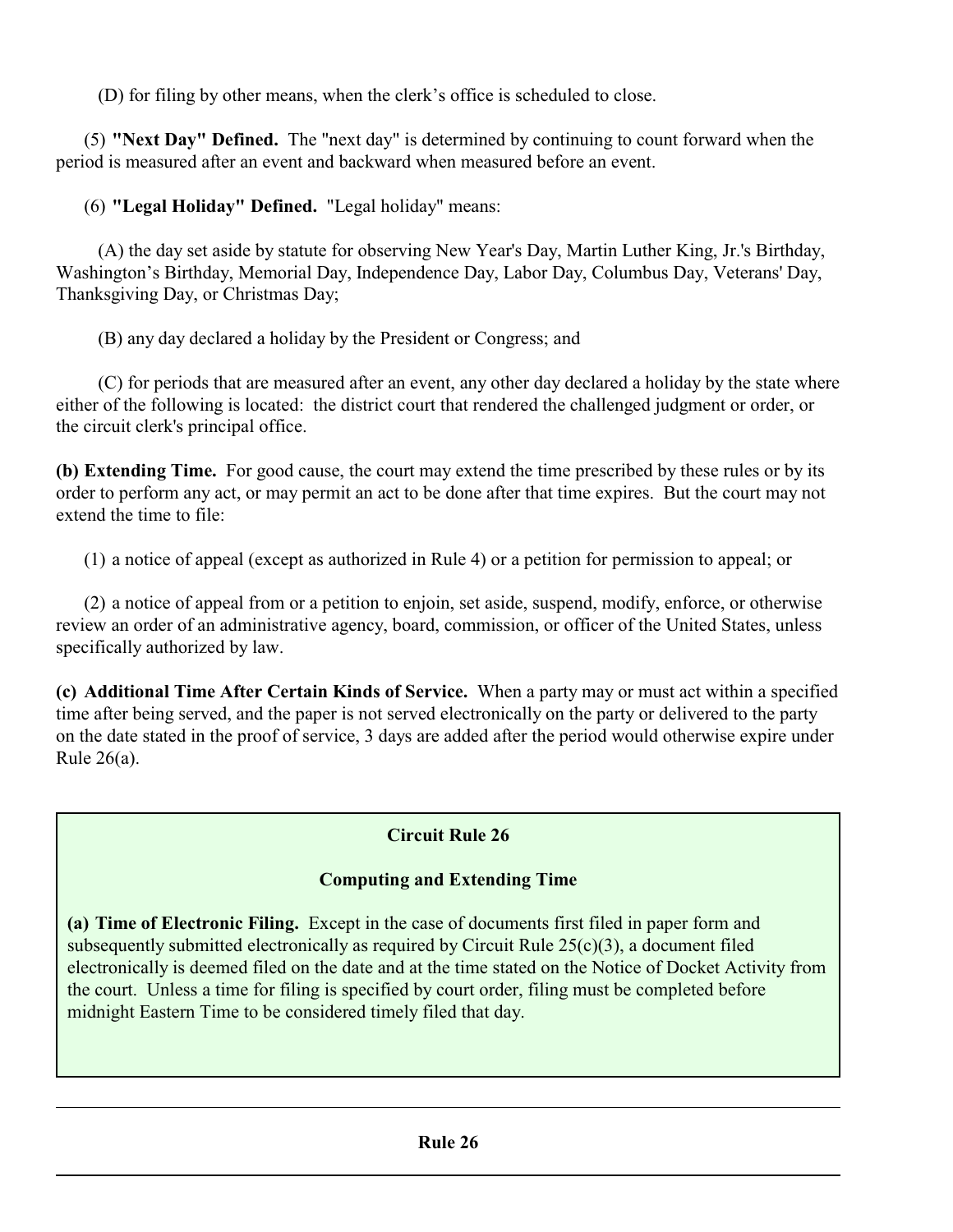(D) for filing by other means, when the clerk's office is scheduled to close.

(5) **"Next Day" Defined.** The "next day" is determined by continuing to count forward when the period is measured after an event and backward when measured before an event.

(6) **"Legal Holiday" Defined.** "Legal holiday" means:

(A) the day set aside by statute for observing New Year's Day, Martin Luther King, Jr.'s Birthday, Washington's Birthday, Memorial Day, Independence Day, Labor Day, Columbus Day, Veterans' Day, Thanksgiving Day, or Christmas Day;

(B) any day declared a holiday by the President or Congress; and

(C) for periods that are measured after an event, any other day declared a holiday by the state where either of the following is located: the district court that rendered the challenged judgment or order, or the circuit clerk's principal office.

**(b) Extending Time.** For good cause, the court may extend the time prescribed by these rules or by its order to perform any act, or may permit an act to be done after that time expires. But the court may not extend the time to file:

(1) a notice of appeal (except as authorized in Rule 4) or a petition for permission to appeal; or

(2) a notice of appeal from or a petition to enjoin, set aside, suspend, modify, enforce, or otherwise review an order of an administrative agency, board, commission, or officer of the United States, unless specifically authorized by law.

**(c) Additional Time After Certain Kinds of Service.** When a party may or must act within a specified time after being served, and the paper is not served electronically on the party or delivered to the party on the date stated in the proof of service, 3 days are added after the period would otherwise expire under Rule 26(a).

# **Circuit Rule 26**

# **Computing and Extending Time**

**(a) Time of Electronic Filing.** Except in the case of documents first filed in paper form and subsequently submitted electronically as required by Circuit Rule 25(c)(3), a document filed electronically is deemed filed on the date and at the time stated on the Notice of Docket Activity from the court. Unless a time for filing is specified by court order, filing must be completed before midnight Eastern Time to be considered timely filed that day.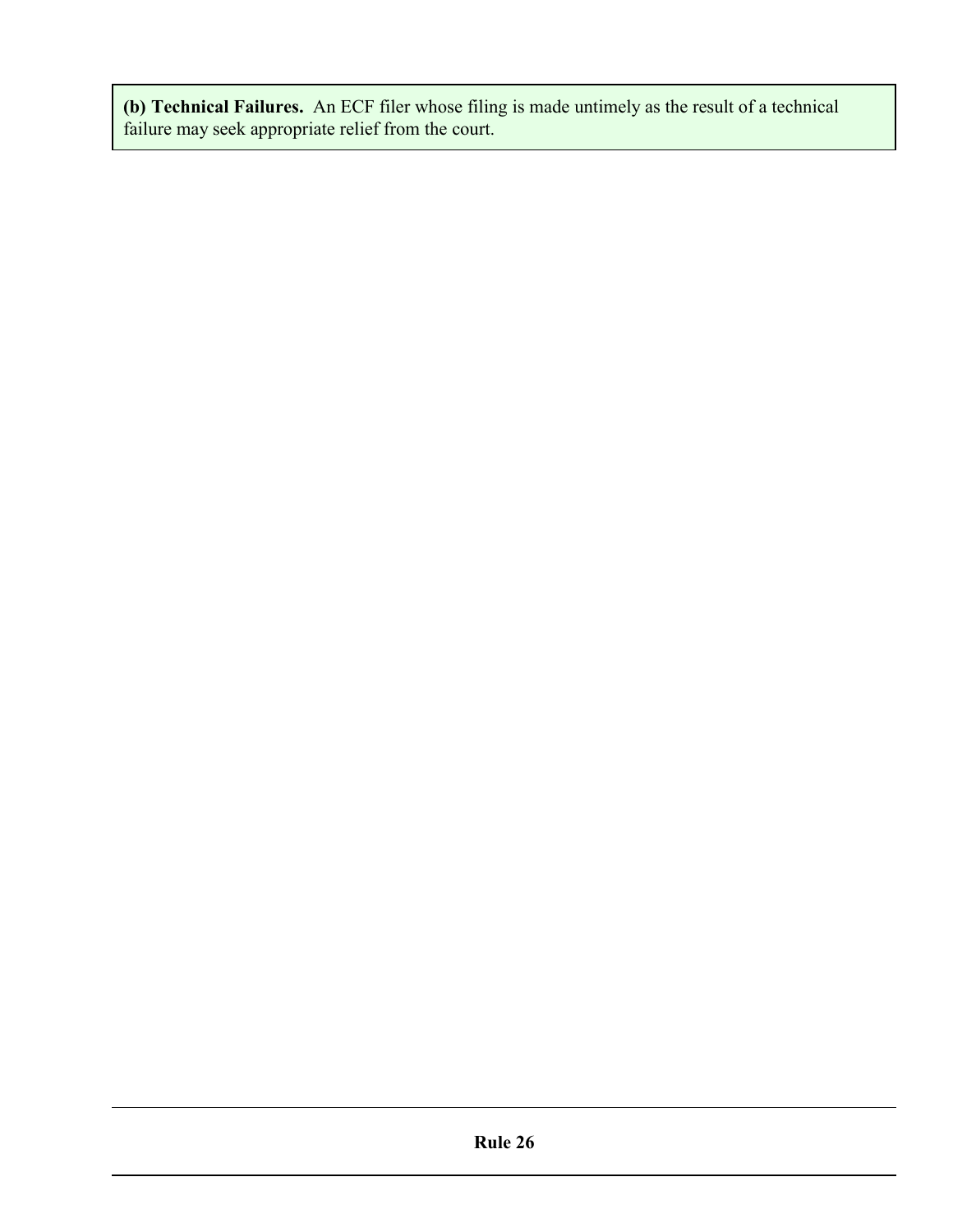**(b) Technical Failures.** An ECF filer whose filing is made untimely as the result of a technical failure may seek appropriate relief from the court.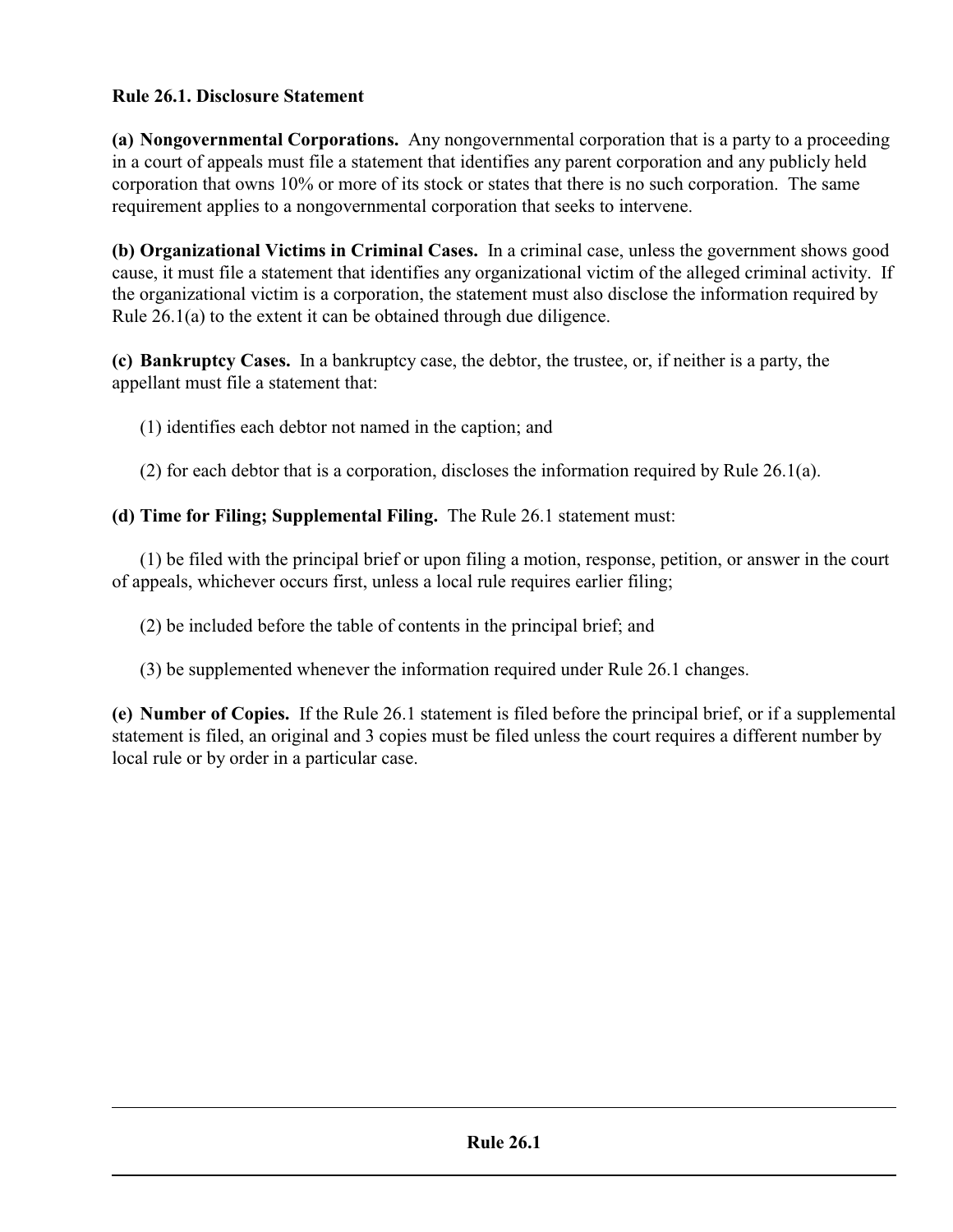# **Rule 26.1. Disclosure Statement**

**(a) Nongovernmental Corporations.** Any nongovernmental corporation that is a party to a proceeding in a court of appeals must file a statement that identifies any parent corporation and any publicly held corporation that owns 10% or more of its stock or states that there is no such corporation. The same requirement applies to a nongovernmental corporation that seeks to intervene.

**(b) Organizational Victims in Criminal Cases.** In a criminal case, unless the government shows good cause, it must file a statement that identifies any organizational victim of the alleged criminal activity. If the organizational victim is a corporation, the statement must also disclose the information required by Rule 26.1(a) to the extent it can be obtained through due diligence.

**(c) Bankruptcy Cases.** In a bankruptcy case, the debtor, the trustee, or, if neither is a party, the appellant must file a statement that:

(1) identifies each debtor not named in the caption; and

(2) for each debtor that is a corporation, discloses the information required by Rule 26.1(a).

# **(d) Time for Filing; Supplemental Filing.** The Rule 26.1 statement must:

(1) be filed with the principal brief or upon filing a motion, response, petition, or answer in the court of appeals, whichever occurs first, unless a local rule requires earlier filing;

(2) be included before the table of contents in the principal brief; and

(3) be supplemented whenever the information required under Rule 26.1 changes.

**(e) Number of Copies.** If the Rule 26.1 statement is filed before the principal brief, or if a supplemental statement is filed, an original and 3 copies must be filed unless the court requires a different number by local rule or by order in a particular case.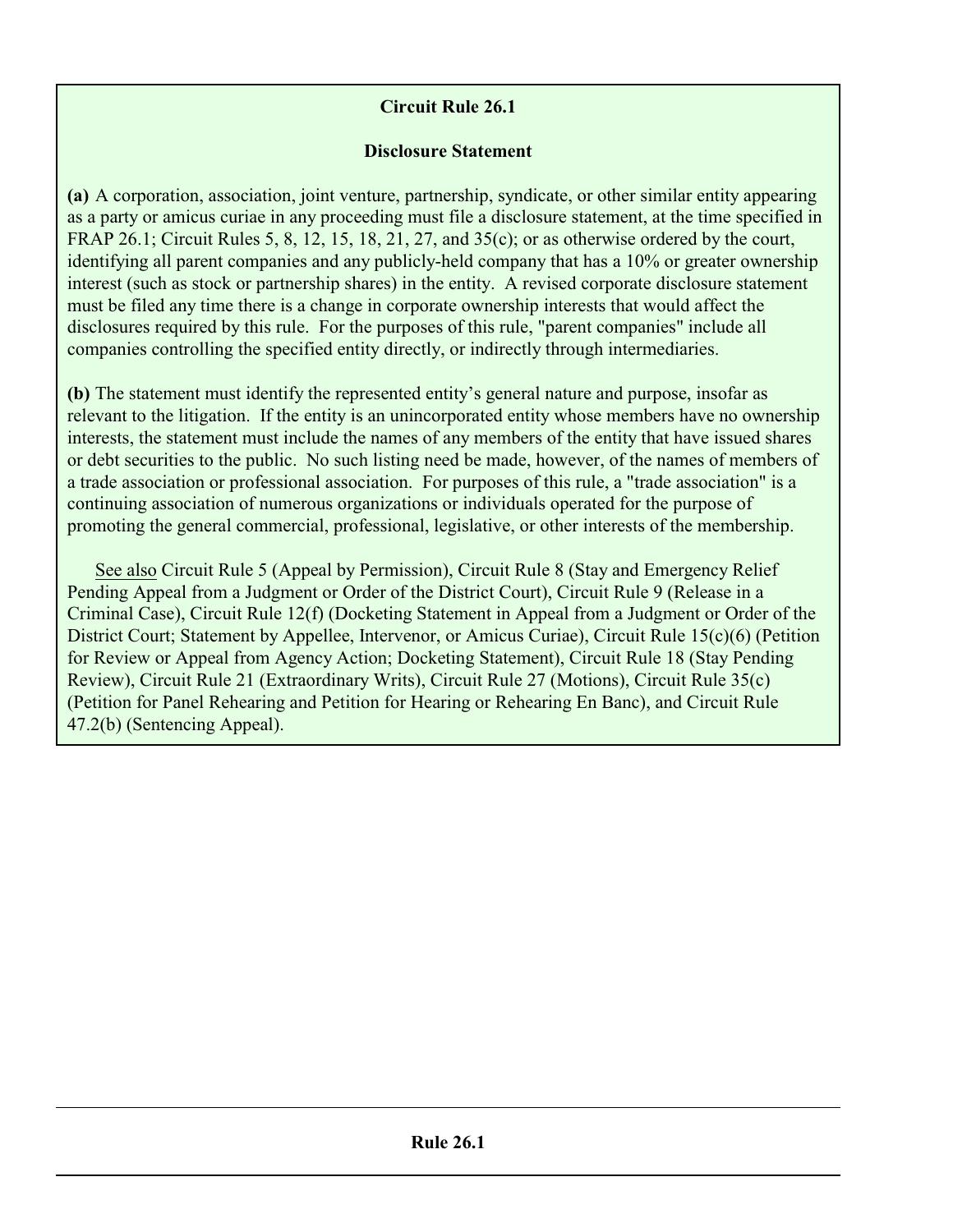# **Circuit Rule 26.1**

#### **Disclosure Statement**

**(a)** A corporation, association, joint venture, partnership, syndicate, or other similar entity appearing as a party or amicus curiae in any proceeding must file a disclosure statement, at the time specified in FRAP 26.1; Circuit Rules 5, 8, 12, 15, 18, 21, 27, and 35(c); or as otherwise ordered by the court, identifying all parent companies and any publicly-held company that has a 10% or greater ownership interest (such as stock or partnership shares) in the entity. A revised corporate disclosure statement must be filed any time there is a change in corporate ownership interests that would affect the disclosures required by this rule. For the purposes of this rule, "parent companies" include all companies controlling the specified entity directly, or indirectly through intermediaries.

**(b)** The statement must identify the represented entity's general nature and purpose, insofar as relevant to the litigation. If the entity is an unincorporated entity whose members have no ownership interests, the statement must include the names of any members of the entity that have issued shares or debt securities to the public. No such listing need be made, however, of the names of members of a trade association or professional association. For purposes of this rule, a "trade association" is a continuing association of numerous organizations or individuals operated for the purpose of promoting the general commercial, professional, legislative, or other interests of the membership.

See also Circuit Rule 5 (Appeal by Permission), Circuit Rule 8 (Stay and Emergency Relief Pending Appeal from a Judgment or Order of the District Court), Circuit Rule 9 (Release in a Criminal Case), Circuit Rule 12(f) (Docketing Statement in Appeal from a Judgment or Order of the District Court; Statement by Appellee, Intervenor, or Amicus Curiae), Circuit Rule 15(c)(6) (Petition for Review or Appeal from Agency Action; Docketing Statement), Circuit Rule 18 (Stay Pending Review), Circuit Rule 21 (Extraordinary Writs), Circuit Rule 27 (Motions), Circuit Rule 35(c) (Petition for Panel Rehearing and Petition for Hearing or Rehearing En Banc), and Circuit Rule 47.2(b) (Sentencing Appeal).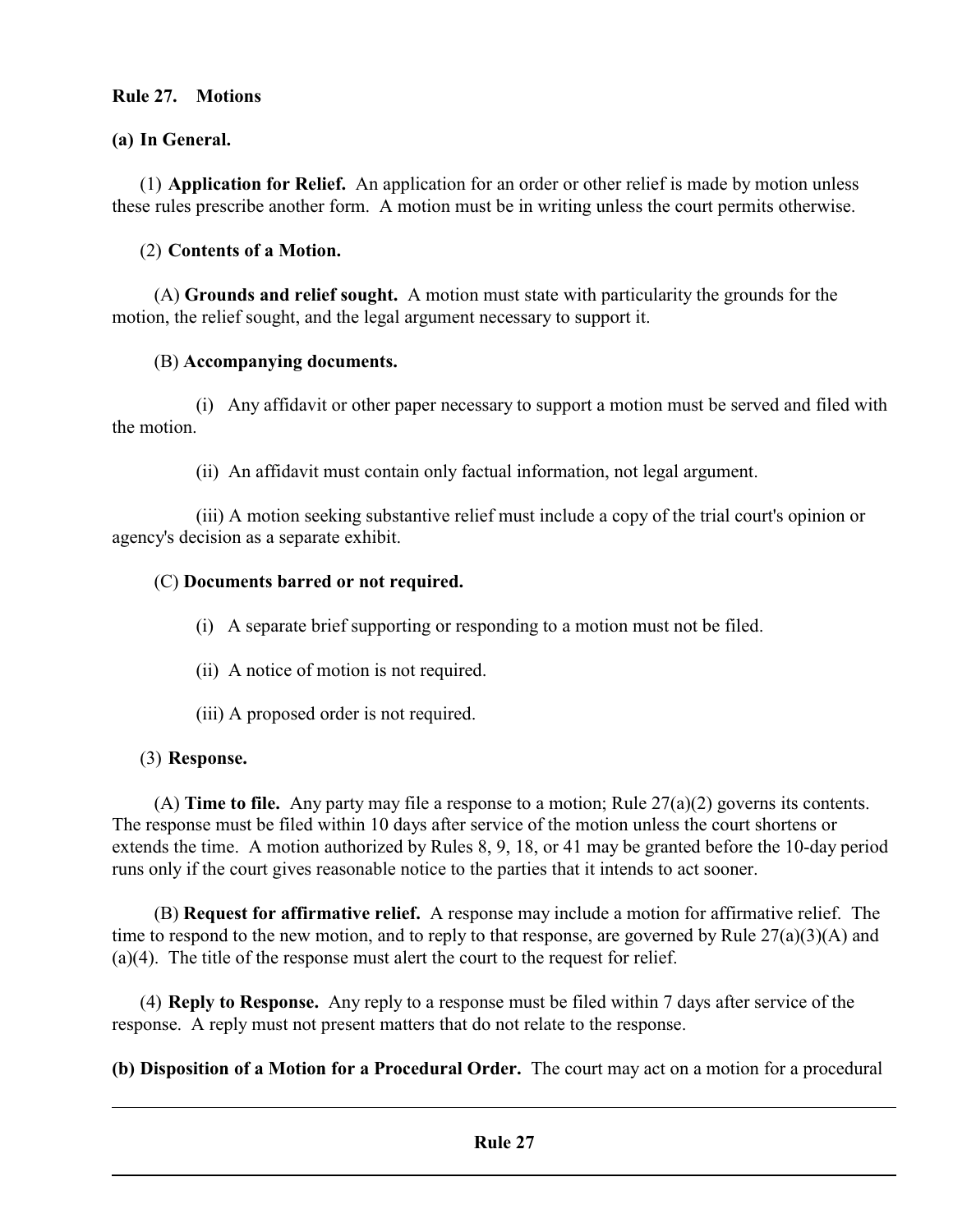#### **Rule 27. Motions**

### **(a) In General.**

(1) **Application for Relief.** An application for an order or other relief is made by motion unless these rules prescribe another form. A motion must be in writing unless the court permits otherwise.

### (2) **Contents of a Motion.**

(A) **Grounds and relief sought.** A motion must state with particularity the grounds for the motion, the relief sought, and the legal argument necessary to support it.

#### (B) **Accompanying documents.**

(i) Any affidavit or other paper necessary to support a motion must be served and filed with the motion.

(ii) An affidavit must contain only factual information, not legal argument.

(iii) A motion seeking substantive relief must include a copy of the trial court's opinion or agency's decision as a separate exhibit.

# (C) **Documents barred or not required.**

(i) A separate brief supporting or responding to a motion must not be filed.

- (ii) A notice of motion is not required.
- (iii) A proposed order is not required.

#### (3) **Response.**

(A) **Time to file.** Any party may file a response to a motion; Rule  $27(a)(2)$  governs its contents. The response must be filed within 10 days after service of the motion unless the court shortens or extends the time. A motion authorized by Rules 8, 9, 18, or 41 may be granted before the 10-day period runs only if the court gives reasonable notice to the parties that it intends to act sooner.

(B) **Request for affirmative relief.** A response may include a motion for affirmative relief. The time to respond to the new motion, and to reply to that response, are governed by Rule  $27(a)(3)(A)$  and (a)(4). The title of the response must alert the court to the request for relief.

(4) **Reply to Response.** Any reply to a response must be filed within 7 days after service of the response. A reply must not present matters that do not relate to the response.

**(b) Disposition of a Motion for a Procedural Order.** The court may act on a motion for a procedural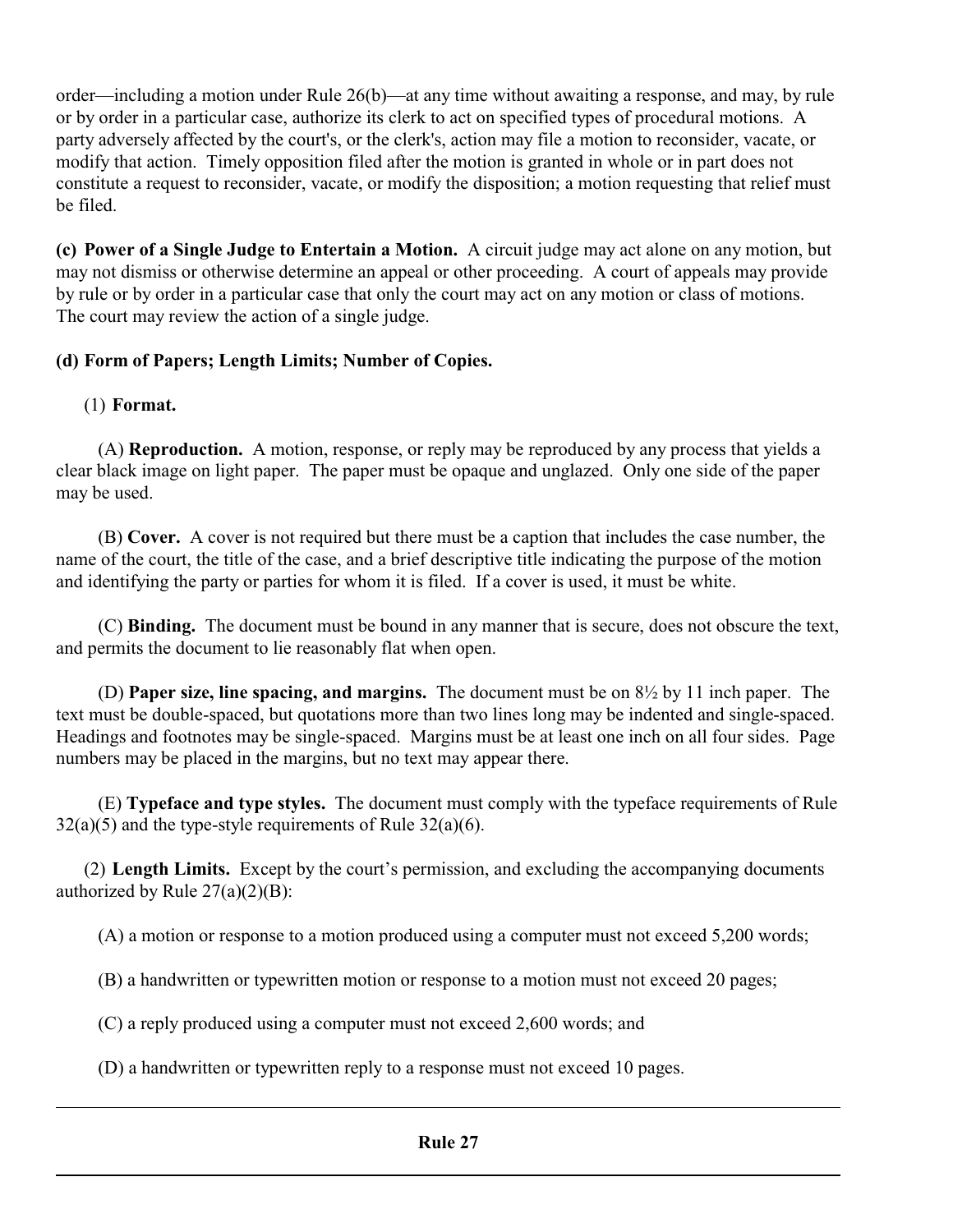order—including a motion under Rule 26(b)—at any time without awaiting a response, and may, by rule or by order in a particular case, authorize its clerk to act on specified types of procedural motions. A party adversely affected by the court's, or the clerk's, action may file a motion to reconsider, vacate, or modify that action. Timely opposition filed after the motion is granted in whole or in part does not constitute a request to reconsider, vacate, or modify the disposition; a motion requesting that relief must be filed.

**(c) Power of a Single Judge to Entertain a Motion.** A circuit judge may act alone on any motion, but may not dismiss or otherwise determine an appeal or other proceeding. A court of appeals may provide by rule or by order in a particular case that only the court may act on any motion or class of motions. The court may review the action of a single judge.

# **(d) Form of Papers; Length Limits; Number of Copies.**

### (1) **Format.**

(A) **Reproduction.** A motion, response, or reply may be reproduced by any process that yields a clear black image on light paper. The paper must be opaque and unglazed. Only one side of the paper may be used.

(B) **Cover.** A cover is not required but there must be a caption that includes the case number, the name of the court, the title of the case, and a brief descriptive title indicating the purpose of the motion and identifying the party or parties for whom it is filed. If a cover is used, it must be white.

(C) **Binding.** The document must be bound in any manner that is secure, does not obscure the text, and permits the document to lie reasonably flat when open.

(D) **Paper size, line spacing, and margins.** The document must be on 8½ by 11 inch paper. The text must be double-spaced, but quotations more than two lines long may be indented and single-spaced. Headings and footnotes may be single-spaced. Margins must be at least one inch on all four sides. Page numbers may be placed in the margins, but no text may appear there.

(E) **Typeface and type styles.** The document must comply with the typeface requirements of Rule  $32(a)(5)$  and the type-style requirements of Rule  $32(a)(6)$ .

(2) **Length Limits.** Except by the court's permission, and excluding the accompanying documents authorized by Rule 27(a)(2)(B):

(A) a motion or response to a motion produced using a computer must not exceed 5,200 words;

(B) a handwritten or typewritten motion or response to a motion must not exceed 20 pages;

(C) a reply produced using a computer must not exceed 2,600 words; and

(D) a handwritten or typewritten reply to a response must not exceed 10 pages.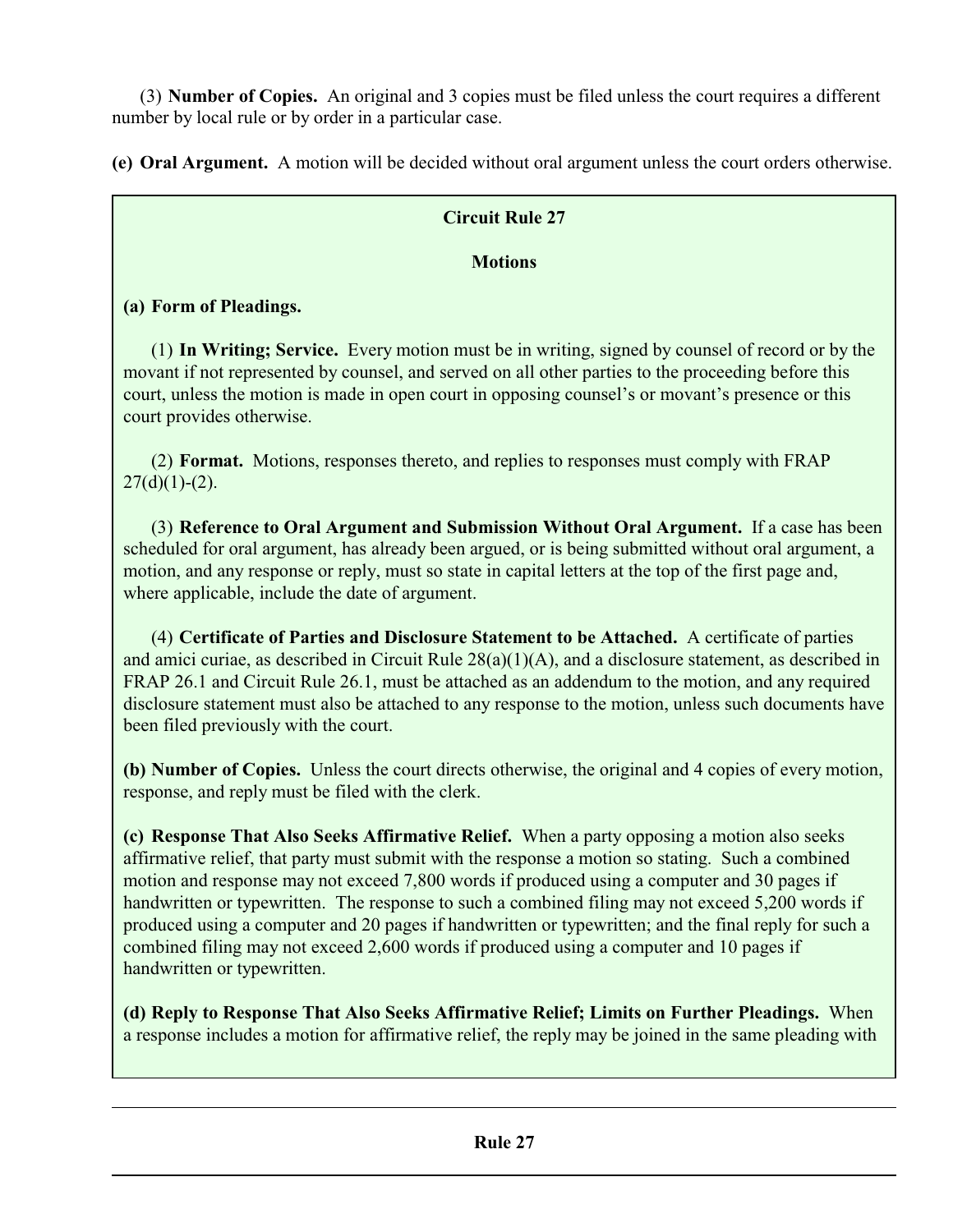(3) **Number of Copies.** An original and 3 copies must be filed unless the court requires a different number by local rule or by order in a particular case.

**(e) Oral Argument.** A motion will be decided without oral argument unless the court orders otherwise.

# **Circuit Rule 27**

### **Motions**

### **(a) Form of Pleadings.**

(1) **In Writing; Service.** Every motion must be in writing, signed by counsel of record or by the movant if not represented by counsel, and served on all other parties to the proceeding before this court, unless the motion is made in open court in opposing counsel's or movant's presence or this court provides otherwise.

(2) **Format.** Motions, responses thereto, and replies to responses must comply with FRAP  $27(d)(1)-(2)$ .

(3) **Reference to Oral Argument and Submission Without Oral Argument.** If a case has been scheduled for oral argument, has already been argued, or is being submitted without oral argument, a motion, and any response or reply, must so state in capital letters at the top of the first page and, where applicable, include the date of argument.

(4) **Certificate of Parties and Disclosure Statement to be Attached.** A certificate of parties and amici curiae, as described in Circuit Rule  $28(a)(1)(A)$ , and a disclosure statement, as described in FRAP 26.1 and Circuit Rule 26.1, must be attached as an addendum to the motion, and any required disclosure statement must also be attached to any response to the motion, unless such documents have been filed previously with the court.

**(b) Number of Copies.** Unless the court directs otherwise, the original and 4 copies of every motion, response, and reply must be filed with the clerk.

**(c) Response That Also Seeks Affirmative Relief.** When a party opposing a motion also seeks affirmative relief, that party must submit with the response a motion so stating. Such a combined motion and response may not exceed 7,800 words if produced using a computer and 30 pages if handwritten or typewritten. The response to such a combined filing may not exceed 5,200 words if produced using a computer and 20 pages if handwritten or typewritten; and the final reply for such a combined filing may not exceed 2,600 words if produced using a computer and 10 pages if handwritten or typewritten.

**(d) Reply to Response That Also Seeks Affirmative Relief; Limits on Further Pleadings.** When a response includes a motion for affirmative relief, the reply may be joined in the same pleading with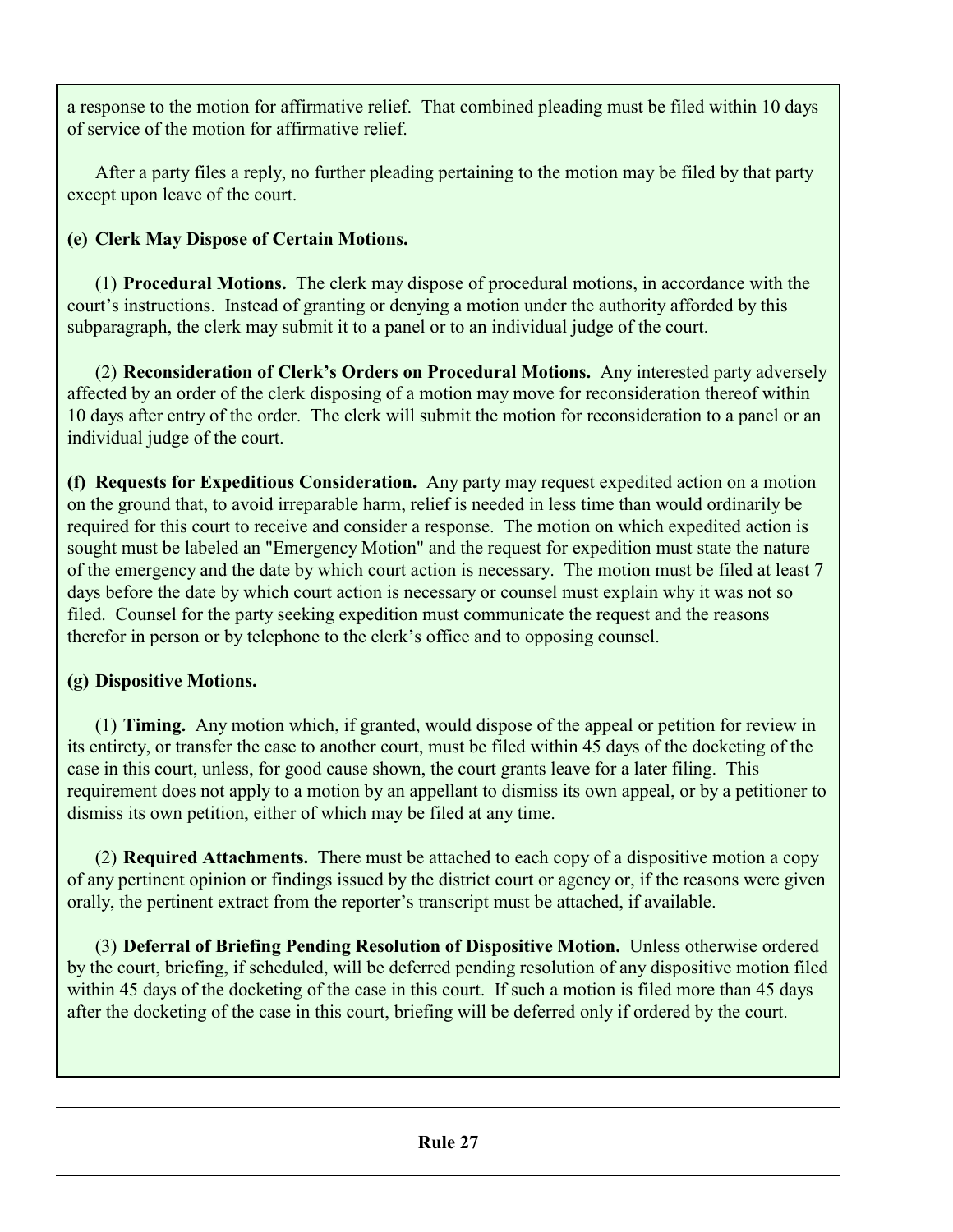a response to the motion for affirmative relief. That combined pleading must be filed within 10 days of service of the motion for affirmative relief.

After a party files a reply, no further pleading pertaining to the motion may be filed by that party except upon leave of the court.

# **(e) Clerk May Dispose of Certain Motions.**

(1) **Procedural Motions.** The clerk may dispose of procedural motions, in accordance with the court's instructions. Instead of granting or denying a motion under the authority afforded by this subparagraph, the clerk may submit it to a panel or to an individual judge of the court.

(2) **Reconsideration of Clerk's Orders on Procedural Motions.** Any interested party adversely affected by an order of the clerk disposing of a motion may move for reconsideration thereof within 10 days after entry of the order. The clerk will submit the motion for reconsideration to a panel or an individual judge of the court.

**(f) Requests for Expeditious Consideration.** Any party may request expedited action on a motion on the ground that, to avoid irreparable harm, relief is needed in less time than would ordinarily be required for this court to receive and consider a response. The motion on which expedited action is sought must be labeled an "Emergency Motion" and the request for expedition must state the nature of the emergency and the date by which court action is necessary. The motion must be filed at least 7 days before the date by which court action is necessary or counsel must explain why it was not so filed. Counsel for the party seeking expedition must communicate the request and the reasons therefor in person or by telephone to the clerk's office and to opposing counsel.

# **(g) Dispositive Motions.**

(1) **Timing.** Any motion which, if granted, would dispose of the appeal or petition for review in its entirety, or transfer the case to another court, must be filed within 45 days of the docketing of the case in this court, unless, for good cause shown, the court grants leave for a later filing. This requirement does not apply to a motion by an appellant to dismiss its own appeal, or by a petitioner to dismiss its own petition, either of which may be filed at any time.

(2) **Required Attachments.** There must be attached to each copy of a dispositive motion a copy of any pertinent opinion or findings issued by the district court or agency or, if the reasons were given orally, the pertinent extract from the reporter's transcript must be attached, if available.

(3) **Deferral of Briefing Pending Resolution of Dispositive Motion.** Unless otherwise ordered by the court, briefing, if scheduled, will be deferred pending resolution of any dispositive motion filed within 45 days of the docketing of the case in this court. If such a motion is filed more than 45 days after the docketing of the case in this court, briefing will be deferred only if ordered by the court.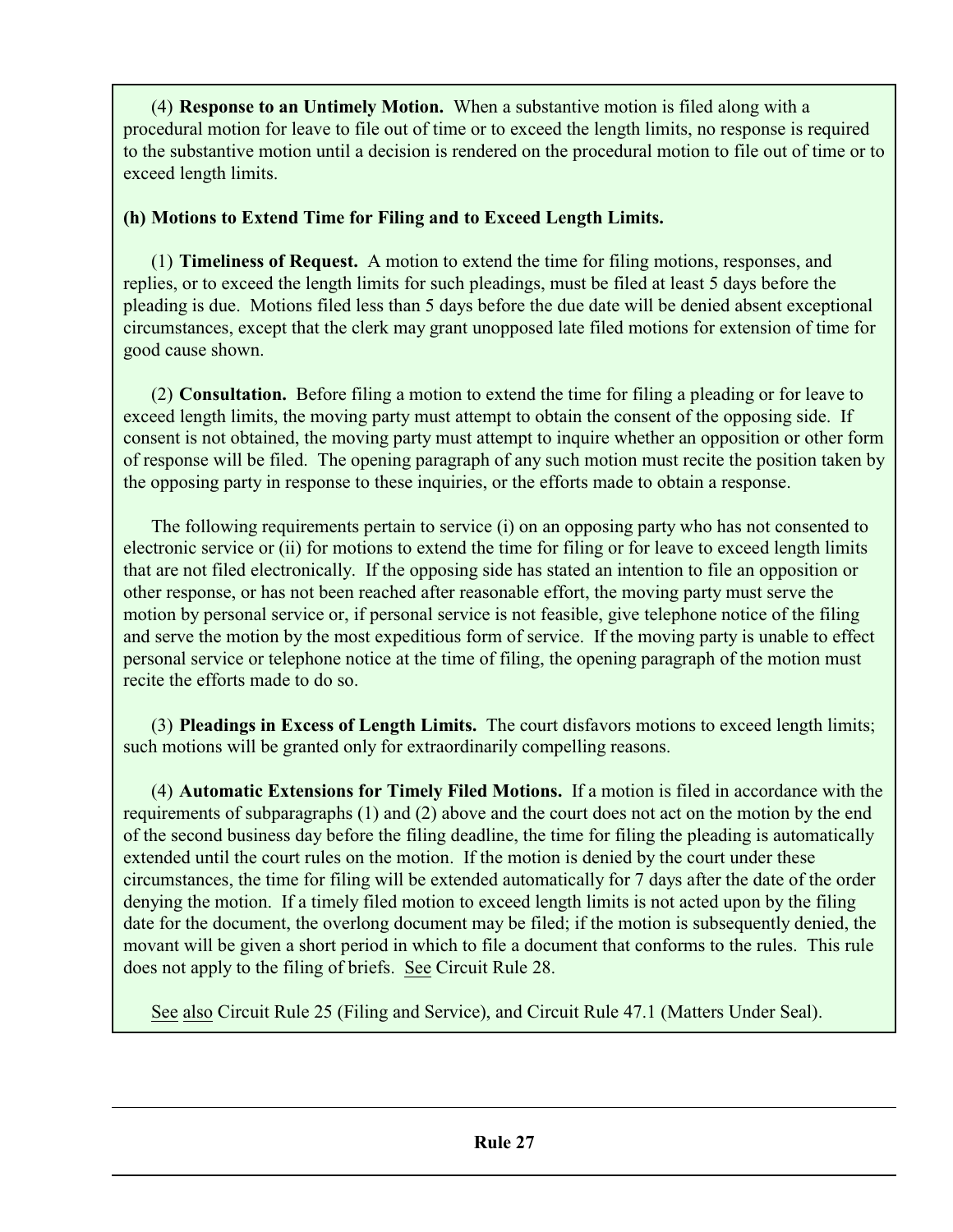(4) **Response to an Untimely Motion.** When a substantive motion is filed along with a procedural motion for leave to file out of time or to exceed the length limits, no response is required to the substantive motion until a decision is rendered on the procedural motion to file out of time or to exceed length limits.

## **(h) Motions to Extend Time for Filing and to Exceed Length Limits.**

(1) **Timeliness of Request.** A motion to extend the time for filing motions, responses, and replies, or to exceed the length limits for such pleadings, must be filed at least 5 days before the pleading is due. Motions filed less than 5 days before the due date will be denied absent exceptional circumstances, except that the clerk may grant unopposed late filed motions for extension of time for good cause shown.

(2) **Consultation.** Before filing a motion to extend the time for filing a pleading or for leave to exceed length limits, the moving party must attempt to obtain the consent of the opposing side. If consent is not obtained, the moving party must attempt to inquire whether an opposition or other form of response will be filed. The opening paragraph of any such motion must recite the position taken by the opposing party in response to these inquiries, or the efforts made to obtain a response.

The following requirements pertain to service (i) on an opposing party who has not consented to electronic service or (ii) for motions to extend the time for filing or for leave to exceed length limits that are not filed electronically. If the opposing side has stated an intention to file an opposition or other response, or has not been reached after reasonable effort, the moving party must serve the motion by personal service or, if personal service is not feasible, give telephone notice of the filing and serve the motion by the most expeditious form of service. If the moving party is unable to effect personal service or telephone notice at the time of filing, the opening paragraph of the motion must recite the efforts made to do so.

(3) **Pleadings in Excess of Length Limits.** The court disfavors motions to exceed length limits; such motions will be granted only for extraordinarily compelling reasons.

(4) **Automatic Extensions for Timely Filed Motions.** If a motion is filed in accordance with the requirements of subparagraphs (1) and (2) above and the court does not act on the motion by the end of the second business day before the filing deadline, the time for filing the pleading is automatically extended until the court rules on the motion. If the motion is denied by the court under these circumstances, the time for filing will be extended automatically for 7 days after the date of the order denying the motion. If a timely filed motion to exceed length limits is not acted upon by the filing date for the document, the overlong document may be filed; if the motion is subsequently denied, the movant will be given a short period in which to file a document that conforms to the rules. This rule does not apply to the filing of briefs. See Circuit Rule 28.

See also Circuit Rule 25 (Filing and Service), and Circuit Rule 47.1 (Matters Under Seal).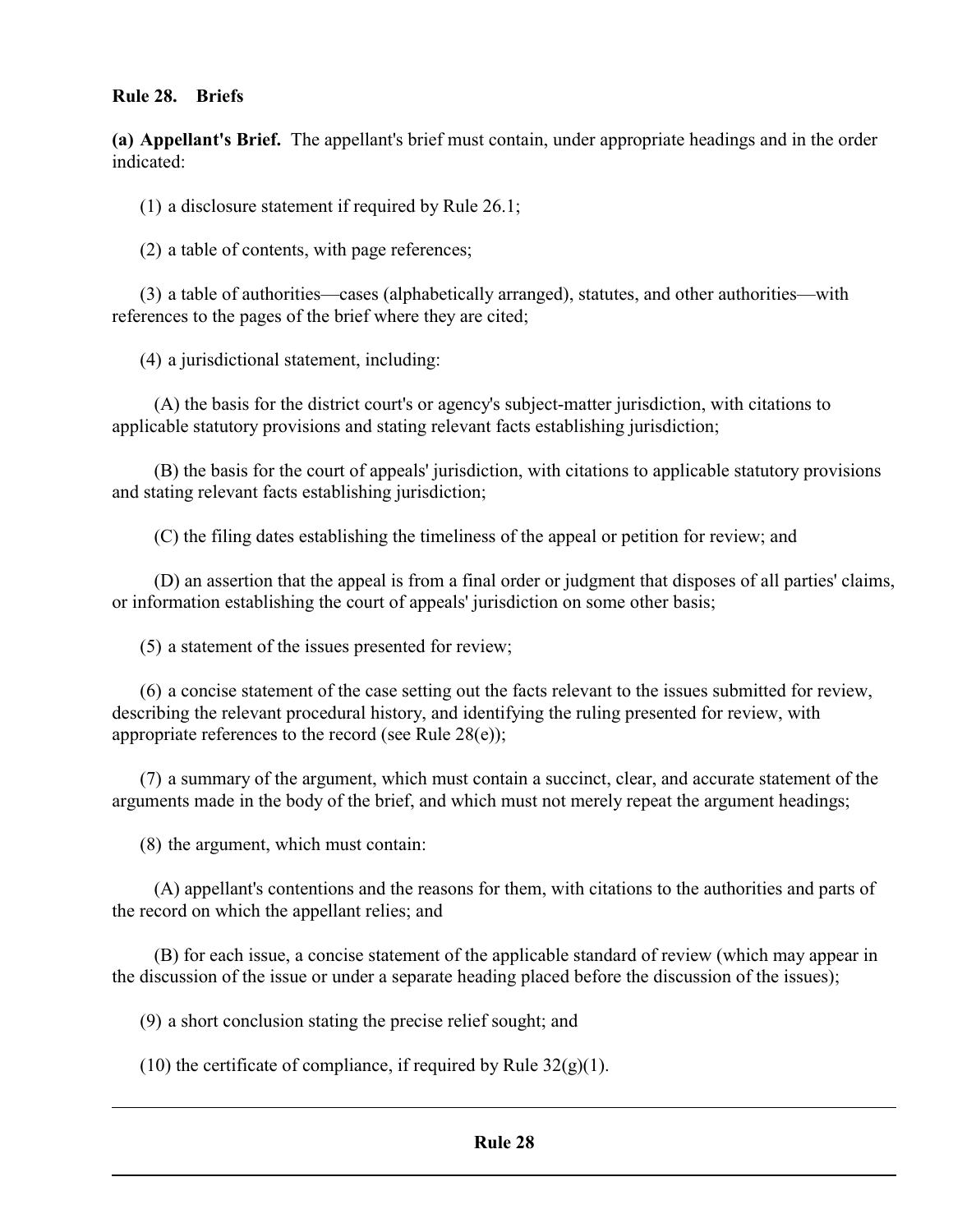#### **Rule 28. Briefs**

**(a) Appellant's Brief.** The appellant's brief must contain, under appropriate headings and in the order indicated:

(1) a disclosure statement if required by Rule 26.1;

(2) a table of contents, with page references;

(3) a table of authorities—cases (alphabetically arranged), statutes, and other authorities—with references to the pages of the brief where they are cited;

(4) a jurisdictional statement, including:

(A) the basis for the district court's or agency's subject-matter jurisdiction, with citations to applicable statutory provisions and stating relevant facts establishing jurisdiction;

(B) the basis for the court of appeals' jurisdiction, with citations to applicable statutory provisions and stating relevant facts establishing jurisdiction;

(C) the filing dates establishing the timeliness of the appeal or petition for review; and

(D) an assertion that the appeal is from a final order or judgment that disposes of all parties' claims, or information establishing the court of appeals' jurisdiction on some other basis;

(5) a statement of the issues presented for review;

(6) a concise statement of the case setting out the facts relevant to the issues submitted for review, describing the relevant procedural history, and identifying the ruling presented for review, with appropriate references to the record (see Rule 28(e));

(7) a summary of the argument, which must contain a succinct, clear, and accurate statement of the arguments made in the body of the brief, and which must not merely repeat the argument headings;

(8) the argument, which must contain:

(A) appellant's contentions and the reasons for them, with citations to the authorities and parts of the record on which the appellant relies; and

(B) for each issue, a concise statement of the applicable standard of review (which may appear in the discussion of the issue or under a separate heading placed before the discussion of the issues);

(9) a short conclusion stating the precise relief sought; and

(10) the certificate of compliance, if required by Rule  $32(g)(1)$ .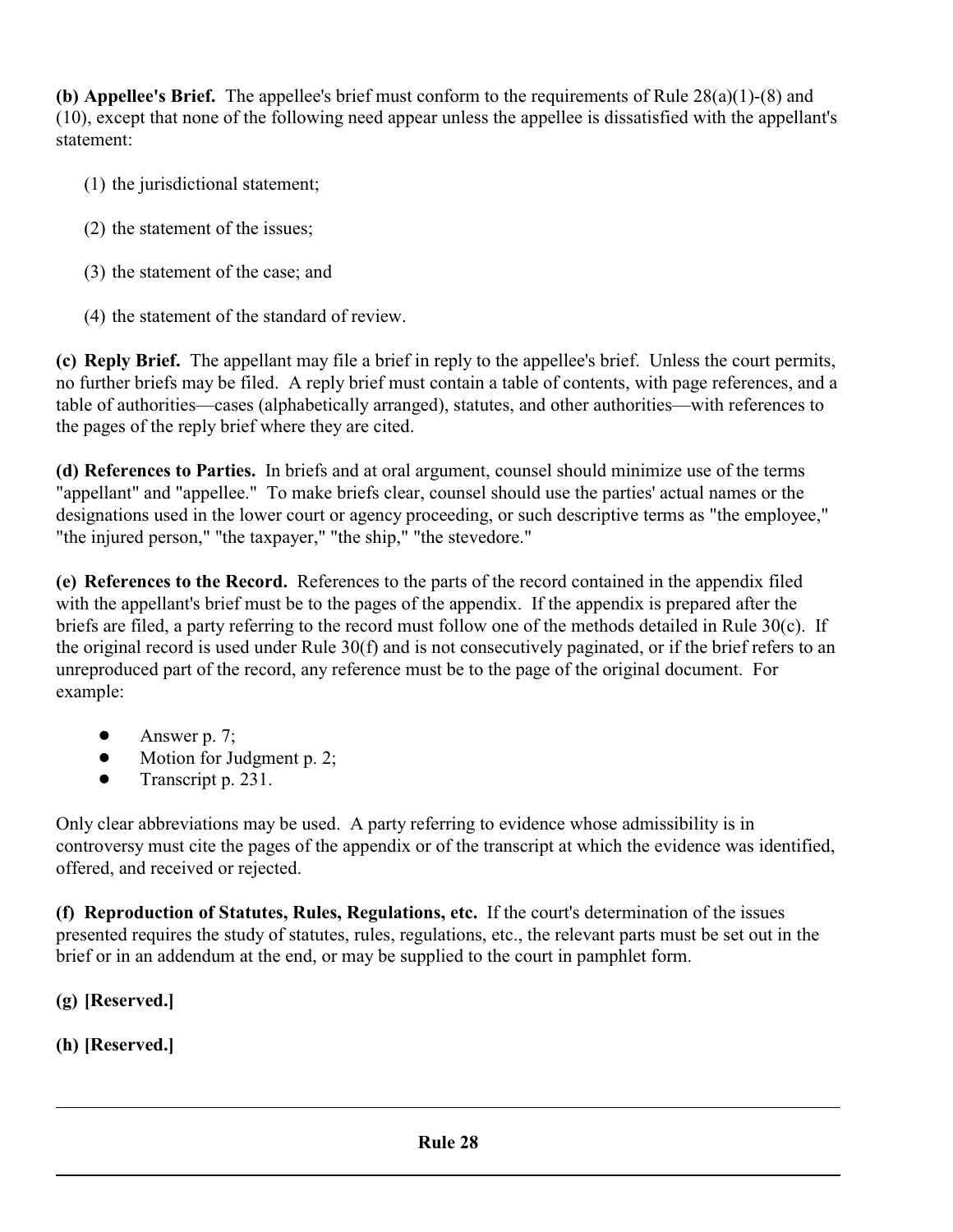**(b) Appellee's Brief.** The appellee's brief must conform to the requirements of Rule 28(a)(1)-(8) and (10), except that none of the following need appear unless the appellee is dissatisfied with the appellant's statement:

- (1) the jurisdictional statement;
- (2) the statement of the issues;
- (3) the statement of the case; and
- (4) the statement of the standard of review.

**(c) Reply Brief.** The appellant may file a brief in reply to the appellee's brief. Unless the court permits, no further briefs may be filed. A reply brief must contain a table of contents, with page references, and a table of authorities—cases (alphabetically arranged), statutes, and other authorities—with references to the pages of the reply brief where they are cited.

**(d) References to Parties.** In briefs and at oral argument, counsel should minimize use of the terms "appellant" and "appellee." To make briefs clear, counsel should use the parties' actual names or the designations used in the lower court or agency proceeding, or such descriptive terms as "the employee," "the injured person," "the taxpayer," "the ship," "the stevedore."

**(e) References to the Record.** References to the parts of the record contained in the appendix filed with the appellant's brief must be to the pages of the appendix. If the appendix is prepared after the briefs are filed, a party referring to the record must follow one of the methods detailed in Rule 30(c). If the original record is used under Rule 30(f) and is not consecutively paginated, or if the brief refers to an unreproduced part of the record, any reference must be to the page of the original document. For example:

- $\bullet$  Answer p. 7;
- Motion for Judgment p. 2;
- $\bullet$  Transcript p. 231.

Only clear abbreviations may be used. A party referring to evidence whose admissibility is in controversy must cite the pages of the appendix or of the transcript at which the evidence was identified, offered, and received or rejected.

**(f) Reproduction of Statutes, Rules, Regulations, etc.** If the court's determination of the issues presented requires the study of statutes, rules, regulations, etc., the relevant parts must be set out in the brief or in an addendum at the end, or may be supplied to the court in pamphlet form.

**(g) [Reserved.]**

**(h) [Reserved.]**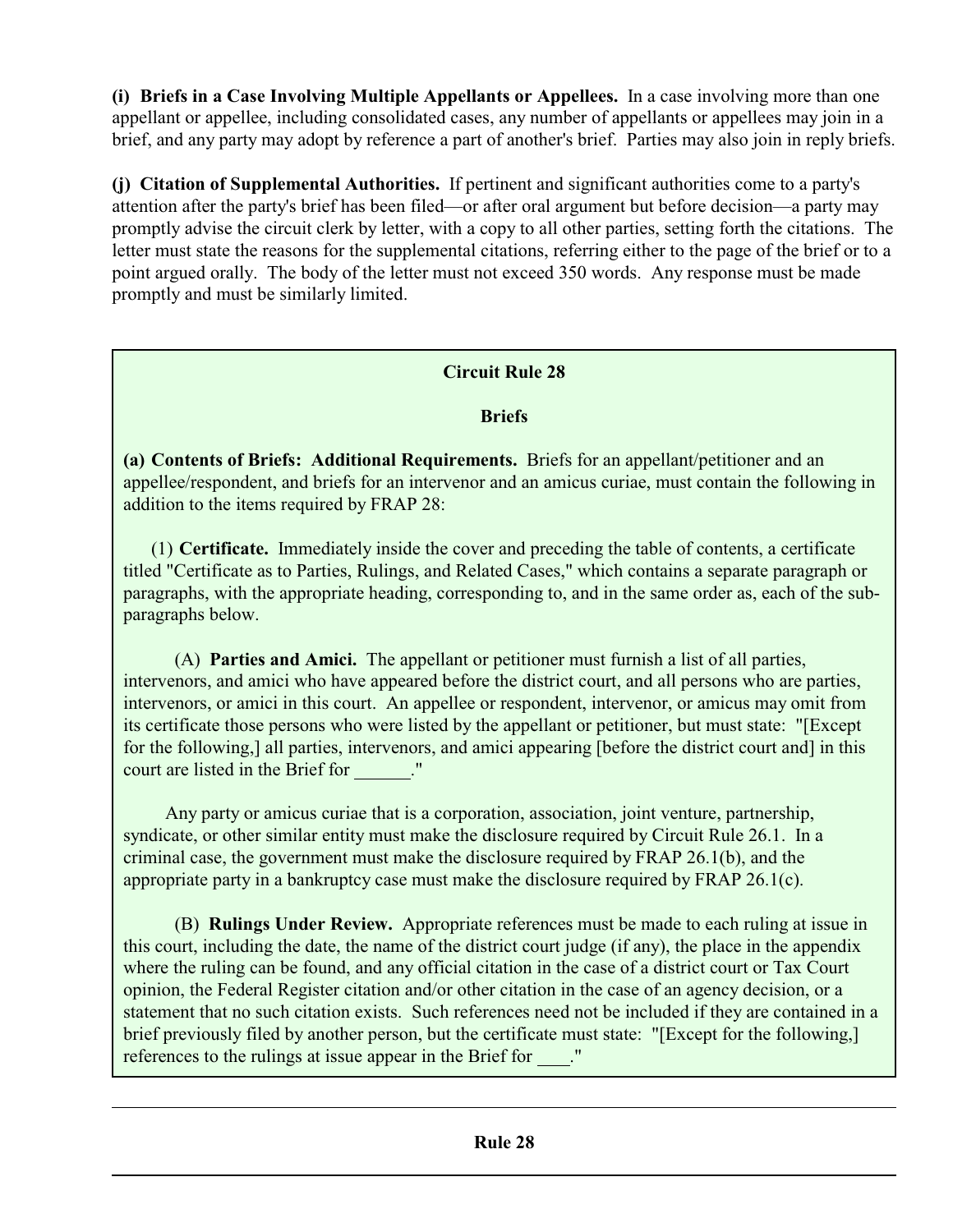**(i) Briefs in a Case Involving Multiple Appellants or Appellees.** In a case involving more than one appellant or appellee, including consolidated cases, any number of appellants or appellees may join in a brief, and any party may adopt by reference a part of another's brief. Parties may also join in reply briefs.

**(j) Citation of Supplemental Authorities.** If pertinent and significant authorities come to a party's attention after the party's brief has been filed—or after oral argument but before decision—a party may promptly advise the circuit clerk by letter, with a copy to all other parties, setting forth the citations. The letter must state the reasons for the supplemental citations, referring either to the page of the brief or to a point argued orally. The body of the letter must not exceed 350 words. Any response must be made promptly and must be similarly limited.

# **Circuit Rule 28**

#### **Briefs**

**(a) Contents of Briefs: Additional Requirements.** Briefs for an appellant/petitioner and an appellee/respondent, and briefs for an intervenor and an amicus curiae, must contain the following in addition to the items required by FRAP 28:

(1) **Certificate.** Immediately inside the cover and preceding the table of contents, a certificate titled "Certificate as to Parties, Rulings, and Related Cases," which contains a separate paragraph or paragraphs, with the appropriate heading, corresponding to, and in the same order as, each of the subparagraphs below.

 (A) **Parties and Amici.** The appellant or petitioner must furnish a list of all parties, intervenors, and amici who have appeared before the district court, and all persons who are parties, intervenors, or amici in this court. An appellee or respondent, intervenor, or amicus may omit from its certificate those persons who were listed by the appellant or petitioner, but must state: "[Except for the following,] all parties, intervenors, and amici appearing [before the district court and] in this court are listed in the Brief for ."

Any party or amicus curiae that is a corporation, association, joint venture, partnership, syndicate, or other similar entity must make the disclosure required by Circuit Rule 26.1. In a criminal case, the government must make the disclosure required by FRAP 26.1(b), and the appropriate party in a bankruptcy case must make the disclosure required by FRAP 26.1(c).

 (B) **Rulings Under Review.** Appropriate references must be made to each ruling at issue in this court, including the date, the name of the district court judge (if any), the place in the appendix where the ruling can be found, and any official citation in the case of a district court or Tax Court opinion, the Federal Register citation and/or other citation in the case of an agency decision, or a statement that no such citation exists. Such references need not be included if they are contained in a brief previously filed by another person, but the certificate must state: "[Except for the following,] references to the rulings at issue appear in the Brief for ."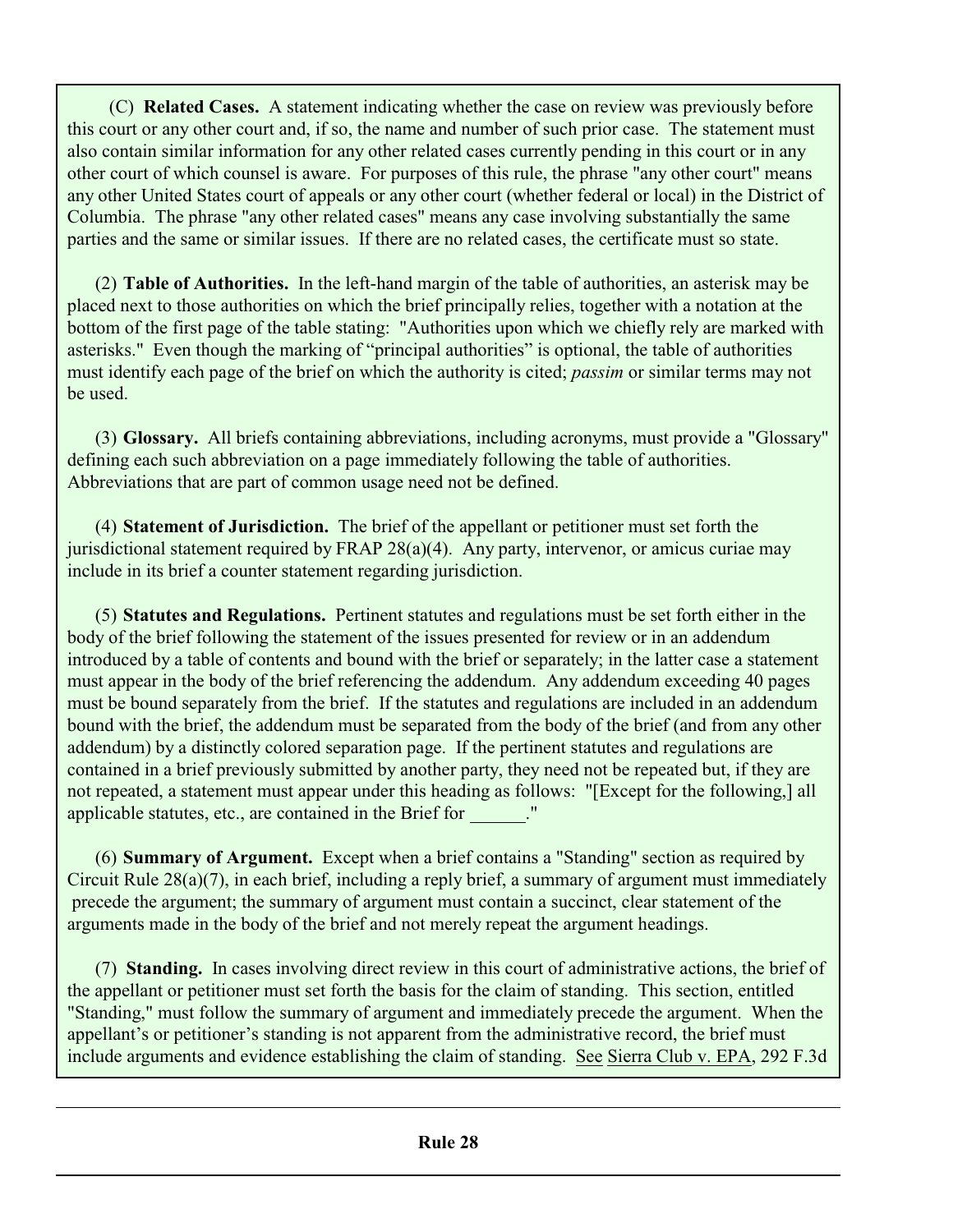(C) **Related Cases.** A statement indicating whether the case on review was previously before this court or any other court and, if so, the name and number of such prior case. The statement must also contain similar information for any other related cases currently pending in this court or in any other court of which counsel is aware. For purposes of this rule, the phrase "any other court" means any other United States court of appeals or any other court (whether federal or local) in the District of Columbia. The phrase "any other related cases" means any case involving substantially the same parties and the same or similar issues. If there are no related cases, the certificate must so state.

(2) **Table of Authorities.** In the left-hand margin of the table of authorities, an asterisk may be placed next to those authorities on which the brief principally relies, together with a notation at the bottom of the first page of the table stating: "Authorities upon which we chiefly rely are marked with asterisks." Even though the marking of "principal authorities" is optional, the table of authorities must identify each page of the brief on which the authority is cited; *passim* or similar terms may not be used.

(3) **Glossary.** All briefs containing abbreviations, including acronyms, must provide a "Glossary" defining each such abbreviation on a page immediately following the table of authorities. Abbreviations that are part of common usage need not be defined.

(4) **Statement of Jurisdiction.** The brief of the appellant or petitioner must set forth the jurisdictional statement required by FRAP 28(a)(4). Any party, intervenor, or amicus curiae may include in its brief a counter statement regarding jurisdiction.

(5) **Statutes and Regulations.** Pertinent statutes and regulations must be set forth either in the body of the brief following the statement of the issues presented for review or in an addendum introduced by a table of contents and bound with the brief or separately; in the latter case a statement must appear in the body of the brief referencing the addendum. Any addendum exceeding 40 pages must be bound separately from the brief. If the statutes and regulations are included in an addendum bound with the brief, the addendum must be separated from the body of the brief (and from any other addendum) by a distinctly colored separation page. If the pertinent statutes and regulations are contained in a brief previously submitted by another party, they need not be repeated but, if they are not repeated, a statement must appear under this heading as follows: "[Except for the following,] all applicable statutes, etc., are contained in the Brief for ."

(6) **Summary of Argument.** Except when a brief contains a "Standing" section as required by Circuit Rule 28(a)(7), in each brief, including a reply brief, a summary of argument must immediately precede the argument; the summary of argument must contain a succinct, clear statement of the arguments made in the body of the brief and not merely repeat the argument headings.

(7) **Standing.** In cases involving direct review in this court of administrative actions, the brief of the appellant or petitioner must set forth the basis for the claim of standing. This section, entitled "Standing," must follow the summary of argument and immediately precede the argument. When the appellant's or petitioner's standing is not apparent from the administrative record, the brief must include arguments and evidence establishing the claim of standing. See Sierra Club v. EPA, 292 F.3d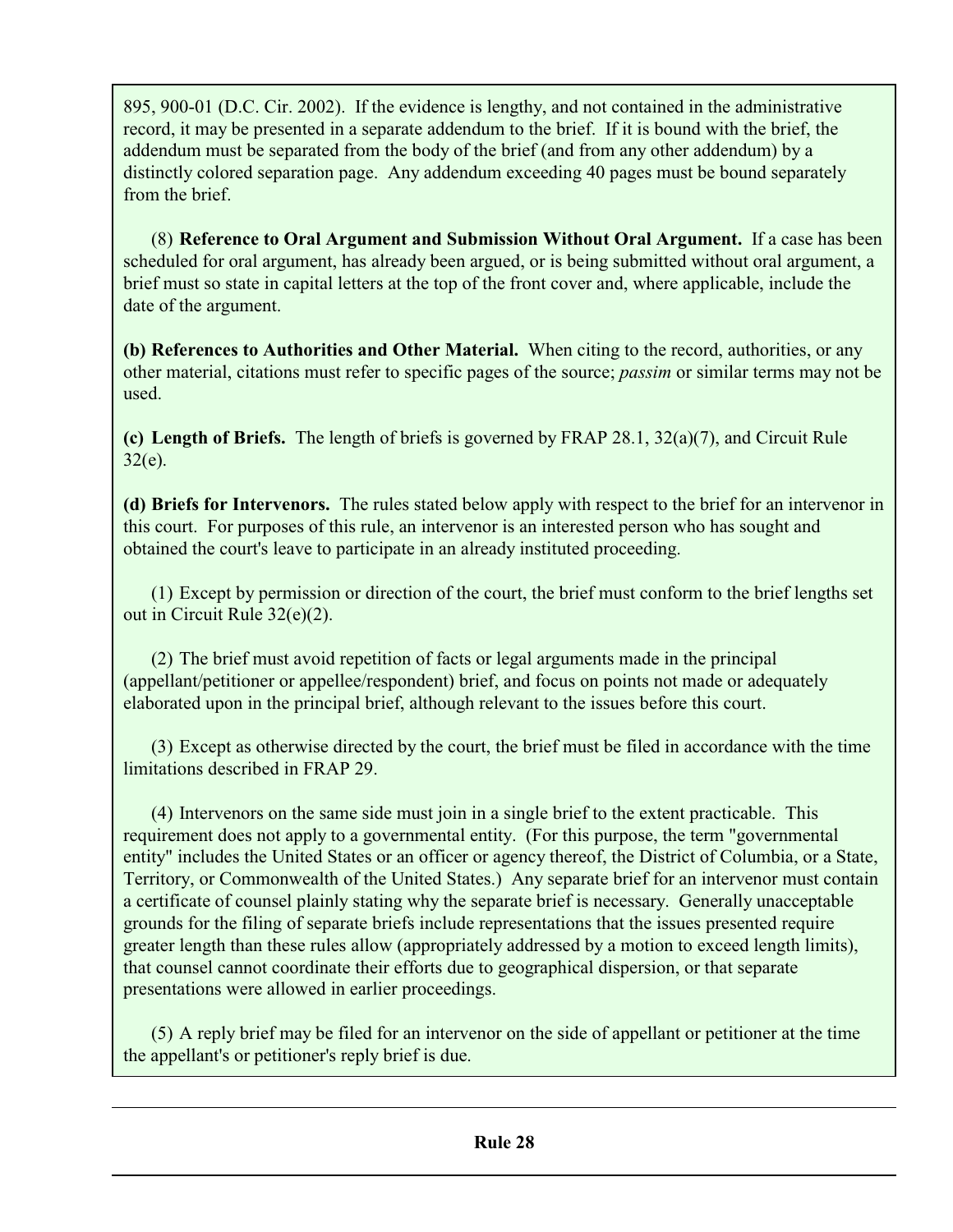895, 900-01 (D.C. Cir. 2002). If the evidence is lengthy, and not contained in the administrative record, it may be presented in a separate addendum to the brief. If it is bound with the brief, the addendum must be separated from the body of the brief (and from any other addendum) by a distinctly colored separation page. Any addendum exceeding 40 pages must be bound separately from the brief.

(8) **Reference to Oral Argument and Submission Without Oral Argument.** If a case has been scheduled for oral argument, has already been argued, or is being submitted without oral argument, a brief must so state in capital letters at the top of the front cover and, where applicable, include the date of the argument.

**(b) References to Authorities and Other Material.** When citing to the record, authorities, or any other material, citations must refer to specific pages of the source; *passim* or similar terms may not be used.

**(c) Length of Briefs.** The length of briefs is governed by FRAP 28.1, 32(a)(7), and Circuit Rule 32(e).

**(d) Briefs for Intervenors.** The rules stated below apply with respect to the brief for an intervenor in this court. For purposes of this rule, an intervenor is an interested person who has sought and obtained the court's leave to participate in an already instituted proceeding.

(1) Except by permission or direction of the court, the brief must conform to the brief lengths set out in Circuit Rule 32(e)(2).

(2) The brief must avoid repetition of facts or legal arguments made in the principal (appellant/petitioner or appellee/respondent) brief, and focus on points not made or adequately elaborated upon in the principal brief, although relevant to the issues before this court.

(3) Except as otherwise directed by the court, the brief must be filed in accordance with the time limitations described in FRAP 29.

(4) Intervenors on the same side must join in a single brief to the extent practicable. This requirement does not apply to a governmental entity. (For this purpose, the term "governmental entity" includes the United States or an officer or agency thereof, the District of Columbia, or a State, Territory, or Commonwealth of the United States.) Any separate brief for an intervenor must contain a certificate of counsel plainly stating why the separate brief is necessary. Generally unacceptable grounds for the filing of separate briefs include representations that the issues presented require greater length than these rules allow (appropriately addressed by a motion to exceed length limits), that counsel cannot coordinate their efforts due to geographical dispersion, or that separate presentations were allowed in earlier proceedings.

(5) A reply brief may be filed for an intervenor on the side of appellant or petitioner at the time the appellant's or petitioner's reply brief is due.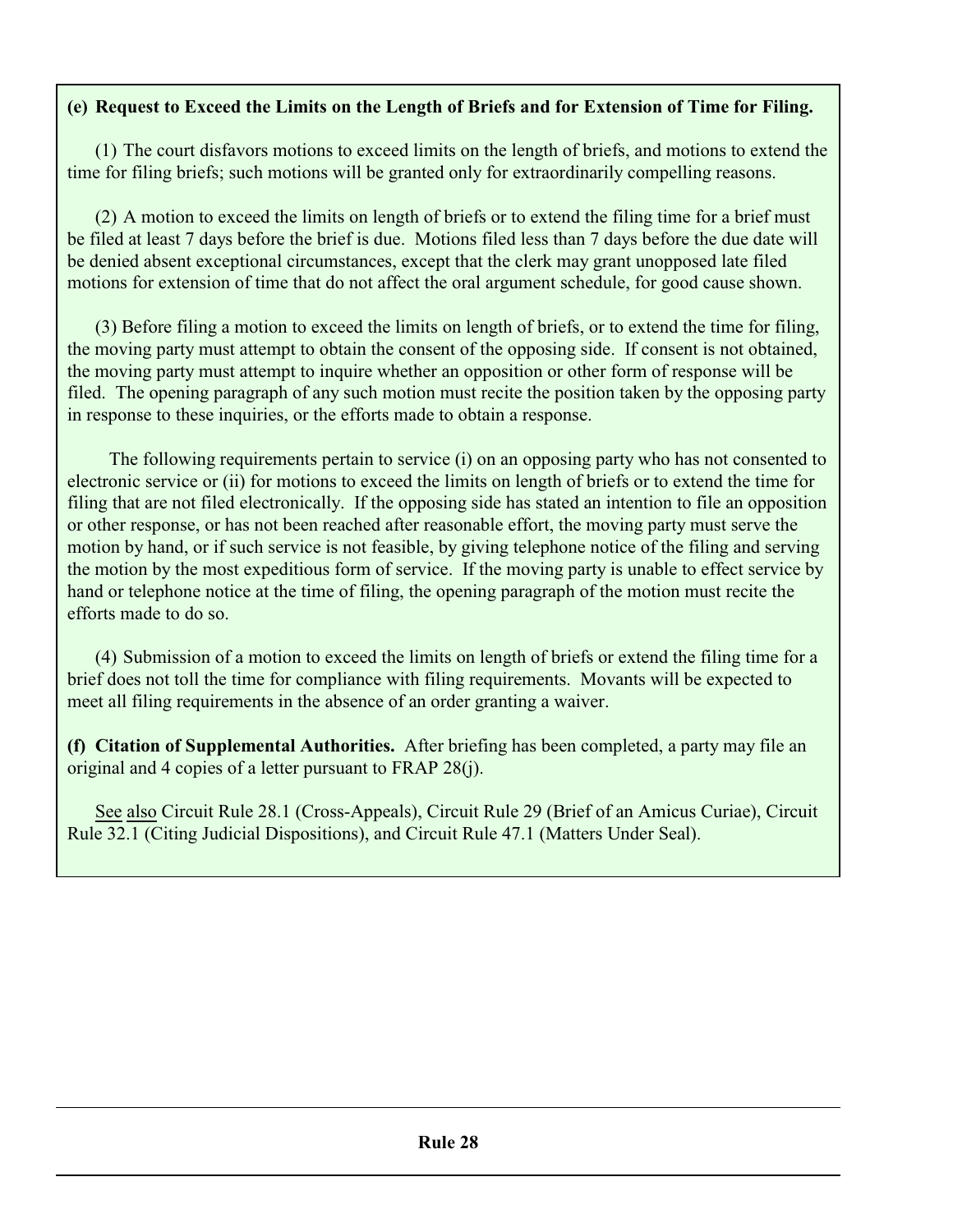## **(e) Request to Exceed the Limits on the Length of Briefs and for Extension of Time for Filing.**

(1) The court disfavors motions to exceed limits on the length of briefs, and motions to extend the time for filing briefs; such motions will be granted only for extraordinarily compelling reasons.

(2) A motion to exceed the limits on length of briefs or to extend the filing time for a brief must be filed at least 7 days before the brief is due. Motions filed less than 7 days before the due date will be denied absent exceptional circumstances, except that the clerk may grant unopposed late filed motions for extension of time that do not affect the oral argument schedule, for good cause shown.

(3) Before filing a motion to exceed the limits on length of briefs, or to extend the time for filing, the moving party must attempt to obtain the consent of the opposing side. If consent is not obtained, the moving party must attempt to inquire whether an opposition or other form of response will be filed. The opening paragraph of any such motion must recite the position taken by the opposing party in response to these inquiries, or the efforts made to obtain a response.

The following requirements pertain to service (i) on an opposing party who has not consented to electronic service or (ii) for motions to exceed the limits on length of briefs or to extend the time for filing that are not filed electronically. If the opposing side has stated an intention to file an opposition or other response, or has not been reached after reasonable effort, the moving party must serve the motion by hand, or if such service is not feasible, by giving telephone notice of the filing and serving the motion by the most expeditious form of service. If the moving party is unable to effect service by hand or telephone notice at the time of filing, the opening paragraph of the motion must recite the efforts made to do so.

(4) Submission of a motion to exceed the limits on length of briefs or extend the filing time for a brief does not toll the time for compliance with filing requirements. Movants will be expected to meet all filing requirements in the absence of an order granting a waiver.

**(f) Citation of Supplemental Authorities.** After briefing has been completed, a party may file an original and 4 copies of a letter pursuant to FRAP 28(j).

See also Circuit Rule 28.1 (Cross-Appeals), Circuit Rule 29 (Brief of an Amicus Curiae), Circuit Rule 32.1 (Citing Judicial Dispositions), and Circuit Rule 47.1 (Matters Under Seal).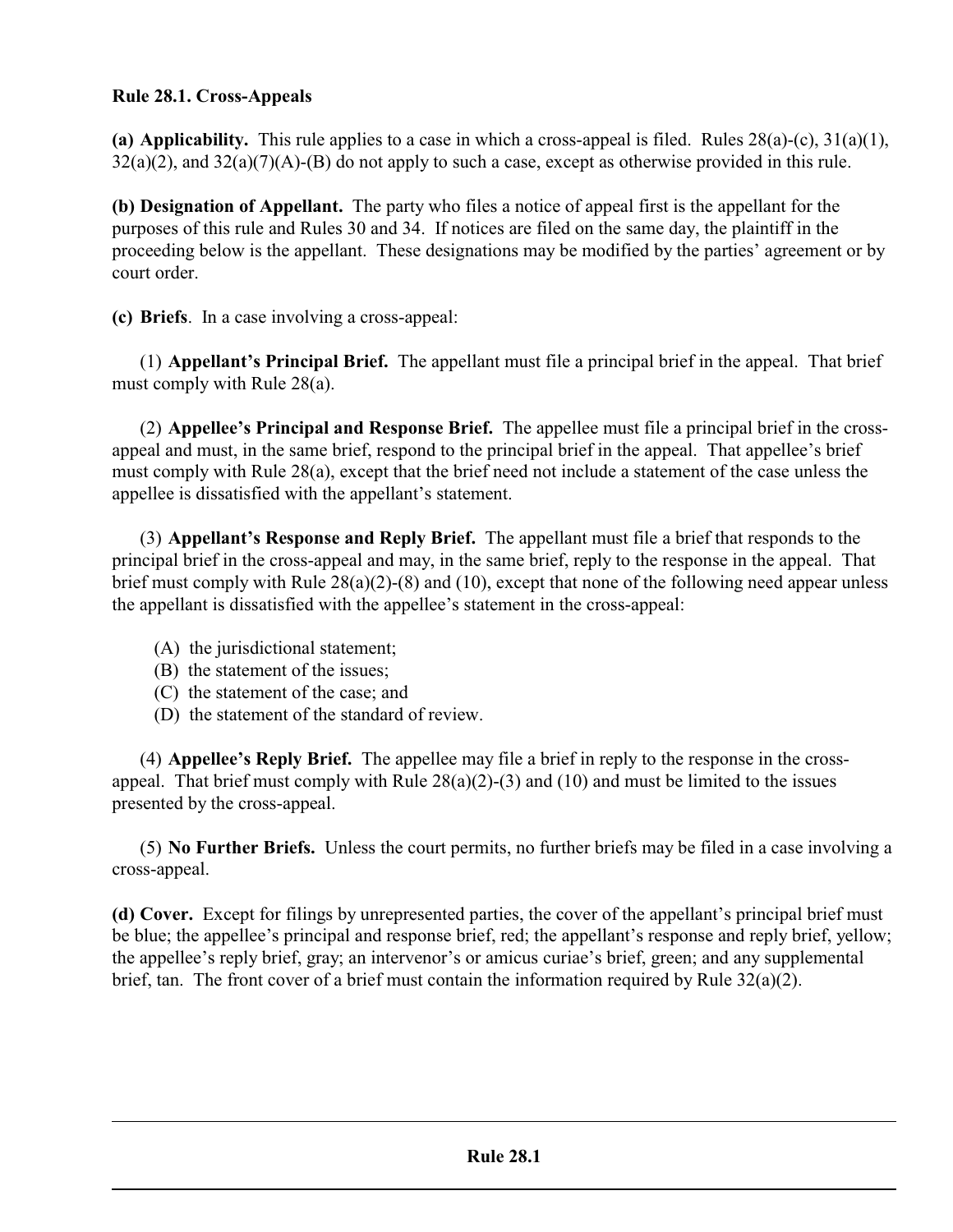#### **Rule 28.1. Cross-Appeals**

**(a) Applicability.** This rule applies to a case in which a cross-appeal is filed. Rules 28(a)-(c), 31(a)(1),  $32(a)(2)$ , and  $32(a)(7)(A)$ -(B) do not apply to such a case, except as otherwise provided in this rule.

**(b) Designation of Appellant.** The party who files a notice of appeal first is the appellant for the purposes of this rule and Rules 30 and 34. If notices are filed on the same day, the plaintiff in the proceeding below is the appellant. These designations may be modified by the parties' agreement or by court order.

**(c) Briefs**. In a case involving a cross-appeal:

(1) **Appellant's Principal Brief.** The appellant must file a principal brief in the appeal. That brief must comply with Rule 28(a).

(2) **Appellee's Principal and Response Brief.** The appellee must file a principal brief in the crossappeal and must, in the same brief, respond to the principal brief in the appeal. That appellee's brief must comply with Rule 28(a), except that the brief need not include a statement of the case unless the appellee is dissatisfied with the appellant's statement.

(3) **Appellant's Response and Reply Brief.** The appellant must file a brief that responds to the principal brief in the cross-appeal and may, in the same brief, reply to the response in the appeal. That brief must comply with Rule 28(a)(2)-(8) and (10), except that none of the following need appear unless the appellant is dissatisfied with the appellee's statement in the cross-appeal:

- (A) the jurisdictional statement;
- (B) the statement of the issues;
- (C) the statement of the case; and
- (D) the statement of the standard of review.

(4) **Appellee's Reply Brief.** The appellee may file a brief in reply to the response in the crossappeal. That brief must comply with Rule  $28(a)(2)-(3)$  and (10) and must be limited to the issues presented by the cross-appeal.

(5) **No Further Briefs.** Unless the court permits, no further briefs may be filed in a case involving a cross-appeal.

**(d) Cover.** Except for filings by unrepresented parties, the cover of the appellant's principal brief must be blue; the appellee's principal and response brief, red; the appellant's response and reply brief, yellow; the appellee's reply brief, gray; an intervenor's or amicus curiae's brief, green; and any supplemental brief, tan. The front cover of a brief must contain the information required by Rule 32(a)(2).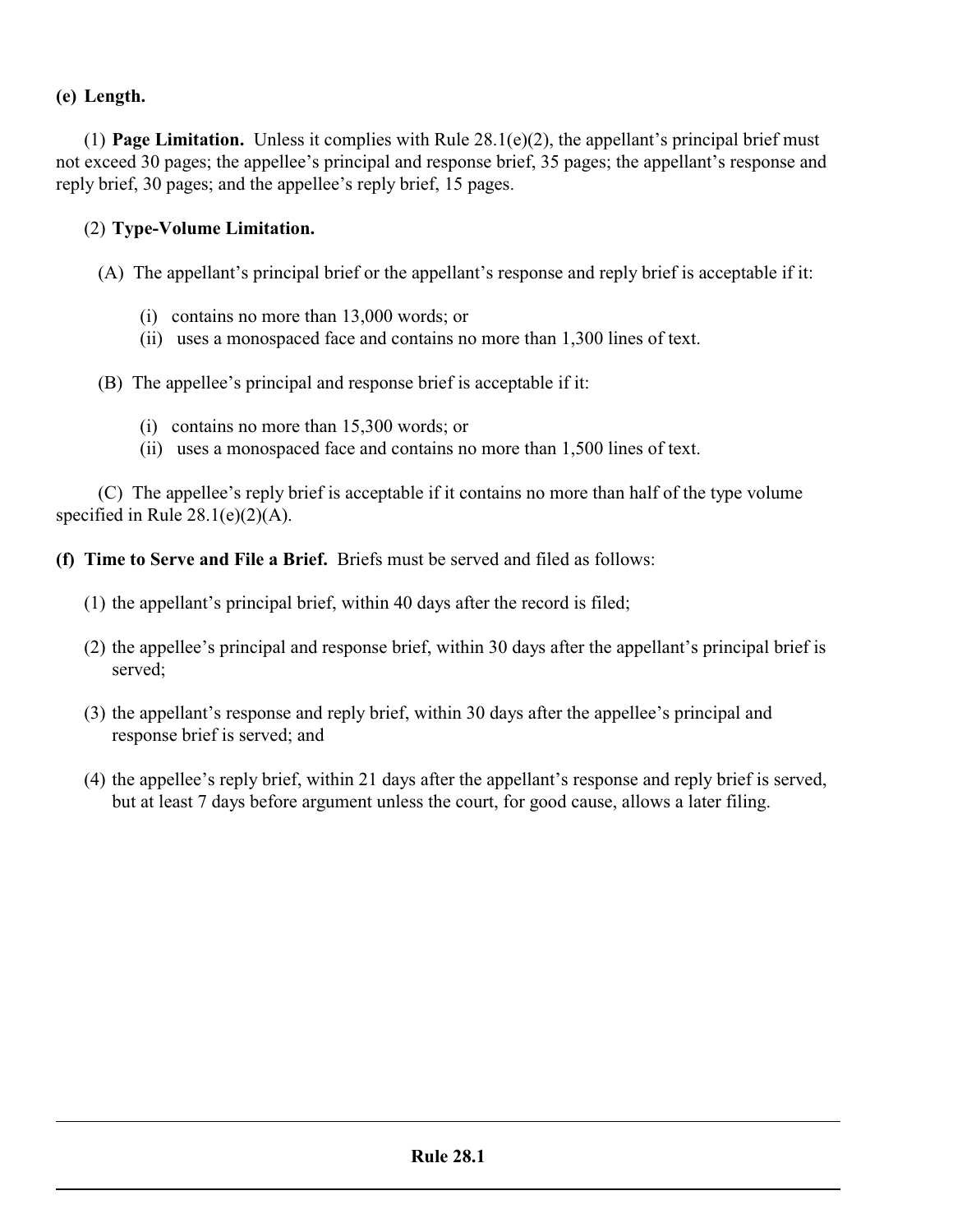# **(e) Length.**

(1) **Page Limitation.** Unless it complies with Rule 28.1(e)(2), the appellant's principal brief must not exceed 30 pages; the appellee's principal and response brief, 35 pages; the appellant's response and reply brief, 30 pages; and the appellee's reply brief, 15 pages.

## (2) **Type-Volume Limitation.**

- (A) The appellant's principal brief or the appellant's response and reply brief is acceptable if it:
	- (i) contains no more than 13,000 words; or
	- (ii) uses a monospaced face and contains no more than 1,300 lines of text.
- (B) The appellee's principal and response brief is acceptable if it:
	- (i) contains no more than 15,300 words; or
	- (ii) uses a monospaced face and contains no more than 1,500 lines of text.

(C) The appellee's reply brief is acceptable if it contains no more than half of the type volume specified in Rule  $28.1(e)(2)(A)$ .

**(f) Time to Serve and File a Brief.** Briefs must be served and filed as follows:

- (1) the appellant's principal brief, within 40 days after the record is filed;
- (2) the appellee's principal and response brief, within 30 days after the appellant's principal brief is served;
- (3) the appellant's response and reply brief, within 30 days after the appellee's principal and response brief is served; and
- (4) the appellee's reply brief, within 21 days after the appellant's response and reply brief is served, but at least 7 days before argument unless the court, for good cause, allows a later filing.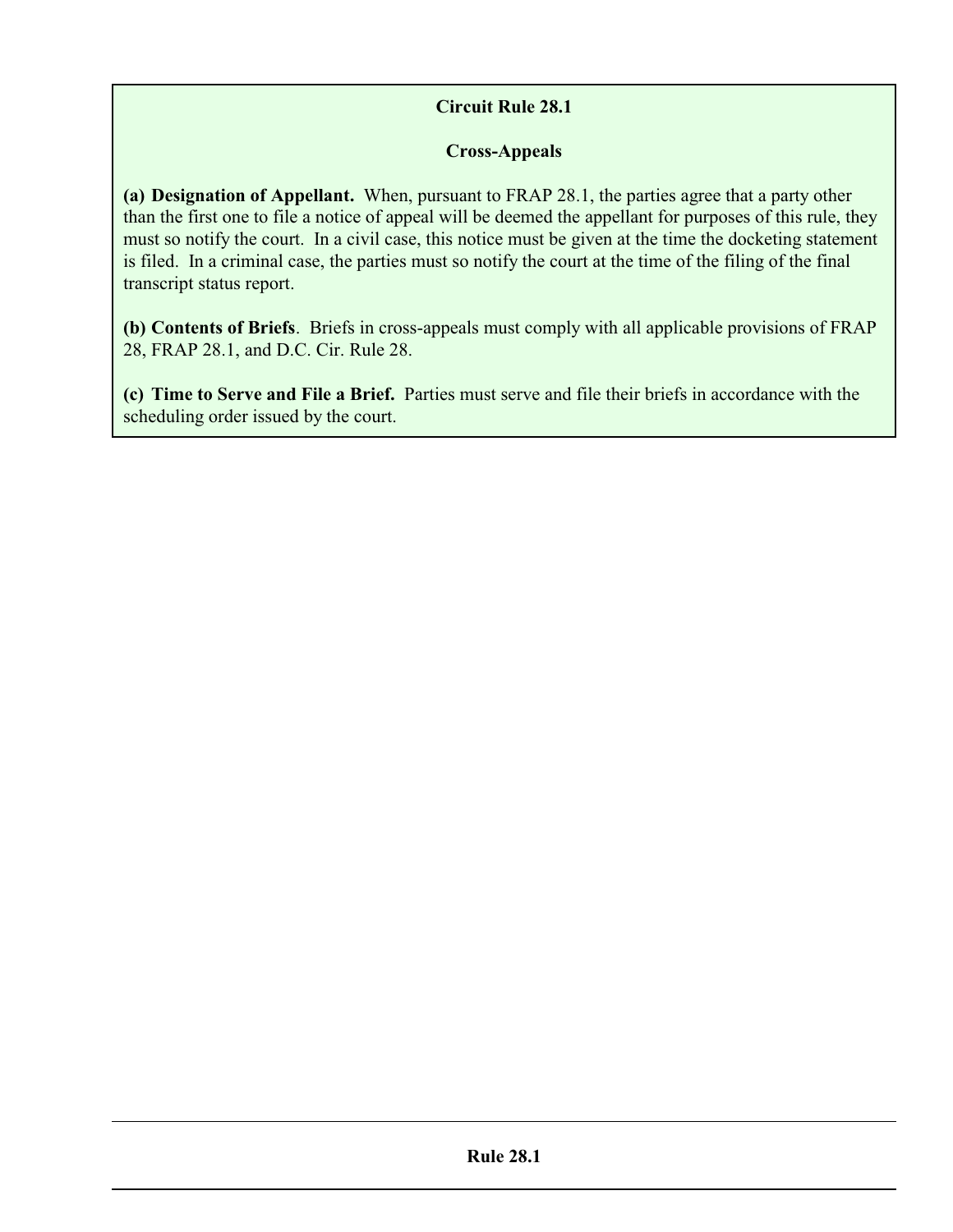# **Circuit Rule 28.1**

### **Cross-Appeals**

**(a) Designation of Appellant.** When, pursuant to FRAP 28.1, the parties agree that a party other than the first one to file a notice of appeal will be deemed the appellant for purposes of this rule, they must so notify the court. In a civil case, this notice must be given at the time the docketing statement is filed. In a criminal case, the parties must so notify the court at the time of the filing of the final transcript status report.

**(b) Contents of Briefs**. Briefs in cross-appeals must comply with all applicable provisions of FRAP 28, FRAP 28.1, and D.C. Cir. Rule 28.

**(c) Time to Serve and File a Brief.** Parties must serve and file their briefs in accordance with the scheduling order issued by the court.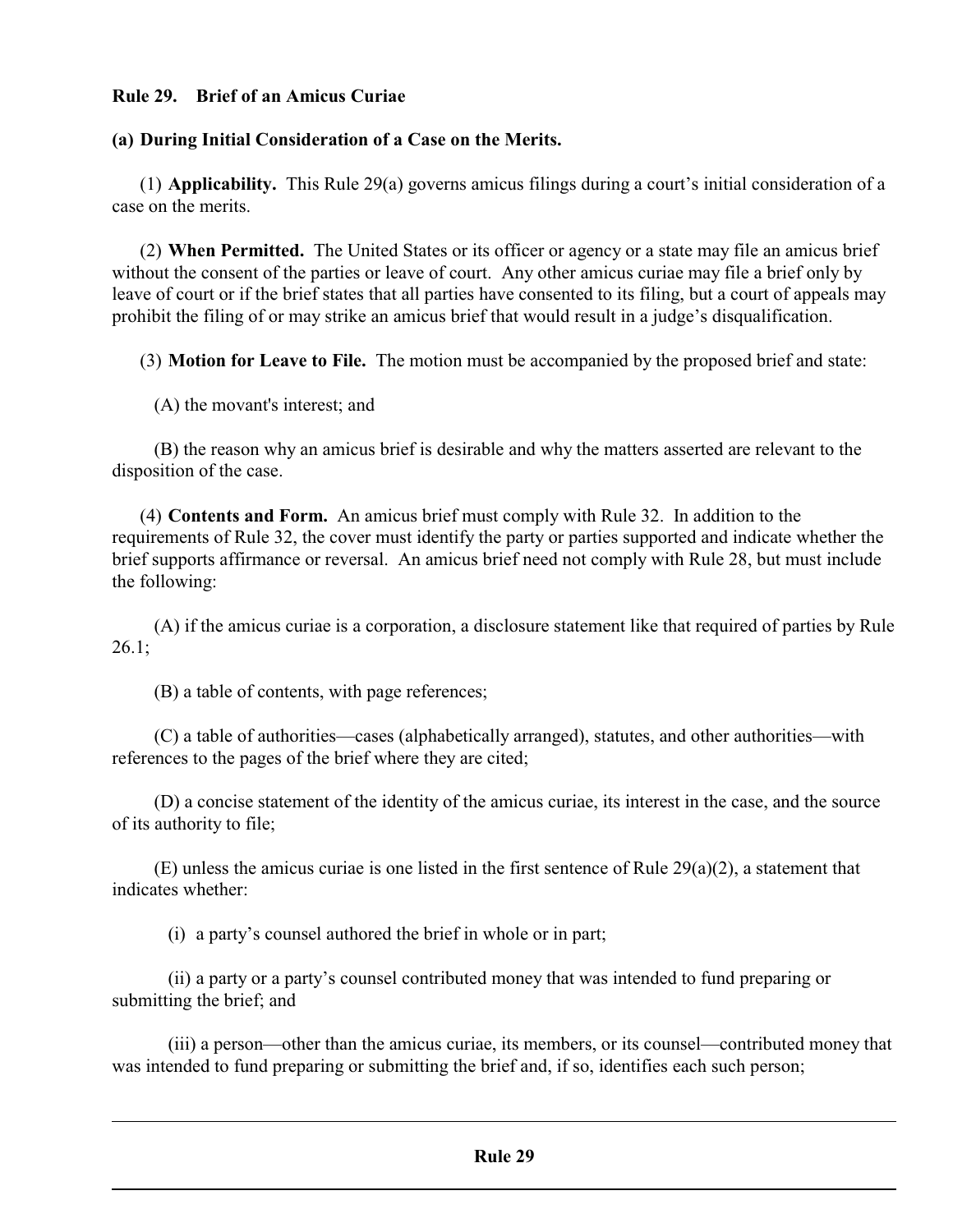#### **Rule 29. Brief of an Amicus Curiae**

#### **(a) During Initial Consideration of a Case on the Merits.**

(1) **Applicability.** This Rule 29(a) governs amicus filings during a court's initial consideration of a case on the merits.

(2) **When Permitted.** The United States or its officer or agency or a state may file an amicus brief without the consent of the parties or leave of court. Any other amicus curiae may file a brief only by leave of court or if the brief states that all parties have consented to its filing, but a court of appeals may prohibit the filing of or may strike an amicus brief that would result in a judge's disqualification.

(3) **Motion for Leave to File.** The motion must be accompanied by the proposed brief and state:

(A) the movant's interest; and

(B) the reason why an amicus brief is desirable and why the matters asserted are relevant to the disposition of the case.

(4) **Contents and Form.** An amicus brief must comply with Rule 32. In addition to the requirements of Rule 32, the cover must identify the party or parties supported and indicate whether the brief supports affirmance or reversal. An amicus brief need not comply with Rule 28, but must include the following:

(A) if the amicus curiae is a corporation, a disclosure statement like that required of parties by Rule  $26.1$ ;

(B) a table of contents, with page references;

(C) a table of authorities—cases (alphabetically arranged), statutes, and other authorities—with references to the pages of the brief where they are cited;

(D) a concise statement of the identity of the amicus curiae, its interest in the case, and the source of its authority to file;

(E) unless the amicus curiae is one listed in the first sentence of Rule  $29(a)(2)$ , a statement that indicates whether:

(i) a party's counsel authored the brief in whole or in part;

(ii) a party or a party's counsel contributed money that was intended to fund preparing or submitting the brief; and

(iii) a person—other than the amicus curiae, its members, or its counsel—contributed money that was intended to fund preparing or submitting the brief and, if so, identifies each such person;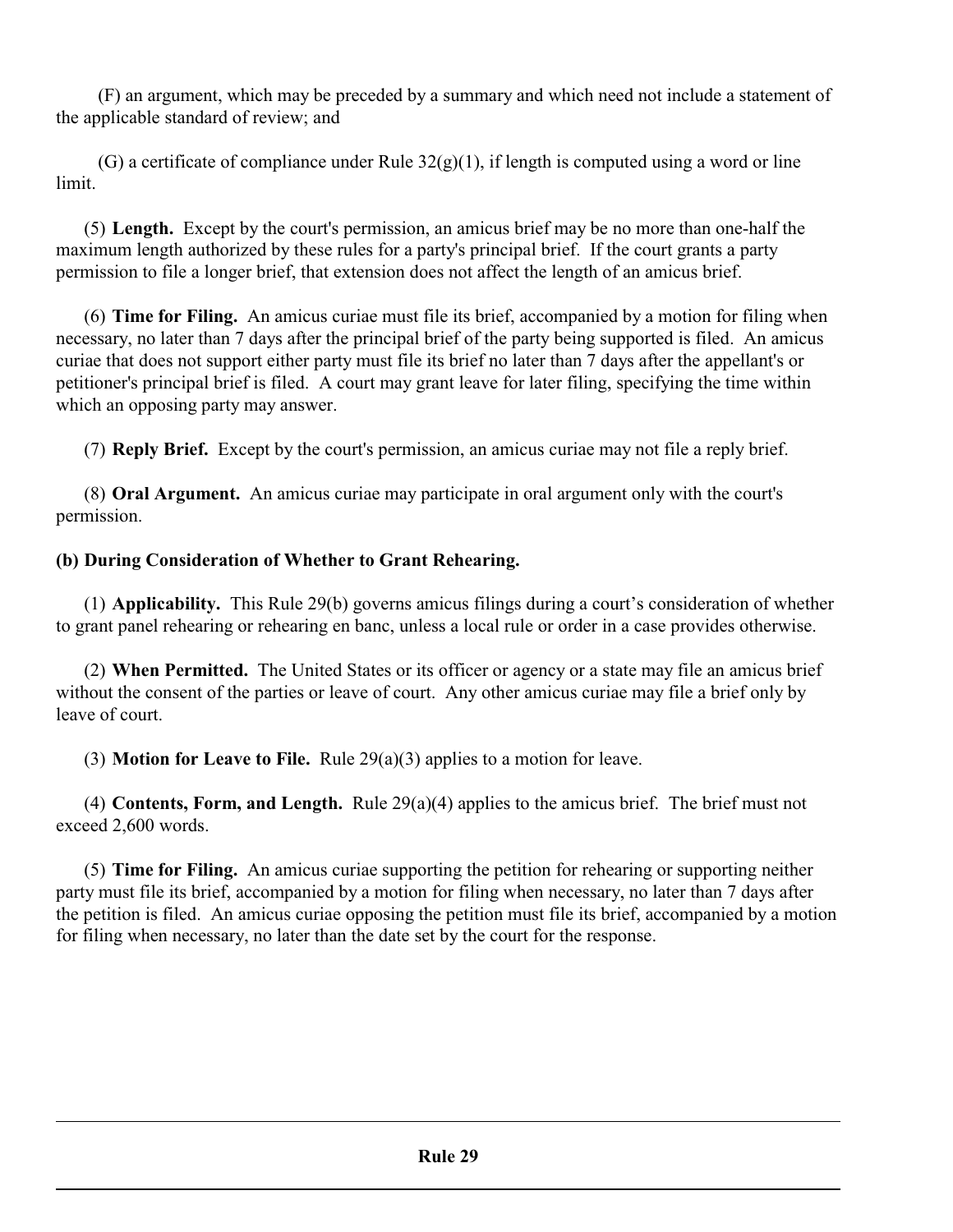(F) an argument, which may be preceded by a summary and which need not include a statement of the applicable standard of review; and

(G) a certificate of compliance under Rule  $32(g)(1)$ , if length is computed using a word or line limit.

(5) **Length.** Except by the court's permission, an amicus brief may be no more than one-half the maximum length authorized by these rules for a party's principal brief. If the court grants a party permission to file a longer brief, that extension does not affect the length of an amicus brief.

(6) **Time for Filing.** An amicus curiae must file its brief, accompanied by a motion for filing when necessary, no later than 7 days after the principal brief of the party being supported is filed. An amicus curiae that does not support either party must file its brief no later than 7 days after the appellant's or petitioner's principal brief is filed. A court may grant leave for later filing, specifying the time within which an opposing party may answer.

(7) **Reply Brief.** Except by the court's permission, an amicus curiae may not file a reply brief.

(8) **Oral Argument.** An amicus curiae may participate in oral argument only with the court's permission.

# **(b) During Consideration of Whether to Grant Rehearing.**

(1) **Applicability.** This Rule 29(b) governs amicus filings during a court's consideration of whether to grant panel rehearing or rehearing en banc, unless a local rule or order in a case provides otherwise.

(2) **When Permitted.** The United States or its officer or agency or a state may file an amicus brief without the consent of the parties or leave of court. Any other amicus curiae may file a brief only by leave of court.

(3) **Motion for Leave to File.** Rule 29(a)(3) applies to a motion for leave.

(4) **Contents, Form, and Length.** Rule 29(a)(4) applies to the amicus brief. The brief must not exceed 2,600 words.

(5) **Time for Filing.** An amicus curiae supporting the petition for rehearing or supporting neither party must file its brief, accompanied by a motion for filing when necessary, no later than 7 days after the petition is filed. An amicus curiae opposing the petition must file its brief, accompanied by a motion for filing when necessary, no later than the date set by the court for the response.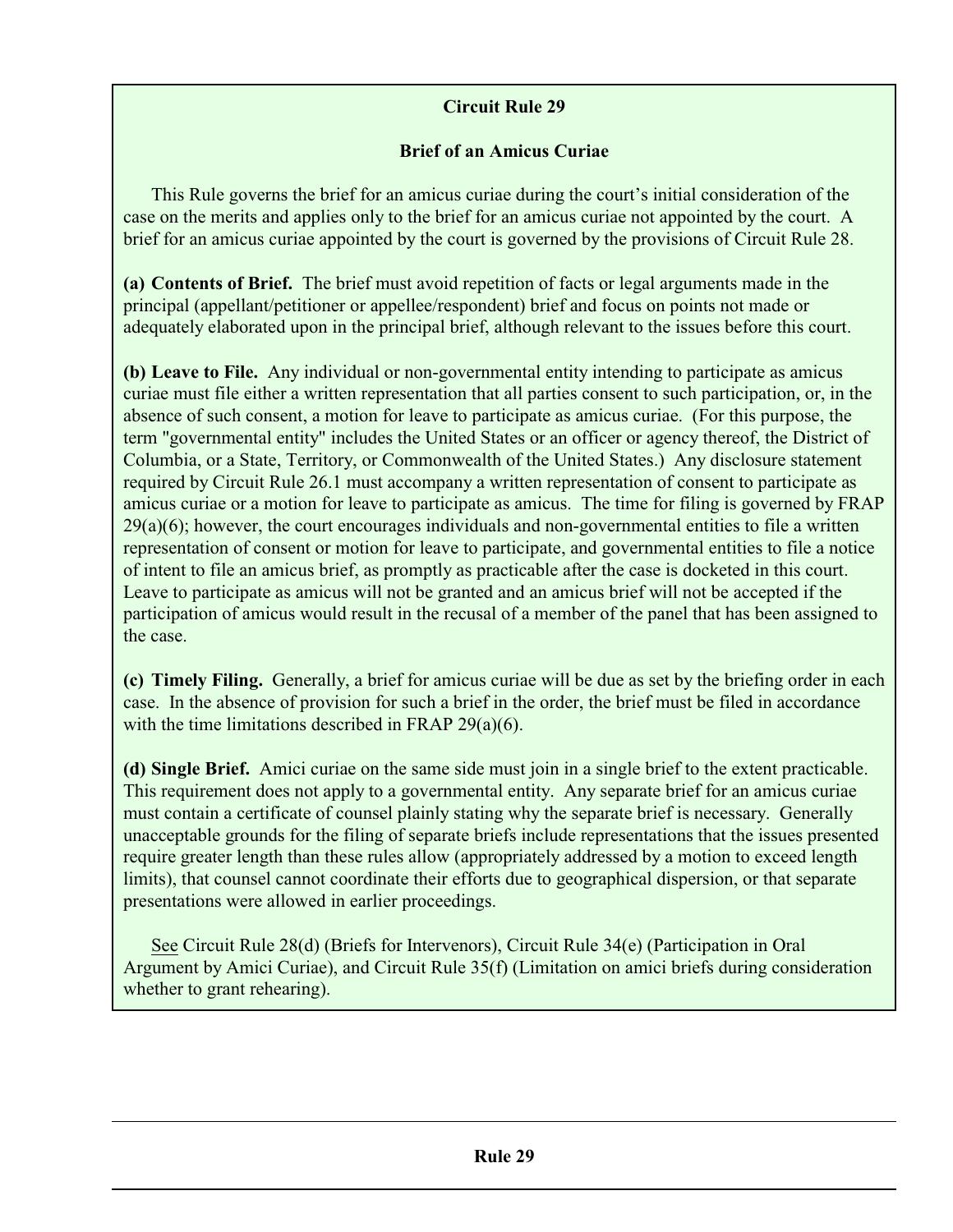# **Circuit Rule 29**

# **Brief of an Amicus Curiae**

This Rule governs the brief for an amicus curiae during the court's initial consideration of the case on the merits and applies only to the brief for an amicus curiae not appointed by the court. A brief for an amicus curiae appointed by the court is governed by the provisions of Circuit Rule 28.

**(a) Contents of Brief.** The brief must avoid repetition of facts or legal arguments made in the principal (appellant/petitioner or appellee/respondent) brief and focus on points not made or adequately elaborated upon in the principal brief, although relevant to the issues before this court.

**(b) Leave to File.** Any individual or non-governmental entity intending to participate as amicus curiae must file either a written representation that all parties consent to such participation, or, in the absence of such consent, a motion for leave to participate as amicus curiae. (For this purpose, the term "governmental entity" includes the United States or an officer or agency thereof, the District of Columbia, or a State, Territory, or Commonwealth of the United States.) Any disclosure statement required by Circuit Rule 26.1 must accompany a written representation of consent to participate as amicus curiae or a motion for leave to participate as amicus. The time for filing is governed by FRAP 29(a)(6); however, the court encourages individuals and non-governmental entities to file a written representation of consent or motion for leave to participate, and governmental entities to file a notice of intent to file an amicus brief, as promptly as practicable after the case is docketed in this court. Leave to participate as amicus will not be granted and an amicus brief will not be accepted if the participation of amicus would result in the recusal of a member of the panel that has been assigned to the case.

**(c) Timely Filing.** Generally, a brief for amicus curiae will be due as set by the briefing order in each case. In the absence of provision for such a brief in the order, the brief must be filed in accordance with the time limitations described in FRAP 29(a)(6).

**(d) Single Brief.** Amici curiae on the same side must join in a single brief to the extent practicable. This requirement does not apply to a governmental entity. Any separate brief for an amicus curiae must contain a certificate of counsel plainly stating why the separate brief is necessary. Generally unacceptable grounds for the filing of separate briefs include representations that the issues presented require greater length than these rules allow (appropriately addressed by a motion to exceed length limits), that counsel cannot coordinate their efforts due to geographical dispersion, or that separate presentations were allowed in earlier proceedings.

See Circuit Rule 28(d) (Briefs for Intervenors), Circuit Rule 34(e) (Participation in Oral Argument by Amici Curiae), and Circuit Rule 35(f) (Limitation on amici briefs during consideration whether to grant rehearing).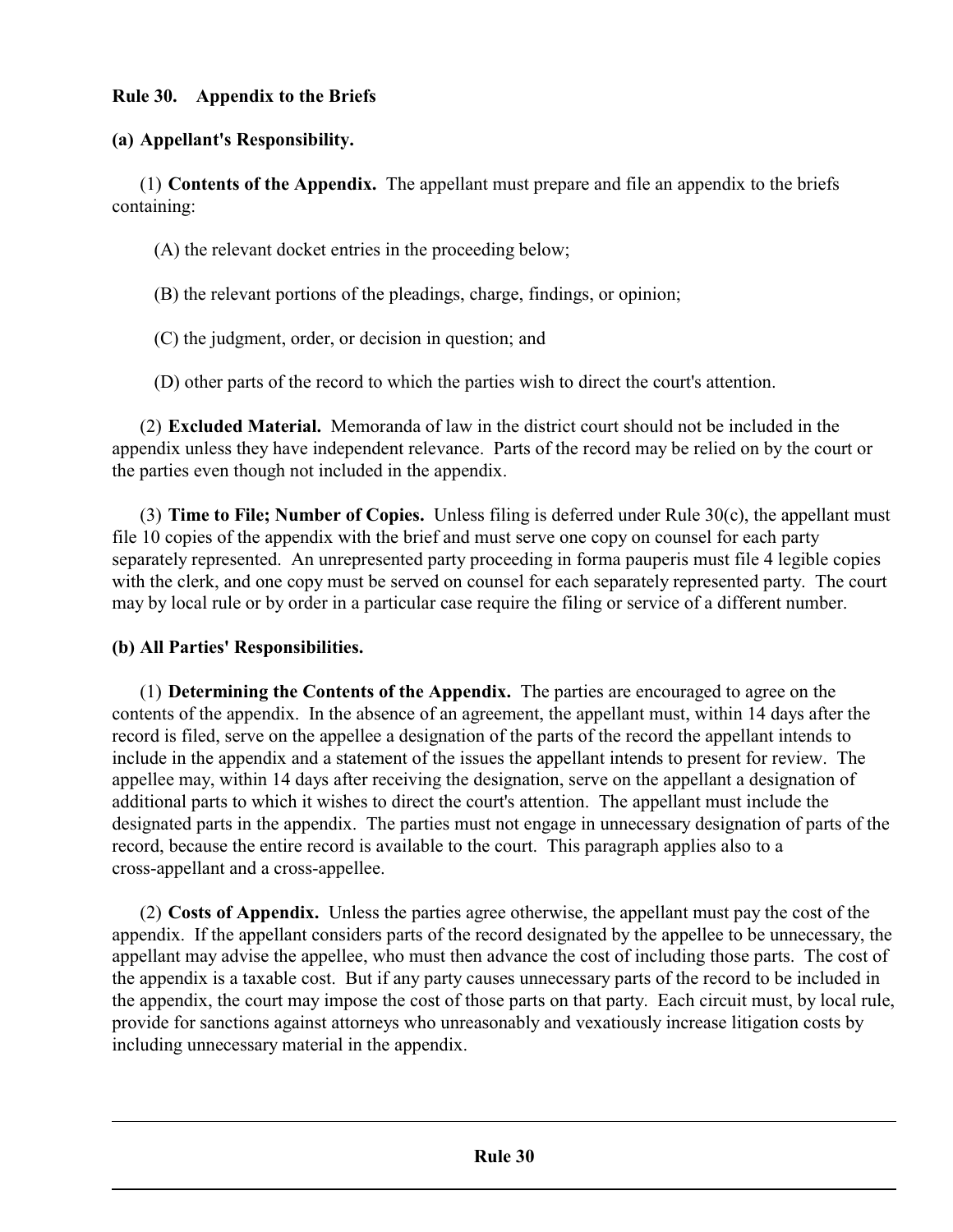#### **Rule 30. Appendix to the Briefs**

# **(a) Appellant's Responsibility.**

(1) **Contents of the Appendix.** The appellant must prepare and file an appendix to the briefs containing:

(A) the relevant docket entries in the proceeding below;

(B) the relevant portions of the pleadings, charge, findings, or opinion;

(C) the judgment, order, or decision in question; and

(D) other parts of the record to which the parties wish to direct the court's attention.

(2) **Excluded Material.** Memoranda of law in the district court should not be included in the appendix unless they have independent relevance. Parts of the record may be relied on by the court or the parties even though not included in the appendix.

(3) **Time to File; Number of Copies.** Unless filing is deferred under Rule 30(c), the appellant must file 10 copies of the appendix with the brief and must serve one copy on counsel for each party separately represented. An unrepresented party proceeding in forma pauperis must file 4 legible copies with the clerk, and one copy must be served on counsel for each separately represented party. The court may by local rule or by order in a particular case require the filing or service of a different number.

# **(b) All Parties' Responsibilities.**

(1) **Determining the Contents of the Appendix.** The parties are encouraged to agree on the contents of the appendix. In the absence of an agreement, the appellant must, within 14 days after the record is filed, serve on the appellee a designation of the parts of the record the appellant intends to include in the appendix and a statement of the issues the appellant intends to present for review. The appellee may, within 14 days after receiving the designation, serve on the appellant a designation of additional parts to which it wishes to direct the court's attention. The appellant must include the designated parts in the appendix. The parties must not engage in unnecessary designation of parts of the record, because the entire record is available to the court. This paragraph applies also to a cross-appellant and a cross-appellee.

(2) **Costs of Appendix.** Unless the parties agree otherwise, the appellant must pay the cost of the appendix. If the appellant considers parts of the record designated by the appellee to be unnecessary, the appellant may advise the appellee, who must then advance the cost of including those parts. The cost of the appendix is a taxable cost. But if any party causes unnecessary parts of the record to be included in the appendix, the court may impose the cost of those parts on that party. Each circuit must, by local rule, provide for sanctions against attorneys who unreasonably and vexatiously increase litigation costs by including unnecessary material in the appendix.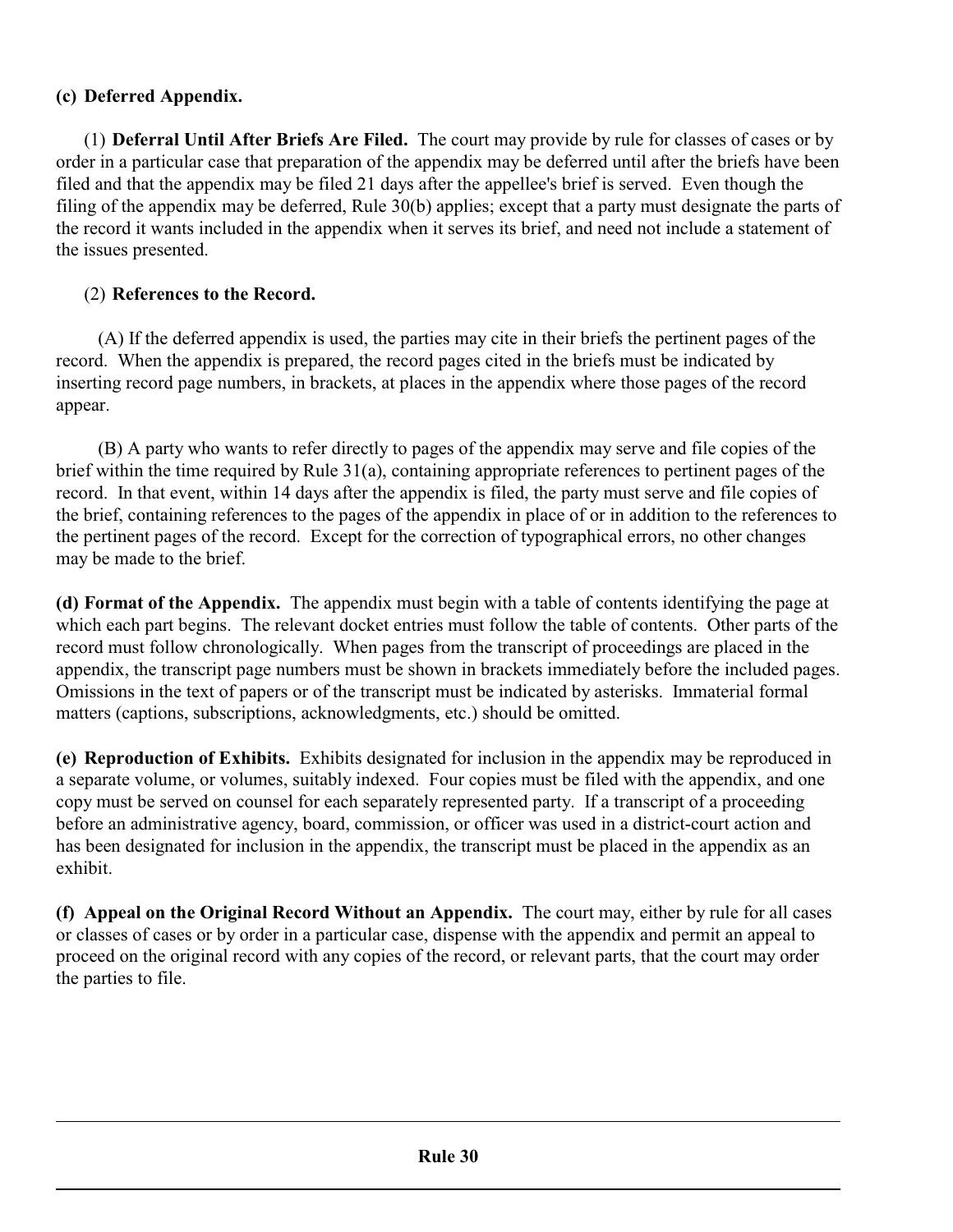# **(c) Deferred Appendix.**

(1) **Deferral Until After Briefs Are Filed.** The court may provide by rule for classes of cases or by order in a particular case that preparation of the appendix may be deferred until after the briefs have been filed and that the appendix may be filed 21 days after the appellee's brief is served. Even though the filing of the appendix may be deferred, Rule 30(b) applies; except that a party must designate the parts of the record it wants included in the appendix when it serves its brief, and need not include a statement of the issues presented.

## (2) **References to the Record.**

(A) If the deferred appendix is used, the parties may cite in their briefs the pertinent pages of the record. When the appendix is prepared, the record pages cited in the briefs must be indicated by inserting record page numbers, in brackets, at places in the appendix where those pages of the record appear.

(B) A party who wants to refer directly to pages of the appendix may serve and file copies of the brief within the time required by Rule 31(a), containing appropriate references to pertinent pages of the record. In that event, within 14 days after the appendix is filed, the party must serve and file copies of the brief, containing references to the pages of the appendix in place of or in addition to the references to the pertinent pages of the record. Except for the correction of typographical errors, no other changes may be made to the brief.

**(d) Format of the Appendix.** The appendix must begin with a table of contents identifying the page at which each part begins. The relevant docket entries must follow the table of contents. Other parts of the record must follow chronologically. When pages from the transcript of proceedings are placed in the appendix, the transcript page numbers must be shown in brackets immediately before the included pages. Omissions in the text of papers or of the transcript must be indicated by asterisks. Immaterial formal matters (captions, subscriptions, acknowledgments, etc.) should be omitted.

**(e) Reproduction of Exhibits.** Exhibits designated for inclusion in the appendix may be reproduced in a separate volume, or volumes, suitably indexed. Four copies must be filed with the appendix, and one copy must be served on counsel for each separately represented party. If a transcript of a proceeding before an administrative agency, board, commission, or officer was used in a district-court action and has been designated for inclusion in the appendix, the transcript must be placed in the appendix as an exhibit.

**(f) Appeal on the Original Record Without an Appendix.** The court may, either by rule for all cases or classes of cases or by order in a particular case, dispense with the appendix and permit an appeal to proceed on the original record with any copies of the record, or relevant parts, that the court may order the parties to file.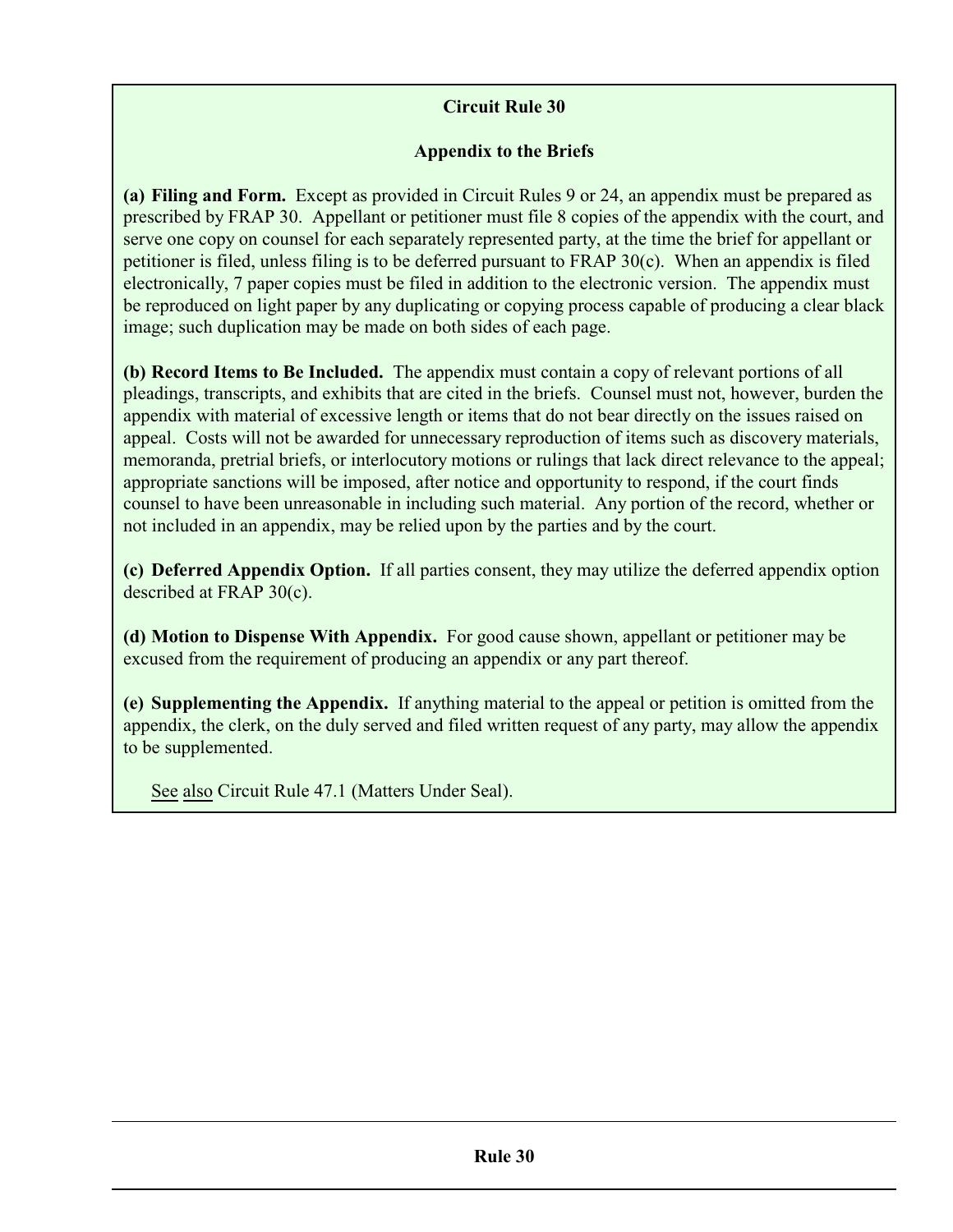# **Circuit Rule 30**

#### **Appendix to the Briefs**

**(a) Filing and Form.** Except as provided in Circuit Rules 9 or 24, an appendix must be prepared as prescribed by FRAP 30. Appellant or petitioner must file 8 copies of the appendix with the court, and serve one copy on counsel for each separately represented party, at the time the brief for appellant or petitioner is filed, unless filing is to be deferred pursuant to FRAP 30(c). When an appendix is filed electronically, 7 paper copies must be filed in addition to the electronic version. The appendix must be reproduced on light paper by any duplicating or copying process capable of producing a clear black image; such duplication may be made on both sides of each page.

**(b) Record Items to Be Included.** The appendix must contain a copy of relevant portions of all pleadings, transcripts, and exhibits that are cited in the briefs. Counsel must not, however, burden the appendix with material of excessive length or items that do not bear directly on the issues raised on appeal. Costs will not be awarded for unnecessary reproduction of items such as discovery materials, memoranda, pretrial briefs, or interlocutory motions or rulings that lack direct relevance to the appeal; appropriate sanctions will be imposed, after notice and opportunity to respond, if the court finds counsel to have been unreasonable in including such material. Any portion of the record, whether or not included in an appendix, may be relied upon by the parties and by the court.

**(c) Deferred Appendix Option.** If all parties consent, they may utilize the deferred appendix option described at FRAP 30(c).

**(d) Motion to Dispense With Appendix.** For good cause shown, appellant or petitioner may be excused from the requirement of producing an appendix or any part thereof.

**(e) Supplementing the Appendix.** If anything material to the appeal or petition is omitted from the appendix, the clerk, on the duly served and filed written request of any party, may allow the appendix to be supplemented.

See also Circuit Rule 47.1 (Matters Under Seal).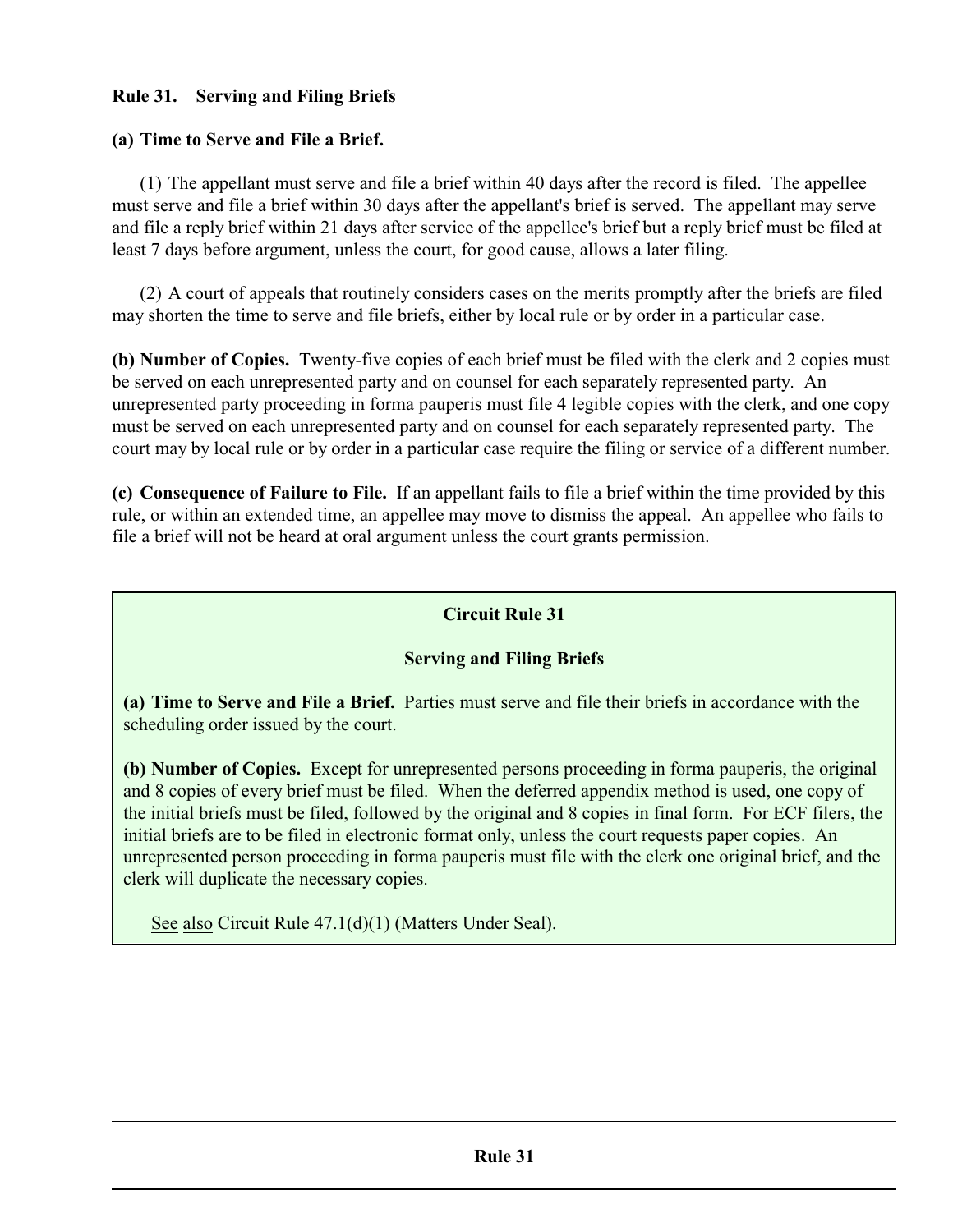### **Rule 31. Serving and Filing Briefs**

### **(a) Time to Serve and File a Brief.**

(1) The appellant must serve and file a brief within 40 days after the record is filed. The appellee must serve and file a brief within 30 days after the appellant's brief is served. The appellant may serve and file a reply brief within 21 days after service of the appellee's brief but a reply brief must be filed at least 7 days before argument, unless the court, for good cause, allows a later filing.

(2) A court of appeals that routinely considers cases on the merits promptly after the briefs are filed may shorten the time to serve and file briefs, either by local rule or by order in a particular case.

**(b) Number of Copies.** Twenty-five copies of each brief must be filed with the clerk and 2 copies must be served on each unrepresented party and on counsel for each separately represented party. An unrepresented party proceeding in forma pauperis must file 4 legible copies with the clerk, and one copy must be served on each unrepresented party and on counsel for each separately represented party. The court may by local rule or by order in a particular case require the filing or service of a different number.

**(c) Consequence of Failure to File.** If an appellant fails to file a brief within the time provided by this rule, or within an extended time, an appellee may move to dismiss the appeal. An appellee who fails to file a brief will not be heard at oral argument unless the court grants permission.

# **Circuit Rule 31**

# **Serving and Filing Briefs**

**(a) Time to Serve and File a Brief.** Parties must serve and file their briefs in accordance with the scheduling order issued by the court.

**(b) Number of Copies.** Except for unrepresented persons proceeding in forma pauperis, the original and 8 copies of every brief must be filed. When the deferred appendix method is used, one copy of the initial briefs must be filed, followed by the original and 8 copies in final form. For ECF filers, the initial briefs are to be filed in electronic format only, unless the court requests paper copies. An unrepresented person proceeding in forma pauperis must file with the clerk one original brief, and the clerk will duplicate the necessary copies.

See also Circuit Rule 47.1(d)(1) (Matters Under Seal).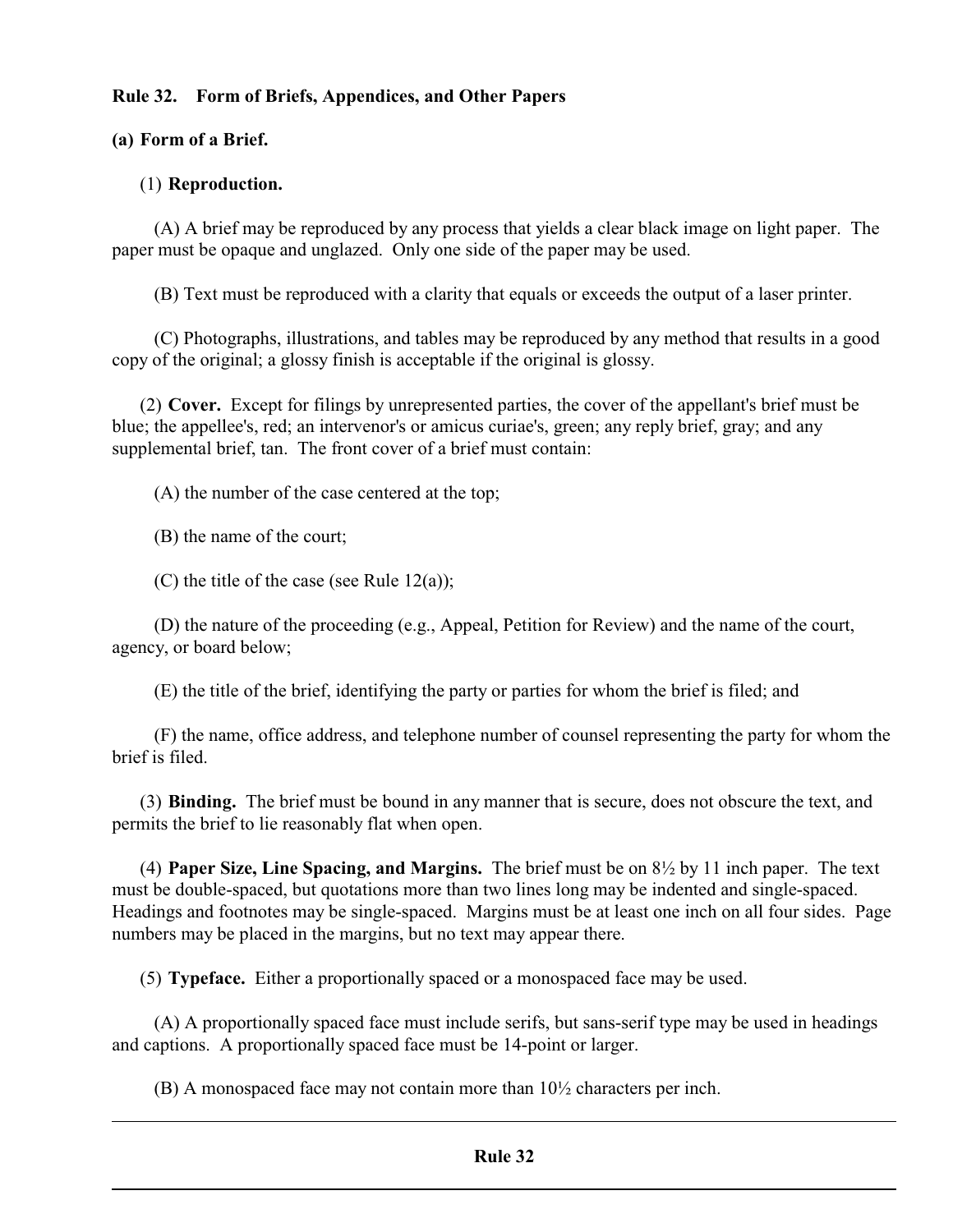### **Rule 32. Form of Briefs, Appendices, and Other Papers**

### **(a) Form of a Brief.**

### (1) **Reproduction.**

(A) A brief may be reproduced by any process that yields a clear black image on light paper. The paper must be opaque and unglazed. Only one side of the paper may be used.

(B) Text must be reproduced with a clarity that equals or exceeds the output of a laser printer.

(C) Photographs, illustrations, and tables may be reproduced by any method that results in a good copy of the original; a glossy finish is acceptable if the original is glossy.

(2) **Cover.** Except for filings by unrepresented parties, the cover of the appellant's brief must be blue; the appellee's, red; an intervenor's or amicus curiae's, green; any reply brief, gray; and any supplemental brief, tan. The front cover of a brief must contain:

(A) the number of the case centered at the top;

(B) the name of the court;

(C) the title of the case (see Rule  $12(a)$ );

(D) the nature of the proceeding (e.g., Appeal, Petition for Review) and the name of the court, agency, or board below;

(E) the title of the brief, identifying the party or parties for whom the brief is filed; and

(F) the name, office address, and telephone number of counsel representing the party for whom the brief is filed.

(3) **Binding.** The brief must be bound in any manner that is secure, does not obscure the text, and permits the brief to lie reasonably flat when open.

(4) **Paper Size, Line Spacing, and Margins.** The brief must be on 8½ by 11 inch paper. The text must be double-spaced, but quotations more than two lines long may be indented and single-spaced. Headings and footnotes may be single-spaced. Margins must be at least one inch on all four sides. Page numbers may be placed in the margins, but no text may appear there.

(5) **Typeface.** Either a proportionally spaced or a monospaced face may be used.

(A) A proportionally spaced face must include serifs, but sans-serif type may be used in headings and captions. A proportionally spaced face must be 14-point or larger.

(B) A monospaced face may not contain more than 10½ characters per inch.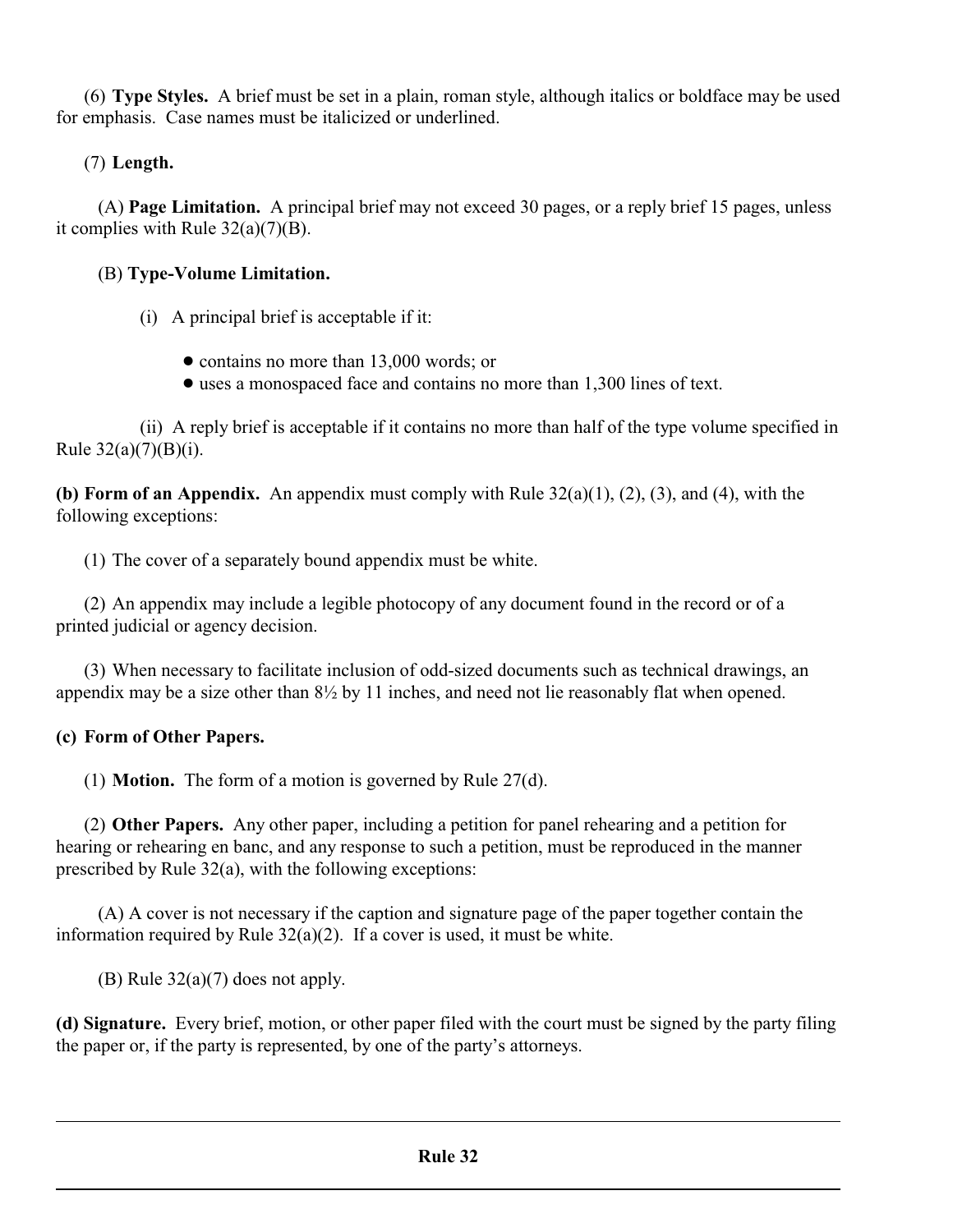(6) **Type Styles.** A brief must be set in a plain, roman style, although italics or boldface may be used for emphasis. Case names must be italicized or underlined.

# (7) **Length.**

(A) **Page Limitation.** A principal brief may not exceed 30 pages, or a reply brief 15 pages, unless it complies with Rule 32(a)(7)(B).

# (B) **Type-Volume Limitation.**

- (i) A principal brief is acceptable if it:
	- contains no more than 13,000 words; or
	- ! uses a monospaced face and contains no more than 1,300 lines of text.

(ii) A reply brief is acceptable if it contains no more than half of the type volume specified in Rule  $32(a)(7)(B)(i)$ .

**(b) Form of an Appendix.** An appendix must comply with Rule 32(a)(1), (2), (3), and (4), with the following exceptions:

(1) The cover of a separately bound appendix must be white.

(2) An appendix may include a legible photocopy of any document found in the record or of a printed judicial or agency decision.

(3) When necessary to facilitate inclusion of odd-sized documents such as technical drawings, an appendix may be a size other than 8½ by 11 inches, and need not lie reasonably flat when opened.

# **(c) Form of Other Papers.**

(1) **Motion.** The form of a motion is governed by Rule 27(d).

(2) **Other Papers.** Any other paper, including a petition for panel rehearing and a petition for hearing or rehearing en banc, and any response to such a petition, must be reproduced in the manner prescribed by Rule 32(a), with the following exceptions:

(A) A cover is not necessary if the caption and signature page of the paper together contain the information required by Rule 32(a)(2). If a cover is used, it must be white.

(B) Rule 32(a)(7) does not apply.

**(d) Signature.** Every brief, motion, or other paper filed with the court must be signed by the party filing the paper or, if the party is represented, by one of the party's attorneys.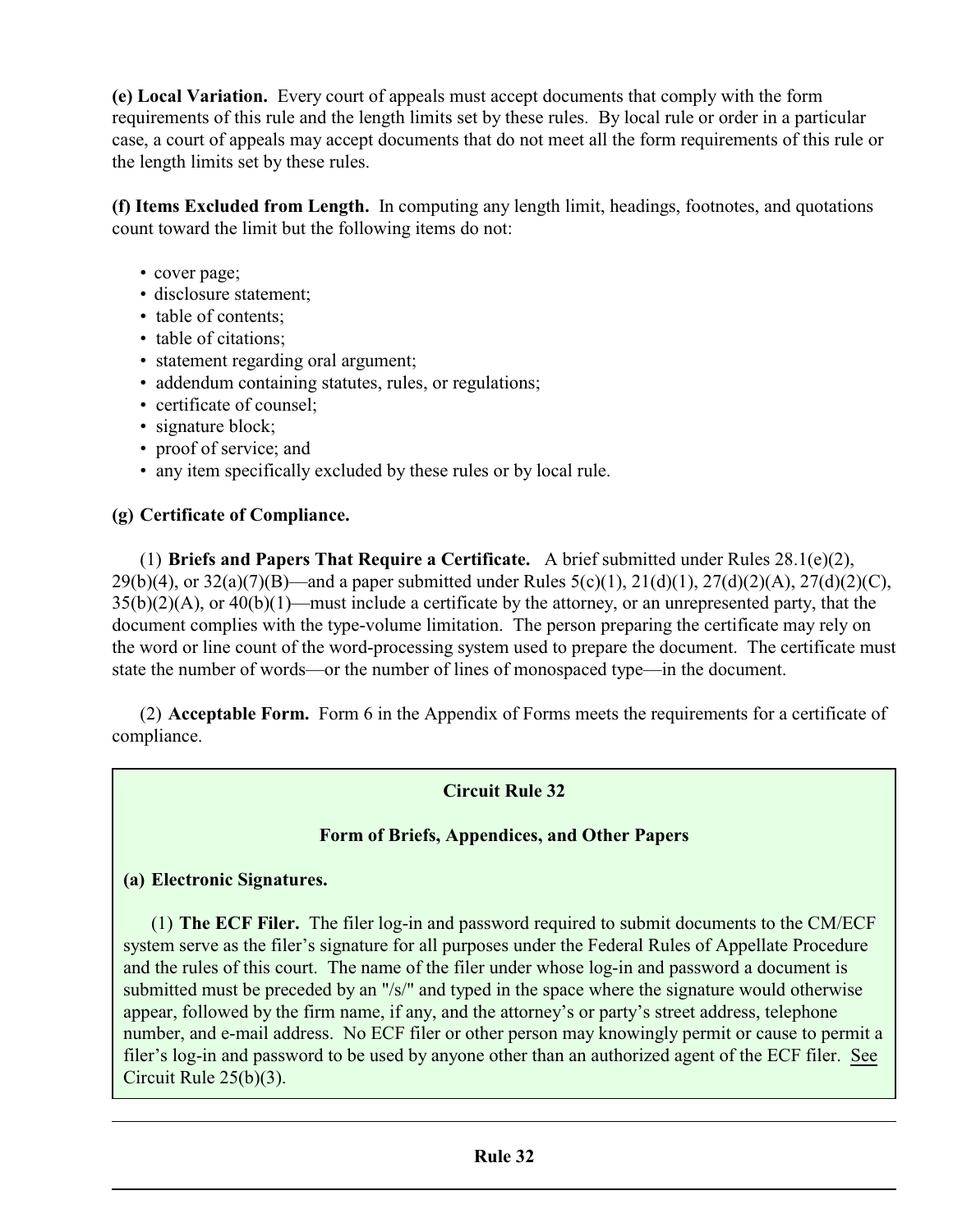**(e) Local Variation.** Every court of appeals must accept documents that comply with the form requirements of this rule and the length limits set by these rules. By local rule or order in a particular case, a court of appeals may accept documents that do not meet all the form requirements of this rule or the length limits set by these rules.

**(f) Items Excluded from Length.** In computing any length limit, headings, footnotes, and quotations count toward the limit but the following items do not:

- cover page;
- disclosure statement;
- table of contents:
- table of citations:
- statement regarding oral argument;
- addendum containing statutes, rules, or regulations;
- certificate of counsel;
- signature block;
- proof of service; and
- any item specifically excluded by these rules or by local rule.

#### **(g) Certificate of Compliance.**

(1) **Briefs and Papers That Require a Certificate.** A brief submitted under Rules 28.1(e)(2), 29(b)(4), or 32(a)(7)(B)—and a paper submitted under Rules 5(c)(1), 21(d)(1), 27(d)(2)(A), 27(d)(2)(C),  $35(b)(2)(A)$ , or  $40(b)(1)$ —must include a certificate by the attorney, or an unrepresented party, that the document complies with the type-volume limitation. The person preparing the certificate may rely on the word or line count of the word-processing system used to prepare the document. The certificate must state the number of words—or the number of lines of monospaced type—in the document.

(2) **Acceptable Form.** Form 6 in the Appendix of Forms meets the requirements for a certificate of compliance.

#### **Circuit Rule 32**

# **Form of Briefs, Appendices, and Other Papers**

#### **(a) Electronic Signatures.**

(1) **The ECF Filer.** The filer log-in and password required to submit documents to the CM/ECF system serve as the filer's signature for all purposes under the Federal Rules of Appellate Procedure and the rules of this court. The name of the filer under whose log-in and password a document is submitted must be preceded by an "/s/" and typed in the space where the signature would otherwise appear, followed by the firm name, if any, and the attorney's or party's street address, telephone number, and e-mail address. No ECF filer or other person may knowingly permit or cause to permit a filer's log-in and password to be used by anyone other than an authorized agent of the ECF filer. See Circuit Rule 25(b)(3).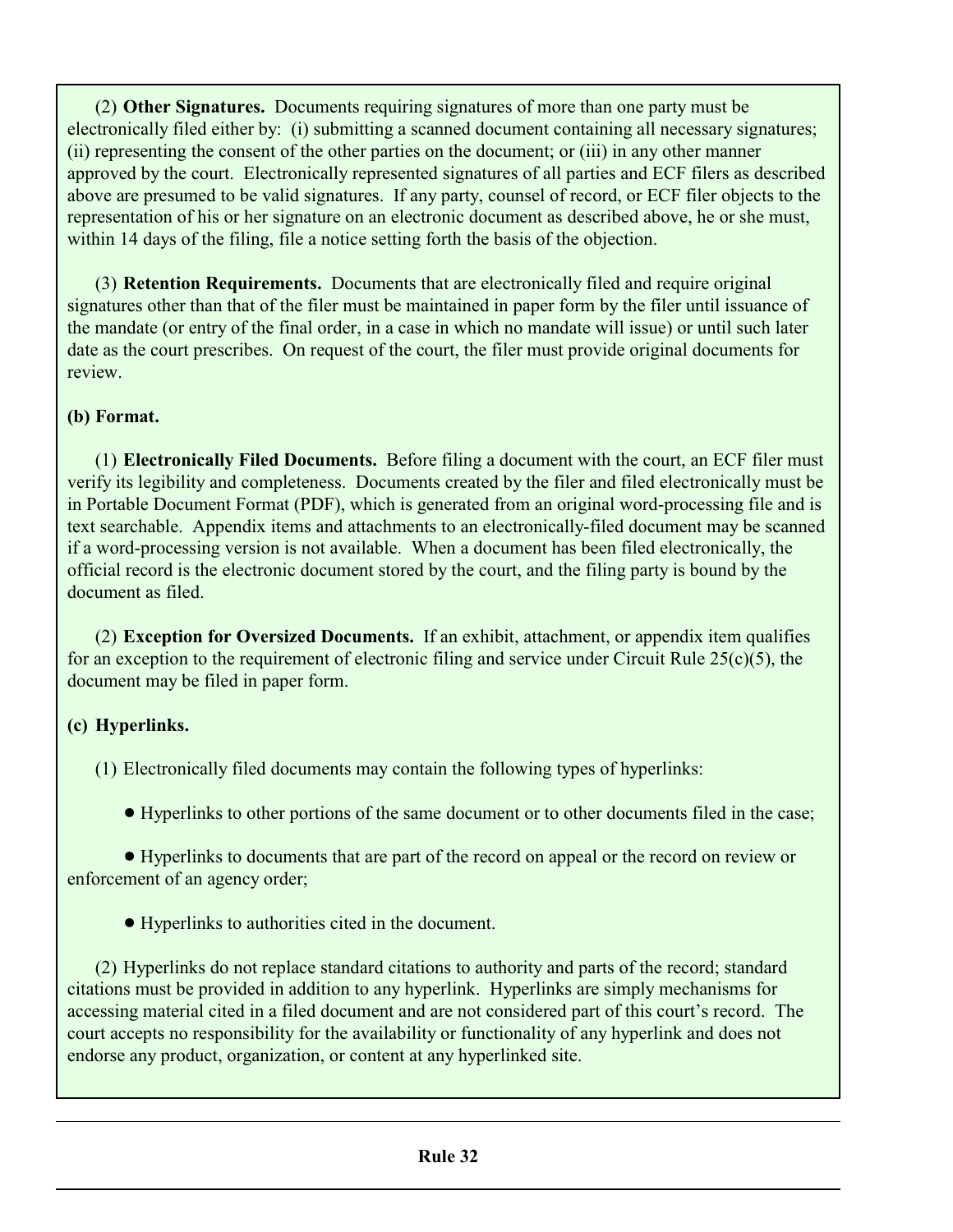(2) **Other Signatures.** Documents requiring signatures of more than one party must be electronically filed either by: (i) submitting a scanned document containing all necessary signatures; (ii) representing the consent of the other parties on the document; or (iii) in any other manner approved by the court. Electronically represented signatures of all parties and ECF filers as described above are presumed to be valid signatures. If any party, counsel of record, or ECF filer objects to the representation of his or her signature on an electronic document as described above, he or she must, within 14 days of the filing, file a notice setting forth the basis of the objection.

(3) **Retention Requirements.** Documents that are electronically filed and require original signatures other than that of the filer must be maintained in paper form by the filer until issuance of the mandate (or entry of the final order, in a case in which no mandate will issue) or until such later date as the court prescribes. On request of the court, the filer must provide original documents for review.

# **(b) Format.**

(1) **Electronically Filed Documents.** Before filing a document with the court, an ECF filer must verify its legibility and completeness. Documents created by the filer and filed electronically must be in Portable Document Format (PDF), which is generated from an original word-processing file and is text searchable. Appendix items and attachments to an electronically-filed document may be scanned if a word-processing version is not available. When a document has been filed electronically, the official record is the electronic document stored by the court, and the filing party is bound by the document as filed.

(2) **Exception for Oversized Documents.** If an exhibit, attachment, or appendix item qualifies for an exception to the requirement of electronic filing and service under Circuit Rule 25(c)(5), the document may be filed in paper form.

# **(c) Hyperlinks.**

(1) Electronically filed documents may contain the following types of hyperlinks:

! Hyperlinks to other portions of the same document or to other documents filed in the case;

! Hyperlinks to documents that are part of the record on appeal or the record on review or enforcement of an agency order;

! Hyperlinks to authorities cited in the document.

(2) Hyperlinks do not replace standard citations to authority and parts of the record; standard citations must be provided in addition to any hyperlink. Hyperlinks are simply mechanisms for accessing material cited in a filed document and are not considered part of this court's record. The court accepts no responsibility for the availability or functionality of any hyperlink and does not endorse any product, organization, or content at any hyperlinked site.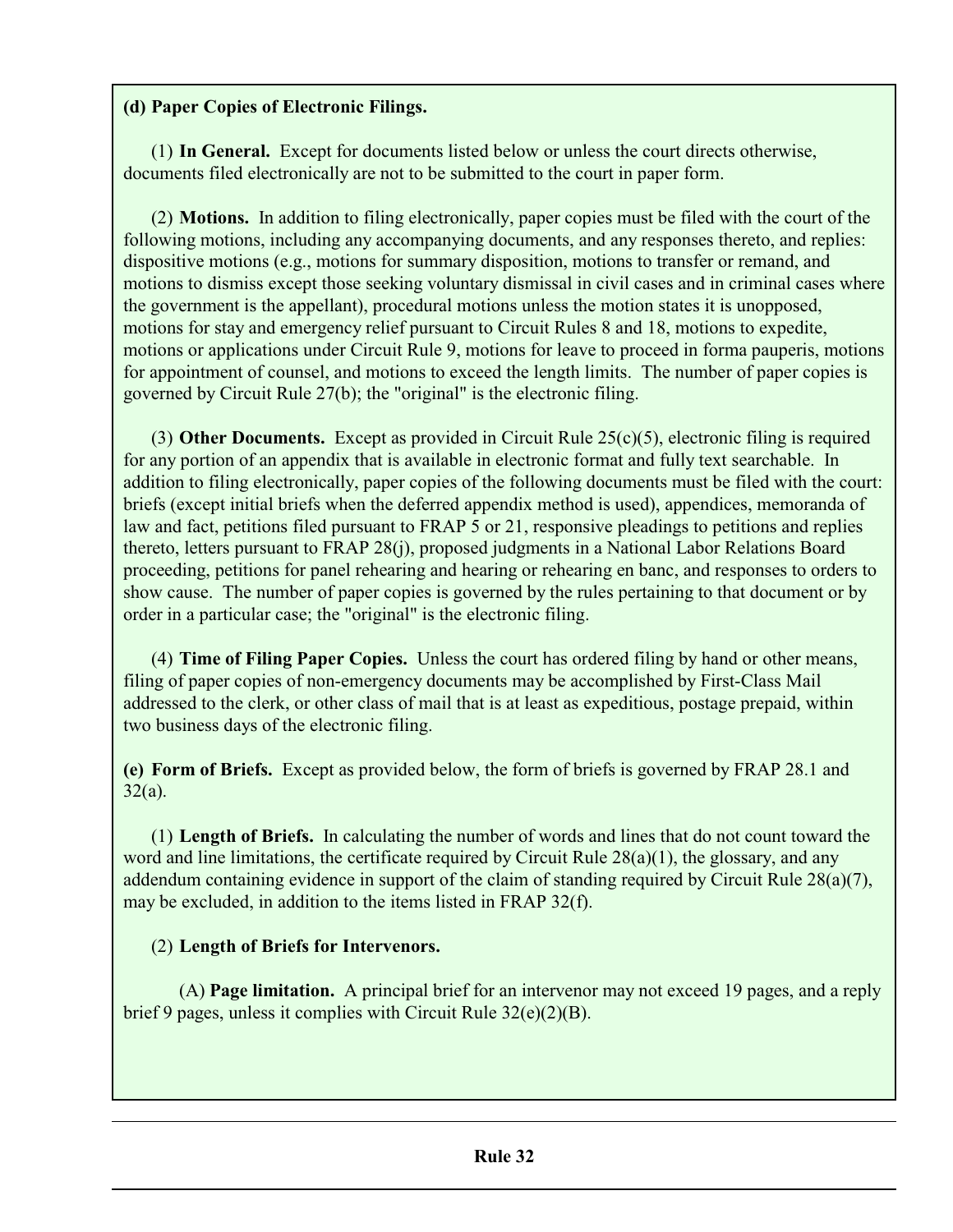### **(d) Paper Copies of Electronic Filings.**

(1) **In General.** Except for documents listed below or unless the court directs otherwise, documents filed electronically are not to be submitted to the court in paper form.

(2) **Motions.** In addition to filing electronically, paper copies must be filed with the court of the following motions, including any accompanying documents, and any responses thereto, and replies: dispositive motions (e.g., motions for summary disposition, motions to transfer or remand, and motions to dismiss except those seeking voluntary dismissal in civil cases and in criminal cases where the government is the appellant), procedural motions unless the motion states it is unopposed, motions for stay and emergency relief pursuant to Circuit Rules 8 and 18, motions to expedite, motions or applications under Circuit Rule 9, motions for leave to proceed in forma pauperis, motions for appointment of counsel, and motions to exceed the length limits. The number of paper copies is governed by Circuit Rule 27(b); the "original" is the electronic filing.

(3) **Other Documents.** Except as provided in Circuit Rule 25(c)(5), electronic filing is required for any portion of an appendix that is available in electronic format and fully text searchable. In addition to filing electronically, paper copies of the following documents must be filed with the court: briefs (except initial briefs when the deferred appendix method is used), appendices, memoranda of law and fact, petitions filed pursuant to FRAP 5 or 21, responsive pleadings to petitions and replies thereto, letters pursuant to FRAP 28(j), proposed judgments in a National Labor Relations Board proceeding, petitions for panel rehearing and hearing or rehearing en banc, and responses to orders to show cause. The number of paper copies is governed by the rules pertaining to that document or by order in a particular case; the "original" is the electronic filing.

(4) **Time of Filing Paper Copies.** Unless the court has ordered filing by hand or other means, filing of paper copies of non-emergency documents may be accomplished by First-Class Mail addressed to the clerk, or other class of mail that is at least as expeditious, postage prepaid, within two business days of the electronic filing.

**(e) Form of Briefs.** Except as provided below, the form of briefs is governed by FRAP 28.1 and 32(a).

(1) **Length of Briefs.** In calculating the number of words and lines that do not count toward the word and line limitations, the certificate required by Circuit Rule 28(a)(1), the glossary, and any addendum containing evidence in support of the claim of standing required by Circuit Rule 28(a)(7), may be excluded, in addition to the items listed in FRAP 32(f).

# (2) **Length of Briefs for Intervenors.**

(A) **Page limitation.** A principal brief for an intervenor may not exceed 19 pages, and a reply brief 9 pages, unless it complies with Circuit Rule 32(e)(2)(B).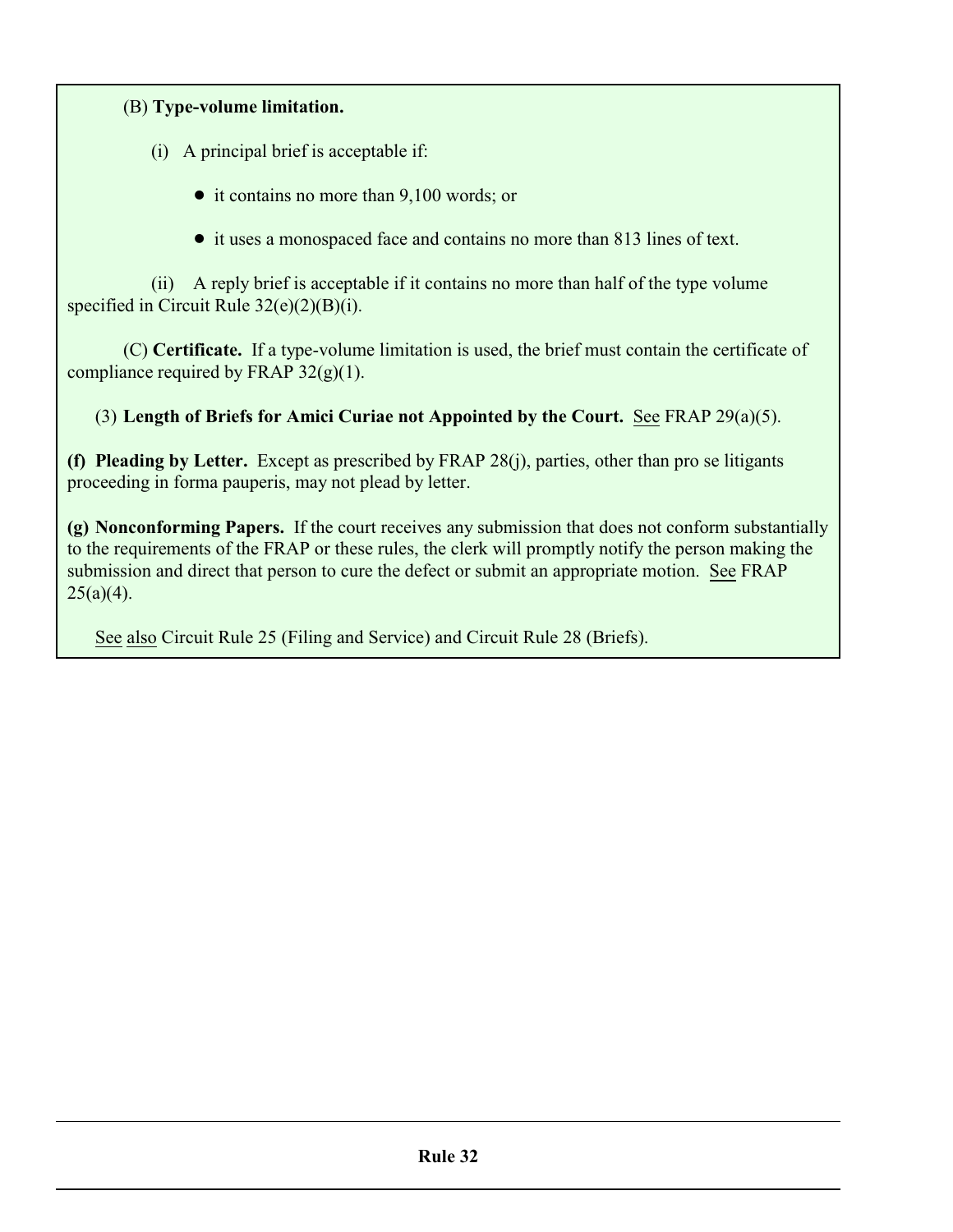### (B) **Type-volume limitation.**

- (i) A principal brief is acceptable if:
	- $\bullet$  it contains no more than 9,100 words; or
	- it uses a monospaced face and contains no more than 813 lines of text.

(ii) A reply brief is acceptable if it contains no more than half of the type volume specified in Circuit Rule  $32(e)(2)(B)(i)$ .

(C) **Certificate.** If a type-volume limitation is used, the brief must contain the certificate of compliance required by FRAP  $32(g)(1)$ .

(3) **Length of Briefs for Amici Curiae not Appointed by the Court.** See FRAP 29(a)(5).

**(f) Pleading by Letter.** Except as prescribed by FRAP 28(j), parties, other than pro se litigants proceeding in forma pauperis, may not plead by letter.

**(g) Nonconforming Papers.** If the court receives any submission that does not conform substantially to the requirements of the FRAP or these rules, the clerk will promptly notify the person making the submission and direct that person to cure the defect or submit an appropriate motion. See FRAP  $25(a)(4)$ .

See also Circuit Rule 25 (Filing and Service) and Circuit Rule 28 (Briefs).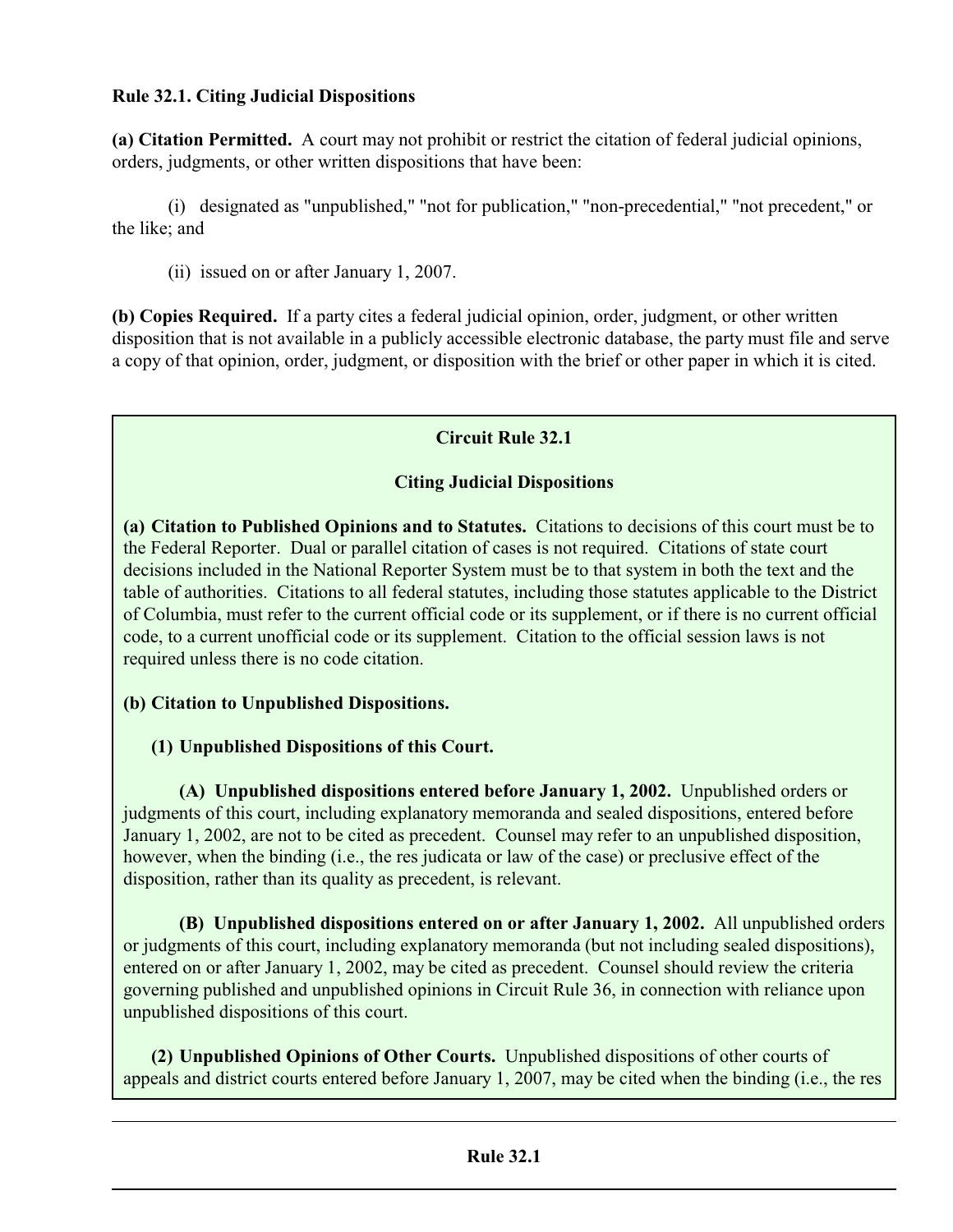#### **Rule 32.1. Citing Judicial Dispositions**

**(a) Citation Permitted.** A court may not prohibit or restrict the citation of federal judicial opinions, orders, judgments, or other written dispositions that have been:

(i) designated as "unpublished," "not for publication," "non-precedential," "not precedent," or the like; and

(ii) issued on or after January 1, 2007.

**(b) Copies Required.** If a party cites a federal judicial opinion, order, judgment, or other written disposition that is not available in a publicly accessible electronic database, the party must file and serve a copy of that opinion, order, judgment, or disposition with the brief or other paper in which it is cited.

### **Circuit Rule 32.1**

#### **Citing Judicial Dispositions**

**(a) Citation to Published Opinions and to Statutes.** Citations to decisions of this court must be to the Federal Reporter. Dual or parallel citation of cases is not required. Citations of state court decisions included in the National Reporter System must be to that system in both the text and the table of authorities. Citations to all federal statutes, including those statutes applicable to the District of Columbia, must refer to the current official code or its supplement, or if there is no current official code, to a current unofficial code or its supplement. Citation to the official session laws is not required unless there is no code citation.

#### **(b) Citation to Unpublished Dispositions.**

#### **(1) Unpublished Dispositions of this Court.**

 **(A) Unpublished dispositions entered before January 1, 2002.** Unpublished orders or judgments of this court, including explanatory memoranda and sealed dispositions, entered before January 1, 2002, are not to be cited as precedent. Counsel may refer to an unpublished disposition, however, when the binding (i.e., the res judicata or law of the case) or preclusive effect of the disposition, rather than its quality as precedent, is relevant.

**(B) Unpublished dispositions entered on or after January 1, 2002.** All unpublished orders or judgments of this court, including explanatory memoranda (but not including sealed dispositions), entered on or after January 1, 2002, may be cited as precedent. Counsel should review the criteria governing published and unpublished opinions in Circuit Rule 36, in connection with reliance upon unpublished dispositions of this court.

**(2) Unpublished Opinions of Other Courts.** Unpublished dispositions of other courts of appeals and district courts entered before January 1, 2007, may be cited when the binding (i.e., the res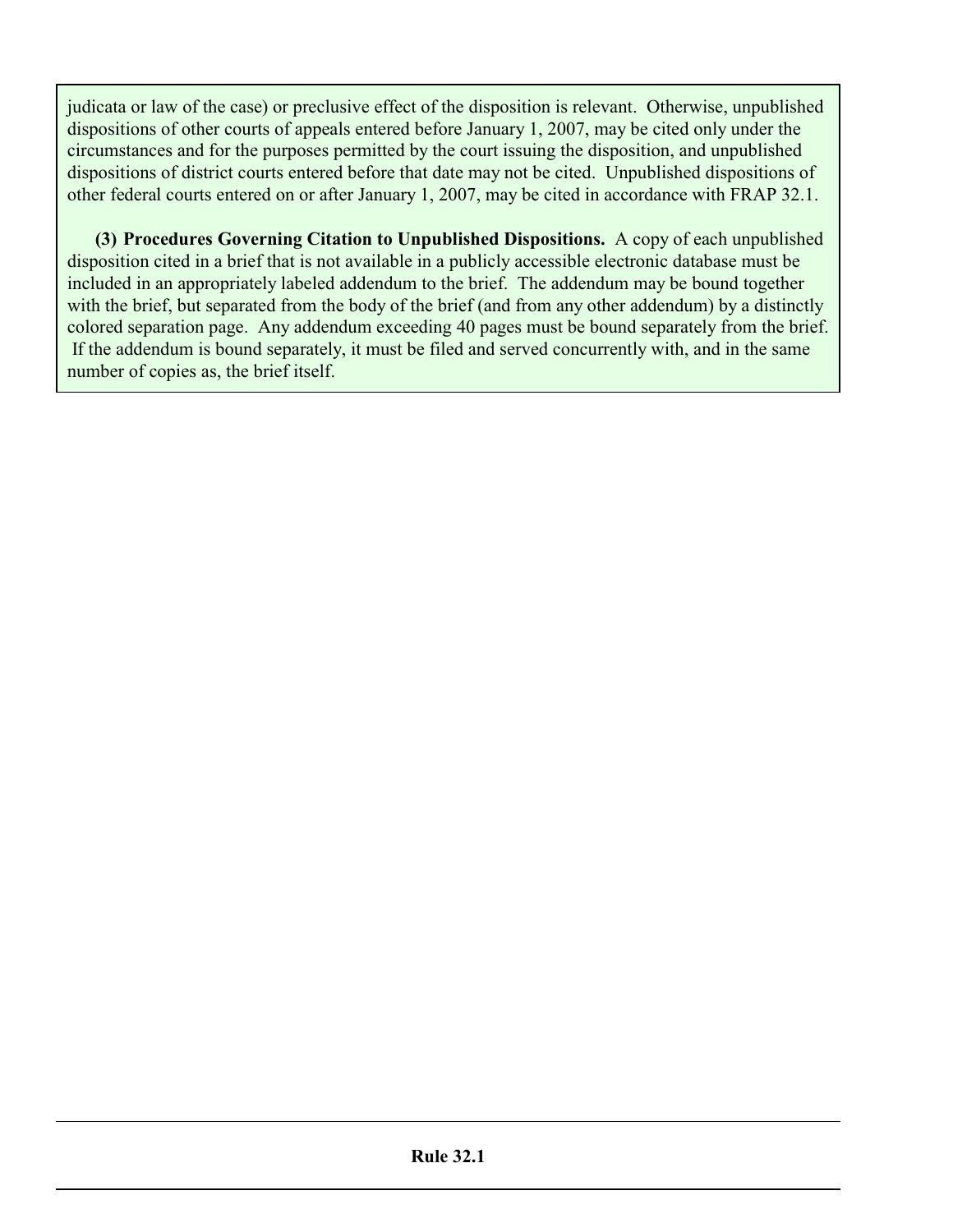judicata or law of the case) or preclusive effect of the disposition is relevant. Otherwise, unpublished dispositions of other courts of appeals entered before January 1, 2007, may be cited only under the circumstances and for the purposes permitted by the court issuing the disposition, and unpublished dispositions of district courts entered before that date may not be cited. Unpublished dispositions of other federal courts entered on or after January 1, 2007, may be cited in accordance with FRAP 32.1.

**(3) Procedures Governing Citation to Unpublished Dispositions.** A copy of each unpublished disposition cited in a brief that is not available in a publicly accessible electronic database must be included in an appropriately labeled addendum to the brief. The addendum may be bound together with the brief, but separated from the body of the brief (and from any other addendum) by a distinctly colored separation page. Any addendum exceeding 40 pages must be bound separately from the brief. If the addendum is bound separately, it must be filed and served concurrently with, and in the same number of copies as, the brief itself.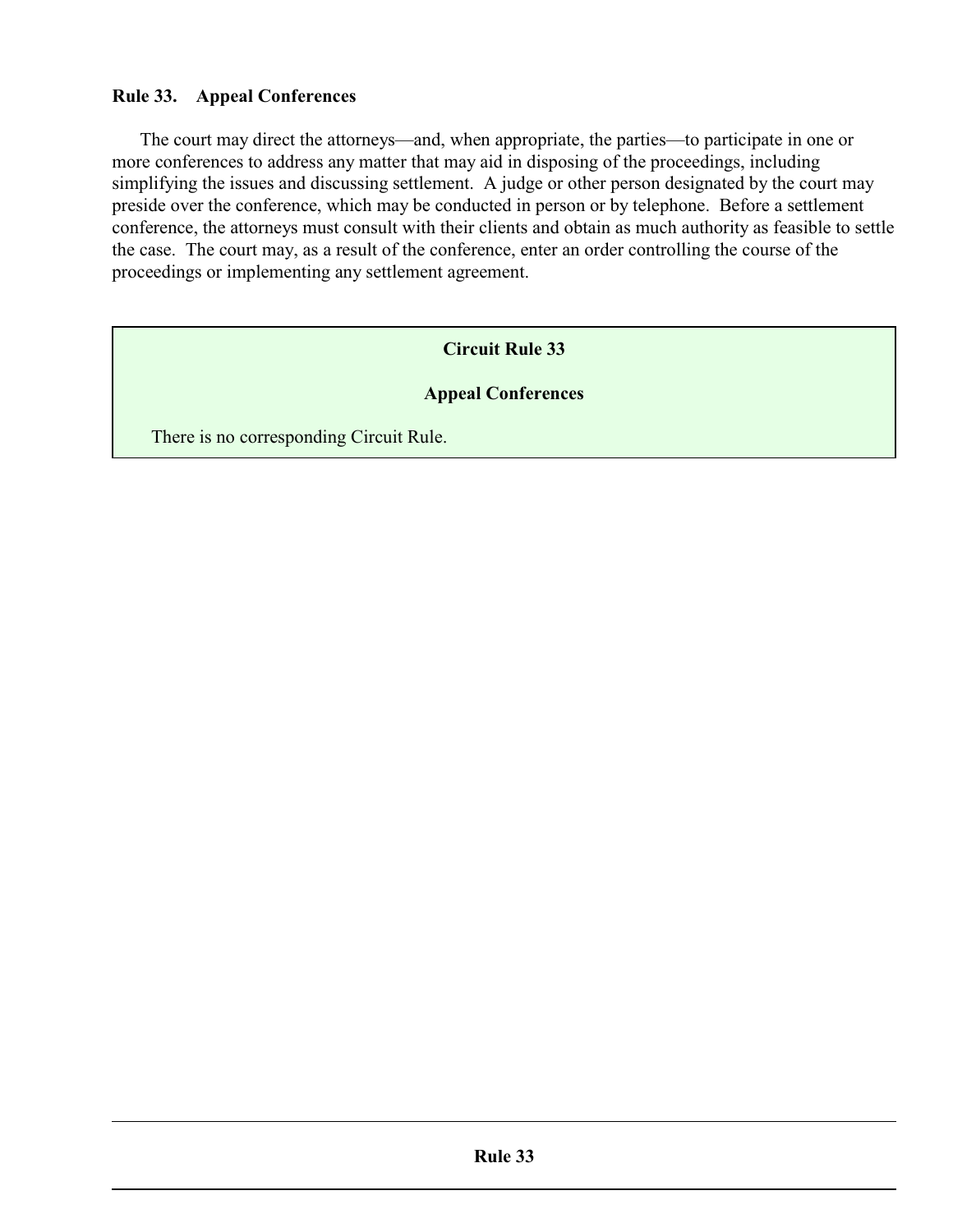#### **Rule 33. Appeal Conferences**

The court may direct the attorneys—and, when appropriate, the parties—to participate in one or more conferences to address any matter that may aid in disposing of the proceedings, including simplifying the issues and discussing settlement. A judge or other person designated by the court may preside over the conference, which may be conducted in person or by telephone. Before a settlement conference, the attorneys must consult with their clients and obtain as much authority as feasible to settle the case. The court may, as a result of the conference, enter an order controlling the course of the proceedings or implementing any settlement agreement.

### **Circuit Rule 33**

### **Appeal Conferences**

There is no corresponding Circuit Rule.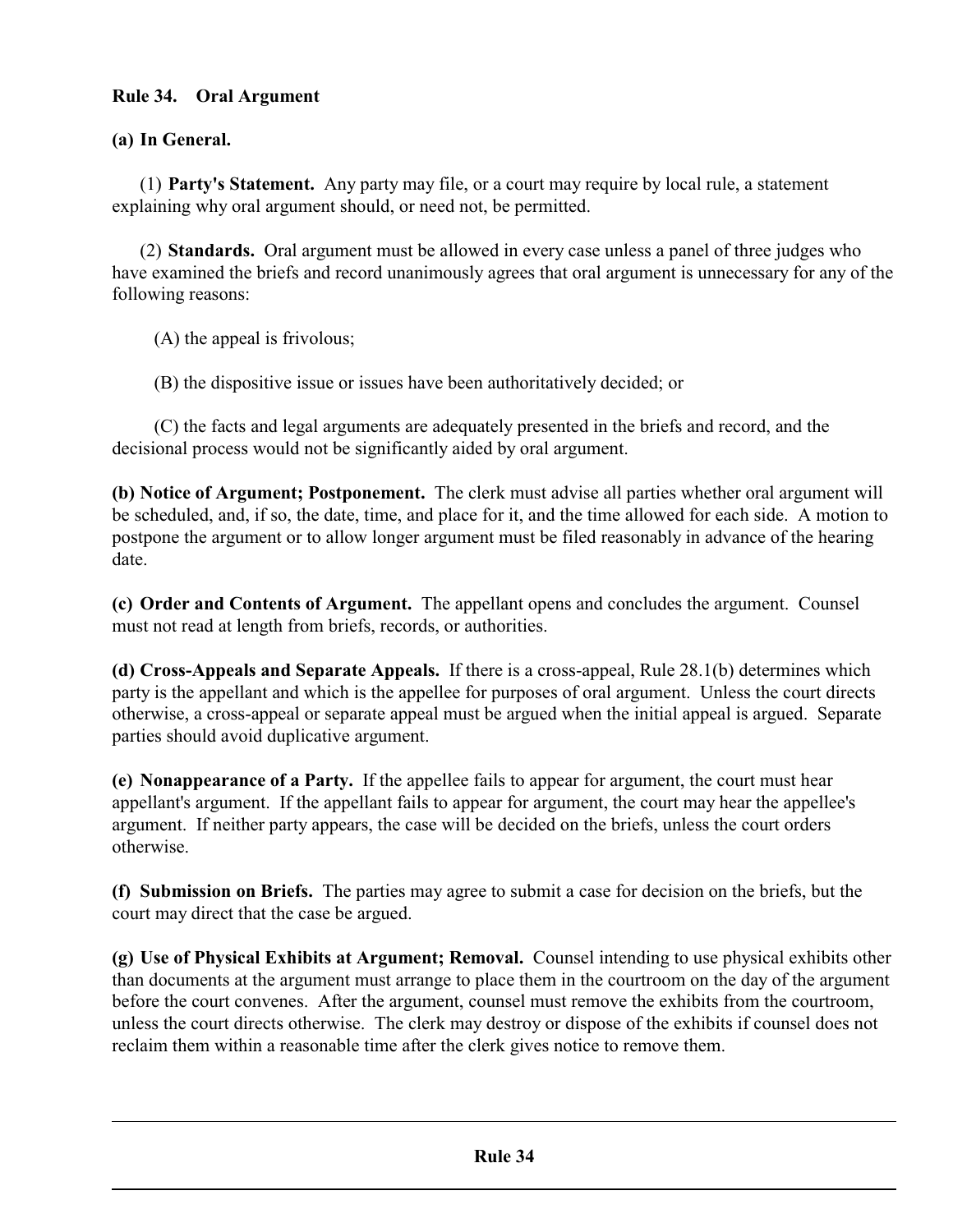### **Rule 34. Oral Argument**

## **(a) In General.**

(1) **Party's Statement.** Any party may file, or a court may require by local rule, a statement explaining why oral argument should, or need not, be permitted.

(2) **Standards.** Oral argument must be allowed in every case unless a panel of three judges who have examined the briefs and record unanimously agrees that oral argument is unnecessary for any of the following reasons:

(A) the appeal is frivolous;

(B) the dispositive issue or issues have been authoritatively decided; or

(C) the facts and legal arguments are adequately presented in the briefs and record, and the decisional process would not be significantly aided by oral argument.

**(b) Notice of Argument; Postponement.** The clerk must advise all parties whether oral argument will be scheduled, and, if so, the date, time, and place for it, and the time allowed for each side. A motion to postpone the argument or to allow longer argument must be filed reasonably in advance of the hearing date.

**(c) Order and Contents of Argument.** The appellant opens and concludes the argument. Counsel must not read at length from briefs, records, or authorities.

**(d) Cross-Appeals and Separate Appeals.** If there is a cross-appeal, Rule 28.1(b) determines which party is the appellant and which is the appellee for purposes of oral argument. Unless the court directs otherwise, a cross-appeal or separate appeal must be argued when the initial appeal is argued. Separate parties should avoid duplicative argument.

**(e) Nonappearance of a Party.** If the appellee fails to appear for argument, the court must hear appellant's argument. If the appellant fails to appear for argument, the court may hear the appellee's argument. If neither party appears, the case will be decided on the briefs, unless the court orders otherwise.

**(f) Submission on Briefs.** The parties may agree to submit a case for decision on the briefs, but the court may direct that the case be argued.

**(g) Use of Physical Exhibits at Argument; Removal.** Counsel intending to use physical exhibits other than documents at the argument must arrange to place them in the courtroom on the day of the argument before the court convenes. After the argument, counsel must remove the exhibits from the courtroom, unless the court directs otherwise. The clerk may destroy or dispose of the exhibits if counsel does not reclaim them within a reasonable time after the clerk gives notice to remove them.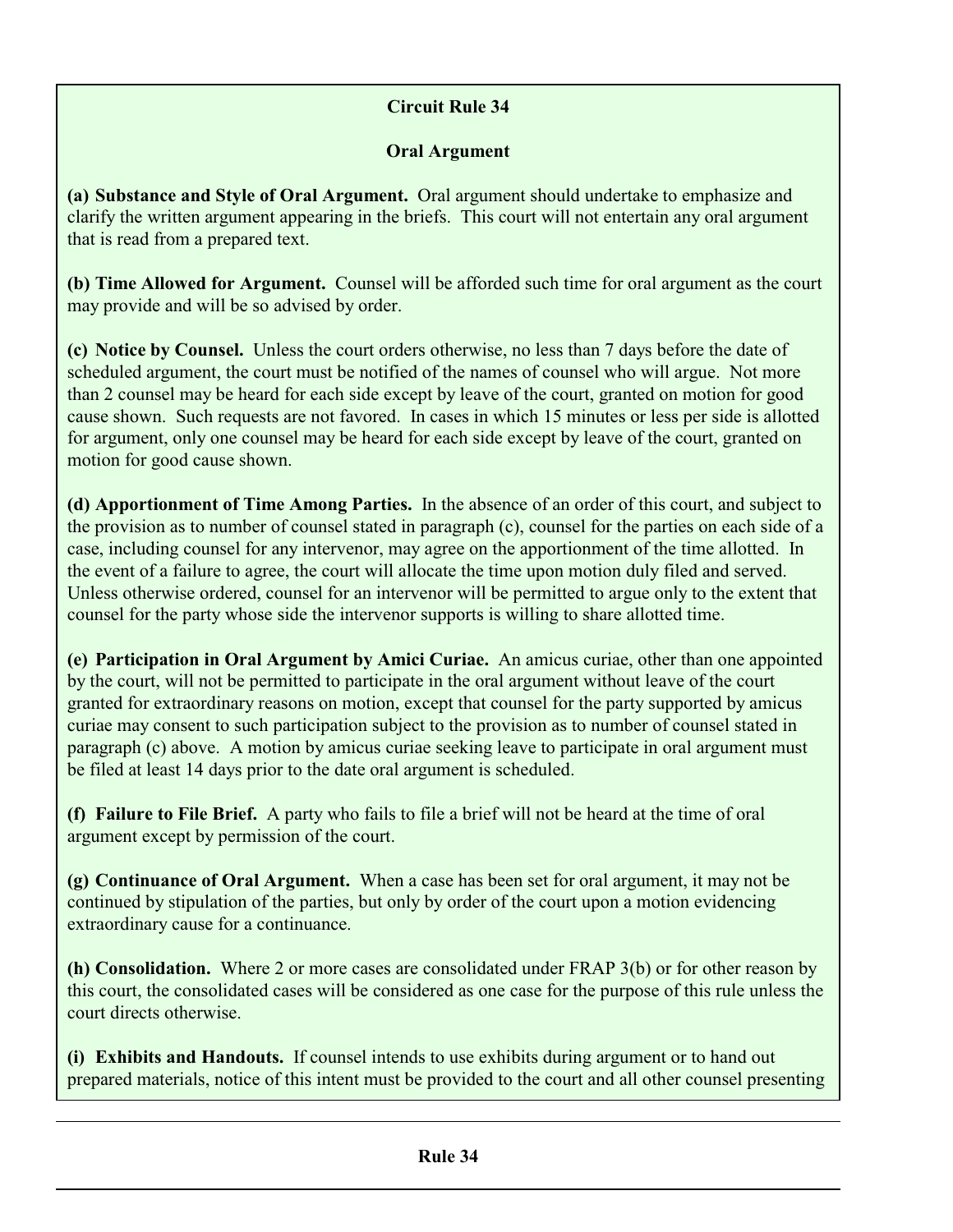# **Circuit Rule 34**

#### **Oral Argument**

**(a) Substance and Style of Oral Argument.** Oral argument should undertake to emphasize and clarify the written argument appearing in the briefs. This court will not entertain any oral argument that is read from a prepared text.

**(b) Time Allowed for Argument.** Counsel will be afforded such time for oral argument as the court may provide and will be so advised by order.

**(c) Notice by Counsel.** Unless the court orders otherwise, no less than 7 days before the date of scheduled argument, the court must be notified of the names of counsel who will argue. Not more than 2 counsel may be heard for each side except by leave of the court, granted on motion for good cause shown. Such requests are not favored. In cases in which 15 minutes or less per side is allotted for argument, only one counsel may be heard for each side except by leave of the court, granted on motion for good cause shown.

**(d) Apportionment of Time Among Parties.** In the absence of an order of this court, and subject to the provision as to number of counsel stated in paragraph (c), counsel for the parties on each side of a case, including counsel for any intervenor, may agree on the apportionment of the time allotted. In the event of a failure to agree, the court will allocate the time upon motion duly filed and served. Unless otherwise ordered, counsel for an intervenor will be permitted to argue only to the extent that counsel for the party whose side the intervenor supports is willing to share allotted time.

**(e) Participation in Oral Argument by Amici Curiae.** An amicus curiae, other than one appointed by the court, will not be permitted to participate in the oral argument without leave of the court granted for extraordinary reasons on motion, except that counsel for the party supported by amicus curiae may consent to such participation subject to the provision as to number of counsel stated in paragraph (c) above. A motion by amicus curiae seeking leave to participate in oral argument must be filed at least 14 days prior to the date oral argument is scheduled.

**(f) Failure to File Brief.** A party who fails to file a brief will not be heard at the time of oral argument except by permission of the court.

**(g) Continuance of Oral Argument.** When a case has been set for oral argument, it may not be continued by stipulation of the parties, but only by order of the court upon a motion evidencing extraordinary cause for a continuance.

**(h) Consolidation.** Where 2 or more cases are consolidated under FRAP 3(b) or for other reason by this court, the consolidated cases will be considered as one case for the purpose of this rule unless the court directs otherwise.

**(i) Exhibits and Handouts.** If counsel intends to use exhibits during argument or to hand out prepared materials, notice of this intent must be provided to the court and all other counsel presenting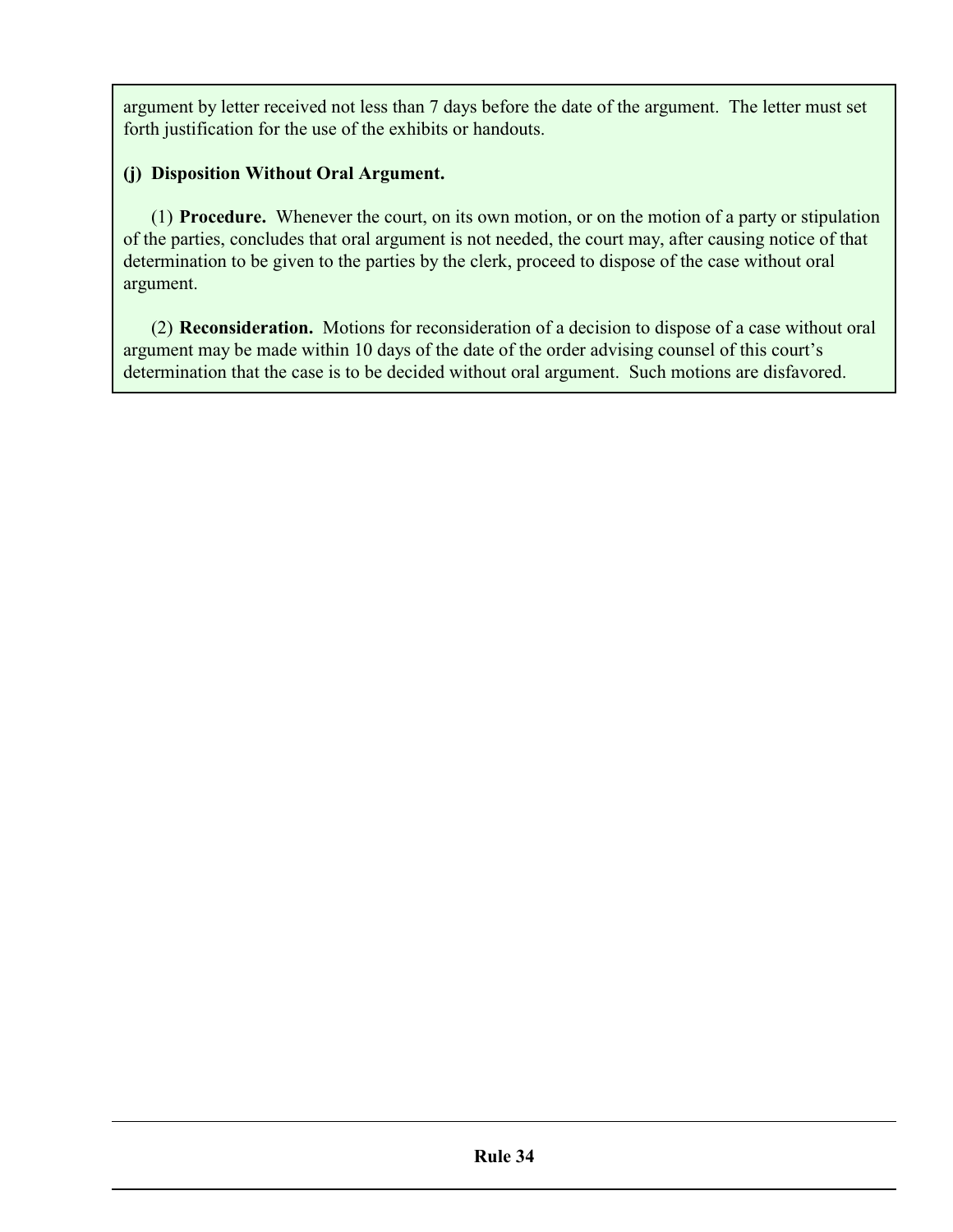argument by letter received not less than 7 days before the date of the argument. The letter must set forth justification for the use of the exhibits or handouts.

# **(j) Disposition Without Oral Argument.**

(1) **Procedure.** Whenever the court, on its own motion, or on the motion of a party or stipulation of the parties, concludes that oral argument is not needed, the court may, after causing notice of that determination to be given to the parties by the clerk, proceed to dispose of the case without oral argument.

(2) **Reconsideration.** Motions for reconsideration of a decision to dispose of a case without oral argument may be made within 10 days of the date of the order advising counsel of this court's determination that the case is to be decided without oral argument. Such motions are disfavored.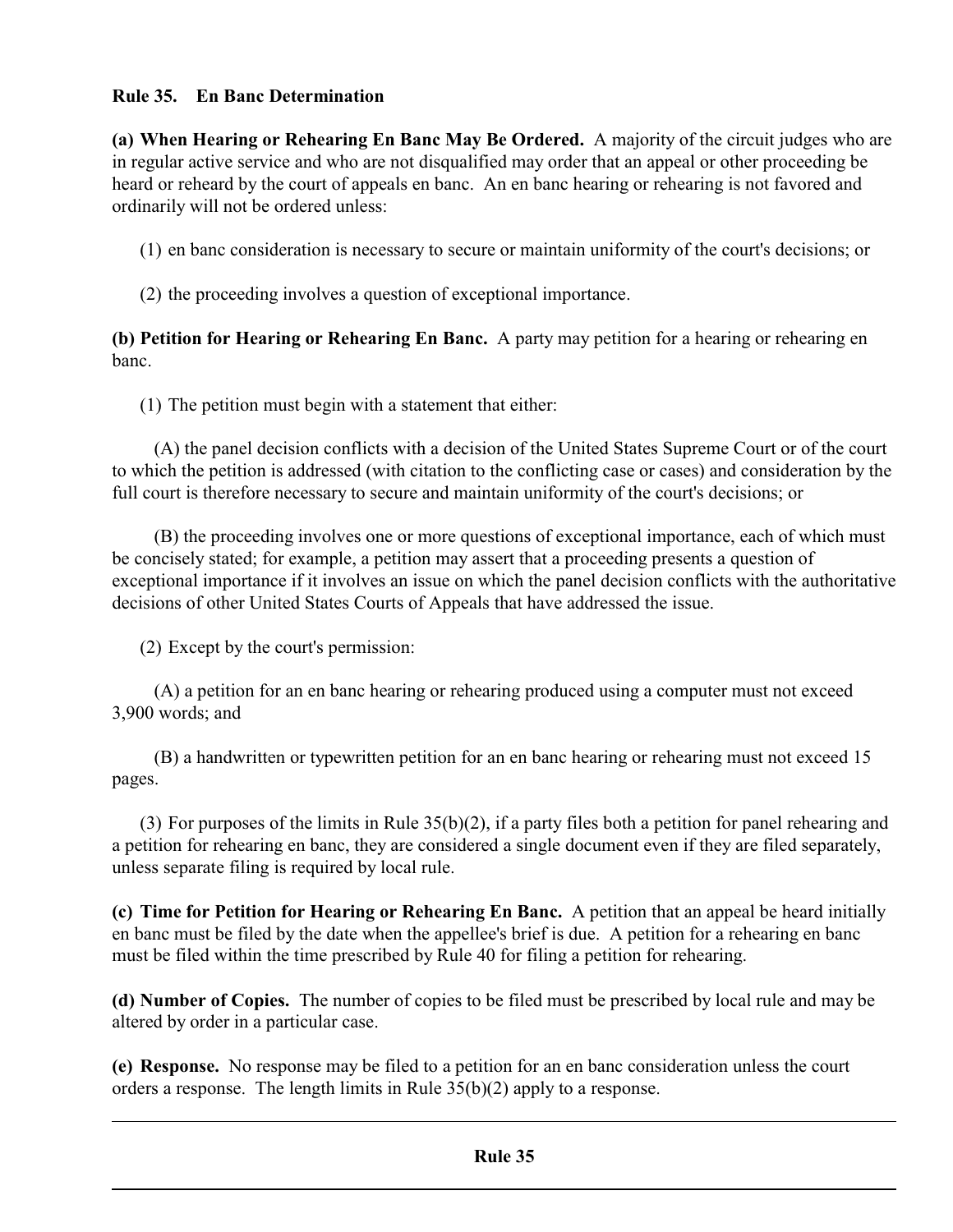### **Rule 35. En Banc Determination**

**(a) When Hearing or Rehearing En Banc May Be Ordered.** A majority of the circuit judges who are in regular active service and who are not disqualified may order that an appeal or other proceeding be heard or reheard by the court of appeals en banc. An en banc hearing or rehearing is not favored and ordinarily will not be ordered unless:

(1) en banc consideration is necessary to secure or maintain uniformity of the court's decisions; or

(2) the proceeding involves a question of exceptional importance.

**(b) Petition for Hearing or Rehearing En Banc.** A party may petition for a hearing or rehearing en banc.

(1) The petition must begin with a statement that either:

(A) the panel decision conflicts with a decision of the United States Supreme Court or of the court to which the petition is addressed (with citation to the conflicting case or cases) and consideration by the full court is therefore necessary to secure and maintain uniformity of the court's decisions; or

(B) the proceeding involves one or more questions of exceptional importance, each of which must be concisely stated; for example, a petition may assert that a proceeding presents a question of exceptional importance if it involves an issue on which the panel decision conflicts with the authoritative decisions of other United States Courts of Appeals that have addressed the issue.

(2) Except by the court's permission:

(A) a petition for an en banc hearing or rehearing produced using a computer must not exceed 3,900 words; and

(B) a handwritten or typewritten petition for an en banc hearing or rehearing must not exceed 15 pages.

(3) For purposes of the limits in Rule  $35(b)(2)$ , if a party files both a petition for panel rehearing and a petition for rehearing en banc, they are considered a single document even if they are filed separately, unless separate filing is required by local rule.

**(c) Time for Petition for Hearing or Rehearing En Banc.** A petition that an appeal be heard initially en banc must be filed by the date when the appellee's brief is due. A petition for a rehearing en banc must be filed within the time prescribed by Rule 40 for filing a petition for rehearing.

**(d) Number of Copies.** The number of copies to be filed must be prescribed by local rule and may be altered by order in a particular case.

**(e) Response.** No response may be filed to a petition for an en banc consideration unless the court orders a response. The length limits in Rule 35(b)(2) apply to a response.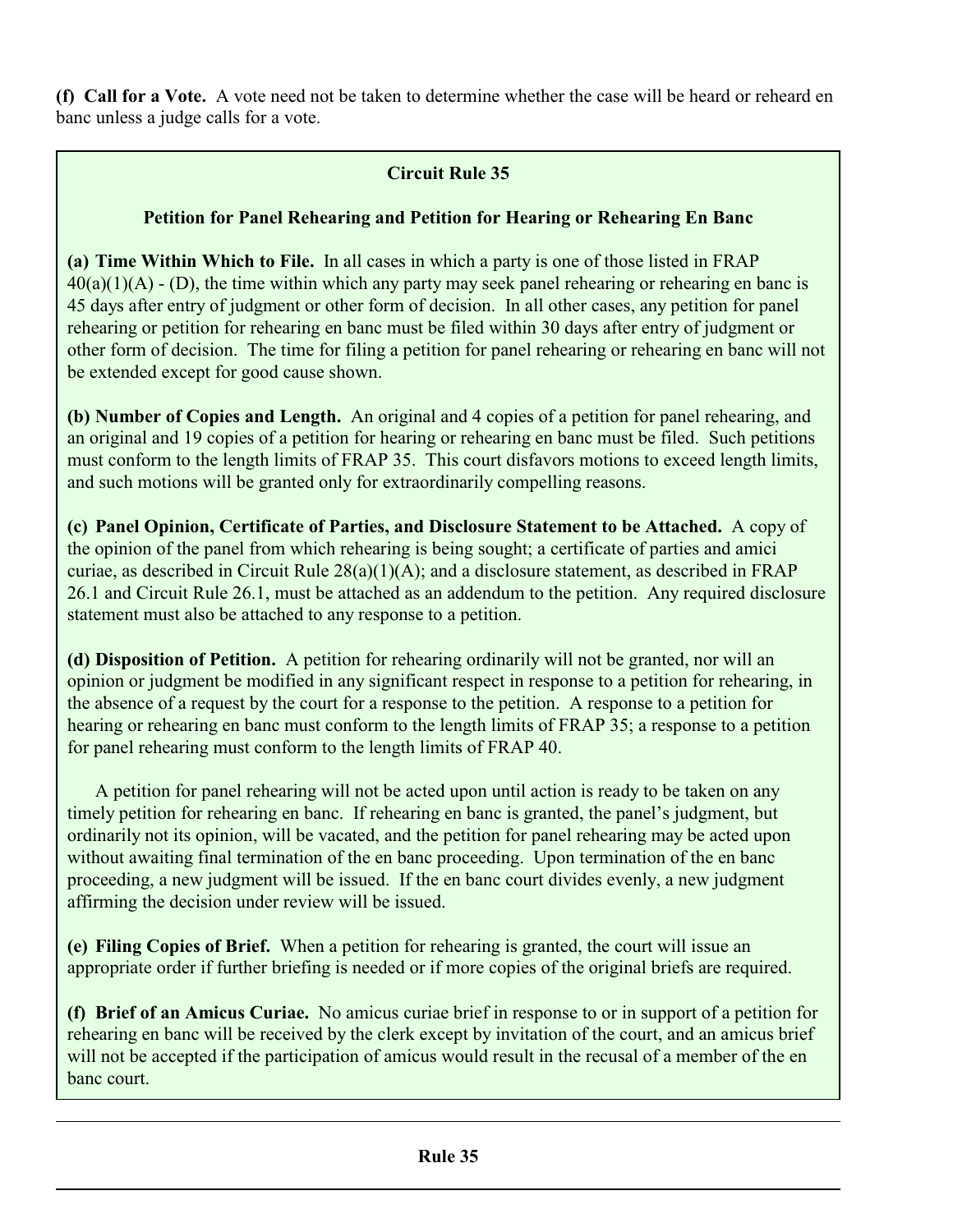**(f) Call for a Vote.** A vote need not be taken to determine whether the case will be heard or reheard en banc unless a judge calls for a vote.

# **Circuit Rule 35**

# **Petition for Panel Rehearing and Petition for Hearing or Rehearing En Banc**

**(a) Time Within Which to File.** In all cases in which a party is one of those listed in FRAP  $40(a)(1)(A)$  - (D), the time within which any party may seek panel rehearing or rehearing en banc is 45 days after entry of judgment or other form of decision. In all other cases, any petition for panel rehearing or petition for rehearing en banc must be filed within 30 days after entry of judgment or other form of decision. The time for filing a petition for panel rehearing or rehearing en banc will not be extended except for good cause shown.

**(b) Number of Copies and Length.** An original and 4 copies of a petition for panel rehearing, and an original and 19 copies of a petition for hearing or rehearing en banc must be filed. Such petitions must conform to the length limits of FRAP 35. This court disfavors motions to exceed length limits, and such motions will be granted only for extraordinarily compelling reasons.

**(c) Panel Opinion, Certificate of Parties, and Disclosure Statement to be Attached.** A copy of the opinion of the panel from which rehearing is being sought; a certificate of parties and amici curiae, as described in Circuit Rule 28(a)(1)(A); and a disclosure statement, as described in FRAP 26.1 and Circuit Rule 26.1, must be attached as an addendum to the petition. Any required disclosure statement must also be attached to any response to a petition.

**(d) Disposition of Petition.** A petition for rehearing ordinarily will not be granted, nor will an opinion or judgment be modified in any significant respect in response to a petition for rehearing, in the absence of a request by the court for a response to the petition. A response to a petition for hearing or rehearing en banc must conform to the length limits of FRAP 35; a response to a petition for panel rehearing must conform to the length limits of FRAP 40.

A petition for panel rehearing will not be acted upon until action is ready to be taken on any timely petition for rehearing en banc. If rehearing en banc is granted, the panel's judgment, but ordinarily not its opinion, will be vacated, and the petition for panel rehearing may be acted upon without awaiting final termination of the en banc proceeding. Upon termination of the en banc proceeding, a new judgment will be issued. If the en banc court divides evenly, a new judgment affirming the decision under review will be issued.

**(e) Filing Copies of Brief.** When a petition for rehearing is granted, the court will issue an appropriate order if further briefing is needed or if more copies of the original briefs are required.

**(f) Brief of an Amicus Curiae.** No amicus curiae brief in response to or in support of a petition for rehearing en banc will be received by the clerk except by invitation of the court, and an amicus brief will not be accepted if the participation of amicus would result in the recusal of a member of the en banc court.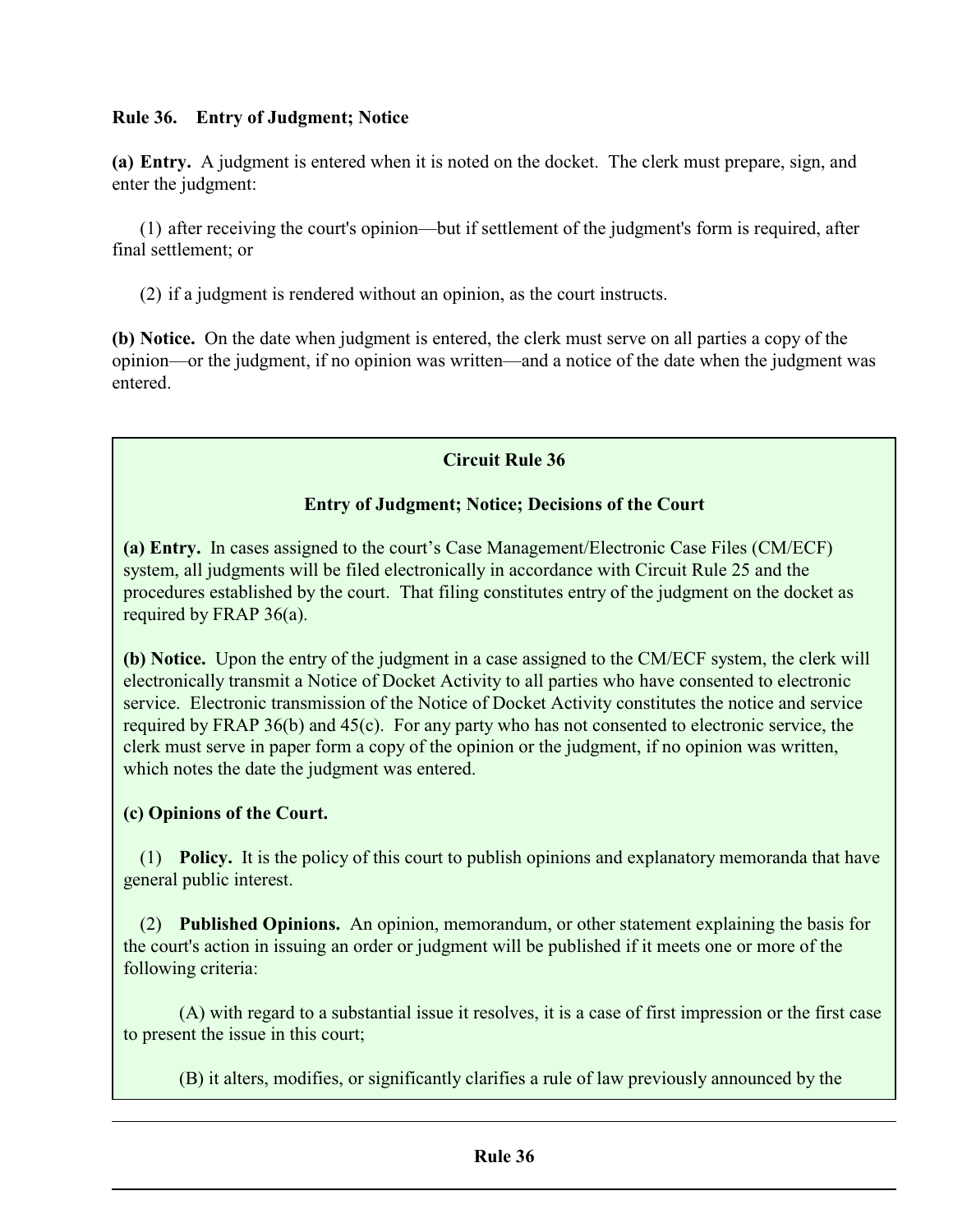#### **Rule 36. Entry of Judgment; Notice**

**(a) Entry.** A judgment is entered when it is noted on the docket. The clerk must prepare, sign, and enter the judgment:

(1) after receiving the court's opinion—but if settlement of the judgment's form is required, after final settlement; or

(2) if a judgment is rendered without an opinion, as the court instructs.

**(b) Notice.** On the date when judgment is entered, the clerk must serve on all parties a copy of the opinion—or the judgment, if no opinion was written—and a notice of the date when the judgment was entered.

**Circuit Rule 36**

#### **Entry of Judgment; Notice; Decisions of the Court**

**(a) Entry.** In cases assigned to the court's Case Management/Electronic Case Files (CM/ECF) system, all judgments will be filed electronically in accordance with Circuit Rule 25 and the procedures established by the court. That filing constitutes entry of the judgment on the docket as required by FRAP 36(a).

**(b) Notice.** Upon the entry of the judgment in a case assigned to the CM/ECF system, the clerk will electronically transmit a Notice of Docket Activity to all parties who have consented to electronic service. Electronic transmission of the Notice of Docket Activity constitutes the notice and service required by FRAP 36(b) and 45(c). For any party who has not consented to electronic service, the clerk must serve in paper form a copy of the opinion or the judgment, if no opinion was written, which notes the date the judgment was entered.

#### **(c) Opinions of the Court.**

(1) **Policy.** It is the policy of this court to publish opinions and explanatory memoranda that have general public interest.

(2) **Published Opinions.** An opinion, memorandum, or other statement explaining the basis for the court's action in issuing an order or judgment will be published if it meets one or more of the following criteria:

(A) with regard to a substantial issue it resolves, it is a case of first impression or the first case to present the issue in this court;

(B) it alters, modifies, or significantly clarifies a rule of law previously announced by the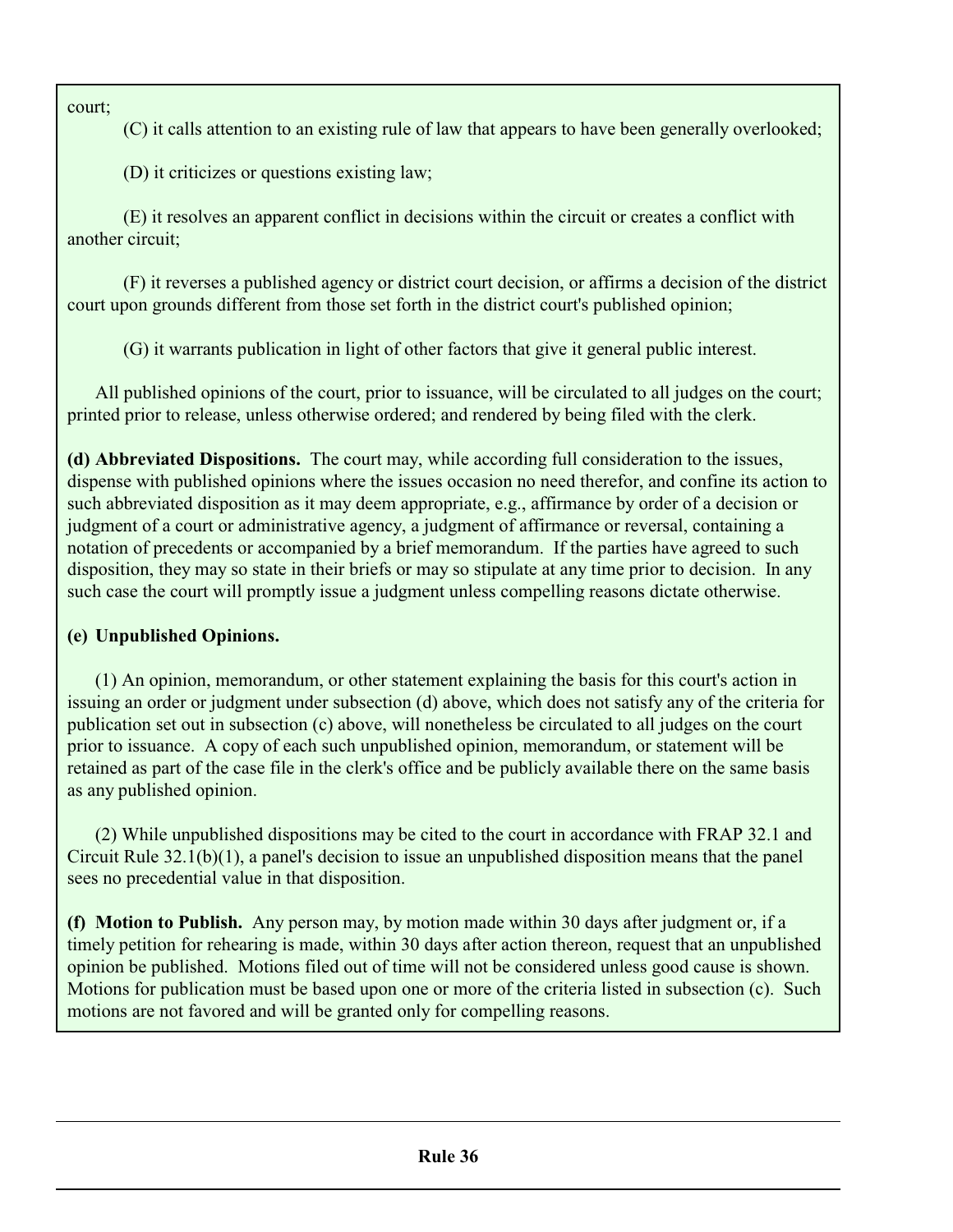court;

(C) it calls attention to an existing rule of law that appears to have been generally overlooked;

(D) it criticizes or questions existing law;

(E) it resolves an apparent conflict in decisions within the circuit or creates a conflict with another circuit;

(F) it reverses a published agency or district court decision, or affirms a decision of the district court upon grounds different from those set forth in the district court's published opinion;

(G) it warrants publication in light of other factors that give it general public interest.

All published opinions of the court, prior to issuance, will be circulated to all judges on the court; printed prior to release, unless otherwise ordered; and rendered by being filed with the clerk.

**(d) Abbreviated Dispositions.** The court may, while according full consideration to the issues, dispense with published opinions where the issues occasion no need therefor, and confine its action to such abbreviated disposition as it may deem appropriate, e.g., affirmance by order of a decision or judgment of a court or administrative agency, a judgment of affirmance or reversal, containing a notation of precedents or accompanied by a brief memorandum. If the parties have agreed to such disposition, they may so state in their briefs or may so stipulate at any time prior to decision. In any such case the court will promptly issue a judgment unless compelling reasons dictate otherwise.

# **(e) Unpublished Opinions.**

(1) An opinion, memorandum, or other statement explaining the basis for this court's action in issuing an order or judgment under subsection (d) above, which does not satisfy any of the criteria for publication set out in subsection (c) above, will nonetheless be circulated to all judges on the court prior to issuance. A copy of each such unpublished opinion, memorandum, or statement will be retained as part of the case file in the clerk's office and be publicly available there on the same basis as any published opinion.

(2) While unpublished dispositions may be cited to the court in accordance with FRAP 32.1 and Circuit Rule 32.1(b)(1), a panel's decision to issue an unpublished disposition means that the panel sees no precedential value in that disposition.

**(f) Motion to Publish.** Any person may, by motion made within 30 days after judgment or, if a timely petition for rehearing is made, within 30 days after action thereon, request that an unpublished opinion be published. Motions filed out of time will not be considered unless good cause is shown. Motions for publication must be based upon one or more of the criteria listed in subsection (c). Such motions are not favored and will be granted only for compelling reasons.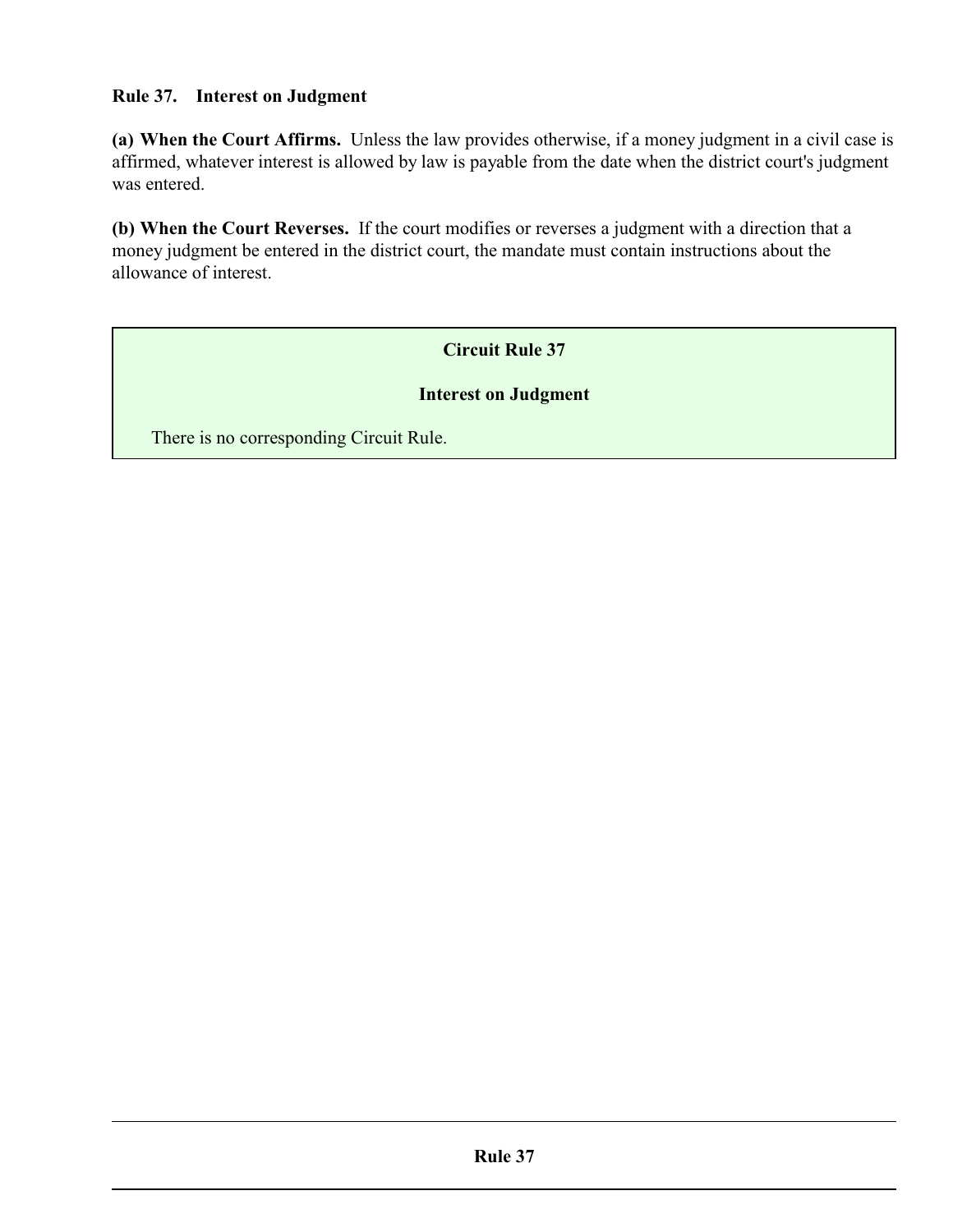### **Rule 37. Interest on Judgment**

**(a) When the Court Affirms.** Unless the law provides otherwise, if a money judgment in a civil case is affirmed, whatever interest is allowed by law is payable from the date when the district court's judgment was entered.

**(b) When the Court Reverses.** If the court modifies or reverses a judgment with a direction that a money judgment be entered in the district court, the mandate must contain instructions about the allowance of interest.

# **Circuit Rule 37**

### **Interest on Judgment**

There is no corresponding Circuit Rule.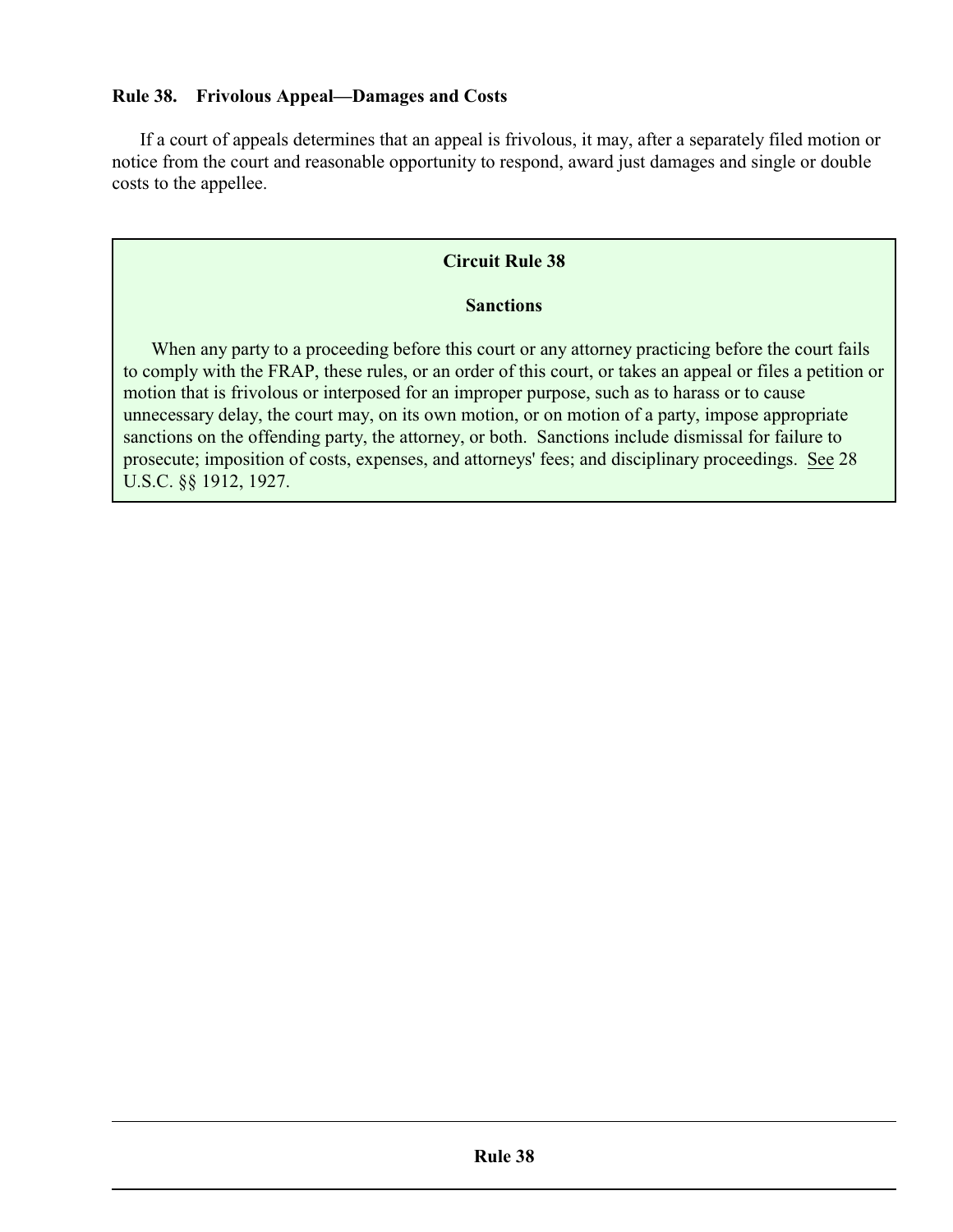#### **Rule 38. Frivolous Appeal—Damages and Costs**

If a court of appeals determines that an appeal is frivolous, it may, after a separately filed motion or notice from the court and reasonable opportunity to respond, award just damages and single or double costs to the appellee.

### **Circuit Rule 38**

#### **Sanctions**

When any party to a proceeding before this court or any attorney practicing before the court fails to comply with the FRAP, these rules, or an order of this court, or takes an appeal or files a petition or motion that is frivolous or interposed for an improper purpose, such as to harass or to cause unnecessary delay, the court may, on its own motion, or on motion of a party, impose appropriate sanctions on the offending party, the attorney, or both. Sanctions include dismissal for failure to prosecute; imposition of costs, expenses, and attorneys' fees; and disciplinary proceedings. See 28 U.S.C. §§ 1912, 1927.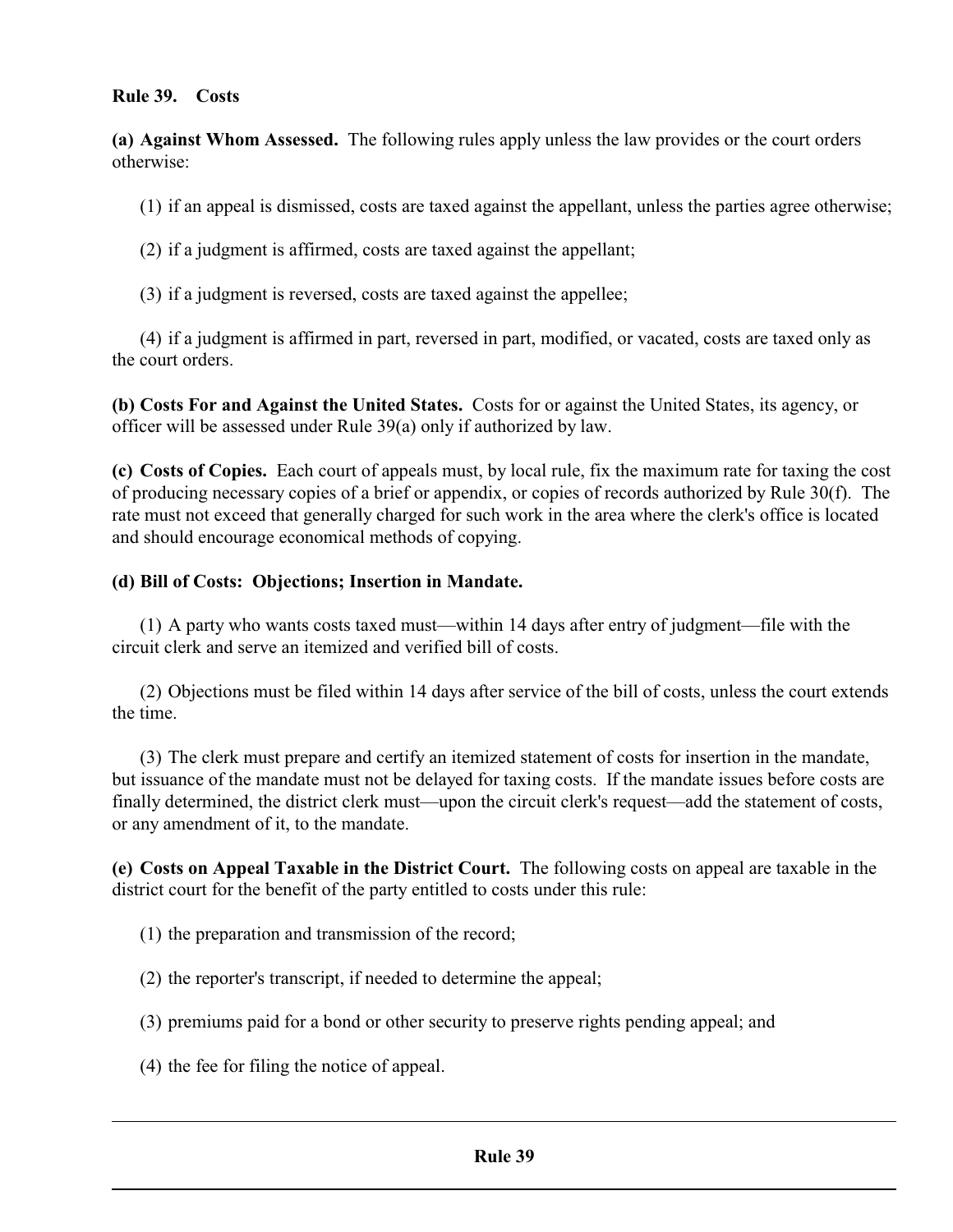#### **Rule 39. Costs**

**(a) Against Whom Assessed.** The following rules apply unless the law provides or the court orders otherwise:

(1) if an appeal is dismissed, costs are taxed against the appellant, unless the parties agree otherwise;

(2) if a judgment is affirmed, costs are taxed against the appellant;

(3) if a judgment is reversed, costs are taxed against the appellee;

(4) if a judgment is affirmed in part, reversed in part, modified, or vacated, costs are taxed only as the court orders.

**(b) Costs For and Against the United States.** Costs for or against the United States, its agency, or officer will be assessed under Rule 39(a) only if authorized by law.

**(c) Costs of Copies.** Each court of appeals must, by local rule, fix the maximum rate for taxing the cost of producing necessary copies of a brief or appendix, or copies of records authorized by Rule 30(f). The rate must not exceed that generally charged for such work in the area where the clerk's office is located and should encourage economical methods of copying.

### **(d) Bill of Costs: Objections; Insertion in Mandate.**

(1) A party who wants costs taxed must—within 14 days after entry of judgment—file with the circuit clerk and serve an itemized and verified bill of costs.

(2) Objections must be filed within 14 days after service of the bill of costs, unless the court extends the time.

(3) The clerk must prepare and certify an itemized statement of costs for insertion in the mandate, but issuance of the mandate must not be delayed for taxing costs. If the mandate issues before costs are finally determined, the district clerk must—upon the circuit clerk's request—add the statement of costs, or any amendment of it, to the mandate.

**(e) Costs on Appeal Taxable in the District Court.** The following costs on appeal are taxable in the district court for the benefit of the party entitled to costs under this rule:

- (1) the preparation and transmission of the record;
- (2) the reporter's transcript, if needed to determine the appeal;
- (3) premiums paid for a bond or other security to preserve rights pending appeal; and
- (4) the fee for filing the notice of appeal.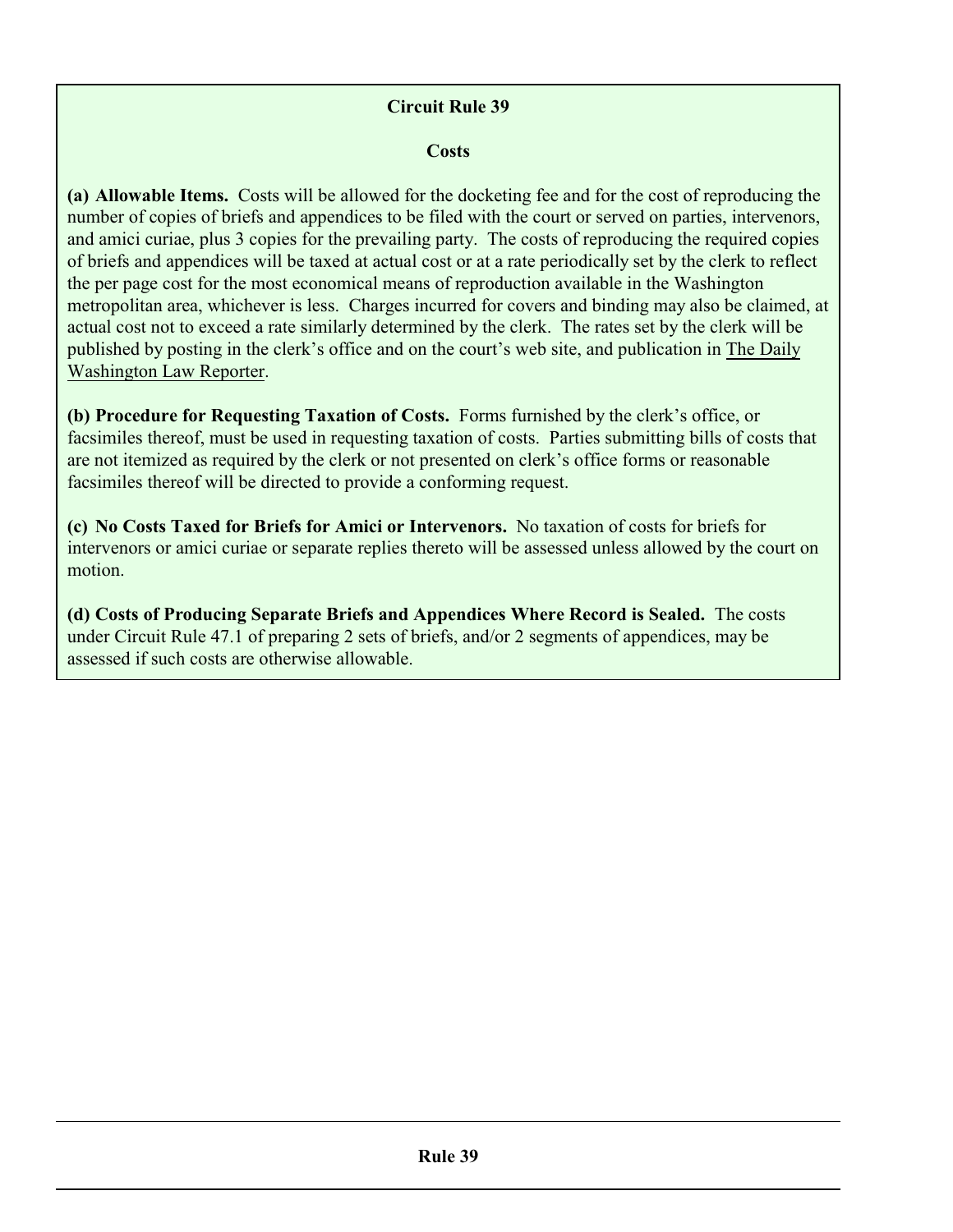### **Circuit Rule 39**

**Costs**

**(a) Allowable Items.** Costs will be allowed for the docketing fee and for the cost of reproducing the number of copies of briefs and appendices to be filed with the court or served on parties, intervenors, and amici curiae, plus 3 copies for the prevailing party. The costs of reproducing the required copies of briefs and appendices will be taxed at actual cost or at a rate periodically set by the clerk to reflect the per page cost for the most economical means of reproduction available in the Washington metropolitan area, whichever is less. Charges incurred for covers and binding may also be claimed, at actual cost not to exceed a rate similarly determined by the clerk. The rates set by the clerk will be published by posting in the clerk's office and on the court's web site, and publication in The Daily Washington Law Reporter.

**(b) Procedure for Requesting Taxation of Costs.** Forms furnished by the clerk's office, or facsimiles thereof, must be used in requesting taxation of costs. Parties submitting bills of costs that are not itemized as required by the clerk or not presented on clerk's office forms or reasonable facsimiles thereof will be directed to provide a conforming request.

**(c) No Costs Taxed for Briefs for Amici or Intervenors.** No taxation of costs for briefs for intervenors or amici curiae or separate replies thereto will be assessed unless allowed by the court on motion.

**(d) Costs of Producing Separate Briefs and Appendices Where Record is Sealed.** The costs under Circuit Rule 47.1 of preparing 2 sets of briefs, and/or 2 segments of appendices, may be assessed if such costs are otherwise allowable.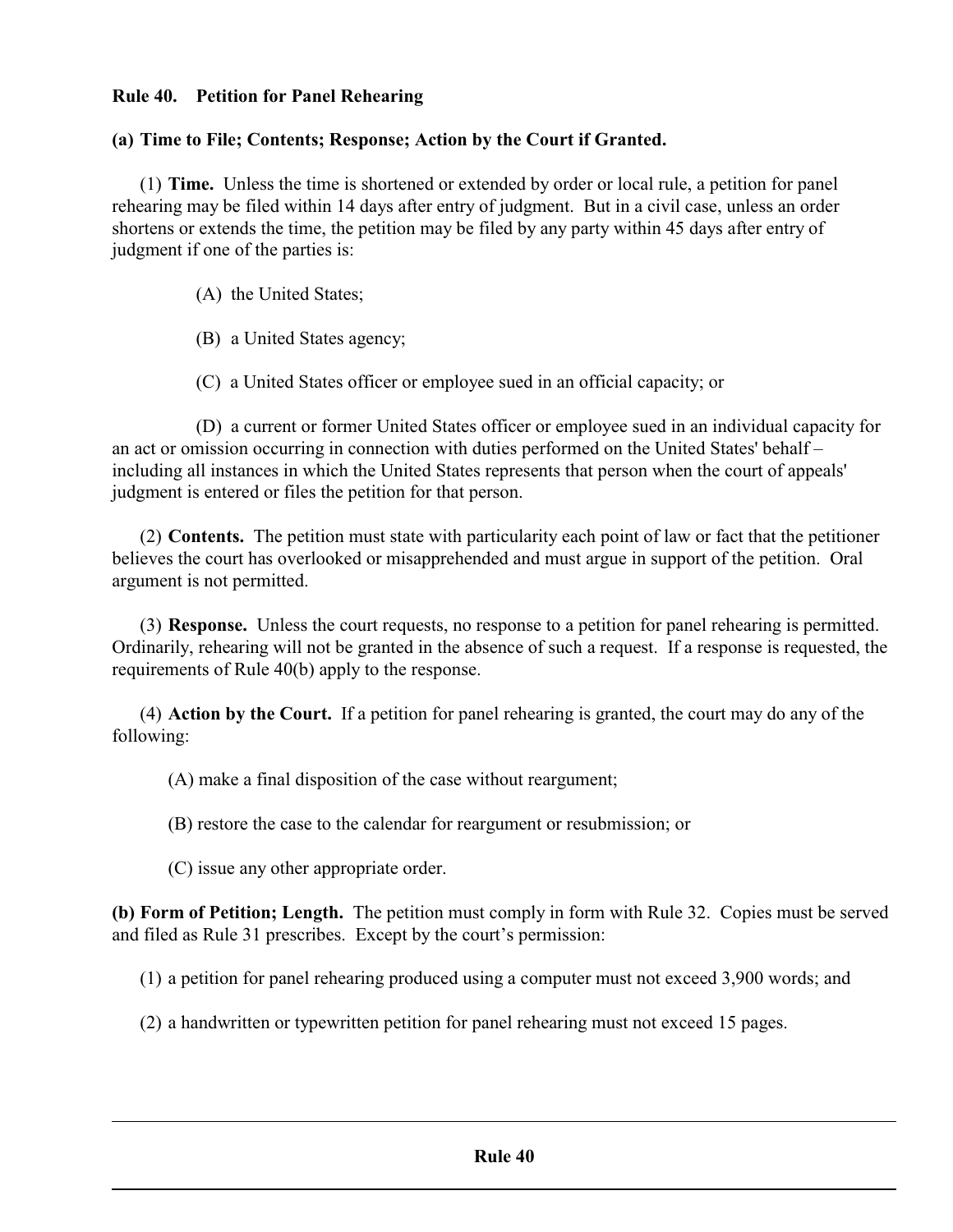#### **Rule 40. Petition for Panel Rehearing**

#### **(a) Time to File; Contents; Response; Action by the Court if Granted.**

(1) **Time.** Unless the time is shortened or extended by order or local rule, a petition for panel rehearing may be filed within 14 days after entry of judgment. But in a civil case, unless an order shortens or extends the time, the petition may be filed by any party within 45 days after entry of judgment if one of the parties is:

(A) the United States;

- (B) a United States agency;
- (C) a United States officer or employee sued in an official capacity; or

(D) a current or former United States officer or employee sued in an individual capacity for an act or omission occurring in connection with duties performed on the United States' behalf – including all instances in which the United States represents that person when the court of appeals' judgment is entered or files the petition for that person.

(2) **Contents.** The petition must state with particularity each point of law or fact that the petitioner believes the court has overlooked or misapprehended and must argue in support of the petition. Oral argument is not permitted.

(3) **Response.** Unless the court requests, no response to a petition for panel rehearing is permitted. Ordinarily, rehearing will not be granted in the absence of such a request. If a response is requested, the requirements of Rule 40(b) apply to the response.

(4) **Action by the Court.** If a petition for panel rehearing is granted, the court may do any of the following:

(A) make a final disposition of the case without reargument;

(B) restore the case to the calendar for reargument or resubmission; or

(C) issue any other appropriate order.

**(b) Form of Petition; Length.** The petition must comply in form with Rule 32. Copies must be served and filed as Rule 31 prescribes. Except by the court's permission:

(1) a petition for panel rehearing produced using a computer must not exceed 3,900 words; and

(2) a handwritten or typewritten petition for panel rehearing must not exceed 15 pages.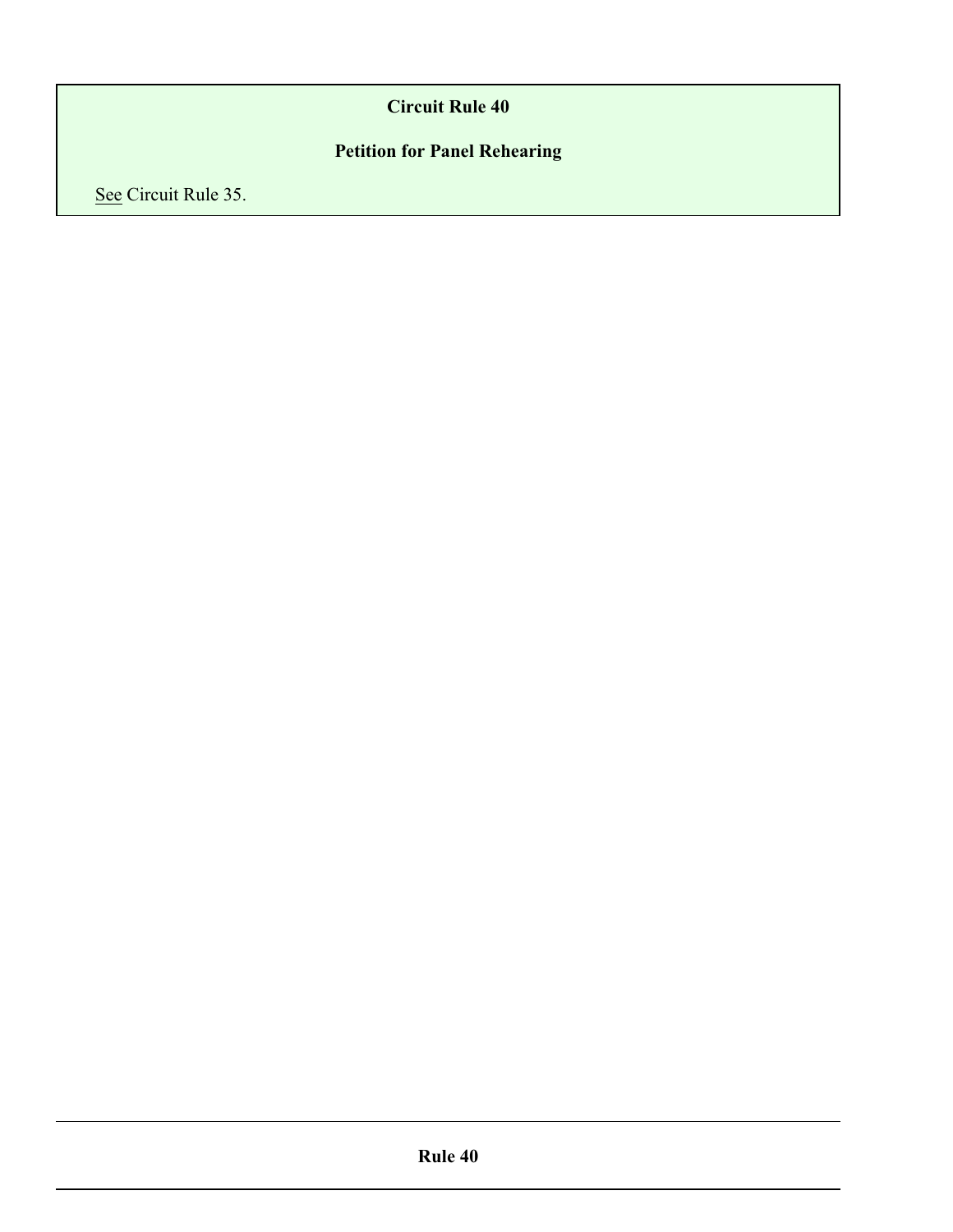**Circuit Rule 40**

# **Petition for Panel Rehearing**

See Circuit Rule 35.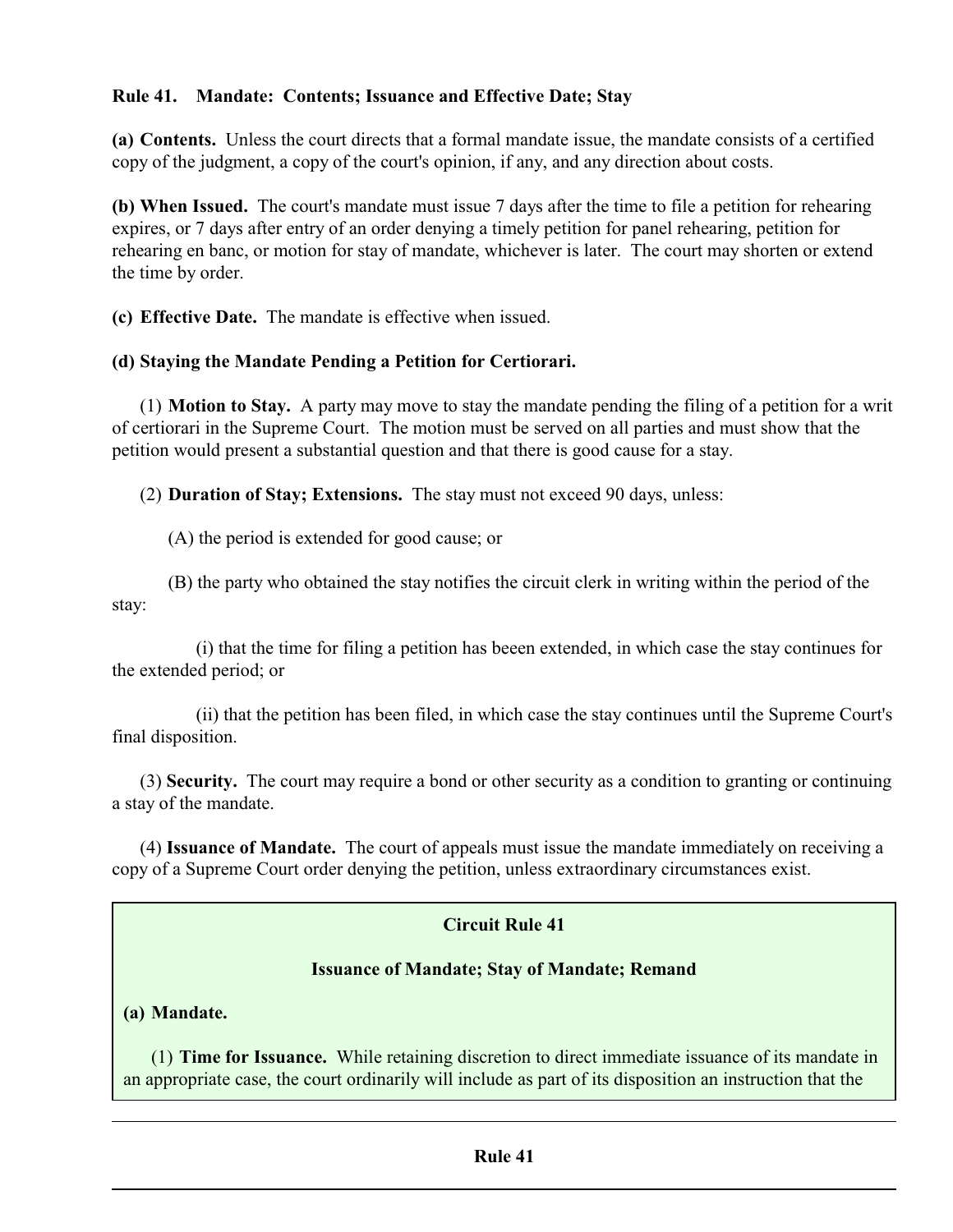### **Rule 41. Mandate: Contents; Issuance and Effective Date; Stay**

**(a) Contents.** Unless the court directs that a formal mandate issue, the mandate consists of a certified copy of the judgment, a copy of the court's opinion, if any, and any direction about costs.

**(b) When Issued.** The court's mandate must issue 7 days after the time to file a petition for rehearing expires, or 7 days after entry of an order denying a timely petition for panel rehearing, petition for rehearing en banc, or motion for stay of mandate, whichever is later. The court may shorten or extend the time by order.

**(c) Effective Date.** The mandate is effective when issued.

#### **(d) Staying the Mandate Pending a Petition for Certiorari.**

(1) **Motion to Stay.** A party may move to stay the mandate pending the filing of a petition for a writ of certiorari in the Supreme Court. The motion must be served on all parties and must show that the petition would present a substantial question and that there is good cause for a stay.

(2) **Duration of Stay; Extensions.** The stay must not exceed 90 days, unless:

(A) the period is extended for good cause; or

(B) the party who obtained the stay notifies the circuit clerk in writing within the period of the stay:

(i) that the time for filing a petition has beeen extended, in which case the stay continues for the extended period; or

(ii) that the petition has been filed, in which case the stay continues until the Supreme Court's final disposition.

(3) **Security.** The court may require a bond or other security as a condition to granting or continuing a stay of the mandate.

(4) **Issuance of Mandate.** The court of appeals must issue the mandate immediately on receiving a copy of a Supreme Court order denying the petition, unless extraordinary circumstances exist.

### **Circuit Rule 41**

### **Issuance of Mandate; Stay of Mandate; Remand**

**(a) Mandate.**

(1) **Time for Issuance.** While retaining discretion to direct immediate issuance of its mandate in an appropriate case, the court ordinarily will include as part of its disposition an instruction that the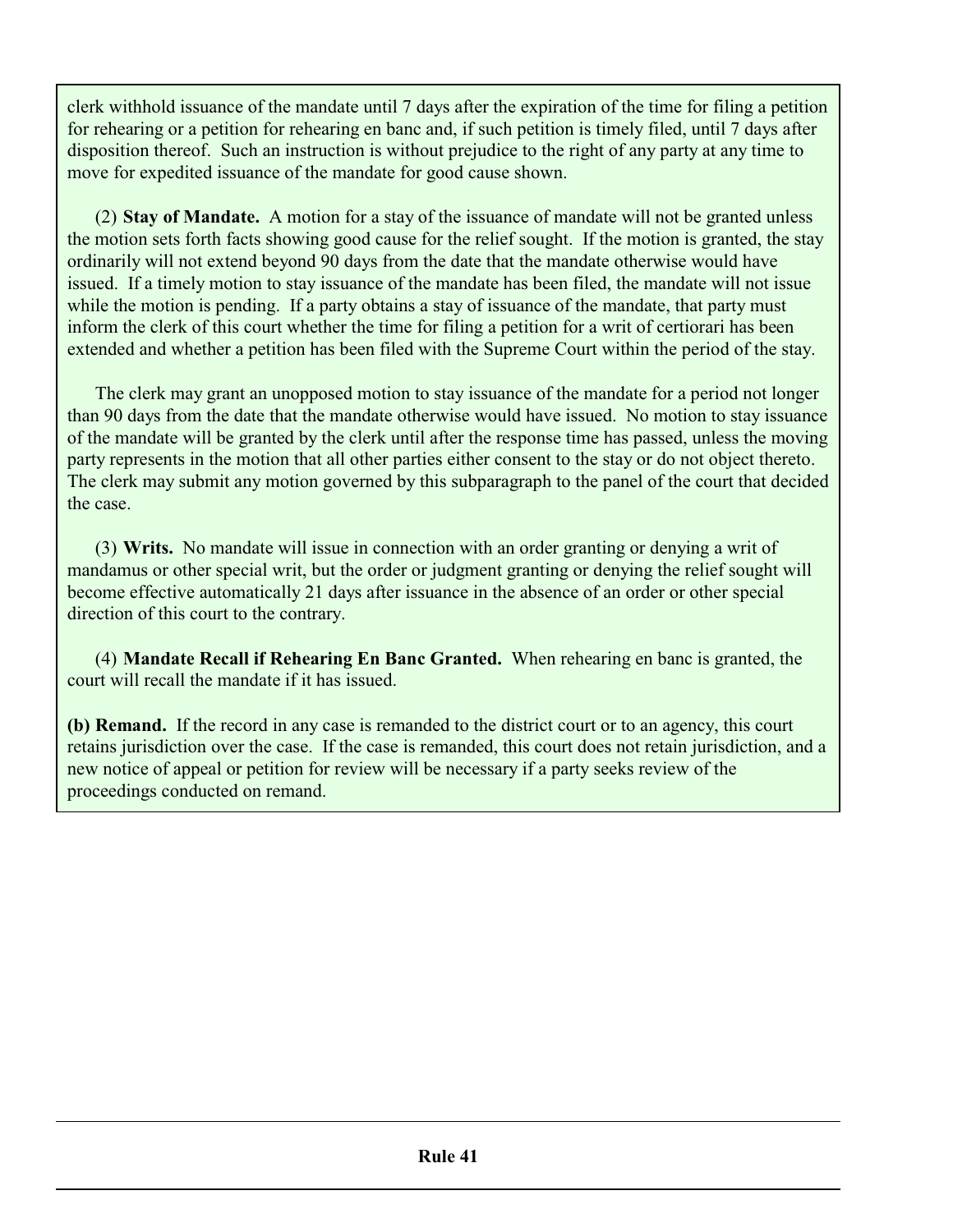clerk withhold issuance of the mandate until 7 days after the expiration of the time for filing a petition for rehearing or a petition for rehearing en banc and, if such petition is timely filed, until 7 days after disposition thereof. Such an instruction is without prejudice to the right of any party at any time to move for expedited issuance of the mandate for good cause shown.

(2) **Stay of Mandate.** A motion for a stay of the issuance of mandate will not be granted unless the motion sets forth facts showing good cause for the relief sought. If the motion is granted, the stay ordinarily will not extend beyond 90 days from the date that the mandate otherwise would have issued. If a timely motion to stay issuance of the mandate has been filed, the mandate will not issue while the motion is pending. If a party obtains a stay of issuance of the mandate, that party must inform the clerk of this court whether the time for filing a petition for a writ of certiorari has been extended and whether a petition has been filed with the Supreme Court within the period of the stay.

The clerk may grant an unopposed motion to stay issuance of the mandate for a period not longer than 90 days from the date that the mandate otherwise would have issued. No motion to stay issuance of the mandate will be granted by the clerk until after the response time has passed, unless the moving party represents in the motion that all other parties either consent to the stay or do not object thereto. The clerk may submit any motion governed by this subparagraph to the panel of the court that decided the case.

(3) **Writs.** No mandate will issue in connection with an order granting or denying a writ of mandamus or other special writ, but the order or judgment granting or denying the relief sought will become effective automatically 21 days after issuance in the absence of an order or other special direction of this court to the contrary.

(4) **Mandate Recall if Rehearing En Banc Granted.** When rehearing en banc is granted, the court will recall the mandate if it has issued.

**(b) Remand.** If the record in any case is remanded to the district court or to an agency, this court retains jurisdiction over the case. If the case is remanded, this court does not retain jurisdiction, and a new notice of appeal or petition for review will be necessary if a party seeks review of the proceedings conducted on remand.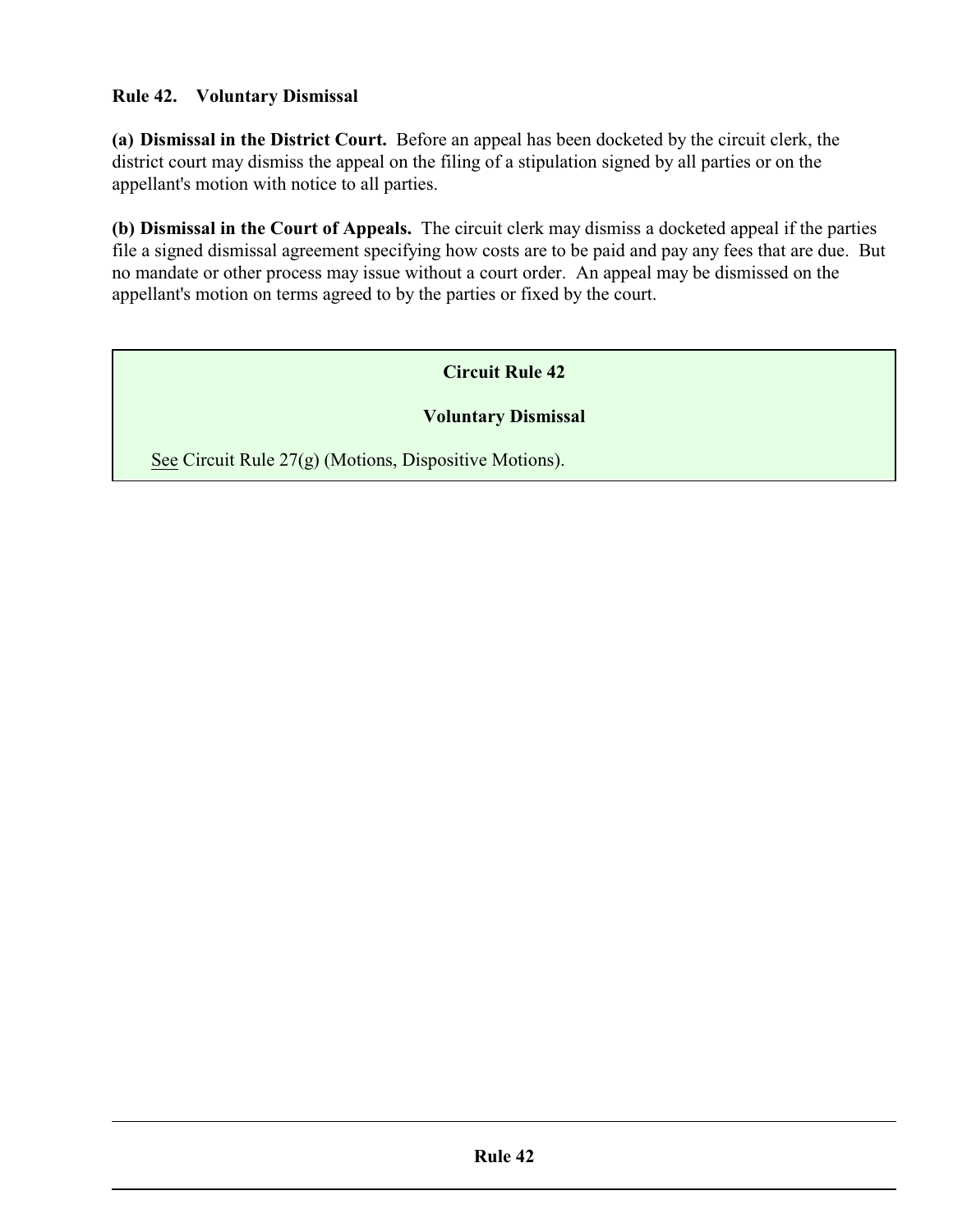### **Rule 42. Voluntary Dismissal**

**(a) Dismissal in the District Court.** Before an appeal has been docketed by the circuit clerk, the district court may dismiss the appeal on the filing of a stipulation signed by all parties or on the appellant's motion with notice to all parties.

**(b) Dismissal in the Court of Appeals.** The circuit clerk may dismiss a docketed appeal if the parties file a signed dismissal agreement specifying how costs are to be paid and pay any fees that are due. But no mandate or other process may issue without a court order. An appeal may be dismissed on the appellant's motion on terms agreed to by the parties or fixed by the court.

# **Circuit Rule 42**

# **Voluntary Dismissal**

See Circuit Rule 27(g) (Motions, Dispositive Motions).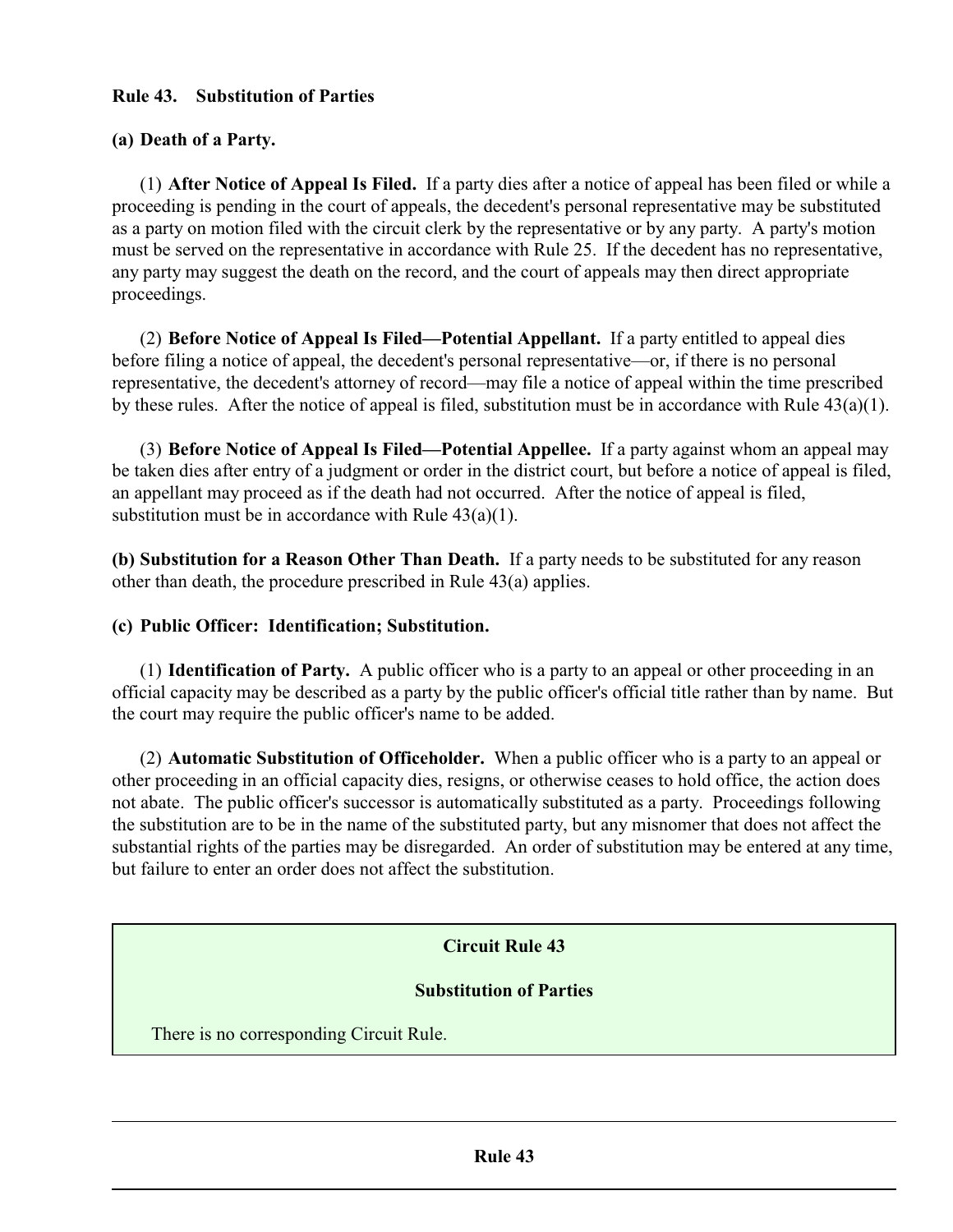### **Rule 43. Substitution of Parties**

### **(a) Death of a Party.**

(1) **After Notice of Appeal Is Filed.** If a party dies after a notice of appeal has been filed or while a proceeding is pending in the court of appeals, the decedent's personal representative may be substituted as a party on motion filed with the circuit clerk by the representative or by any party. A party's motion must be served on the representative in accordance with Rule 25. If the decedent has no representative, any party may suggest the death on the record, and the court of appeals may then direct appropriate proceedings.

(2) **Before Notice of Appeal Is Filed—Potential Appellant.** If a party entitled to appeal dies before filing a notice of appeal, the decedent's personal representative—or, if there is no personal representative, the decedent's attorney of record—may file a notice of appeal within the time prescribed by these rules. After the notice of appeal is filed, substitution must be in accordance with Rule 43(a)(1).

(3) **Before Notice of Appeal Is Filed—Potential Appellee.** If a party against whom an appeal may be taken dies after entry of a judgment or order in the district court, but before a notice of appeal is filed, an appellant may proceed as if the death had not occurred. After the notice of appeal is filed, substitution must be in accordance with Rule  $43(a)(1)$ .

**(b) Substitution for a Reason Other Than Death.** If a party needs to be substituted for any reason other than death, the procedure prescribed in Rule 43(a) applies.

### **(c) Public Officer: Identification; Substitution.**

(1) **Identification of Party.** A public officer who is a party to an appeal or other proceeding in an official capacity may be described as a party by the public officer's official title rather than by name. But the court may require the public officer's name to be added.

(2) **Automatic Substitution of Officeholder.** When a public officer who is a party to an appeal or other proceeding in an official capacity dies, resigns, or otherwise ceases to hold office, the action does not abate. The public officer's successor is automatically substituted as a party. Proceedings following the substitution are to be in the name of the substituted party, but any misnomer that does not affect the substantial rights of the parties may be disregarded. An order of substitution may be entered at any time, but failure to enter an order does not affect the substitution.

# **Circuit Rule 43**

### **Substitution of Parties**

There is no corresponding Circuit Rule.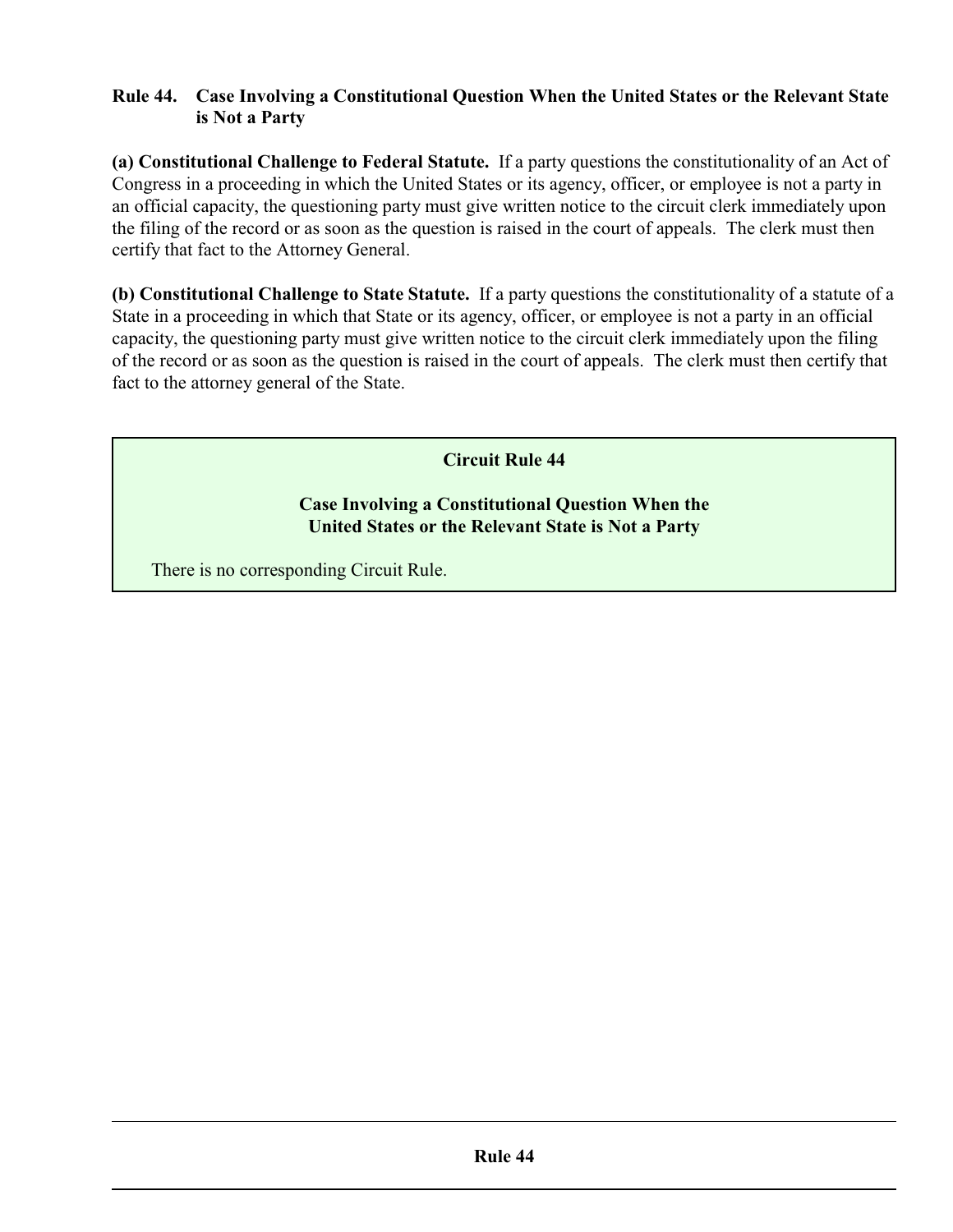### **Rule 44. Case Involving a Constitutional Question When the United States or the Relevant State is Not a Party**

**(a) Constitutional Challenge to Federal Statute.** If a party questions the constitutionality of an Act of Congress in a proceeding in which the United States or its agency, officer, or employee is not a party in an official capacity, the questioning party must give written notice to the circuit clerk immediately upon the filing of the record or as soon as the question is raised in the court of appeals. The clerk must then certify that fact to the Attorney General.

**(b) Constitutional Challenge to State Statute.** If a party questions the constitutionality of a statute of a State in a proceeding in which that State or its agency, officer, or employee is not a party in an official capacity, the questioning party must give written notice to the circuit clerk immediately upon the filing of the record or as soon as the question is raised in the court of appeals. The clerk must then certify that fact to the attorney general of the State.

**Circuit Rule 44**

**Case Involving a Constitutional Question When the United States or the Relevant State is Not a Party**

There is no corresponding Circuit Rule.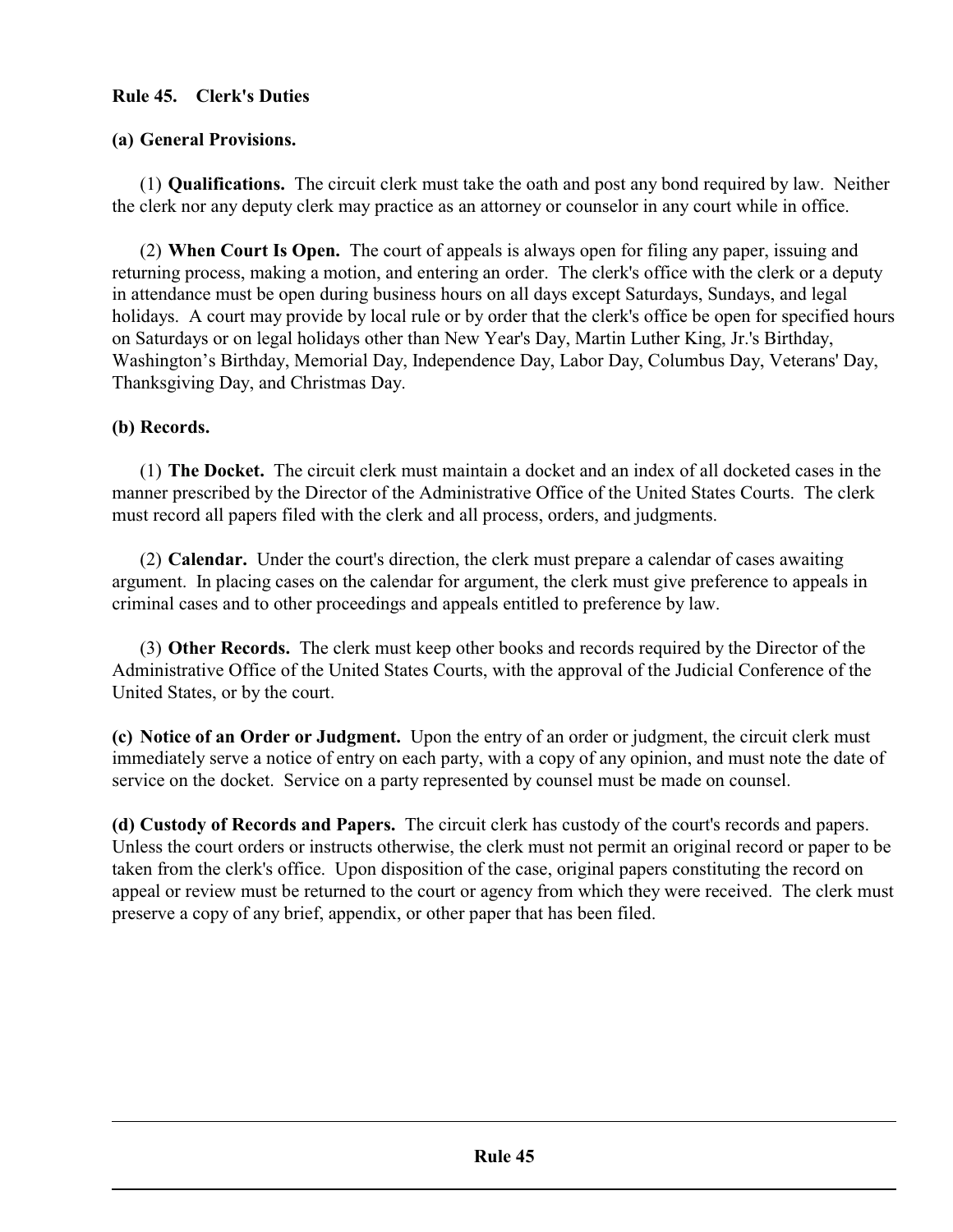### **Rule 45. Clerk's Duties**

### **(a) General Provisions.**

(1) **Qualifications.** The circuit clerk must take the oath and post any bond required by law. Neither the clerk nor any deputy clerk may practice as an attorney or counselor in any court while in office.

(2) **When Court Is Open.** The court of appeals is always open for filing any paper, issuing and returning process, making a motion, and entering an order. The clerk's office with the clerk or a deputy in attendance must be open during business hours on all days except Saturdays, Sundays, and legal holidays. A court may provide by local rule or by order that the clerk's office be open for specified hours on Saturdays or on legal holidays other than New Year's Day, Martin Luther King, Jr.'s Birthday, Washington's Birthday, Memorial Day, Independence Day, Labor Day, Columbus Day, Veterans' Day, Thanksgiving Day, and Christmas Day.

# **(b) Records.**

(1) **The Docket.** The circuit clerk must maintain a docket and an index of all docketed cases in the manner prescribed by the Director of the Administrative Office of the United States Courts. The clerk must record all papers filed with the clerk and all process, orders, and judgments.

(2) **Calendar.** Under the court's direction, the clerk must prepare a calendar of cases awaiting argument. In placing cases on the calendar for argument, the clerk must give preference to appeals in criminal cases and to other proceedings and appeals entitled to preference by law.

(3) **Other Records.** The clerk must keep other books and records required by the Director of the Administrative Office of the United States Courts, with the approval of the Judicial Conference of the United States, or by the court.

**(c) Notice of an Order or Judgment.** Upon the entry of an order or judgment, the circuit clerk must immediately serve a notice of entry on each party, with a copy of any opinion, and must note the date of service on the docket. Service on a party represented by counsel must be made on counsel.

**(d) Custody of Records and Papers.** The circuit clerk has custody of the court's records and papers. Unless the court orders or instructs otherwise, the clerk must not permit an original record or paper to be taken from the clerk's office. Upon disposition of the case, original papers constituting the record on appeal or review must be returned to the court or agency from which they were received. The clerk must preserve a copy of any brief, appendix, or other paper that has been filed.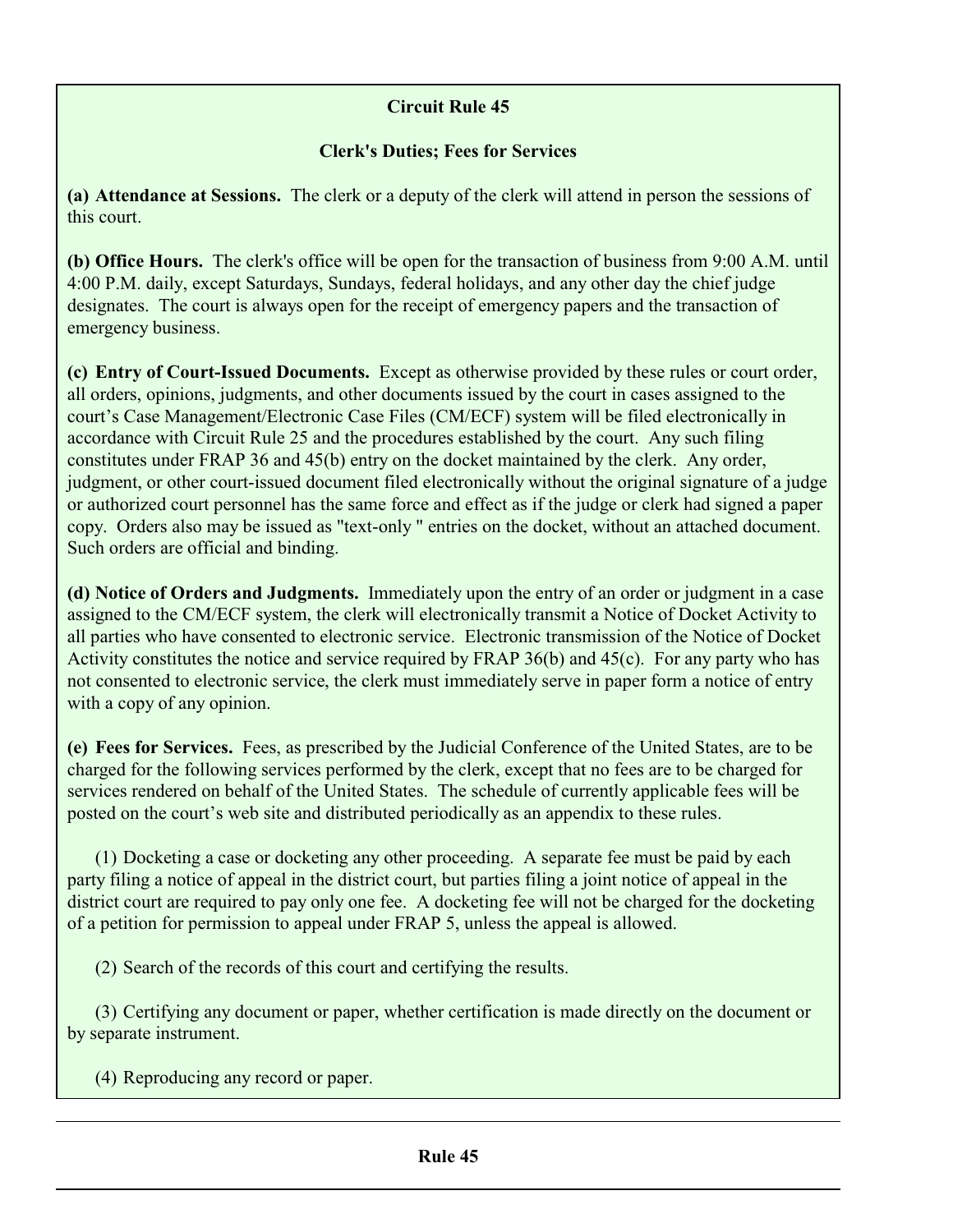# **Circuit Rule 45**

### **Clerk's Duties; Fees for Services**

**(a) Attendance at Sessions.** The clerk or a deputy of the clerk will attend in person the sessions of this court.

**(b) Office Hours.** The clerk's office will be open for the transaction of business from 9:00 A.M. until 4:00 P.M. daily, except Saturdays, Sundays, federal holidays, and any other day the chief judge designates. The court is always open for the receipt of emergency papers and the transaction of emergency business.

**(c) Entry of Court-Issued Documents.** Except as otherwise provided by these rules or court order, all orders, opinions, judgments, and other documents issued by the court in cases assigned to the court's Case Management/Electronic Case Files (CM/ECF) system will be filed electronically in accordance with Circuit Rule 25 and the procedures established by the court. Any such filing constitutes under FRAP 36 and 45(b) entry on the docket maintained by the clerk. Any order, judgment, or other court-issued document filed electronically without the original signature of a judge or authorized court personnel has the same force and effect as if the judge or clerk had signed a paper copy. Orders also may be issued as "text-only " entries on the docket, without an attached document. Such orders are official and binding.

**(d) Notice of Orders and Judgments.** Immediately upon the entry of an order or judgment in a case assigned to the CM/ECF system, the clerk will electronically transmit a Notice of Docket Activity to all parties who have consented to electronic service. Electronic transmission of the Notice of Docket Activity constitutes the notice and service required by FRAP 36(b) and 45(c). For any party who has not consented to electronic service, the clerk must immediately serve in paper form a notice of entry with a copy of any opinion.

**(e) Fees for Services.** Fees, as prescribed by the Judicial Conference of the United States, are to be charged for the following services performed by the clerk, except that no fees are to be charged for services rendered on behalf of the United States. The schedule of currently applicable fees will be posted on the court's web site and distributed periodically as an appendix to these rules.

(1) Docketing a case or docketing any other proceeding. A separate fee must be paid by each party filing a notice of appeal in the district court, but parties filing a joint notice of appeal in the district court are required to pay only one fee. A docketing fee will not be charged for the docketing of a petition for permission to appeal under FRAP 5, unless the appeal is allowed.

(2) Search of the records of this court and certifying the results.

(3) Certifying any document or paper, whether certification is made directly on the document or by separate instrument.

(4) Reproducing any record or paper.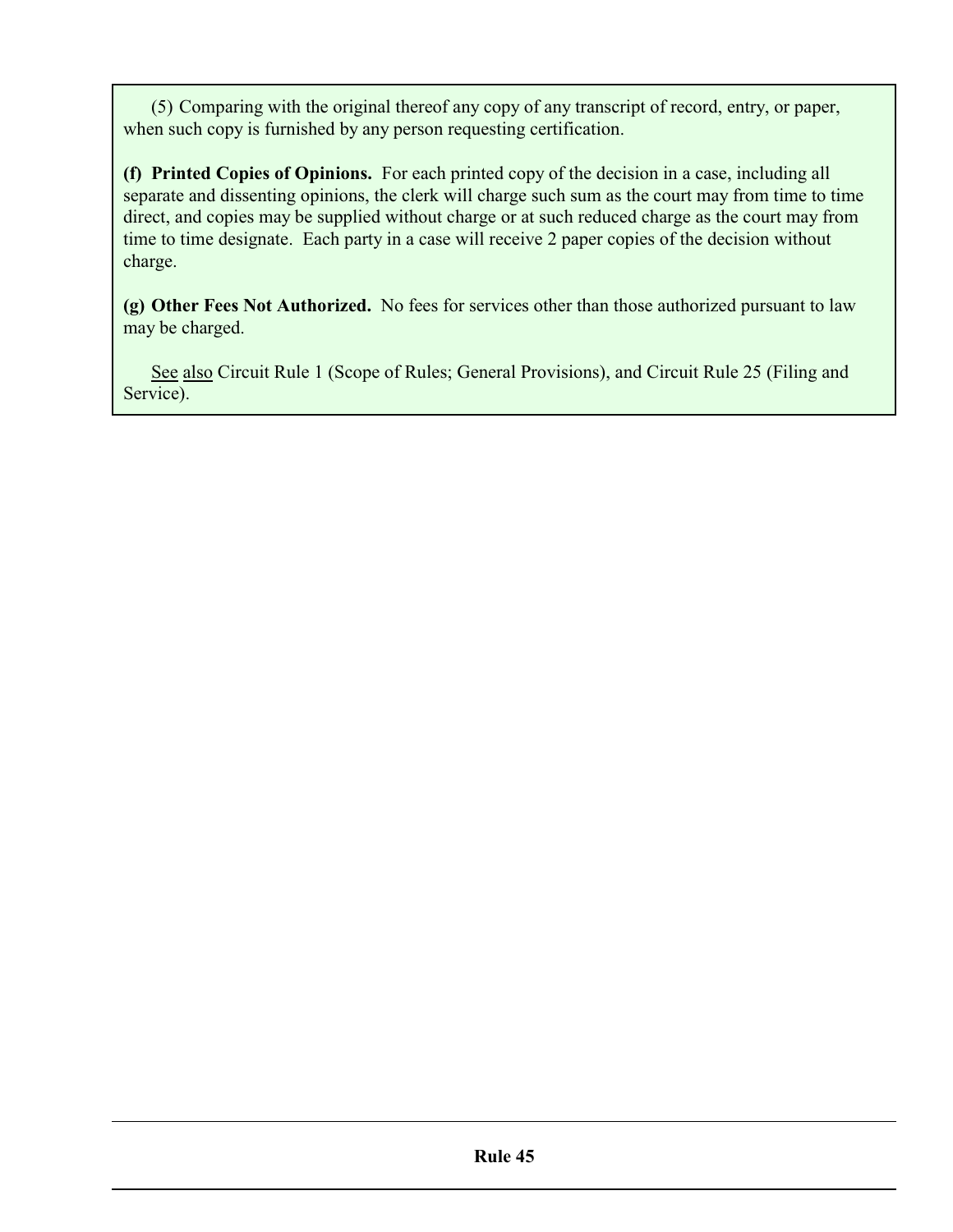(5) Comparing with the original thereof any copy of any transcript of record, entry, or paper, when such copy is furnished by any person requesting certification.

**(f) Printed Copies of Opinions.** For each printed copy of the decision in a case, including all separate and dissenting opinions, the clerk will charge such sum as the court may from time to time direct, and copies may be supplied without charge or at such reduced charge as the court may from time to time designate. Each party in a case will receive 2 paper copies of the decision without charge.

**(g) Other Fees Not Authorized.** No fees for services other than those authorized pursuant to law may be charged.

See also Circuit Rule 1 (Scope of Rules; General Provisions), and Circuit Rule 25 (Filing and Service).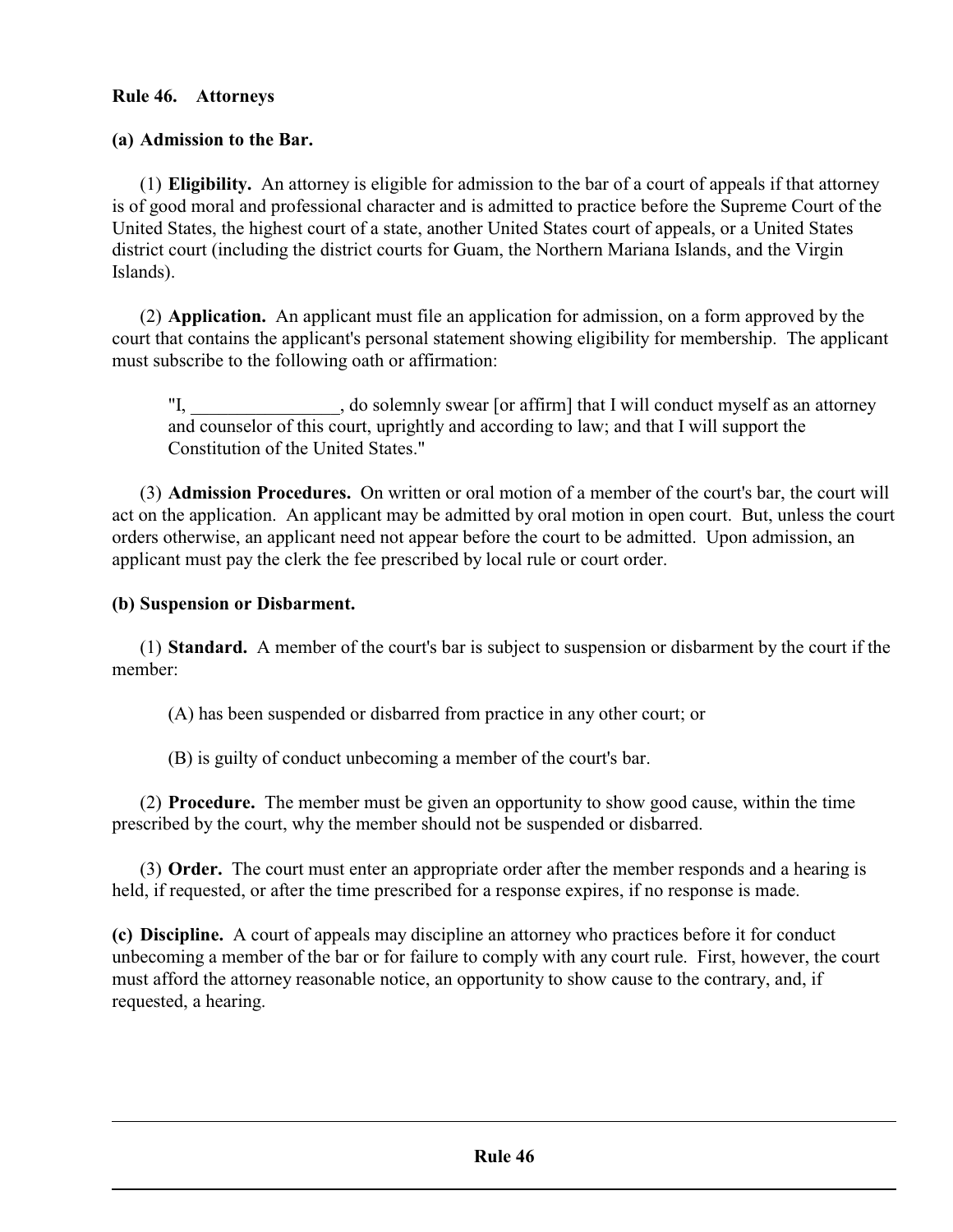#### **Rule 46. Attorneys**

### **(a) Admission to the Bar.**

(1) **Eligibility.** An attorney is eligible for admission to the bar of a court of appeals if that attorney is of good moral and professional character and is admitted to practice before the Supreme Court of the United States, the highest court of a state, another United States court of appeals, or a United States district court (including the district courts for Guam, the Northern Mariana Islands, and the Virgin Islands).

(2) **Application.** An applicant must file an application for admission, on a form approved by the court that contains the applicant's personal statement showing eligibility for membership. The applicant must subscribe to the following oath or affirmation:

"I, do solemnly swear [or affirm] that I will conduct myself as an attorney and counselor of this court, uprightly and according to law; and that I will support the Constitution of the United States."

(3) **Admission Procedures.** On written or oral motion of a member of the court's bar, the court will act on the application. An applicant may be admitted by oral motion in open court. But, unless the court orders otherwise, an applicant need not appear before the court to be admitted. Upon admission, an applicant must pay the clerk the fee prescribed by local rule or court order.

#### **(b) Suspension or Disbarment.**

(1) **Standard.** A member of the court's bar is subject to suspension or disbarment by the court if the member:

(A) has been suspended or disbarred from practice in any other court; or

(B) is guilty of conduct unbecoming a member of the court's bar.

(2) **Procedure.** The member must be given an opportunity to show good cause, within the time prescribed by the court, why the member should not be suspended or disbarred.

(3) **Order.** The court must enter an appropriate order after the member responds and a hearing is held, if requested, or after the time prescribed for a response expires, if no response is made.

**(c) Discipline.** A court of appeals may discipline an attorney who practices before it for conduct unbecoming a member of the bar or for failure to comply with any court rule. First, however, the court must afford the attorney reasonable notice, an opportunity to show cause to the contrary, and, if requested, a hearing.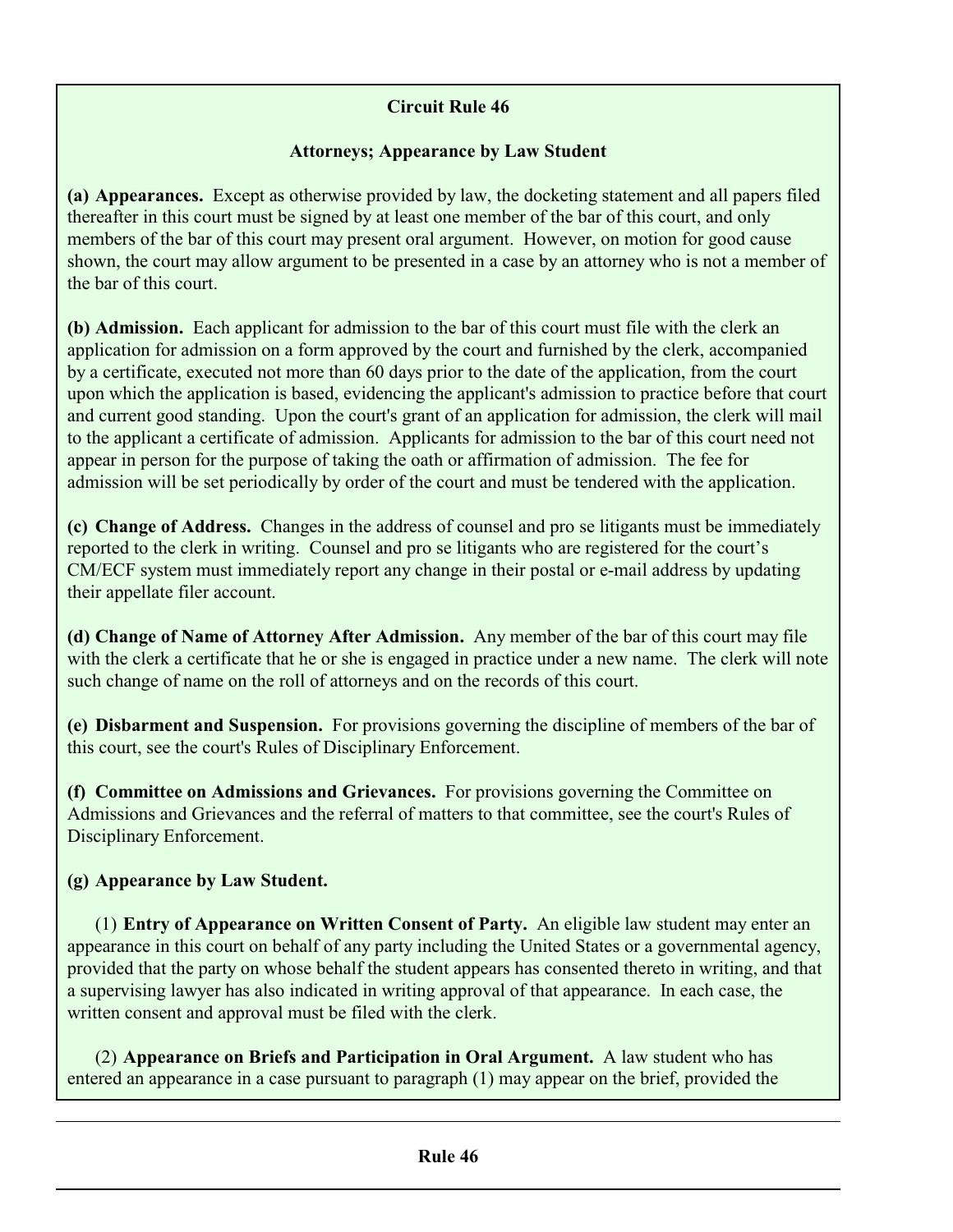# **Circuit Rule 46**

# **Attorneys; Appearance by Law Student**

**(a) Appearances.** Except as otherwise provided by law, the docketing statement and all papers filed thereafter in this court must be signed by at least one member of the bar of this court, and only members of the bar of this court may present oral argument. However, on motion for good cause shown, the court may allow argument to be presented in a case by an attorney who is not a member of the bar of this court.

**(b) Admission.** Each applicant for admission to the bar of this court must file with the clerk an application for admission on a form approved by the court and furnished by the clerk, accompanied by a certificate, executed not more than 60 days prior to the date of the application, from the court upon which the application is based, evidencing the applicant's admission to practice before that court and current good standing. Upon the court's grant of an application for admission, the clerk will mail to the applicant a certificate of admission. Applicants for admission to the bar of this court need not appear in person for the purpose of taking the oath or affirmation of admission. The fee for admission will be set periodically by order of the court and must be tendered with the application.

**(c) Change of Address.** Changes in the address of counsel and pro se litigants must be immediately reported to the clerk in writing. Counsel and pro se litigants who are registered for the court's CM/ECF system must immediately report any change in their postal or e-mail address by updating their appellate filer account.

**(d) Change of Name of Attorney After Admission.** Any member of the bar of this court may file with the clerk a certificate that he or she is engaged in practice under a new name. The clerk will note such change of name on the roll of attorneys and on the records of this court.

**(e) Disbarment and Suspension.** For provisions governing the discipline of members of the bar of this court, see the court's Rules of Disciplinary Enforcement.

**(f) Committee on Admissions and Grievances.** For provisions governing the Committee on Admissions and Grievances and the referral of matters to that committee, see the court's Rules of Disciplinary Enforcement.

# **(g) Appearance by Law Student.**

(1) **Entry of Appearance on Written Consent of Party.** An eligible law student may enter an appearance in this court on behalf of any party including the United States or a governmental agency, provided that the party on whose behalf the student appears has consented thereto in writing, and that a supervising lawyer has also indicated in writing approval of that appearance. In each case, the written consent and approval must be filed with the clerk.

(2) **Appearance on Briefs and Participation in Oral Argument.** A law student who has entered an appearance in a case pursuant to paragraph (1) may appear on the brief, provided the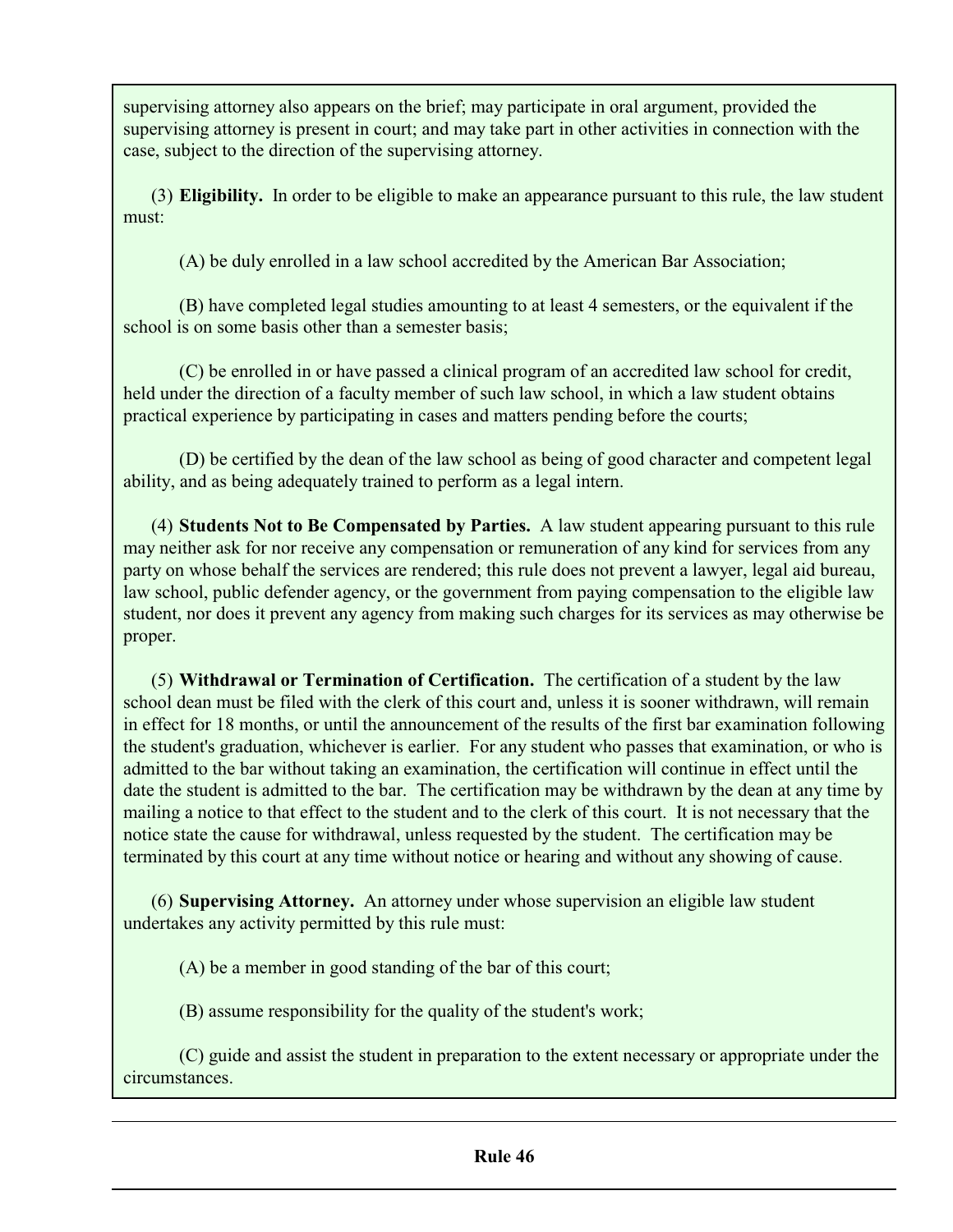supervising attorney also appears on the brief; may participate in oral argument, provided the supervising attorney is present in court; and may take part in other activities in connection with the case, subject to the direction of the supervising attorney.

(3) **Eligibility.** In order to be eligible to make an appearance pursuant to this rule, the law student must:

(A) be duly enrolled in a law school accredited by the American Bar Association;

(B) have completed legal studies amounting to at least 4 semesters, or the equivalent if the school is on some basis other than a semester basis;

(C) be enrolled in or have passed a clinical program of an accredited law school for credit, held under the direction of a faculty member of such law school, in which a law student obtains practical experience by participating in cases and matters pending before the courts;

(D) be certified by the dean of the law school as being of good character and competent legal ability, and as being adequately trained to perform as a legal intern.

(4) **Students Not to Be Compensated by Parties.** A law student appearing pursuant to this rule may neither ask for nor receive any compensation or remuneration of any kind for services from any party on whose behalf the services are rendered; this rule does not prevent a lawyer, legal aid bureau, law school, public defender agency, or the government from paying compensation to the eligible law student, nor does it prevent any agency from making such charges for its services as may otherwise be proper.

(5) **Withdrawal or Termination of Certification.** The certification of a student by the law school dean must be filed with the clerk of this court and, unless it is sooner withdrawn, will remain in effect for 18 months, or until the announcement of the results of the first bar examination following the student's graduation, whichever is earlier. For any student who passes that examination, or who is admitted to the bar without taking an examination, the certification will continue in effect until the date the student is admitted to the bar. The certification may be withdrawn by the dean at any time by mailing a notice to that effect to the student and to the clerk of this court. It is not necessary that the notice state the cause for withdrawal, unless requested by the student. The certification may be terminated by this court at any time without notice or hearing and without any showing of cause.

(6) **Supervising Attorney.** An attorney under whose supervision an eligible law student undertakes any activity permitted by this rule must:

(A) be a member in good standing of the bar of this court;

(B) assume responsibility for the quality of the student's work;

(C) guide and assist the student in preparation to the extent necessary or appropriate under the circumstances.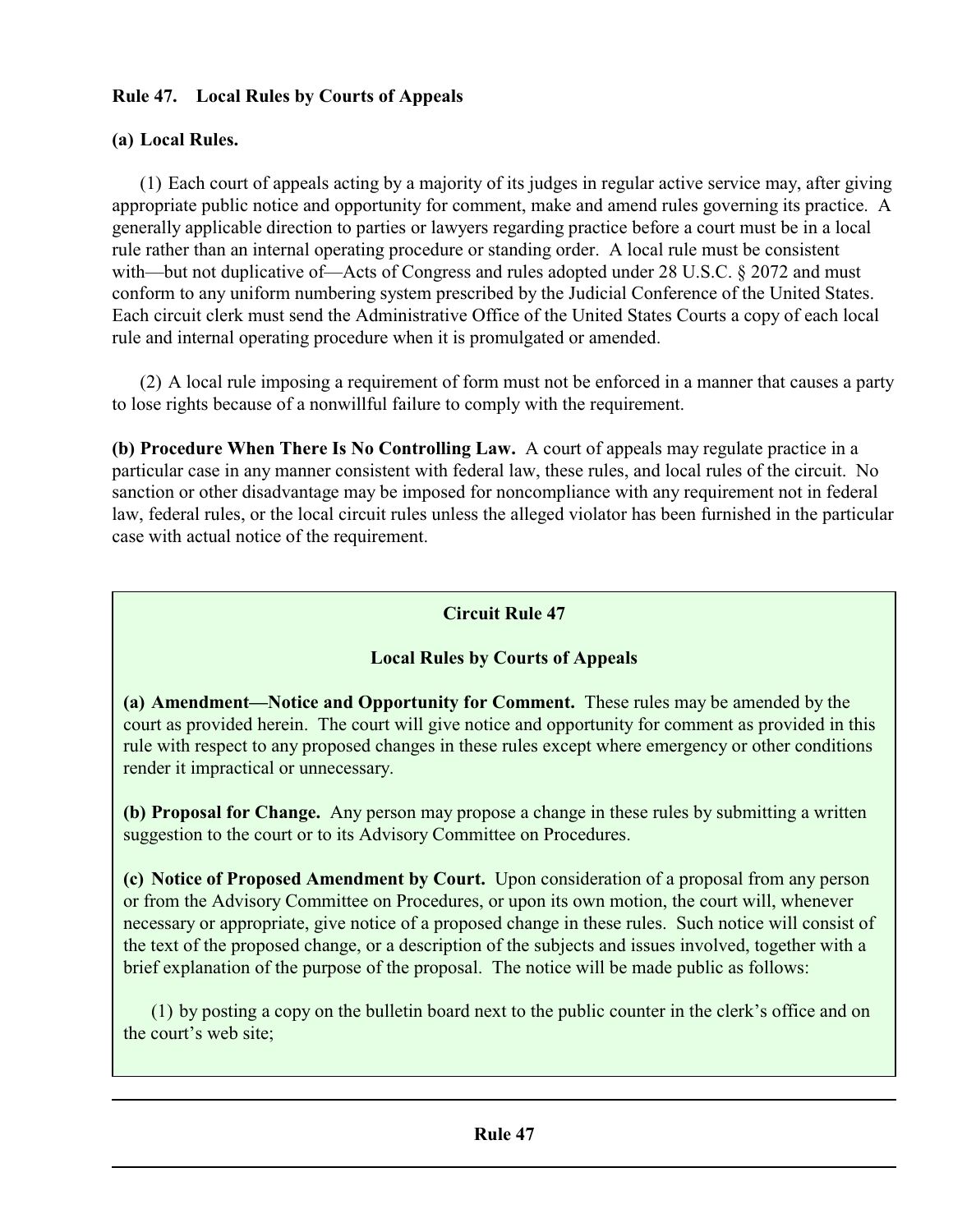# **Rule 47. Local Rules by Courts of Appeals**

# **(a) Local Rules.**

(1) Each court of appeals acting by a majority of its judges in regular active service may, after giving appropriate public notice and opportunity for comment, make and amend rules governing its practice. A generally applicable direction to parties or lawyers regarding practice before a court must be in a local rule rather than an internal operating procedure or standing order. A local rule must be consistent with—but not duplicative of—Acts of Congress and rules adopted under 28 U.S.C. § 2072 and must conform to any uniform numbering system prescribed by the Judicial Conference of the United States. Each circuit clerk must send the Administrative Office of the United States Courts a copy of each local rule and internal operating procedure when it is promulgated or amended.

(2) A local rule imposing a requirement of form must not be enforced in a manner that causes a party to lose rights because of a nonwillful failure to comply with the requirement.

**(b) Procedure When There Is No Controlling Law.** A court of appeals may regulate practice in a particular case in any manner consistent with federal law, these rules, and local rules of the circuit. No sanction or other disadvantage may be imposed for noncompliance with any requirement not in federal law, federal rules, or the local circuit rules unless the alleged violator has been furnished in the particular case with actual notice of the requirement.

# **Circuit Rule 47**

# **Local Rules by Courts of Appeals**

**(a) Amendment—Notice and Opportunity for Comment.** These rules may be amended by the court as provided herein. The court will give notice and opportunity for comment as provided in this rule with respect to any proposed changes in these rules except where emergency or other conditions render it impractical or unnecessary.

**(b) Proposal for Change.** Any person may propose a change in these rules by submitting a written suggestion to the court or to its Advisory Committee on Procedures.

**(c) Notice of Proposed Amendment by Court.** Upon consideration of a proposal from any person or from the Advisory Committee on Procedures, or upon its own motion, the court will, whenever necessary or appropriate, give notice of a proposed change in these rules. Such notice will consist of the text of the proposed change, or a description of the subjects and issues involved, together with a brief explanation of the purpose of the proposal. The notice will be made public as follows:

(1) by posting a copy on the bulletin board next to the public counter in the clerk's office and on the court's web site;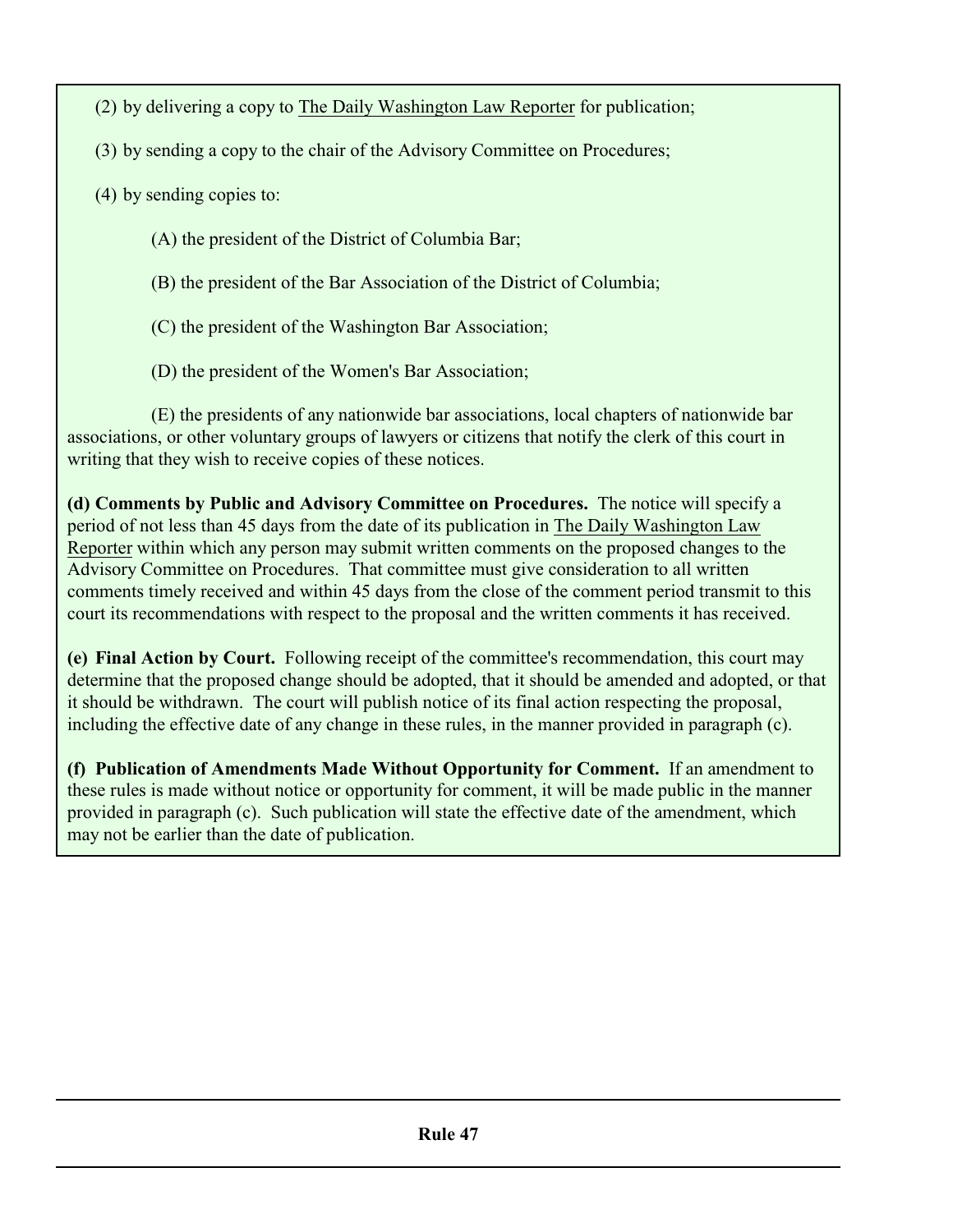- (2) by delivering a copy to The Daily Washington Law Reporter for publication;
- (3) by sending a copy to the chair of the Advisory Committee on Procedures;
- (4) by sending copies to:
	- (A) the president of the District of Columbia Bar;
	- (B) the president of the Bar Association of the District of Columbia;
	- (C) the president of the Washington Bar Association;
	- (D) the president of the Women's Bar Association;

(E) the presidents of any nationwide bar associations, local chapters of nationwide bar associations, or other voluntary groups of lawyers or citizens that notify the clerk of this court in writing that they wish to receive copies of these notices.

**(d) Comments by Public and Advisory Committee on Procedures.** The notice will specify a period of not less than 45 days from the date of its publication in The Daily Washington Law Reporter within which any person may submit written comments on the proposed changes to the Advisory Committee on Procedures. That committee must give consideration to all written comments timely received and within 45 days from the close of the comment period transmit to this court its recommendations with respect to the proposal and the written comments it has received.

**(e) Final Action by Court.** Following receipt of the committee's recommendation, this court may determine that the proposed change should be adopted, that it should be amended and adopted, or that it should be withdrawn. The court will publish notice of its final action respecting the proposal, including the effective date of any change in these rules, in the manner provided in paragraph (c).

**(f) Publication of Amendments Made Without Opportunity for Comment.** If an amendment to these rules is made without notice or opportunity for comment, it will be made public in the manner provided in paragraph (c). Such publication will state the effective date of the amendment, which may not be earlier than the date of publication.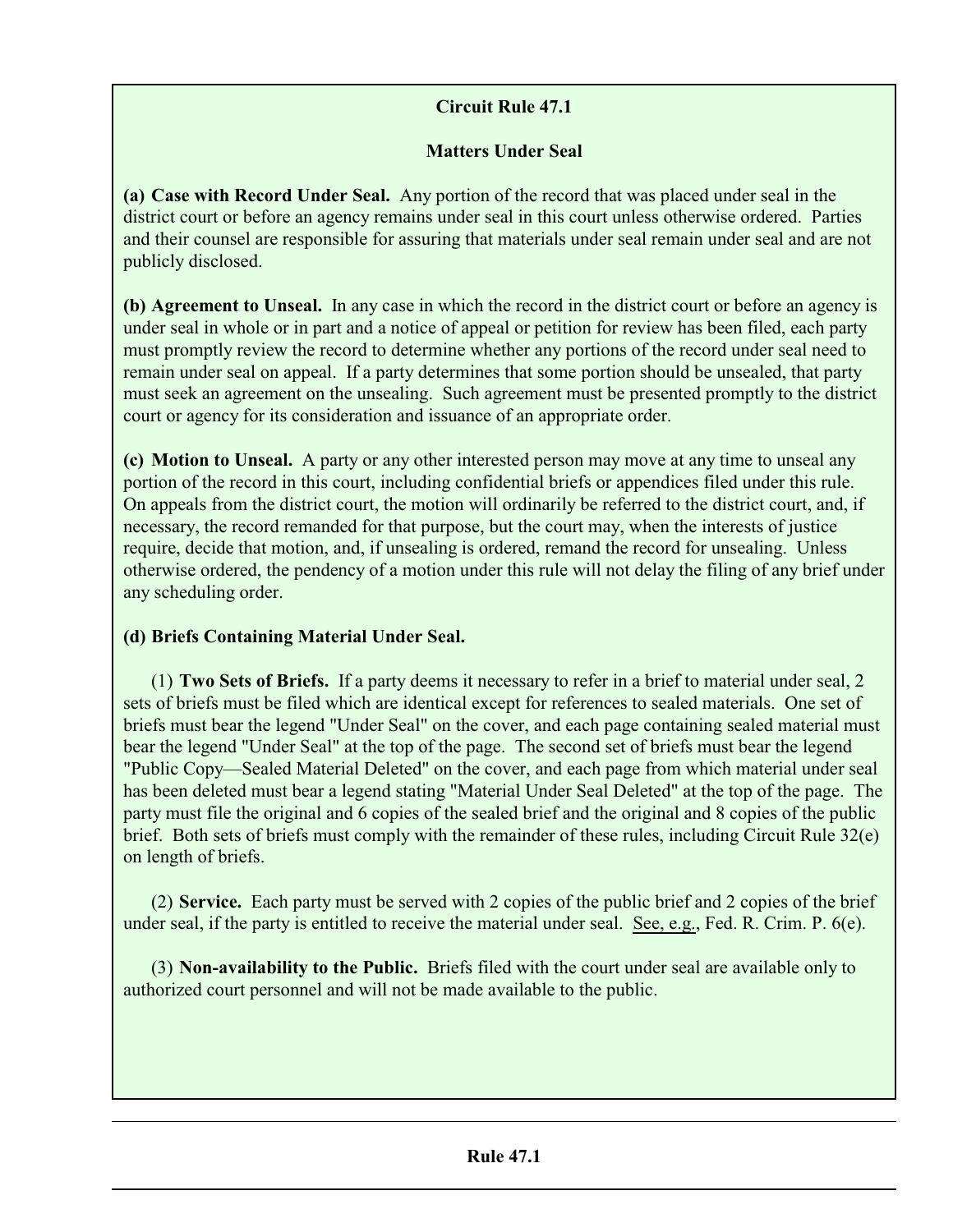### **Circuit Rule 47.1**

### **Matters Under Seal**

**(a) Case with Record Under Seal.** Any portion of the record that was placed under seal in the district court or before an agency remains under seal in this court unless otherwise ordered. Parties and their counsel are responsible for assuring that materials under seal remain under seal and are not publicly disclosed.

**(b) Agreement to Unseal.** In any case in which the record in the district court or before an agency is under seal in whole or in part and a notice of appeal or petition for review has been filed, each party must promptly review the record to determine whether any portions of the record under seal need to remain under seal on appeal. If a party determines that some portion should be unsealed, that party must seek an agreement on the unsealing. Such agreement must be presented promptly to the district court or agency for its consideration and issuance of an appropriate order.

**(c) Motion to Unseal.** A party or any other interested person may move at any time to unseal any portion of the record in this court, including confidential briefs or appendices filed under this rule. On appeals from the district court, the motion will ordinarily be referred to the district court, and, if necessary, the record remanded for that purpose, but the court may, when the interests of justice require, decide that motion, and, if unsealing is ordered, remand the record for unsealing. Unless otherwise ordered, the pendency of a motion under this rule will not delay the filing of any brief under any scheduling order.

### **(d) Briefs Containing Material Under Seal.**

(1) **Two Sets of Briefs.** If a party deems it necessary to refer in a brief to material under seal, 2 sets of briefs must be filed which are identical except for references to sealed materials. One set of briefs must bear the legend "Under Seal" on the cover, and each page containing sealed material must bear the legend "Under Seal" at the top of the page. The second set of briefs must bear the legend "Public Copy—Sealed Material Deleted" on the cover, and each page from which material under seal has been deleted must bear a legend stating "Material Under Seal Deleted" at the top of the page. The party must file the original and 6 copies of the sealed brief and the original and 8 copies of the public brief. Both sets of briefs must comply with the remainder of these rules, including Circuit Rule 32(e) on length of briefs.

(2) **Service.** Each party must be served with 2 copies of the public brief and 2 copies of the brief under seal, if the party is entitled to receive the material under seal. See, e.g., Fed. R. Crim. P. 6(e).

(3) **Non-availability to the Public.** Briefs filed with the court under seal are available only to authorized court personnel and will not be made available to the public.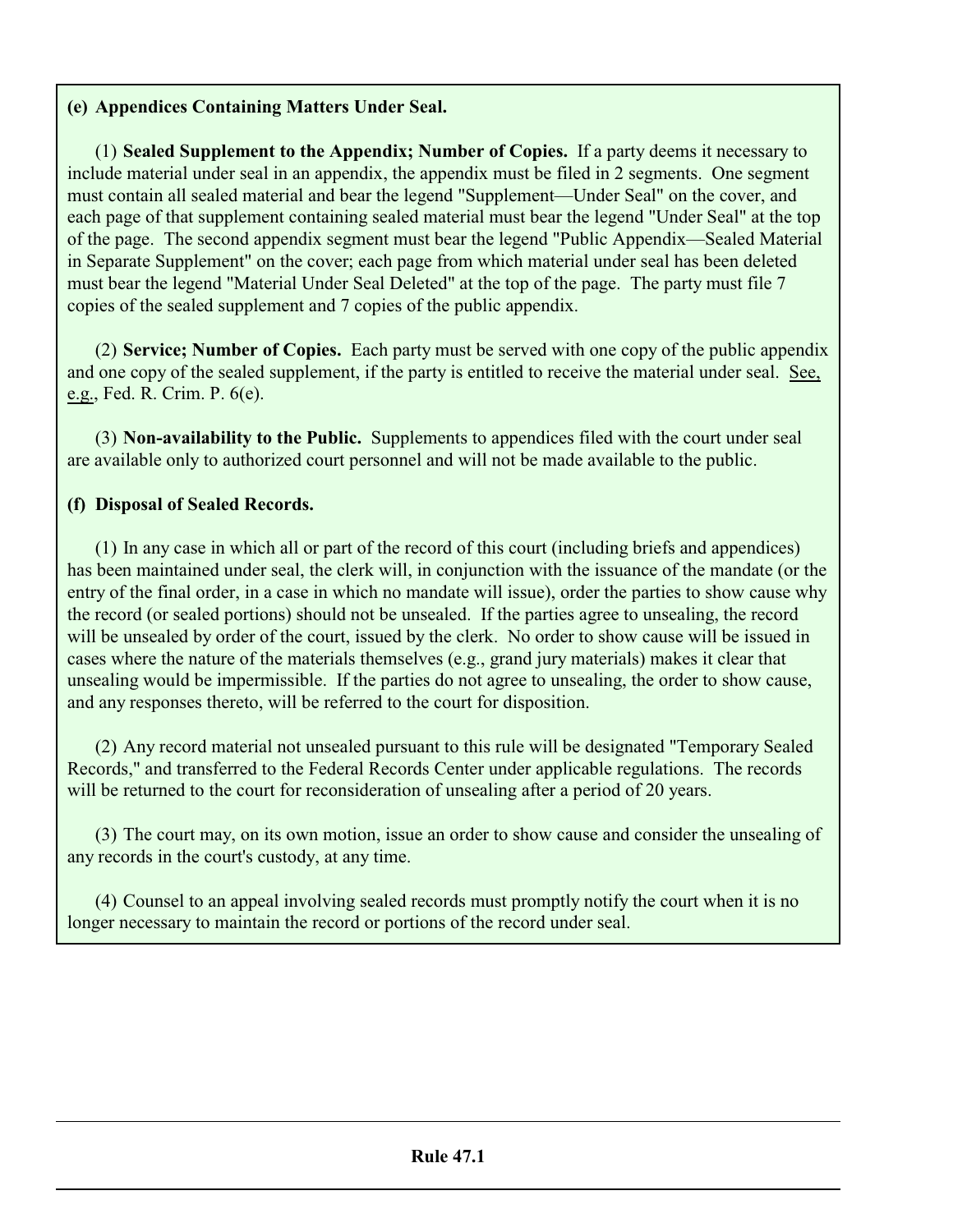### **(e) Appendices Containing Matters Under Seal.**

(1) **Sealed Supplement to the Appendix; Number of Copies.** If a party deems it necessary to include material under seal in an appendix, the appendix must be filed in 2 segments. One segment must contain all sealed material and bear the legend "Supplement—Under Seal" on the cover, and each page of that supplement containing sealed material must bear the legend "Under Seal" at the top of the page. The second appendix segment must bear the legend "Public Appendix—Sealed Material in Separate Supplement" on the cover; each page from which material under seal has been deleted must bear the legend "Material Under Seal Deleted" at the top of the page. The party must file 7 copies of the sealed supplement and 7 copies of the public appendix.

(2) **Service; Number of Copies.** Each party must be served with one copy of the public appendix and one copy of the sealed supplement, if the party is entitled to receive the material under seal. See, e.g., Fed. R. Crim. P. 6(e).

(3) **Non-availability to the Public.** Supplements to appendices filed with the court under seal are available only to authorized court personnel and will not be made available to the public.

### **(f) Disposal of Sealed Records.**

(1) In any case in which all or part of the record of this court (including briefs and appendices) has been maintained under seal, the clerk will, in conjunction with the issuance of the mandate (or the entry of the final order, in a case in which no mandate will issue), order the parties to show cause why the record (or sealed portions) should not be unsealed. If the parties agree to unsealing, the record will be unsealed by order of the court, issued by the clerk. No order to show cause will be issued in cases where the nature of the materials themselves (e.g., grand jury materials) makes it clear that unsealing would be impermissible. If the parties do not agree to unsealing, the order to show cause, and any responses thereto, will be referred to the court for disposition.

(2) Any record material not unsealed pursuant to this rule will be designated "Temporary Sealed Records," and transferred to the Federal Records Center under applicable regulations. The records will be returned to the court for reconsideration of unsealing after a period of 20 years.

(3) The court may, on its own motion, issue an order to show cause and consider the unsealing of any records in the court's custody, at any time.

(4) Counsel to an appeal involving sealed records must promptly notify the court when it is no longer necessary to maintain the record or portions of the record under seal.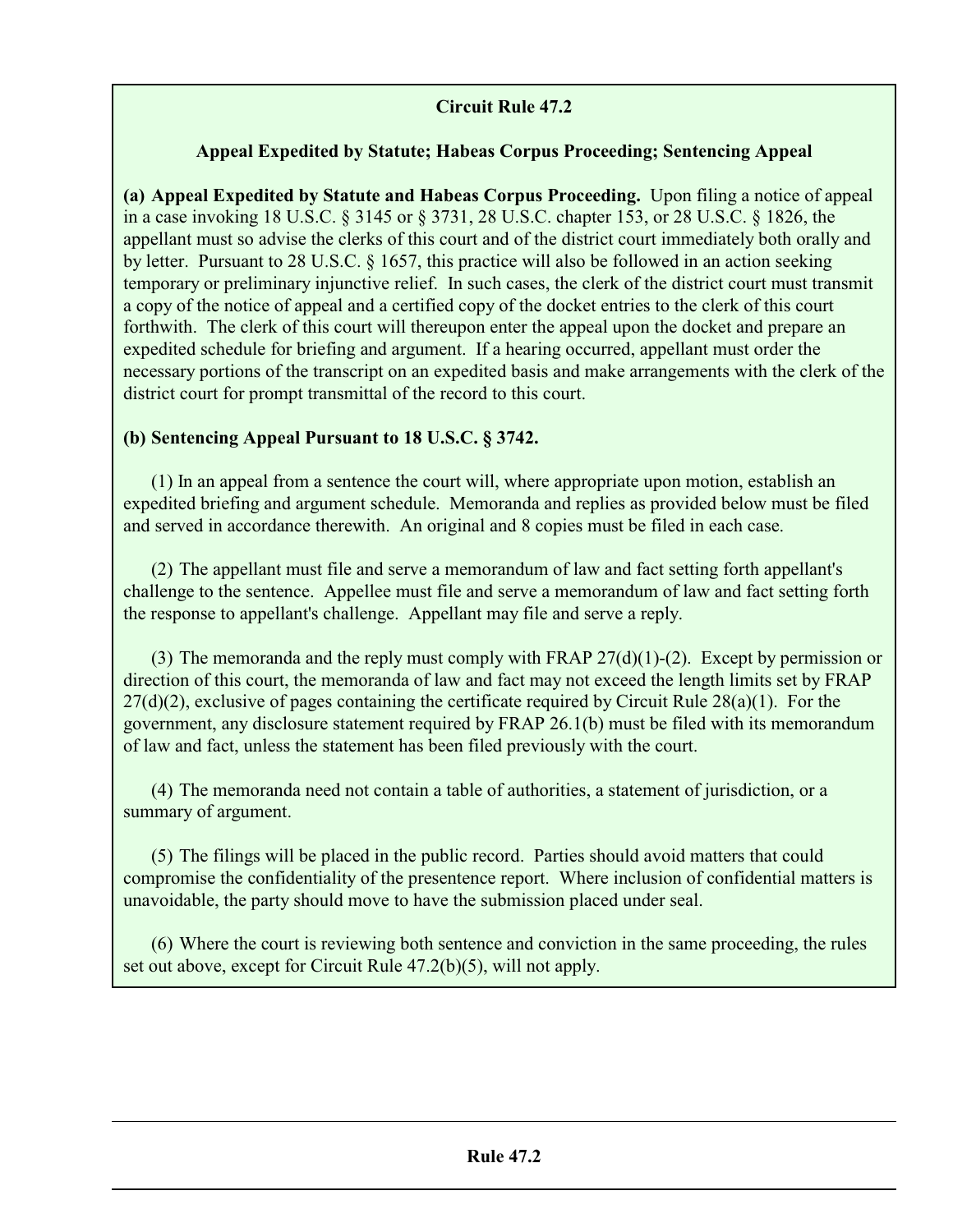# **Circuit Rule 47.2**

# **Appeal Expedited by Statute; Habeas Corpus Proceeding; Sentencing Appeal**

**(a) Appeal Expedited by Statute and Habeas Corpus Proceeding.** Upon filing a notice of appeal in a case invoking 18 U.S.C. § 3145 or § 3731, 28 U.S.C. chapter 153, or 28 U.S.C. § 1826, the appellant must so advise the clerks of this court and of the district court immediately both orally and by letter. Pursuant to 28 U.S.C. § 1657, this practice will also be followed in an action seeking temporary or preliminary injunctive relief. In such cases, the clerk of the district court must transmit a copy of the notice of appeal and a certified copy of the docket entries to the clerk of this court forthwith. The clerk of this court will thereupon enter the appeal upon the docket and prepare an expedited schedule for briefing and argument. If a hearing occurred, appellant must order the necessary portions of the transcript on an expedited basis and make arrangements with the clerk of the district court for prompt transmittal of the record to this court.

### **(b) Sentencing Appeal Pursuant to 18 U.S.C. § 3742.**

(1) In an appeal from a sentence the court will, where appropriate upon motion, establish an expedited briefing and argument schedule. Memoranda and replies as provided below must be filed and served in accordance therewith. An original and 8 copies must be filed in each case.

(2) The appellant must file and serve a memorandum of law and fact setting forth appellant's challenge to the sentence. Appellee must file and serve a memorandum of law and fact setting forth the response to appellant's challenge. Appellant may file and serve a reply.

(3) The memoranda and the reply must comply with FRAP  $27(d)(1)-(2)$ . Except by permission or direction of this court, the memoranda of law and fact may not exceed the length limits set by FRAP 27(d)(2), exclusive of pages containing the certificate required by Circuit Rule 28(a)(1). For the government, any disclosure statement required by FRAP 26.1(b) must be filed with its memorandum of law and fact, unless the statement has been filed previously with the court.

(4) The memoranda need not contain a table of authorities, a statement of jurisdiction, or a summary of argument.

(5) The filings will be placed in the public record. Parties should avoid matters that could compromise the confidentiality of the presentence report. Where inclusion of confidential matters is unavoidable, the party should move to have the submission placed under seal.

(6) Where the court is reviewing both sentence and conviction in the same proceeding, the rules set out above, except for Circuit Rule 47.2(b)(5), will not apply.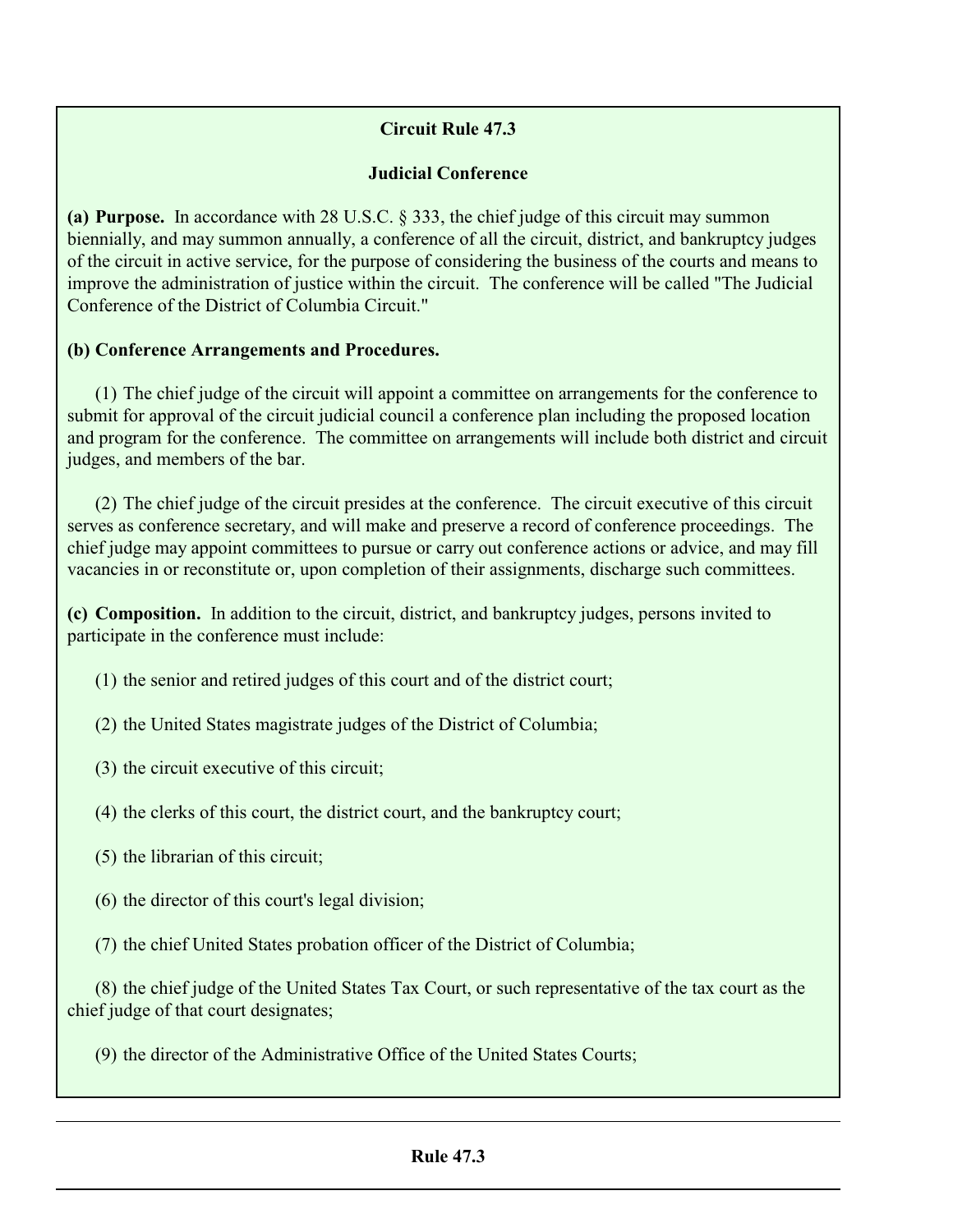# **Circuit Rule 47.3**

### **Judicial Conference**

**(a) Purpose.** In accordance with 28 U.S.C. § 333, the chief judge of this circuit may summon biennially, and may summon annually, a conference of all the circuit, district, and bankruptcy judges of the circuit in active service, for the purpose of considering the business of the courts and means to improve the administration of justice within the circuit. The conference will be called "The Judicial Conference of the District of Columbia Circuit."

#### **(b) Conference Arrangements and Procedures.**

(1) The chief judge of the circuit will appoint a committee on arrangements for the conference to submit for approval of the circuit judicial council a conference plan including the proposed location and program for the conference. The committee on arrangements will include both district and circuit judges, and members of the bar.

(2) The chief judge of the circuit presides at the conference. The circuit executive of this circuit serves as conference secretary, and will make and preserve a record of conference proceedings. The chief judge may appoint committees to pursue or carry out conference actions or advice, and may fill vacancies in or reconstitute or, upon completion of their assignments, discharge such committees.

**(c) Composition.** In addition to the circuit, district, and bankruptcy judges, persons invited to participate in the conference must include:

- (1) the senior and retired judges of this court and of the district court;
- (2) the United States magistrate judges of the District of Columbia;
- (3) the circuit executive of this circuit;
- (4) the clerks of this court, the district court, and the bankruptcy court;
- (5) the librarian of this circuit;
- (6) the director of this court's legal division;
- (7) the chief United States probation officer of the District of Columbia;

(8) the chief judge of the United States Tax Court, or such representative of the tax court as the chief judge of that court designates;

(9) the director of the Administrative Office of the United States Courts;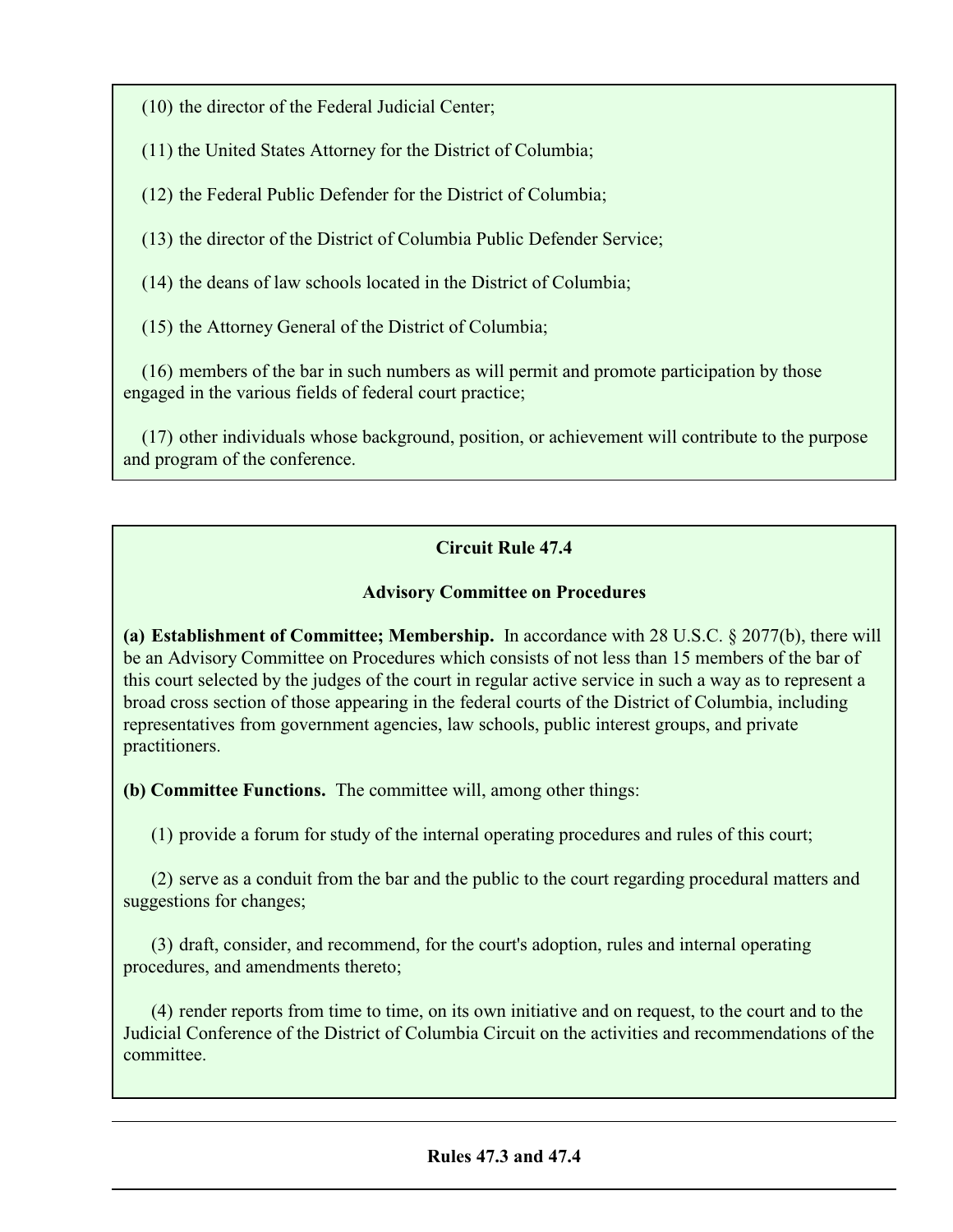(10) the director of the Federal Judicial Center;

(11) the United States Attorney for the District of Columbia;

(12) the Federal Public Defender for the District of Columbia;

(13) the director of the District of Columbia Public Defender Service;

(14) the deans of law schools located in the District of Columbia;

(15) the Attorney General of the District of Columbia;

 (16) members of the bar in such numbers as will permit and promote participation by those engaged in the various fields of federal court practice;

 (17) other individuals whose background, position, or achievement will contribute to the purpose and program of the conference.

# **Circuit Rule 47.4**

### **Advisory Committee on Procedures**

**(a) Establishment of Committee; Membership.** In accordance with 28 U.S.C. § 2077(b), there will be an Advisory Committee on Procedures which consists of not less than 15 members of the bar of this court selected by the judges of the court in regular active service in such a way as to represent a broad cross section of those appearing in the federal courts of the District of Columbia, including representatives from government agencies, law schools, public interest groups, and private practitioners.

**(b) Committee Functions.** The committee will, among other things:

(1) provide a forum for study of the internal operating procedures and rules of this court;

(2) serve as a conduit from the bar and the public to the court regarding procedural matters and suggestions for changes;

(3) draft, consider, and recommend, for the court's adoption, rules and internal operating procedures, and amendments thereto;

(4) render reports from time to time, on its own initiative and on request, to the court and to the Judicial Conference of the District of Columbia Circuit on the activities and recommendations of the committee.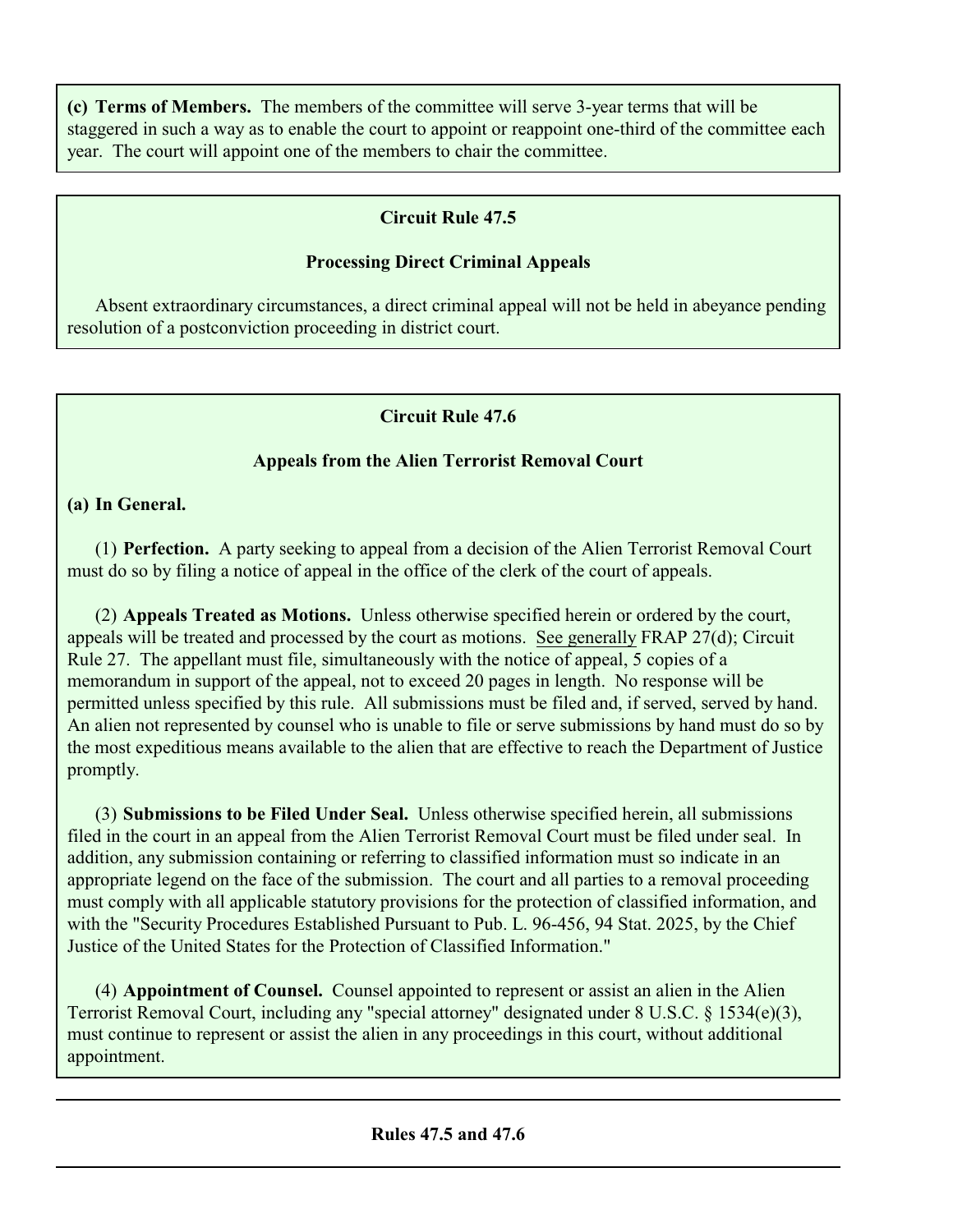**(c) Terms of Members.** The members of the committee will serve 3-year terms that will be staggered in such a way as to enable the court to appoint or reappoint one-third of the committee each year. The court will appoint one of the members to chair the committee.

### **Circuit Rule 47.5**

#### **Processing Direct Criminal Appeals**

Absent extraordinary circumstances, a direct criminal appeal will not be held in abeyance pending resolution of a postconviction proceeding in district court.

#### **Circuit Rule 47.6**

#### **Appeals from the Alien Terrorist Removal Court**

**(a) In General.**

(1) **Perfection.** A party seeking to appeal from a decision of the Alien Terrorist Removal Court must do so by filing a notice of appeal in the office of the clerk of the court of appeals.

(2) **Appeals Treated as Motions.** Unless otherwise specified herein or ordered by the court, appeals will be treated and processed by the court as motions. See generally FRAP 27(d); Circuit Rule 27. The appellant must file, simultaneously with the notice of appeal, 5 copies of a memorandum in support of the appeal, not to exceed 20 pages in length. No response will be permitted unless specified by this rule. All submissions must be filed and, if served, served by hand. An alien not represented by counsel who is unable to file or serve submissions by hand must do so by the most expeditious means available to the alien that are effective to reach the Department of Justice promptly.

(3) **Submissions to be Filed Under Seal.** Unless otherwise specified herein, all submissions filed in the court in an appeal from the Alien Terrorist Removal Court must be filed under seal. In addition, any submission containing or referring to classified information must so indicate in an appropriate legend on the face of the submission. The court and all parties to a removal proceeding must comply with all applicable statutory provisions for the protection of classified information, and with the "Security Procedures Established Pursuant to Pub. L. 96-456, 94 Stat. 2025, by the Chief Justice of the United States for the Protection of Classified Information."

(4) **Appointment of Counsel.** Counsel appointed to represent or assist an alien in the Alien Terrorist Removal Court, including any "special attorney" designated under 8 U.S.C. § 1534(e)(3), must continue to represent or assist the alien in any proceedings in this court, without additional appointment.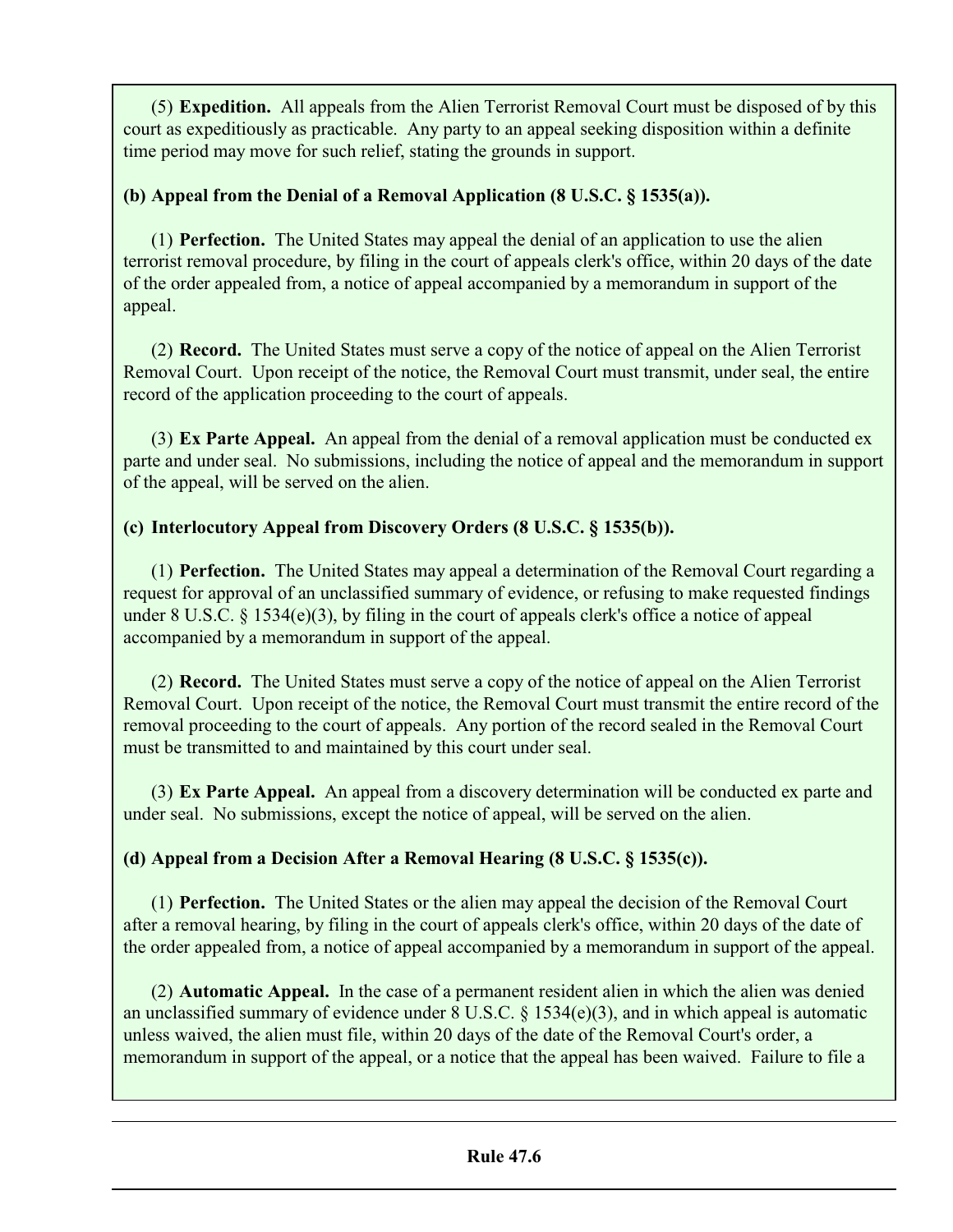(5) **Expedition.** All appeals from the Alien Terrorist Removal Court must be disposed of by this court as expeditiously as practicable. Any party to an appeal seeking disposition within a definite time period may move for such relief, stating the grounds in support.

### **(b) Appeal from the Denial of a Removal Application (8 U.S.C. § 1535(a)).**

(1) **Perfection.** The United States may appeal the denial of an application to use the alien terrorist removal procedure, by filing in the court of appeals clerk's office, within 20 days of the date of the order appealed from, a notice of appeal accompanied by a memorandum in support of the appeal.

(2) **Record.** The United States must serve a copy of the notice of appeal on the Alien Terrorist Removal Court. Upon receipt of the notice, the Removal Court must transmit, under seal, the entire record of the application proceeding to the court of appeals.

(3) **Ex Parte Appeal.** An appeal from the denial of a removal application must be conducted ex parte and under seal. No submissions, including the notice of appeal and the memorandum in support of the appeal, will be served on the alien.

### **(c) Interlocutory Appeal from Discovery Orders (8 U.S.C. § 1535(b)).**

(1) **Perfection.** The United States may appeal a determination of the Removal Court regarding a request for approval of an unclassified summary of evidence, or refusing to make requested findings under 8 U.S.C. § 1534(e)(3), by filing in the court of appeals clerk's office a notice of appeal accompanied by a memorandum in support of the appeal.

(2) **Record.** The United States must serve a copy of the notice of appeal on the Alien Terrorist Removal Court. Upon receipt of the notice, the Removal Court must transmit the entire record of the removal proceeding to the court of appeals. Any portion of the record sealed in the Removal Court must be transmitted to and maintained by this court under seal.

(3) **Ex Parte Appeal.** An appeal from a discovery determination will be conducted ex parte and under seal. No submissions, except the notice of appeal, will be served on the alien.

# **(d) Appeal from a Decision After a Removal Hearing (8 U.S.C. § 1535(c)).**

(1) **Perfection.** The United States or the alien may appeal the decision of the Removal Court after a removal hearing, by filing in the court of appeals clerk's office, within 20 days of the date of the order appealed from, a notice of appeal accompanied by a memorandum in support of the appeal.

(2) **Automatic Appeal.** In the case of a permanent resident alien in which the alien was denied an unclassified summary of evidence under 8 U.S.C. § 1534(e)(3), and in which appeal is automatic unless waived, the alien must file, within 20 days of the date of the Removal Court's order, a memorandum in support of the appeal, or a notice that the appeal has been waived. Failure to file a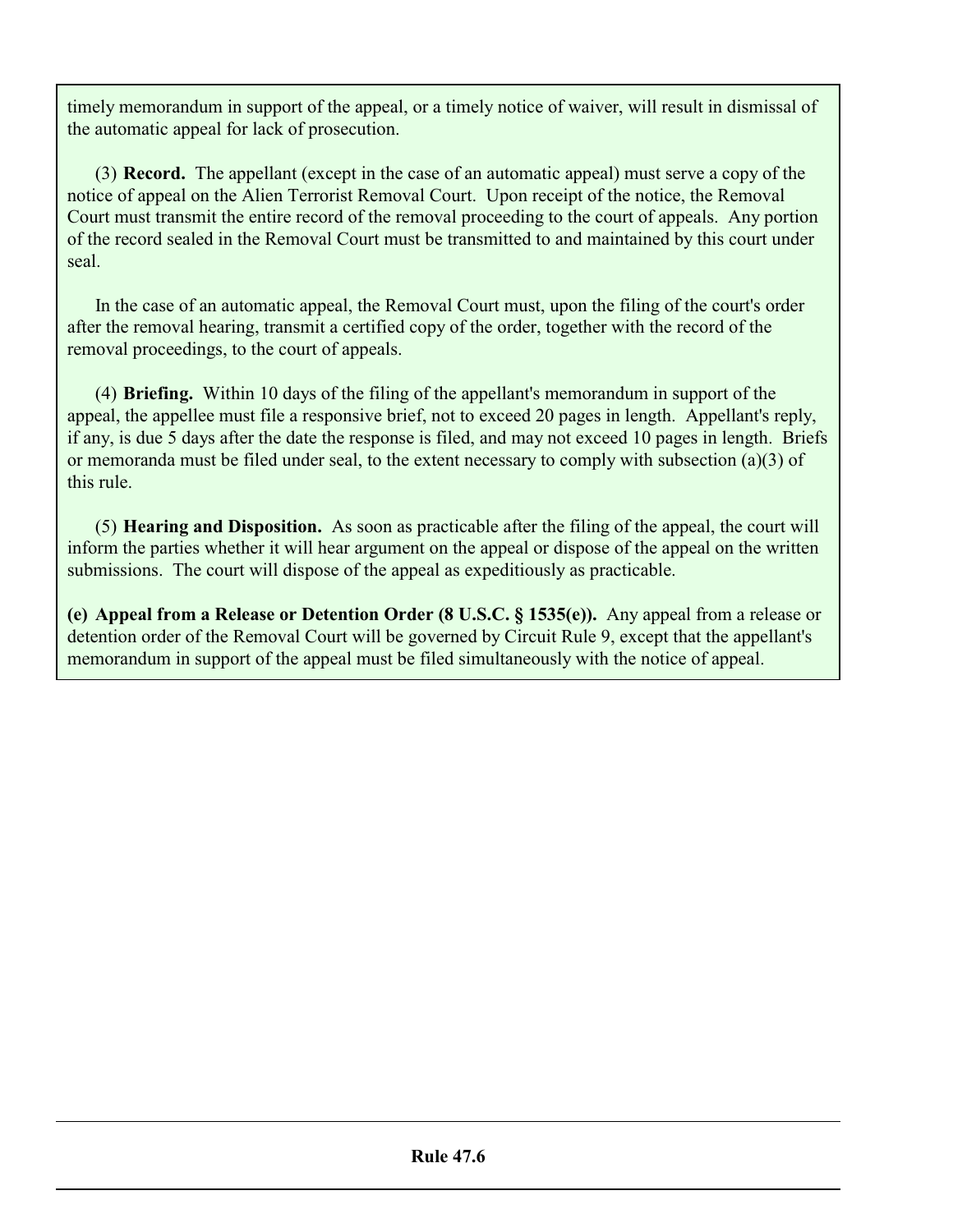timely memorandum in support of the appeal, or a timely notice of waiver, will result in dismissal of the automatic appeal for lack of prosecution.

(3) **Record.** The appellant (except in the case of an automatic appeal) must serve a copy of the notice of appeal on the Alien Terrorist Removal Court. Upon receipt of the notice, the Removal Court must transmit the entire record of the removal proceeding to the court of appeals. Any portion of the record sealed in the Removal Court must be transmitted to and maintained by this court under seal.

In the case of an automatic appeal, the Removal Court must, upon the filing of the court's order after the removal hearing, transmit a certified copy of the order, together with the record of the removal proceedings, to the court of appeals.

(4) **Briefing.** Within 10 days of the filing of the appellant's memorandum in support of the appeal, the appellee must file a responsive brief, not to exceed 20 pages in length. Appellant's reply, if any, is due 5 days after the date the response is filed, and may not exceed 10 pages in length. Briefs or memoranda must be filed under seal, to the extent necessary to comply with subsection (a)(3) of this rule.

(5) **Hearing and Disposition.** As soon as practicable after the filing of the appeal, the court will inform the parties whether it will hear argument on the appeal or dispose of the appeal on the written submissions. The court will dispose of the appeal as expeditiously as practicable.

**(e) Appeal from a Release or Detention Order (8 U.S.C. § 1535(e)).** Any appeal from a release or detention order of the Removal Court will be governed by Circuit Rule 9, except that the appellant's memorandum in support of the appeal must be filed simultaneously with the notice of appeal.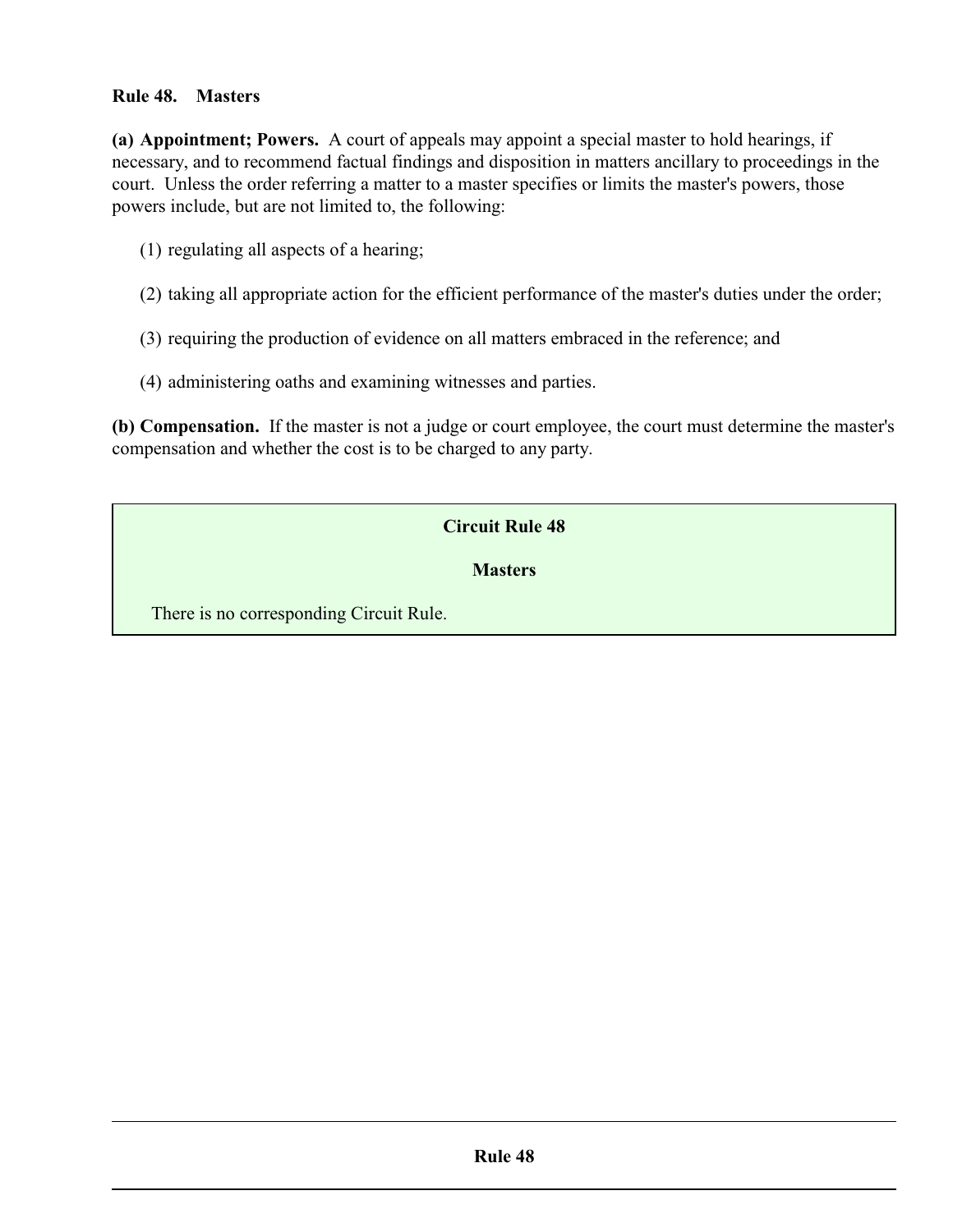#### **Rule 48. Masters**

**(a) Appointment; Powers.** A court of appeals may appoint a special master to hold hearings, if necessary, and to recommend factual findings and disposition in matters ancillary to proceedings in the court. Unless the order referring a matter to a master specifies or limits the master's powers, those powers include, but are not limited to, the following:

- (1) regulating all aspects of a hearing;
- (2) taking all appropriate action for the efficient performance of the master's duties under the order;
- (3) requiring the production of evidence on all matters embraced in the reference; and
- (4) administering oaths and examining witnesses and parties.

**(b) Compensation.** If the master is not a judge or court employee, the court must determine the master's compensation and whether the cost is to be charged to any party.

**Circuit Rule 48**

**Masters**

There is no corresponding Circuit Rule.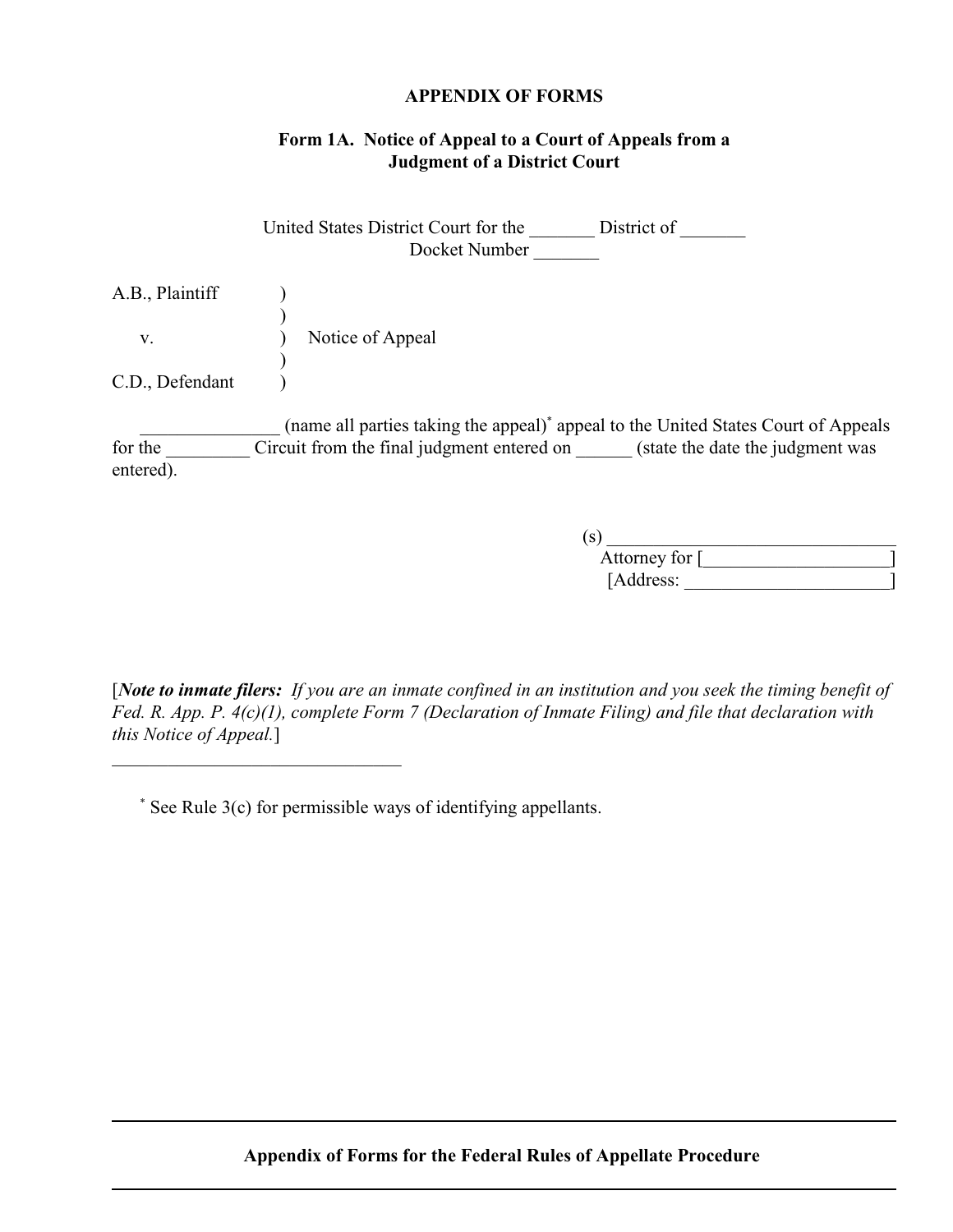#### **APPENDIX OF FORMS**

### **Form 1A. Notice of Appeal to a Court of Appeals from a Judgment of a District Court**

|                      | United States District Court for the<br>District of<br>Docket Number                           |
|----------------------|------------------------------------------------------------------------------------------------|
| A.B., Plaintiff      |                                                                                                |
| V.                   | Notice of Appeal                                                                               |
| C.D., Defendant      |                                                                                                |
|                      | (name all parties taking the appeal) <sup>*</sup> appeal to the United States Court of Appeals |
| for the<br>entered). | Circuit from the final judgment entered on (state the date the judgment was                    |
|                      |                                                                                                |

| $(\mathbf{s})$ |  |
|----------------|--|
| Attorney for [ |  |
| [Address:      |  |

[*Note to inmate filers: If you are an inmate confined in an institution and you seek the timing benefit of Fed. R. App. P. 4(c)(1), complete Form 7 (Declaration of Inmate Filing) and file that declaration with this Notice of Appeal.*]

 $*$  See Rule 3(c) for permissible ways of identifying appellants.

\_\_\_\_\_\_\_\_\_\_\_\_\_\_\_\_\_\_\_\_\_\_\_\_\_\_\_\_\_\_\_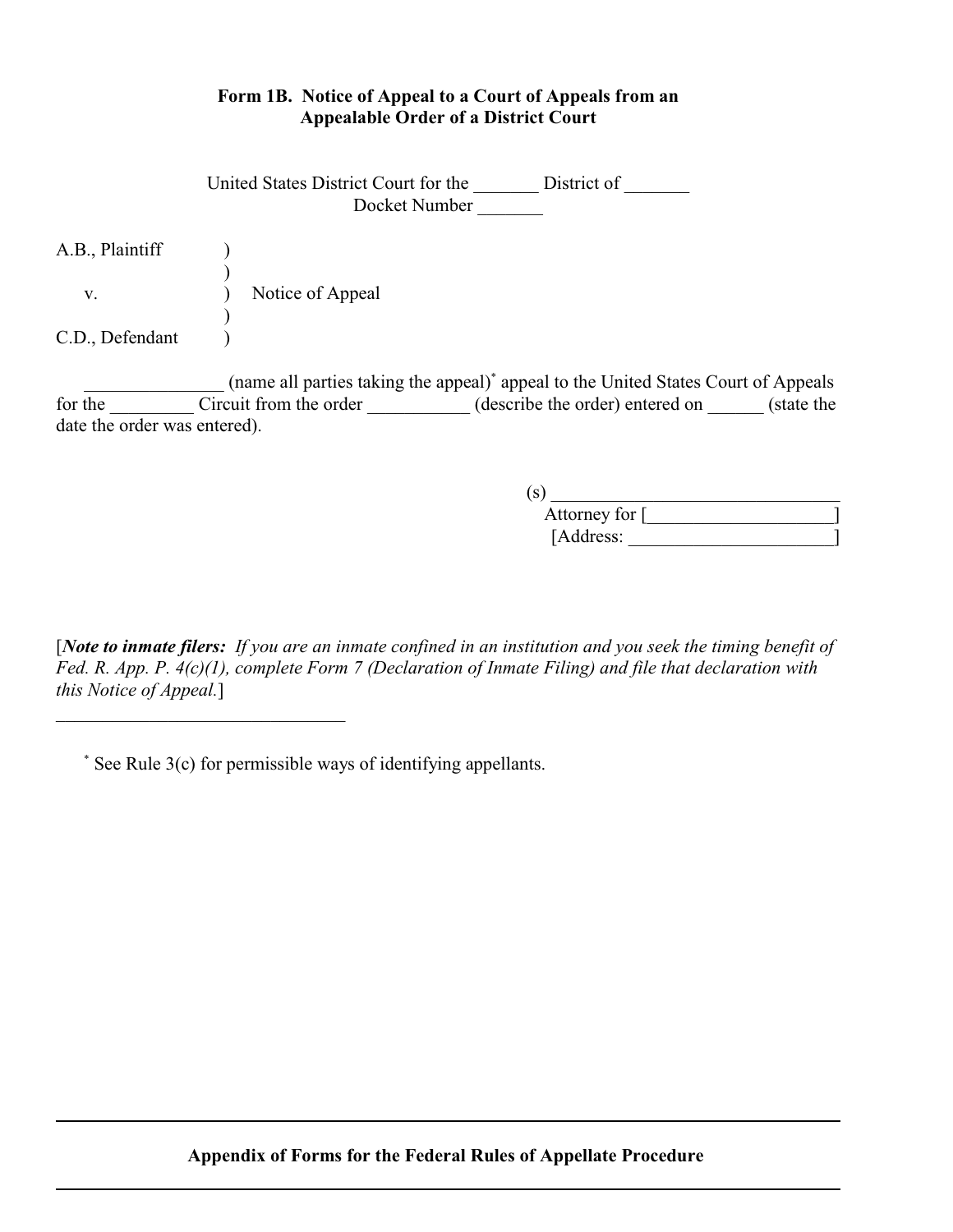### **Form 1B. Notice of Appeal to a Court of Appeals from an Appealable Order of a District Court**

|                 | District of<br>United States District Court for the<br>Docket Number                   |
|-----------------|----------------------------------------------------------------------------------------|
| A.B., Plaintiff |                                                                                        |
| V.              | Notice of Appeal                                                                       |
| C.D., Defendant |                                                                                        |
|                 | (name all parties taking the anneal) <sup>*</sup> anneal to the United States Court of |

\_\_\_\_\_\_\_\_\_\_\_\_\_\_\_ (name all parties taking the appeal) appeal to the United States Court of Appeals \* for the Circuit from the order (describe the order) entered on (state the date the order was entered).

> $(s)$ Attorney for [ [Address: \_\_\_\_\_\_\_\_\_\_\_\_\_\_\_\_\_\_\_\_\_\_]

[*Note to inmate filers: If you are an inmate confined in an institution and you seek the timing benefit of Fed. R. App. P. 4(c)(1), complete Form 7 (Declaration of Inmate Filing) and file that declaration with this Notice of Appeal.*]

 $*$  See Rule 3(c) for permissible ways of identifying appellants.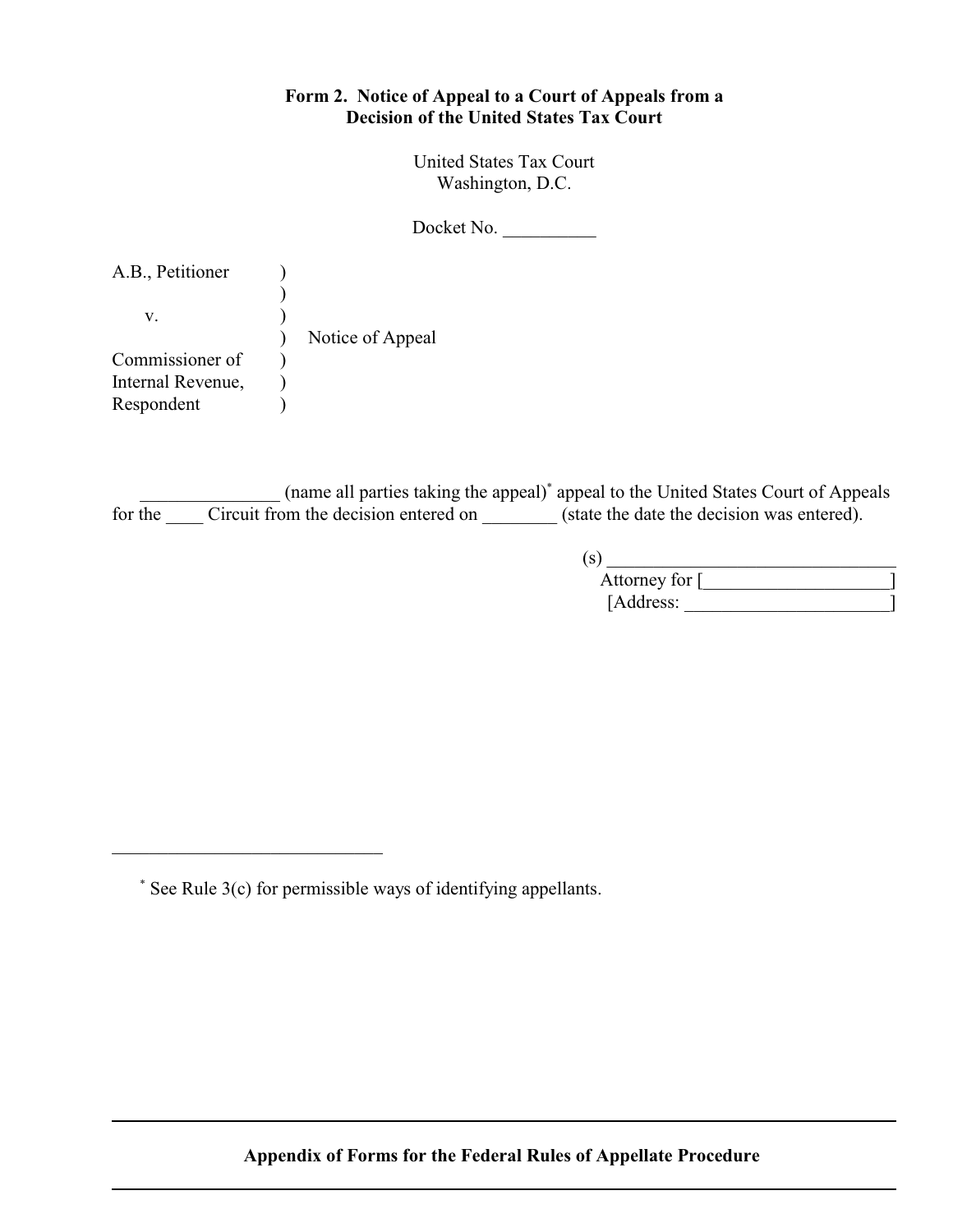## **Form 2. Notice of Appeal to a Court of Appeals from a Decision of the United States Tax Court**

United States Tax Court Washington, D.C.

Docket No.

| A.B., Petitioner  |                  |
|-------------------|------------------|
|                   |                  |
| v.                |                  |
|                   | Notice of Appeal |
| Commissioner of   |                  |
| Internal Revenue, |                  |
| Respondent        |                  |

\_\_\_\_\_\_\_\_\_\_\_\_\_\_\_ (name all parties taking the appeal) appeal to the United States Court of Appeals \* for the Circuit from the decision entered on \_\_\_\_\_\_\_\_ (state the date the decision was entered).

| (s             |  |
|----------------|--|
| Attorney for [ |  |
| [Address:      |  |

 $*$  See Rule 3(c) for permissible ways of identifying appellants.

\_\_\_\_\_\_\_\_\_\_\_\_\_\_\_\_\_\_\_\_\_\_\_\_\_\_\_\_\_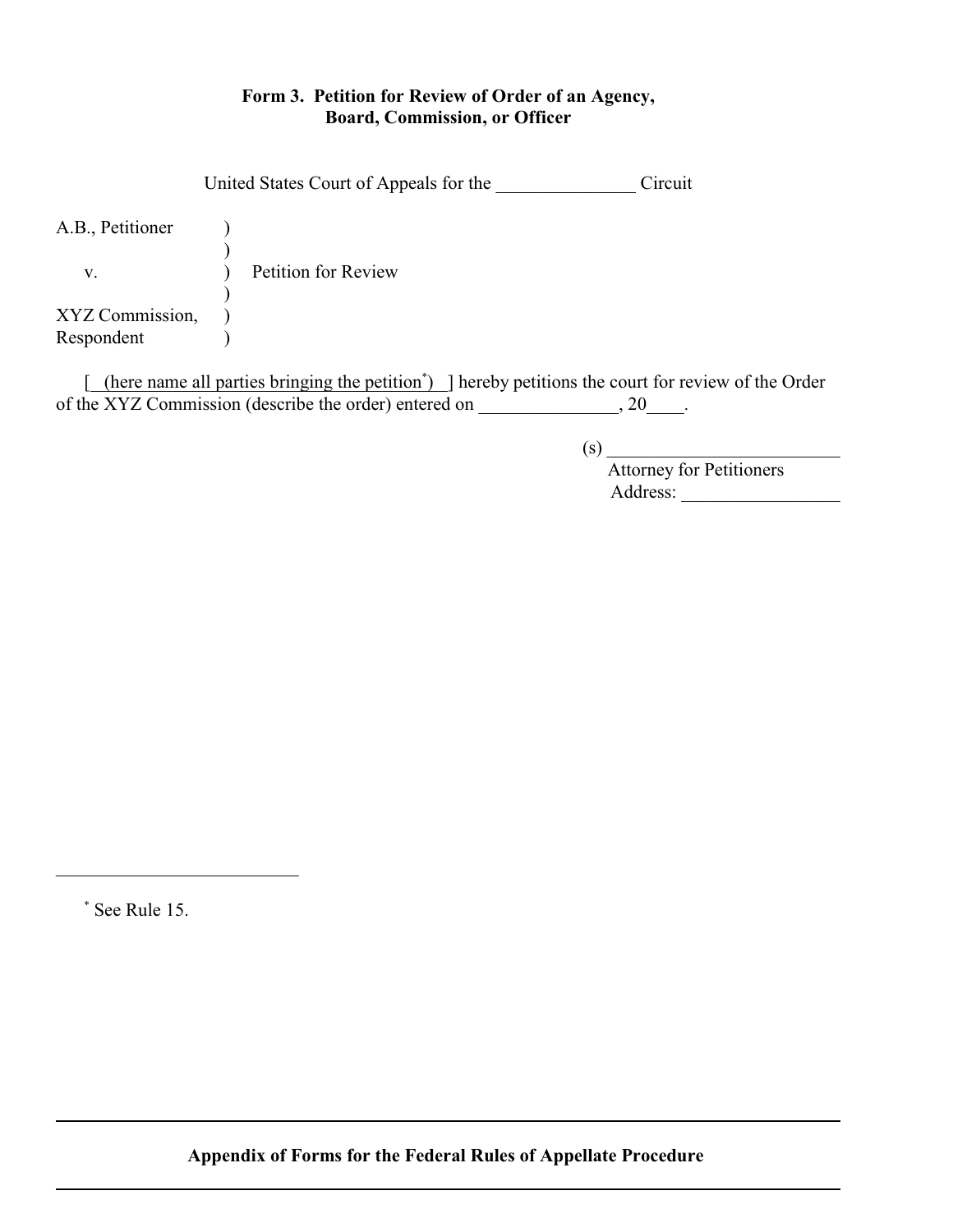## **Form 3. Petition for Review of Order of an Agency, Board, Commission, or Officer**

|                               | United States Court of Appeals for the | Circuit |
|-------------------------------|----------------------------------------|---------|
| A.B., Petitioner<br>V.        | Petition for Review                    |         |
| XYZ Commission,<br>Respondent |                                        |         |

[ (here name all parties bringing the petition<sup>\*</sup>) ] hereby petitions the court for review of the Order of the XYZ Commission (describe the order) entered on  $, 20$ .

(s) \_\_\_\_\_\_\_\_\_\_\_\_\_\_\_\_\_\_\_\_\_\_\_\_\_

Attorney for Petitioners Address: \_\_\_\_\_\_\_\_\_\_\_\_\_\_\_\_\_

See Rule 15. \*

\_\_\_\_\_\_\_\_\_\_\_\_\_\_\_\_\_\_\_\_\_\_\_\_\_\_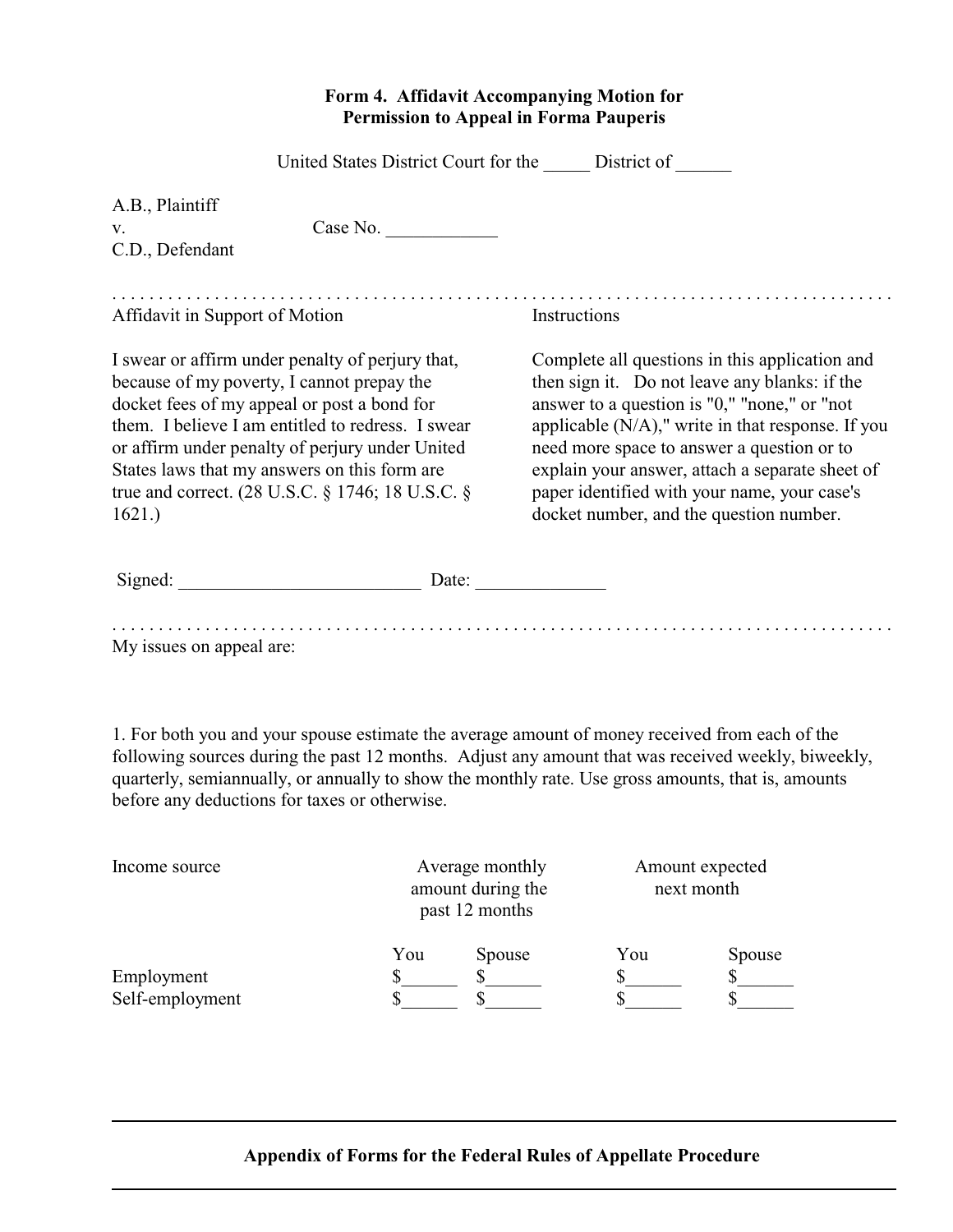## **Form 4. Affidavit Accompanying Motion for Permission to Appeal in Forma Pauperis**

|                                                                                                                                                                                                                                                                                                                                                                    | United States District Court for the District of                                                                                                                                                                                                                                                                                                                                                    |
|--------------------------------------------------------------------------------------------------------------------------------------------------------------------------------------------------------------------------------------------------------------------------------------------------------------------------------------------------------------------|-----------------------------------------------------------------------------------------------------------------------------------------------------------------------------------------------------------------------------------------------------------------------------------------------------------------------------------------------------------------------------------------------------|
| A.B., Plaintiff<br>Case No.<br>V.<br>C.D., Defendant                                                                                                                                                                                                                                                                                                               |                                                                                                                                                                                                                                                                                                                                                                                                     |
| .<br>Affidavit in Support of Motion                                                                                                                                                                                                                                                                                                                                | Instructions                                                                                                                                                                                                                                                                                                                                                                                        |
| I swear or affirm under penalty of perjury that,<br>because of my poverty, I cannot prepay the<br>docket fees of my appeal or post a bond for<br>them. I believe I am entitled to redress. I swear<br>or affirm under penalty of perjury under United<br>States laws that my answers on this form are<br>true and correct. (28 U.S.C. § 1746; 18 U.S.C. §<br>1621. | Complete all questions in this application and<br>then sign it. Do not leave any blanks: if the<br>answer to a question is "0," "none," or "not<br>applicable $(N/A)$ ," write in that response. If you<br>need more space to answer a question or to<br>explain your answer, attach a separate sheet of<br>paper identified with your name, your case's<br>docket number, and the question number. |
| Signed:                                                                                                                                                                                                                                                                                                                                                            | Date: $\qquad \qquad$                                                                                                                                                                                                                                                                                                                                                                               |
| My issues on appeal are:                                                                                                                                                                                                                                                                                                                                           |                                                                                                                                                                                                                                                                                                                                                                                                     |

1. For both you and your spouse estimate the average amount of money received from each of the following sources during the past 12 months. Adjust any amount that was received weekly, biweekly, quarterly, semiannually, or annually to show the monthly rate. Use gross amounts, that is, amounts before any deductions for taxes or otherwise.

| Income source                 | Average monthly<br>amount during the<br>past 12 months |        | Amount expected<br>next month |        |
|-------------------------------|--------------------------------------------------------|--------|-------------------------------|--------|
| Employment<br>Self-employment | You                                                    | Spouse | You                           | Spouse |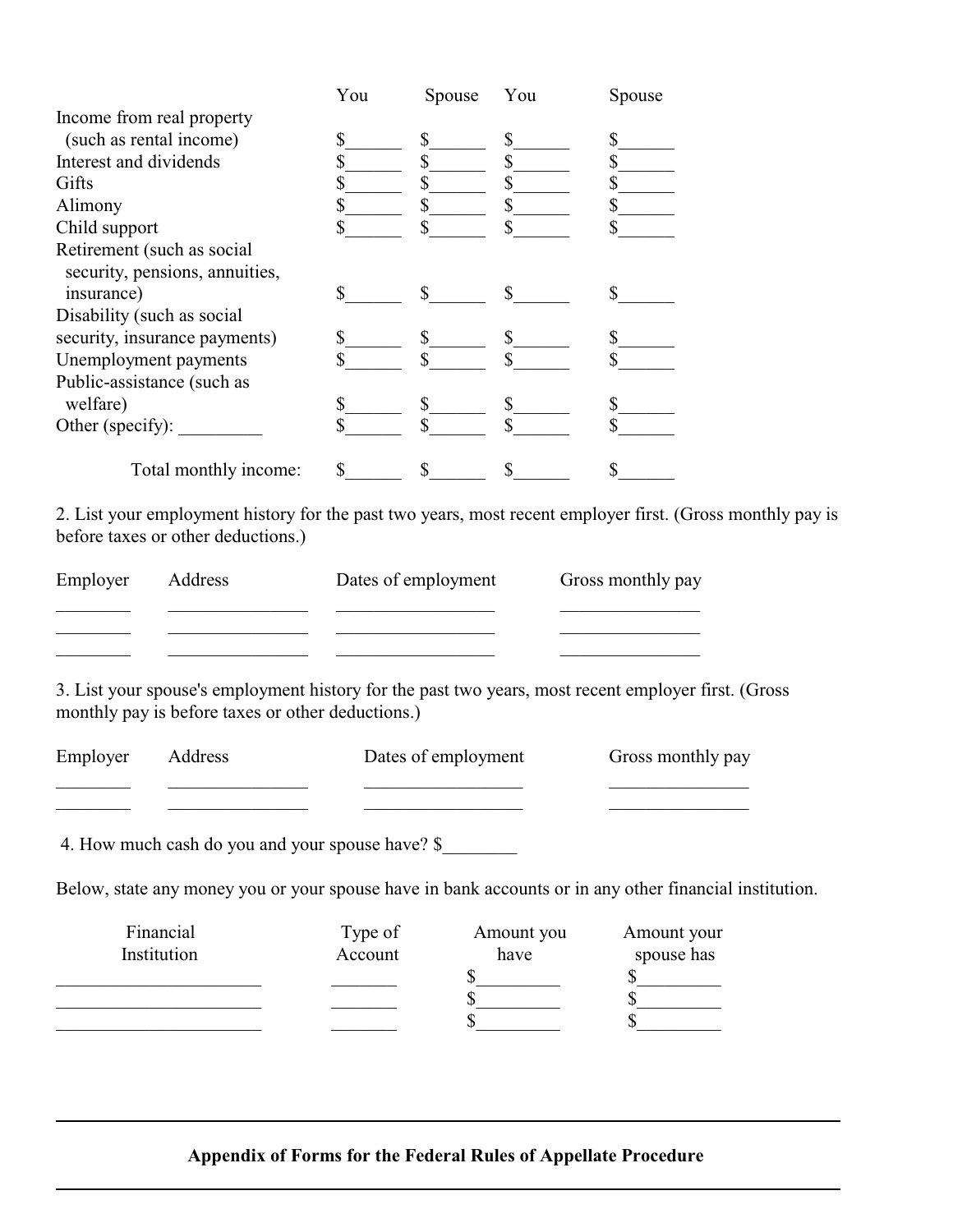|                                | You | Spouse | You | Spouse |
|--------------------------------|-----|--------|-----|--------|
| Income from real property      |     |        |     |        |
| (such as rental income)        |     |        |     |        |
| Interest and dividends         |     |        |     |        |
| Gifts                          |     |        |     |        |
| Alimony                        |     |        |     |        |
| Child support                  |     |        |     |        |
| Retirement (such as social     |     |        |     |        |
| security, pensions, annuities, |     |        |     |        |
| insurance)                     |     |        | ≮   |        |
| Disability (such as social     |     |        |     |        |
| security, insurance payments)  |     |        |     |        |
| Unemployment payments          |     |        |     |        |
| Public-assistance (such as     |     |        |     |        |
| welfare)                       |     |        |     |        |
| Other (specify):               |     |        |     |        |
| Total monthly income:          |     |        |     |        |

2. List your employment history for the past two years, most recent employer first. (Gross monthly pay is before taxes or other deductions.)

| Employer | Address | Dates of employment | Gross monthly pay |
|----------|---------|---------------------|-------------------|
|          |         |                     |                   |
|          |         |                     |                   |
|          |         |                     |                   |

3. List your spouse's employment history for the past two years, most recent employer first. (Gross monthly pay is before taxes or other deductions.)

| Employer | Address | Dates of employment | Gross monthly pay |
|----------|---------|---------------------|-------------------|
|          |         |                     |                   |
|          |         |                     |                   |

4. How much cash do you and your spouse have? \$\_\_\_\_\_\_\_\_

Below, state any money you or your spouse have in bank accounts or in any other financial institution.

| Financial   | Type of | Amount you | Amount your |
|-------------|---------|------------|-------------|
| Institution | Account | have       | spouse has  |
|             |         |            |             |
|             |         |            |             |
|             |         |            |             |
|             |         |            |             |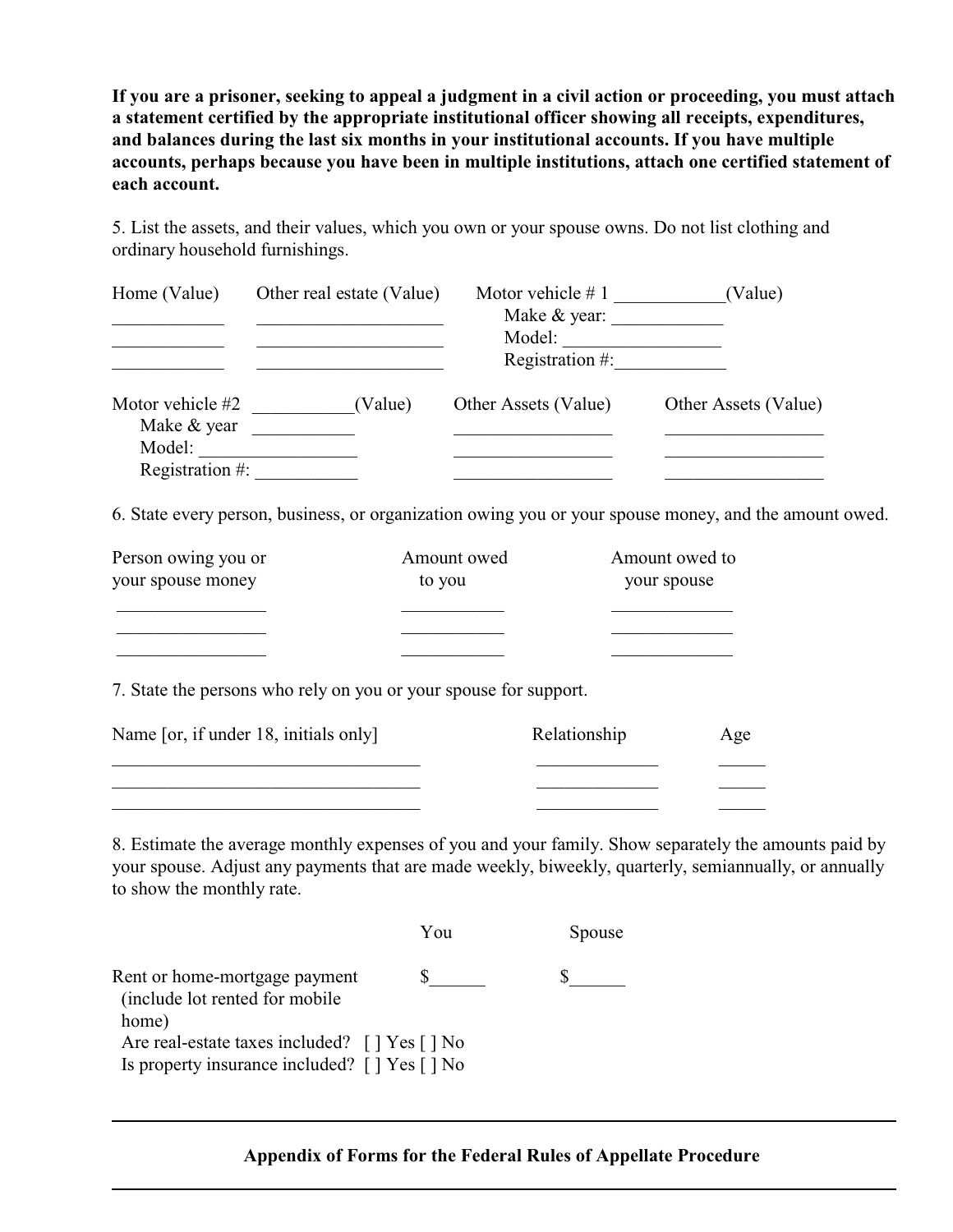**If you are a prisoner, seeking to appeal a judgment in a civil action or proceeding, you must attach a statement certified by the appropriate institutional officer showing all receipts, expenditures, and balances during the last six months in your institutional accounts. If you have multiple accounts, perhaps because you have been in multiple institutions, attach one certified statement of each account.**

5. List the assets, and their values, which you own or your spouse owns. Do not list clothing and ordinary household furnishings.

| Home (Value)                                                                        | Other real estate (Value)<br>the control of the control of the control of the control of the<br><u> 1989 - Johann Barbara, martin a</u> |        | Motor vehicle $# 1$ (Value)                                                                                                                                                                                                          | Make & year:<br>Model:<br>Registration #: |                                                                                                                                                                                                                                                                       |                                                                                                                                                                                                               |
|-------------------------------------------------------------------------------------|-----------------------------------------------------------------------------------------------------------------------------------------|--------|--------------------------------------------------------------------------------------------------------------------------------------------------------------------------------------------------------------------------------------|-------------------------------------------|-----------------------------------------------------------------------------------------------------------------------------------------------------------------------------------------------------------------------------------------------------------------------|---------------------------------------------------------------------------------------------------------------------------------------------------------------------------------------------------------------|
|                                                                                     | Motor vehicle #2 ___________(Value) Other Assets (Value) Other Assets (Value)<br>Make & year<br>Model:<br>Registration #: $\frac{1}{2}$ |        | <u> 1989 - Johann John Harry Harry Harry Harry Harry Harry Harry Harry Harry Harry Harry Harry Harry Harry Harry Harry Harry Harry Harry Harry Harry Harry Harry Harry Harry Harry Harry Harry Harry Harry Harry Harry Harry Har</u> |                                           |                                                                                                                                                                                                                                                                       |                                                                                                                                                                                                               |
|                                                                                     |                                                                                                                                         |        |                                                                                                                                                                                                                                      |                                           |                                                                                                                                                                                                                                                                       | 6. State every person, business, or organization owing you or your spouse money, and the amount owed.                                                                                                         |
| Person owing you or<br>your spouse money<br><u> 1989 - Johann Barbara, martin a</u> |                                                                                                                                         | to you | Amount owed                                                                                                                                                                                                                          |                                           | Amount owed to<br>your spouse<br><u> 1989 - Johann Harry Harry Harry Harry Harry Harry Harry Harry Harry Harry Harry Harry Harry Harry Harry Harry Harry Harry Harry Harry Harry Harry Harry Harry Harry Harry Harry Harry Harry Harry Harry Harry Harry Harry Ha</u> |                                                                                                                                                                                                               |
| Name [or, if under 18, initials only]                                               | 7. State the persons who rely on you or your spouse for support.                                                                        |        |                                                                                                                                                                                                                                      | Relationship                              |                                                                                                                                                                                                                                                                       | Age                                                                                                                                                                                                           |
|                                                                                     | <u> 1989 - Johann John Stone, mars et al. (</u><br><u> 1989 - Johann Barbara, martxa alemaniar a</u>                                    |        |                                                                                                                                                                                                                                      |                                           |                                                                                                                                                                                                                                                                       | 8. Estimate the average monthly expenses of you and your family. Show separately the amounts paid by<br>your spouse. Adjust any payments that are made weekly, biweekly, quarterly, semiannually, or annually |
| to show the monthly rate.                                                           |                                                                                                                                         | You    |                                                                                                                                                                                                                                      | Spouse                                    |                                                                                                                                                                                                                                                                       |                                                                                                                                                                                                               |
| Rent or home-mortgage payment<br>(include lot rented for mobile<br>home)            | Are real-estate taxes included? [] Yes [] No                                                                                            |        | $\frac{\sqrt{2}}{2}$                                                                                                                                                                                                                 | $\mathbb{S}$                              |                                                                                                                                                                                                                                                                       |                                                                                                                                                                                                               |

Is property insurance included? [ ] Yes [ ] No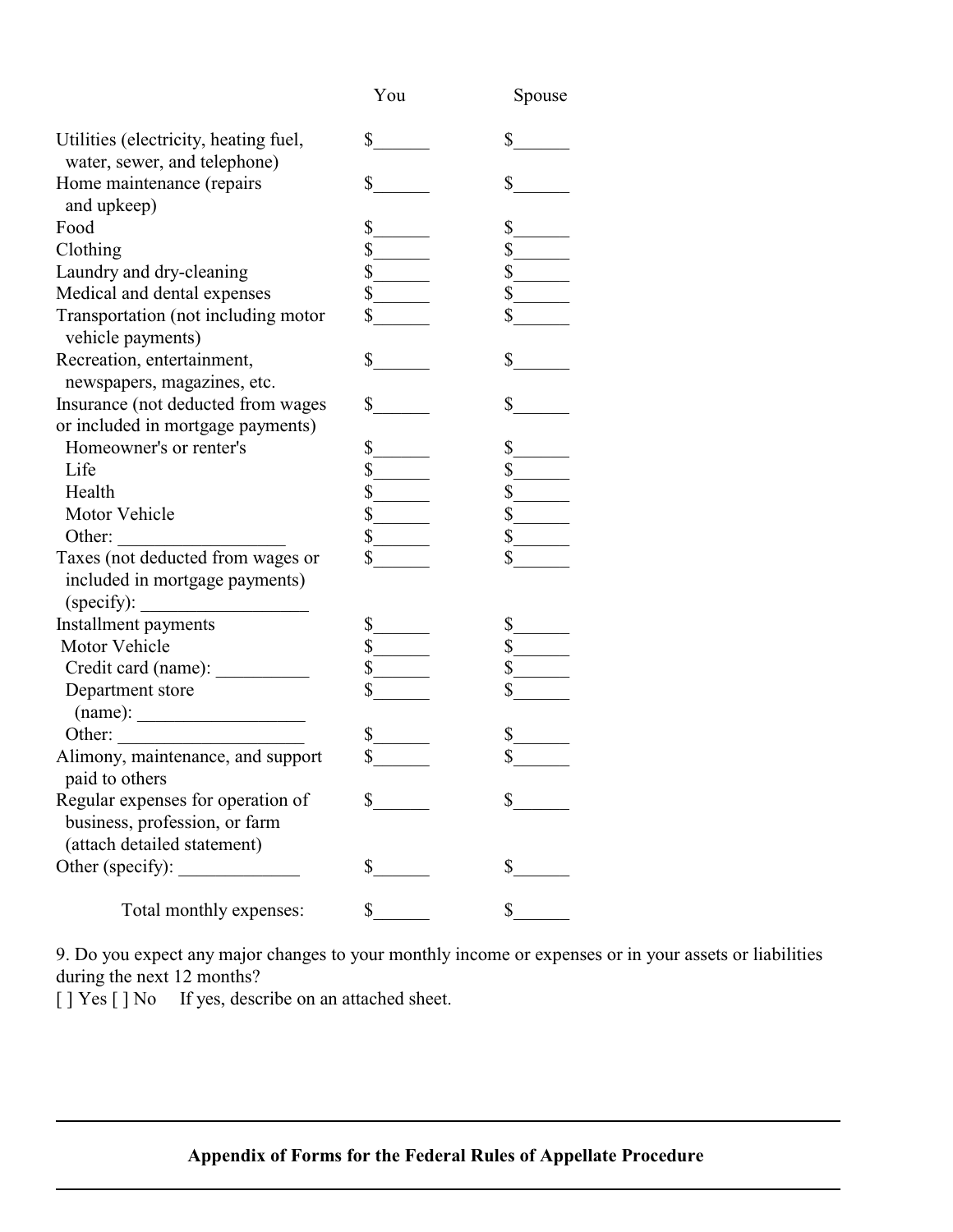| Utilities (electricity, heating fuel,<br>water, sewer, and telephone) | \$                          | \$                          |
|-----------------------------------------------------------------------|-----------------------------|-----------------------------|
| Home maintenance (repairs                                             | \$                          | \$                          |
| and upkeep)                                                           |                             |                             |
| Food                                                                  | \$                          | \$                          |
| Clothing                                                              | \$                          | \$                          |
| Laundry and dry-cleaning                                              | $\frac{1}{2}$               | \$                          |
| Medical and dental expenses                                           | $\mathbb{S}$                | \$                          |
| Transportation (not including motor                                   | \$                          | \$                          |
| vehicle payments)                                                     |                             |                             |
| Recreation, entertainment,                                            | \$                          | \$                          |
| newspapers, magazines, etc.                                           |                             |                             |
| Insurance (not deducted from wages                                    | $\mathbb{S}$                | \$                          |
| or included in mortgage payments)                                     |                             |                             |
| Homeowner's or renter's                                               | \$                          | \$                          |
| Life                                                                  | \$                          | \$                          |
| Health                                                                | \$                          | \$                          |
| Motor Vehicle                                                         | \$                          | \$                          |
| Other:                                                                | $\mathbb{S}$                | \$                          |
| Taxes (not deducted from wages or                                     | $\mathcal{S}$               | \$                          |
| included in mortgage payments)                                        |                             |                             |
| (specify):                                                            |                             |                             |
| Installment payments                                                  | \$                          | \$                          |
| Motor Vehicle                                                         | \$                          | \$                          |
| Credit card (name):                                                   | \$                          | \$                          |
| Department store                                                      | \$                          |                             |
|                                                                       |                             |                             |
| Other:                                                                | $\frac{\text{S}}{\text{S}}$ | $\mathbb{S}$                |
| Alimony, maintenance, and support                                     |                             | $\frac{\text{S}}{\text{S}}$ |
| paid to others                                                        |                             |                             |
| Regular expenses for operation of                                     | $\mathbb{S}$                | \$                          |
| business, profession, or farm                                         |                             |                             |
| (attach detailed statement)                                           |                             |                             |
|                                                                       | \$                          | \$                          |
| Total monthly expenses:                                               | \$                          | \$                          |

9. Do you expect any major changes to your monthly income or expenses or in your assets or liabilities during the next 12 months?

[ ] Yes [ ] No If yes, describe on an attached sheet.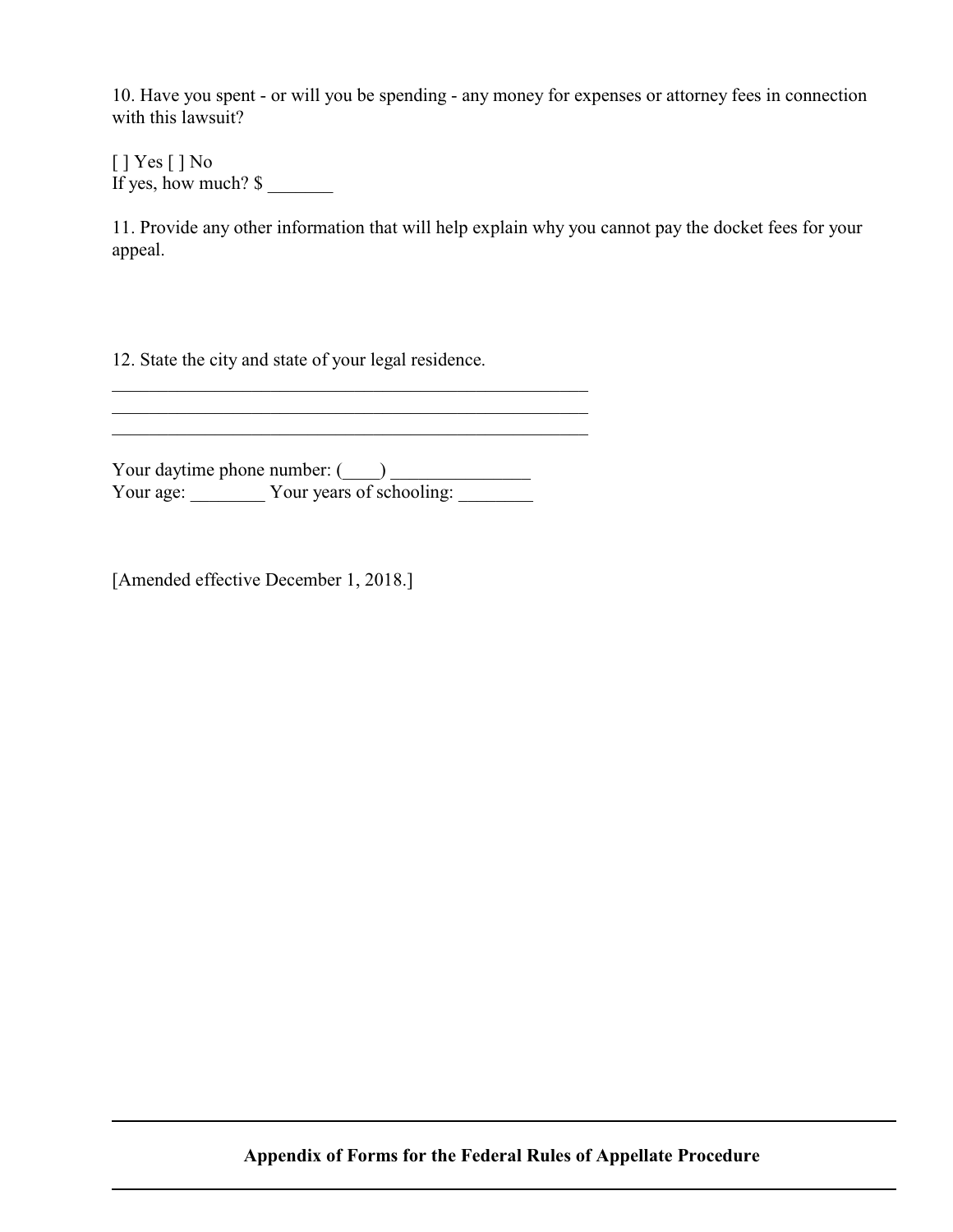10. Have you spent - or will you be spending - any money for expenses or attorney fees in connection with this lawsuit?

[ ] Yes [ ] No If yes, how much?  $\frac{1}{2}$ 

11. Provide any other information that will help explain why you cannot pay the docket fees for your appeal.

12. State the city and state of your legal residence.

Your daytime phone number:  $(\_\_\_\_\_\_\_\_\$ Your age: Your years of schooling:

\_\_\_\_\_\_\_\_\_\_\_\_\_\_\_\_\_\_\_\_\_\_\_\_\_\_\_\_\_\_\_\_\_\_\_\_\_\_\_\_\_\_\_\_\_\_\_\_\_\_\_ \_\_\_\_\_\_\_\_\_\_\_\_\_\_\_\_\_\_\_\_\_\_\_\_\_\_\_\_\_\_\_\_\_\_\_\_\_\_\_\_\_\_\_\_\_\_\_\_\_\_\_ \_\_\_\_\_\_\_\_\_\_\_\_\_\_\_\_\_\_\_\_\_\_\_\_\_\_\_\_\_\_\_\_\_\_\_\_\_\_\_\_\_\_\_\_\_\_\_\_\_\_\_

[Amended effective December 1, 2018.]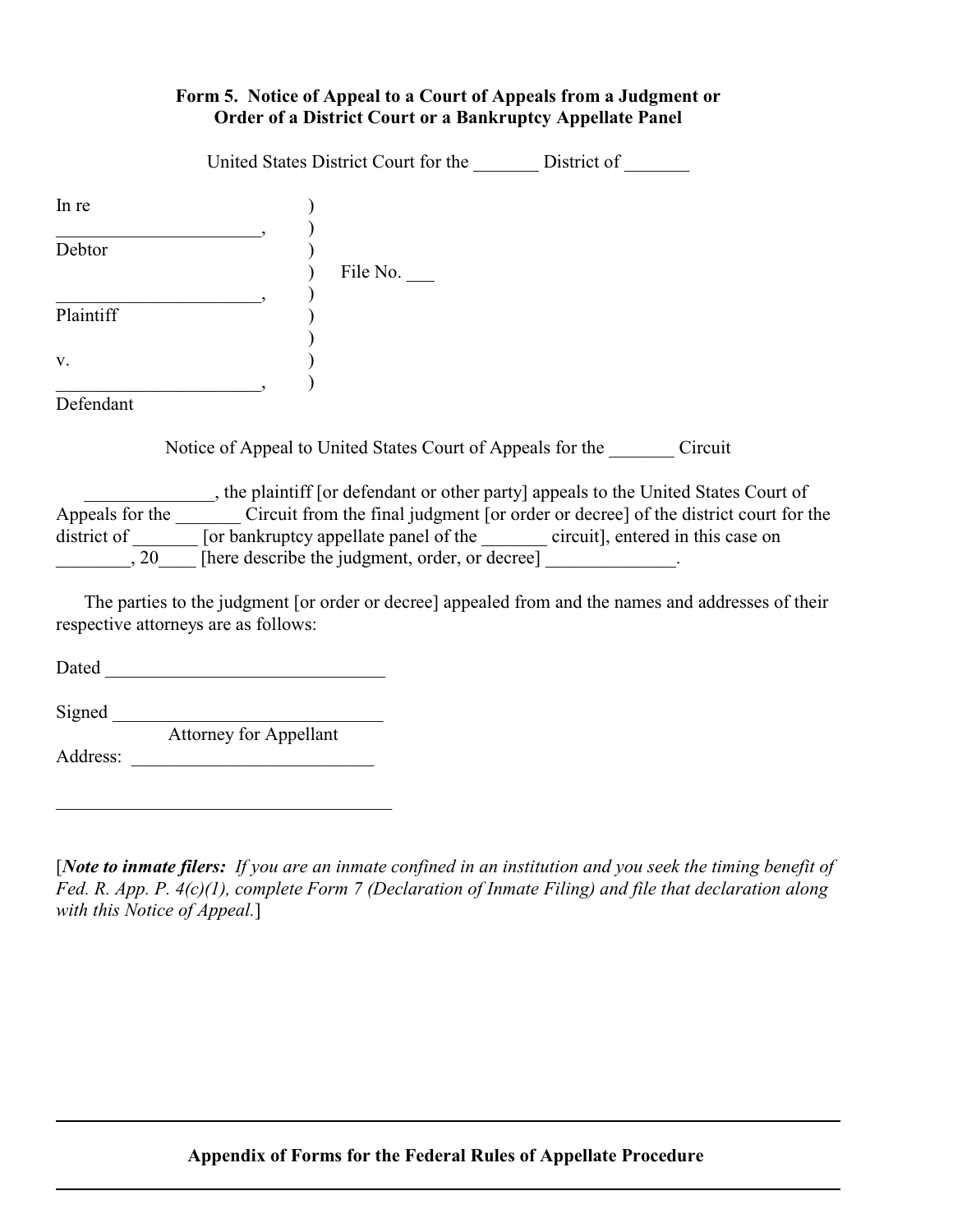## **Form 5. Notice of Appeal to a Court of Appeals from a Judgment or Order of a District Court or a Bankruptcy Appellate Panel**

|                                      | United States District Court for the _________ District of _______                                      |                                                                                                                                                                                                                                                                                                   |
|--------------------------------------|---------------------------------------------------------------------------------------------------------|---------------------------------------------------------------------------------------------------------------------------------------------------------------------------------------------------------------------------------------------------------------------------------------------------|
|                                      |                                                                                                         |                                                                                                                                                                                                                                                                                                   |
|                                      | a re<br>$\frac{1}{\text{Debtor}}$ , $\begin{pmatrix} 1 \\ 0 \\ 0 \\ 0 \\ 0 \\ 0 \end{pmatrix}$ File No. |                                                                                                                                                                                                                                                                                                   |
|                                      |                                                                                                         |                                                                                                                                                                                                                                                                                                   |
| V.                                   |                                                                                                         |                                                                                                                                                                                                                                                                                                   |
| Defendant                            |                                                                                                         |                                                                                                                                                                                                                                                                                                   |
|                                      | Notice of Appeal to United States Court of Appeals for the Circuit                                      |                                                                                                                                                                                                                                                                                                   |
|                                      | $\ldots$ , 20 [here describe the judgment, order, or decree] $\ldots$ .                                 | , the plaintiff [or defendant or other party] appeals to the United States Court of<br>Appeals for the Circuit from the final judgment [or order or decree] of the district court for the<br>district of _______ [or bankruptcy appellate panel of the ________ circuit], entered in this case on |
| respective attorneys are as follows: |                                                                                                         | The parties to the judgment [or order or decree] appealed from and the names and addresses of their                                                                                                                                                                                               |
|                                      |                                                                                                         |                                                                                                                                                                                                                                                                                                   |
|                                      |                                                                                                         |                                                                                                                                                                                                                                                                                                   |
|                                      | Attorney for Appellant                                                                                  |                                                                                                                                                                                                                                                                                                   |

Address: \_\_\_\_\_\_\_\_\_\_\_\_\_\_\_\_\_\_\_\_\_\_\_\_\_\_

\_\_\_\_\_\_\_\_\_\_\_\_\_\_\_\_\_\_\_\_\_\_\_\_\_\_\_\_\_\_\_\_\_\_\_\_

[*Note to inmate filers: If you are an inmate confined in an institution and you seek the timing benefit of Fed. R. App. P. 4(c)(1), complete Form 7 (Declaration of Inmate Filing) and file that declaration along with this Notice of Appeal.*]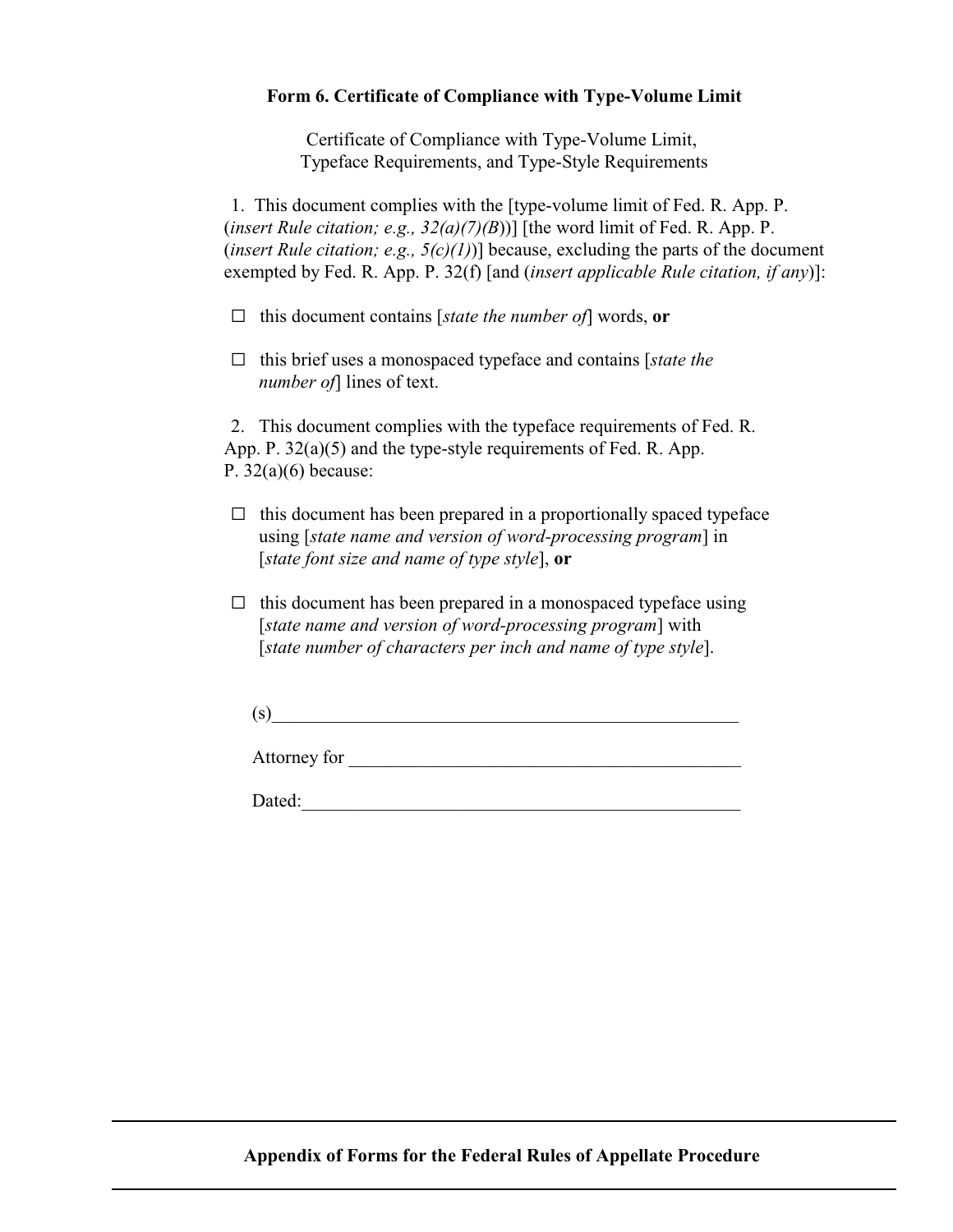#### **Form 6. Certificate of Compliance with Type-Volume Limit**

Certificate of Compliance with Type-Volume Limit, Typeface Requirements, and Type-Style Requirements

1. This document complies with the [type-volume limit of Fed. R. App. P. (*insert Rule citation; e.g.,*  $32(a)/(7)(B)$ )] [the word limit of Fed. R. App. P. (*insert Rule citation; e.g.,*  $5(c)(1)$ )] because, excluding the parts of the document exempted by Fed. R. App. P. 32(f) [and (*insert applicable Rule citation, if any*)]:

- G this document contains [*state the number of*] words, **or**
- $\Box$  this brief uses a monospaced typeface and contains [*state the number of*] lines of text.

2. This document complies with the typeface requirements of Fed. R. App. P. 32(a)(5) and the type-style requirements of Fed. R. App. P.  $32(a)(6)$  because:

- $\Box$  this document has been prepared in a proportionally spaced typeface using [*state name and version of word-processing program*] in [*state font size and name of type style*], **or**
- $\Box$  this document has been prepared in a monospaced typeface using [*state name and version of word-processing program*] with [*state number of characters per inch and name of type style*].

Attorney for \_\_\_\_\_\_\_\_\_\_\_\_\_\_\_\_\_\_\_\_\_\_\_\_\_\_\_\_\_\_\_\_\_\_\_\_\_\_\_\_\_\_

Dated: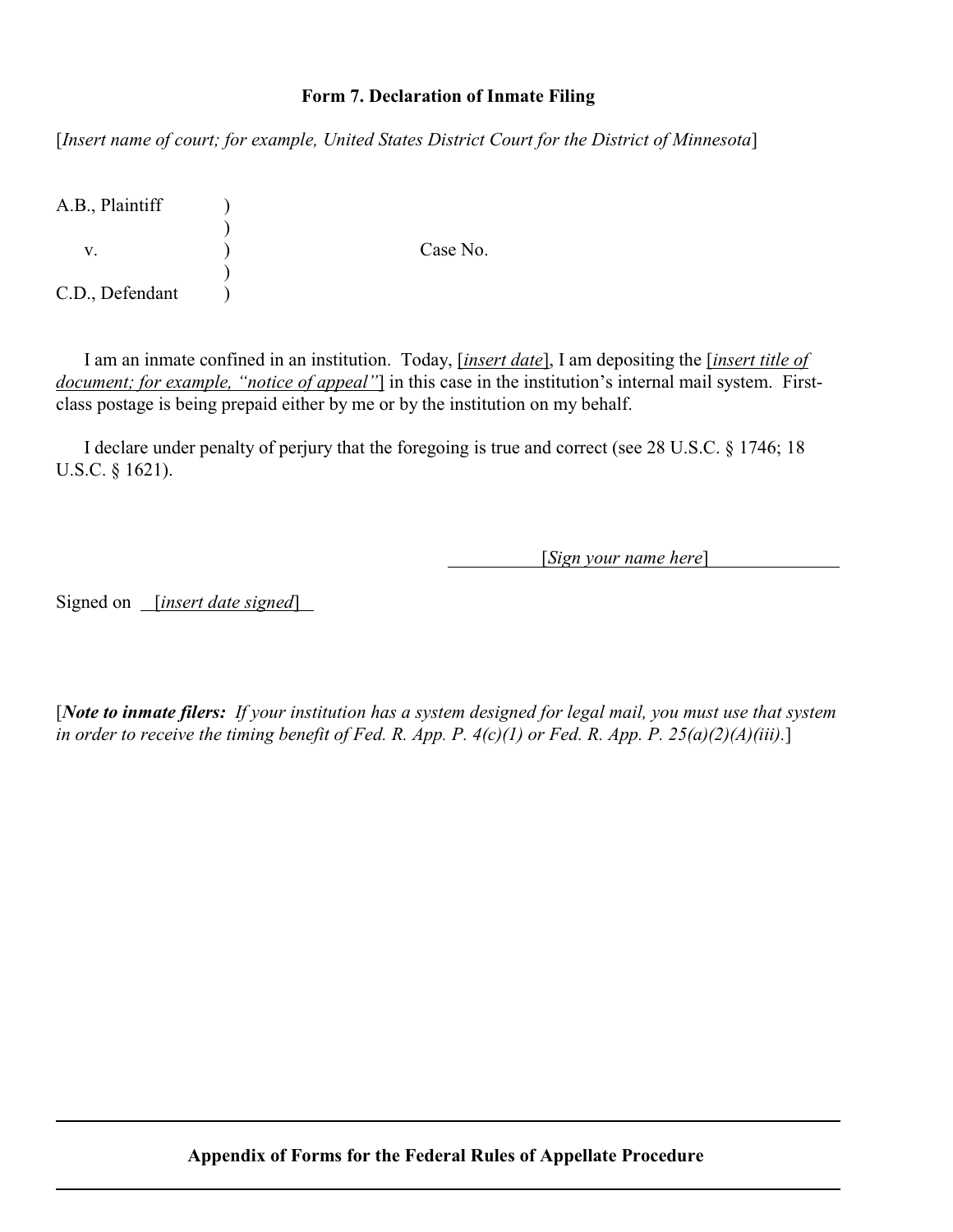#### **Form 7. Declaration of Inmate Filing**

[*Insert name of court; for example, United States District Court for the District of Minnesota*]

| A.B., Plaintiff |          |
|-----------------|----------|
| v.              | Case No. |
|                 |          |
| C.D., Defendant |          |

I am an inmate confined in an institution. Today, [*insert date*], I am depositing the [*insert title of document; for example, "notice of appeal"*] in this case in the institution's internal mail system. Firstclass postage is being prepaid either by me or by the institution on my behalf.

I declare under penalty of perjury that the foregoing is true and correct (see 28 U.S.C. § 1746; 18 U.S.C. § 1621).

[*Sign your name here*]

Signed on [*insert date signed*]

[*Note to inmate filers: If your institution has a system designed for legal mail, you must use that system in order to receive the timing benefit of Fed. R. App. P. 4(c)(1) or Fed. R. App. P. 25(a)(2)(A)(iii).*]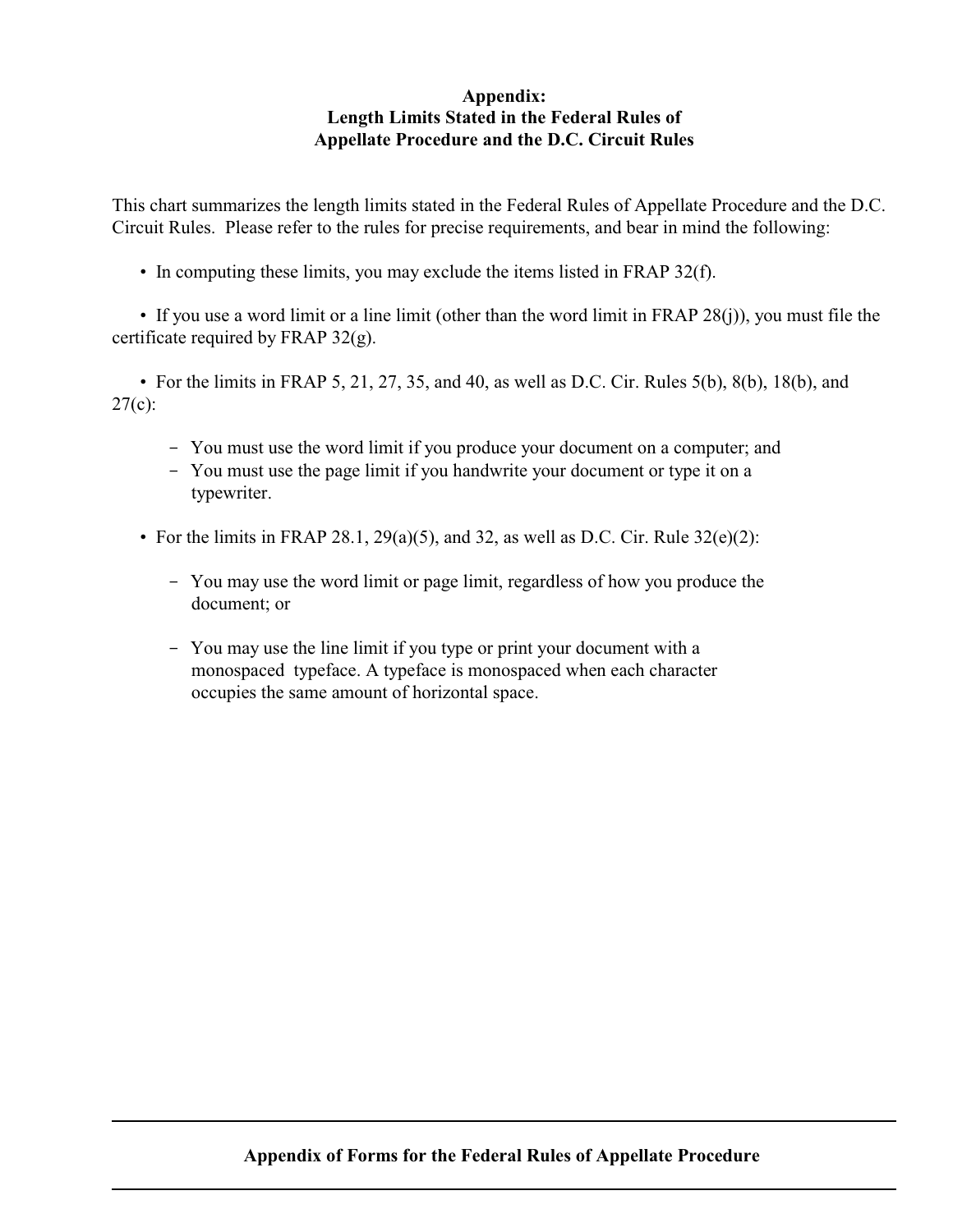# **Appendix: Length Limits Stated in the Federal Rules of Appellate Procedure and the D.C. Circuit Rules**

This chart summarizes the length limits stated in the Federal Rules of Appellate Procedure and the D.C. Circuit Rules. Please refer to the rules for precise requirements, and bear in mind the following:

• In computing these limits, you may exclude the items listed in FRAP 32(f).

• If you use a word limit or a line limit (other than the word limit in FRAP 28(j)), you must file the certificate required by FRAP 32(g).

• For the limits in FRAP 5, 21, 27, 35, and 40, as well as D.C. Cir. Rules 5(b), 8(b), 18(b), and  $27(c)$ :

- You must use the word limit if you produce your document on a computer; and
- You must use the page limit if you handwrite your document or type it on a typewriter.
- For the limits in FRAP 28.1, 29(a)(5), and 32, as well as D.C. Cir. Rule  $32(e)(2)$ :
	- You may use the word limit or page limit, regardless of how you produce the document; or
	- You may use the line limit if you type or print your document with a monospaced typeface. A typeface is monospaced when each character occupies the same amount of horizontal space.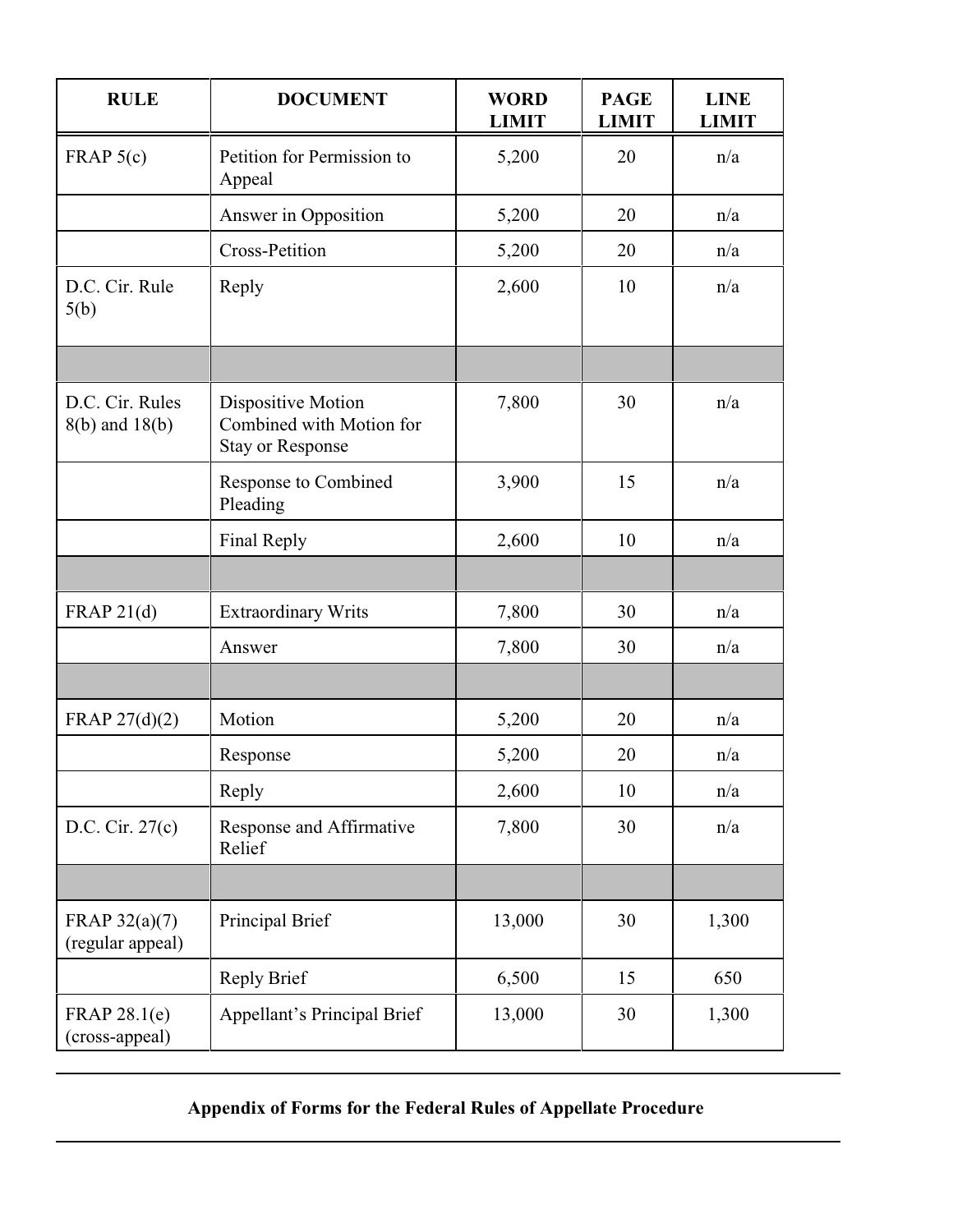| <b>RULE</b>                         | <b>DOCUMENT</b>                                                           | <b>WORD</b><br><b>LIMIT</b> | <b>PAGE</b><br><b>LIMIT</b> | <b>LINE</b><br><b>LIMIT</b> |
|-------------------------------------|---------------------------------------------------------------------------|-----------------------------|-----------------------------|-----------------------------|
| FRAP $5(c)$                         | Petition for Permission to<br>Appeal                                      | 5,200                       | 20                          | n/a                         |
|                                     | Answer in Opposition                                                      | 5,200                       | 20                          | n/a                         |
|                                     | <b>Cross-Petition</b>                                                     | 5,200                       | 20                          | n/a                         |
| D.C. Cir. Rule<br>5(b)              | Reply                                                                     | 2,600                       | 10                          | n/a                         |
|                                     |                                                                           |                             |                             |                             |
| D.C. Cir. Rules<br>8(b) and 18(b)   | Dispositive Motion<br>Combined with Motion for<br><b>Stay or Response</b> | 7,800                       | 30                          | n/a                         |
|                                     | Response to Combined<br>Pleading                                          | 3,900                       | 15                          | n/a                         |
|                                     | Final Reply                                                               | 2,600                       | 10                          | n/a                         |
|                                     |                                                                           |                             |                             |                             |
| $FRAP$ 21(d)                        | <b>Extraordinary Writs</b>                                                | 7,800                       | 30                          | n/a                         |
|                                     | Answer                                                                    | 7,800                       | 30                          | n/a                         |
|                                     |                                                                           |                             |                             |                             |
| FRAP $27(d)(2)$                     | Motion                                                                    | 5,200                       | 20                          | n/a                         |
|                                     | Response                                                                  | 5,200                       | 20                          | n/a                         |
|                                     | Reply                                                                     | 2,600                       | 10                          | n/a                         |
| D.C. Cir. 27(c)                     | Response and Affirmative<br>Relief                                        | 7,800                       | 30                          | n/a                         |
|                                     |                                                                           |                             |                             |                             |
| FRAP $32(a)(7)$<br>(regular appeal) | Principal Brief                                                           | 13,000                      | 30                          | 1,300                       |
|                                     | <b>Reply Brief</b>                                                        | 6,500                       | 15                          | 650                         |
| FRAP 28.1(e)<br>(cross-appeal)      | Appellant's Principal Brief                                               | 13,000                      | 30                          | 1,300                       |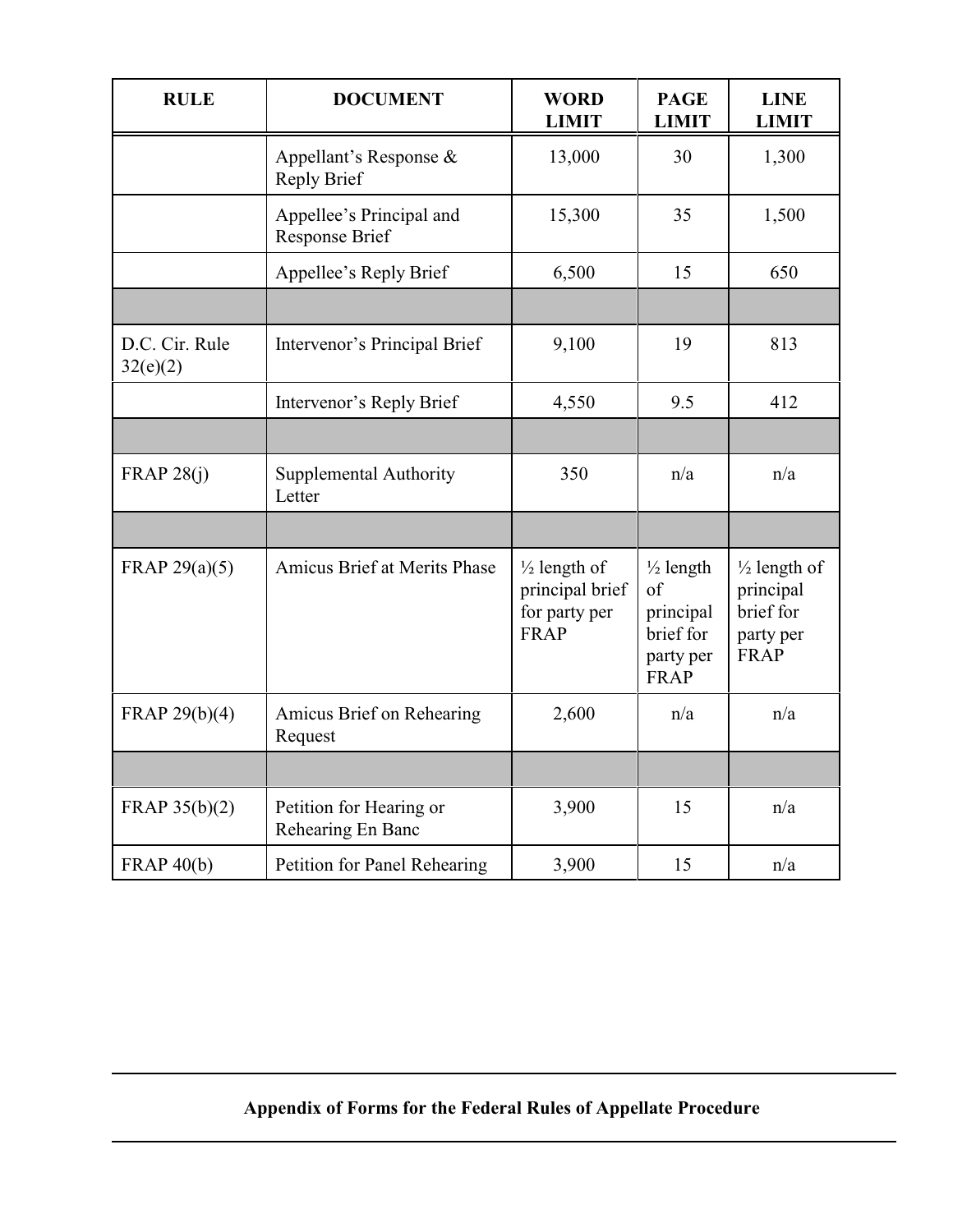| <b>RULE</b>                | <b>DOCUMENT</b>                              | <b>WORD</b><br><b>LIMIT</b>                                                | <b>PAGE</b><br><b>LIMIT</b>                                                      | <b>LINE</b><br><b>LIMIT</b>                                                   |
|----------------------------|----------------------------------------------|----------------------------------------------------------------------------|----------------------------------------------------------------------------------|-------------------------------------------------------------------------------|
|                            | Appellant's Response &<br>Reply Brief        | 13,000                                                                     | 30                                                                               | 1,300                                                                         |
|                            | Appellee's Principal and<br>Response Brief   | 15,300                                                                     | 35                                                                               | 1,500                                                                         |
|                            | Appellee's Reply Brief                       | 6,500                                                                      | 15                                                                               | 650                                                                           |
|                            |                                              |                                                                            |                                                                                  |                                                                               |
| D.C. Cir. Rule<br>32(e)(2) | Intervenor's Principal Brief                 | 9,100                                                                      | 19                                                                               | 813                                                                           |
|                            | Intervenor's Reply Brief                     | 4,550                                                                      | 9.5                                                                              | 412                                                                           |
|                            |                                              |                                                                            |                                                                                  |                                                                               |
| FRAP $28(j)$               | Supplemental Authority<br>Letter             | 350                                                                        | n/a                                                                              | n/a                                                                           |
|                            |                                              |                                                                            |                                                                                  |                                                                               |
| FRAP $29(a)(5)$            | <b>Amicus Brief at Merits Phase</b>          | $\frac{1}{2}$ length of<br>principal brief<br>for party per<br><b>FRAP</b> | $\frac{1}{2}$ length<br>of<br>principal<br>brief for<br>party per<br><b>FRAP</b> | $\frac{1}{2}$ length of<br>principal<br>brief for<br>party per<br><b>FRAP</b> |
| FRAP 29(b)(4)              | Amicus Brief on Rehearing<br>Request         | 2,600                                                                      | n/a                                                                              | n/a                                                                           |
|                            |                                              |                                                                            |                                                                                  |                                                                               |
| FRAP 35(b)(2)              | Petition for Hearing or<br>Rehearing En Banc | 3,900                                                                      | 15                                                                               | n/a                                                                           |
| FRAP $40(b)$               | Petition for Panel Rehearing                 | 3,900                                                                      | 15                                                                               | n/a                                                                           |